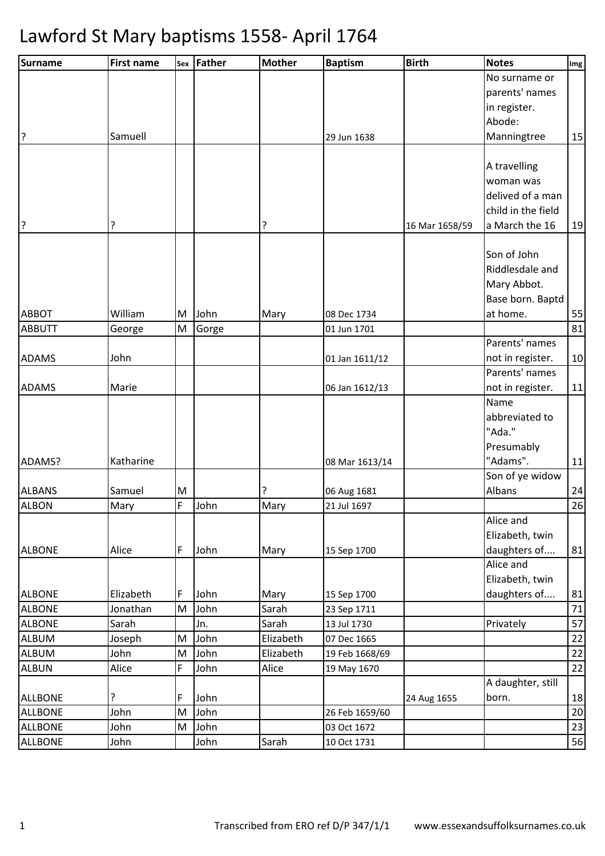| Surname        | <b>First name</b> | Sex | <b>Father</b> | <b>Mother</b> | <b>Baptism</b> | <b>Birth</b>   | <b>Notes</b>       | Img    |
|----------------|-------------------|-----|---------------|---------------|----------------|----------------|--------------------|--------|
|                |                   |     |               |               |                |                | No surname or      |        |
|                |                   |     |               |               |                |                | parents' names     |        |
|                |                   |     |               |               |                |                | in register.       |        |
|                |                   |     |               |               |                |                | Abode:             |        |
| 3              | Samuell           |     |               |               | 29 Jun 1638    |                | Manningtree        | 15     |
|                |                   |     |               |               |                |                |                    |        |
|                |                   |     |               |               |                |                | A travelling       |        |
|                |                   |     |               |               |                |                | woman was          |        |
|                |                   |     |               |               |                |                | delived of a man   |        |
|                |                   |     |               |               |                |                | child in the field |        |
| ?              | ?                 |     |               | ?             |                | 16 Mar 1658/59 | a March the 16     | 19     |
|                |                   |     |               |               |                |                |                    |        |
|                |                   |     |               |               |                |                | Son of John        |        |
|                |                   |     |               |               |                |                | Riddlesdale and    |        |
|                |                   |     |               |               |                |                | Mary Abbot.        |        |
|                |                   |     |               |               |                |                | Base born. Baptd   |        |
| <b>ABBOT</b>   | William           | M   | John          | Mary          | 08 Dec 1734    |                | at home.           | 55     |
| <b>ABBUTT</b>  | George            | M   | Gorge         |               | 01 Jun 1701    |                |                    | 81     |
|                |                   |     |               |               |                |                | Parents' names     |        |
| <b>ADAMS</b>   | John              |     |               |               | 01 Jan 1611/12 |                | not in register.   | 10     |
|                |                   |     |               |               |                |                | Parents' names     |        |
| <b>ADAMS</b>   | Marie             |     |               |               | 06 Jan 1612/13 |                | not in register.   | 11     |
|                |                   |     |               |               |                |                | Name               |        |
|                |                   |     |               |               |                |                | abbreviated to     |        |
|                |                   |     |               |               |                |                | "Ada."             |        |
|                |                   |     |               |               |                |                | Presumably         |        |
| ADAMS?         | Katharine         |     |               |               | 08 Mar 1613/14 |                | "Adams".           | 11     |
|                |                   |     |               |               |                |                | Son of ye widow    |        |
| <b>ALBANS</b>  | Samuel            | M   |               | ?             | 06 Aug 1681    |                | Albans             | 24     |
| <b>ALBON</b>   | Mary              | F   | John          | Mary          | 21 Jul 1697    |                |                    | 26     |
|                |                   |     |               |               |                |                | Alice and          |        |
|                |                   |     |               |               |                |                | Elizabeth, twin    |        |
| <b>ALBONE</b>  | Alice             | F   | John          | Mary          | 15 Sep 1700    |                | daughters of       | 81     |
|                |                   |     |               |               |                |                | Alice and          |        |
|                |                   |     |               |               |                |                | Elizabeth, twin    |        |
| <b>ALBONE</b>  | Elizabeth         | F   | John          | Mary          | 15 Sep 1700    |                | daughters of       | 81     |
| <b>ALBONE</b>  | Jonathan          | M   | John          | Sarah         | 23 Sep 1711    |                |                    | $71\,$ |
| <b>ALBONE</b>  | Sarah             |     | Jn.           | Sarah         | 13 Jul 1730    |                | Privately          | 57     |
| <b>ALBUM</b>   | Joseph            | M   | John          | Elizabeth     | 07 Dec 1665    |                |                    | 22     |
| <b>ALBUM</b>   | John              | M   | John          | Elizabeth     | 19 Feb 1668/69 |                |                    | 22     |
| <b>ALBUN</b>   | Alice             | F   | John          | Alice         | 19 May 1670    |                |                    | 22     |
|                |                   |     |               |               |                |                | A daughter, still  |        |
| <b>ALLBONE</b> | ?                 | F   | John          |               |                | 24 Aug 1655    | born.              | 18     |
| <b>ALLBONE</b> | John              | M   | John          |               | 26 Feb 1659/60 |                |                    | 20     |
| <b>ALLBONE</b> | John              | M   | John          |               | 03 Oct 1672    |                |                    | 23     |
| <b>ALLBONE</b> | John              |     | John          | Sarah         | 10 Oct 1731    |                |                    | 56     |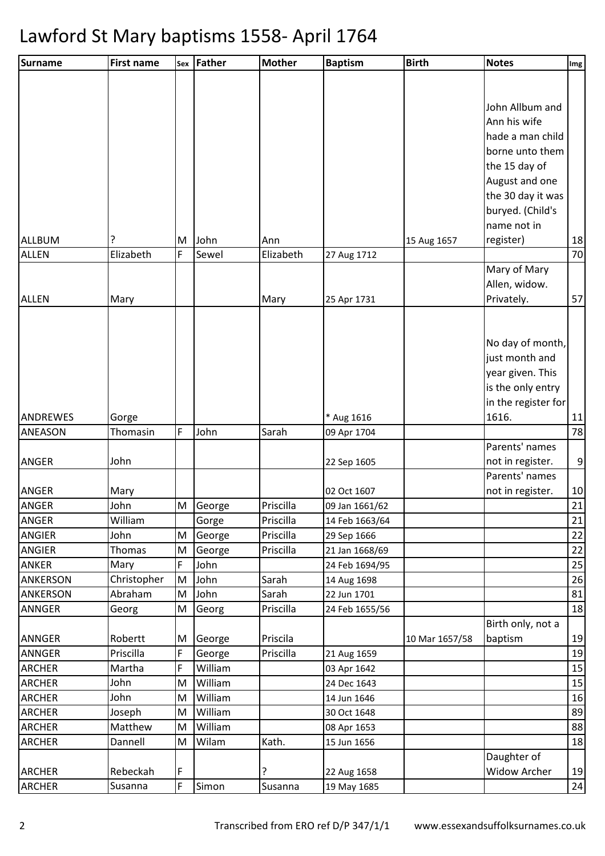| Surname                        | <b>First name</b>   |        | Sex Father        | <b>Mother</b> | <b>Baptism</b>             | <b>Birth</b>   | <b>Notes</b>        | Img      |
|--------------------------------|---------------------|--------|-------------------|---------------|----------------------------|----------------|---------------------|----------|
|                                |                     |        |                   |               |                            |                |                     |          |
|                                |                     |        |                   |               |                            |                |                     |          |
|                                |                     |        |                   |               |                            |                | John Allbum and     |          |
|                                |                     |        |                   |               |                            |                | Ann his wife        |          |
|                                |                     |        |                   |               |                            |                | hade a man child    |          |
|                                |                     |        |                   |               |                            |                | borne unto them     |          |
|                                |                     |        |                   |               |                            |                | the 15 day of       |          |
|                                |                     |        |                   |               |                            |                | August and one      |          |
|                                |                     |        |                   |               |                            |                | the 30 day it was   |          |
|                                |                     |        |                   |               |                            |                | buryed. (Child's    |          |
|                                |                     |        |                   |               |                            |                | name not in         |          |
| ALLBUM                         | ?                   | M      | John              | Ann           |                            | 15 Aug 1657    | register)           | 18       |
| <b>ALLEN</b>                   | Elizabeth           | F      | Sewel             | Elizabeth     | 27 Aug 1712                |                |                     | 70       |
|                                |                     |        |                   |               |                            |                | Mary of Mary        |          |
|                                |                     |        |                   |               |                            |                | Allen, widow.       |          |
| <b>ALLEN</b>                   | Mary                |        |                   | Mary          | 25 Apr 1731                |                | Privately.          | 57       |
|                                |                     |        |                   |               |                            |                |                     |          |
|                                |                     |        |                   |               |                            |                |                     |          |
|                                |                     |        |                   |               |                            |                | No day of month,    |          |
|                                |                     |        |                   |               |                            |                | just month and      |          |
|                                |                     |        |                   |               |                            |                | year given. This    |          |
|                                |                     |        |                   |               |                            |                | is the only entry   |          |
|                                |                     |        |                   |               |                            |                | in the register for |          |
| ANDREWES                       | Gorge               | F      |                   |               | * Aug 1616                 |                | 1616.               | 11       |
| <b>ANEASON</b>                 | Thomasin            |        | John              | Sarah         | 09 Apr 1704                |                | Parents' names      | 78       |
| <b>ANGER</b>                   | John                |        |                   |               | 22 Sep 1605                |                | not in register.    | 9        |
|                                |                     |        |                   |               |                            |                | Parents' names      |          |
| <b>ANGER</b>                   | Mary                |        |                   |               | 02 Oct 1607                |                | not in register.    | 10       |
| <b>ANGER</b>                   | John                | M      | George            | Priscilla     | 09 Jan 1661/62             |                |                     | 21       |
| <b>ANGER</b>                   | William             |        | Gorge             | Priscilla     | 14 Feb 1663/64             |                |                     | 21       |
| <b>ANGIER</b>                  | John                | M      | George            | Priscilla     | 29 Sep 1666                |                |                     | 22       |
| <b>ANGIER</b>                  | Thomas              | M      | George            | Priscilla     | 21 Jan 1668/69             |                |                     | 22       |
| <b>ANKER</b>                   | Mary                | F      | John              |               | 24 Feb 1694/95             |                |                     | 25       |
| <b>ANKERSON</b>                | Christopher         | M      | John              | Sarah         | 14 Aug 1698                |                |                     | 26       |
| ANKERSON                       | Abraham             | M      | John              | Sarah         | 22 Jun 1701                |                |                     | 81       |
| <b>ANNGER</b>                  | Georg               | M      | Georg             | Priscilla     | 24 Feb 1655/56             |                |                     | 18       |
|                                |                     |        |                   |               |                            |                | Birth only, not a   |          |
| <b>ANNGER</b>                  | Robertt             | M      | George            | Priscila      |                            | 10 Mar 1657/58 | baptism             | 19       |
| <b>ANNGER</b><br><b>ARCHER</b> | Priscilla<br>Martha | F<br>F | George<br>William | Priscilla     | 21 Aug 1659<br>03 Apr 1642 |                |                     | 19<br>15 |
| <b>ARCHER</b>                  | John                | M      | William           |               | 24 Dec 1643                |                |                     | 15       |
| <b>ARCHER</b>                  | John                | M      | William           |               | 14 Jun 1646                |                |                     | 16       |
| <b>ARCHER</b>                  | Joseph              | M      | William           |               | 30 Oct 1648                |                |                     | 89       |
| <b>ARCHER</b>                  | Matthew             | M      | William           |               | 08 Apr 1653                |                |                     | 88       |
| <b>ARCHER</b>                  | Dannell             | M      | Wilam             | Kath.         | 15 Jun 1656                |                |                     | 18       |
|                                |                     |        |                   |               |                            |                | Daughter of         |          |
| <b>ARCHER</b>                  | Rebeckah            | F      |                   | ?             | 22 Aug 1658                |                | Widow Archer        | 19       |
| <b>ARCHER</b>                  | Susanna             | F      | Simon             | Susanna       | 19 May 1685                |                |                     | 24       |
|                                |                     |        |                   |               |                            |                |                     |          |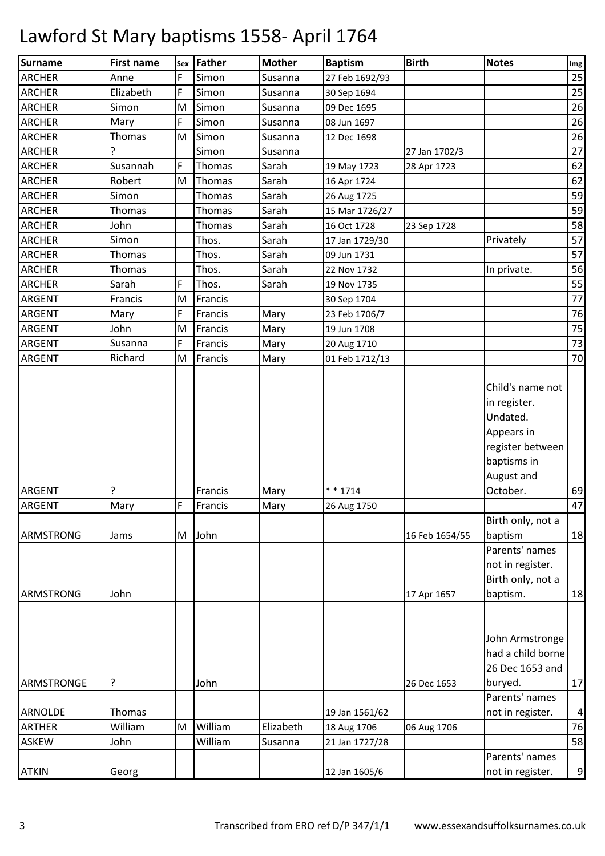| Surname          | <b>First name</b> |   | sex Father | <b>Mother</b> | <b>Baptism</b> | <b>Birth</b>   | <b>Notes</b>                                                                            | Img            |
|------------------|-------------------|---|------------|---------------|----------------|----------------|-----------------------------------------------------------------------------------------|----------------|
| <b>ARCHER</b>    | Anne              | F | Simon      | Susanna       | 27 Feb 1692/93 |                |                                                                                         | 25             |
| <b>ARCHER</b>    | Elizabeth         | F | Simon      | Susanna       | 30 Sep 1694    |                |                                                                                         | 25             |
| <b>ARCHER</b>    | Simon             | M | Simon      | Susanna       | 09 Dec 1695    |                |                                                                                         | 26             |
| <b>ARCHER</b>    | Mary              | F | Simon      | Susanna       | 08 Jun 1697    |                |                                                                                         | 26             |
| <b>ARCHER</b>    | Thomas            | M | Simon      | Susanna       | 12 Dec 1698    |                |                                                                                         | 26             |
| <b>ARCHER</b>    | ?                 |   | Simon      | Susanna       |                | 27 Jan 1702/3  |                                                                                         | 27             |
| <b>ARCHER</b>    | Susannah          | F | Thomas     | Sarah         | 19 May 1723    | 28 Apr 1723    |                                                                                         | 62             |
| <b>ARCHER</b>    | Robert            | M | Thomas     | Sarah         | 16 Apr 1724    |                |                                                                                         | 62             |
| <b>ARCHER</b>    | Simon             |   | Thomas     | Sarah         | 26 Aug 1725    |                |                                                                                         | 59             |
| <b>ARCHER</b>    | Thomas            |   | Thomas     | Sarah         | 15 Mar 1726/27 |                |                                                                                         | 59             |
| <b>ARCHER</b>    | John              |   | Thomas     | Sarah         | 16 Oct 1728    | 23 Sep 1728    |                                                                                         | 58             |
| <b>ARCHER</b>    | Simon             |   | Thos.      | Sarah         | 17 Jan 1729/30 |                | Privately                                                                               | 57             |
| <b>ARCHER</b>    | Thomas            |   | Thos.      | Sarah         | 09 Jun 1731    |                |                                                                                         | 57             |
| <b>ARCHER</b>    | Thomas            |   | Thos.      | Sarah         | 22 Nov 1732    |                | In private.                                                                             | 56             |
| <b>ARCHER</b>    | Sarah             | F | Thos.      | Sarah         | 19 Nov 1735    |                |                                                                                         | 55             |
| <b>ARGENT</b>    | Francis           | M | Francis    |               | 30 Sep 1704    |                |                                                                                         | 77             |
| <b>ARGENT</b>    | Mary              | F | Francis    | Mary          | 23 Feb 1706/7  |                |                                                                                         | 76             |
| ARGENT           | John              | M | Francis    | Mary          | 19 Jun 1708    |                |                                                                                         | 75             |
| <b>ARGENT</b>    | Susanna           | F | Francis    | Mary          | 20 Aug 1710    |                |                                                                                         | 73             |
| <b>ARGENT</b>    | Richard           | M | Francis    | Mary          | 01 Feb 1712/13 |                |                                                                                         | 70             |
|                  |                   |   |            |               |                |                | in register.<br>Undated.<br>Appears in<br>register between<br>baptisms in<br>August and |                |
| <b>ARGENT</b>    | ?                 |   | Francis    | Mary          | $* * 1714$     |                | October.                                                                                | 69             |
| <b>ARGENT</b>    | Mary              | F | Francis    | Mary          | 26 Aug 1750    |                |                                                                                         | 47             |
| <b>ARMSTRONG</b> | Jams              |   | M John     |               |                | 16 Feb 1654/55 | Birth only, not a<br>baptism<br>Parents' names<br>not in register.                      | 18             |
|                  |                   |   |            |               |                |                | Birth only, not a                                                                       |                |
| ARMSTRONG        | John              |   |            |               |                | 17 Apr 1657    | baptism.                                                                                | 18             |
|                  |                   |   |            |               |                |                | John Armstronge<br>had a child borne<br>26 Dec 1653 and                                 |                |
| ARMSTRONGE       | ?                 |   | John       |               |                | 26 Dec 1653    | buryed.                                                                                 | 17             |
|                  |                   |   |            |               |                |                | Parents' names                                                                          |                |
| ARNOLDE          | Thomas            |   |            |               | 19 Jan 1561/62 |                | not in register.                                                                        | $\overline{a}$ |
| <b>ARTHER</b>    | William           | M | William    | Elizabeth     | 18 Aug 1706    | 06 Aug 1706    |                                                                                         | 76             |
| <b>ASKEW</b>     | John              |   | William    | Susanna       | 21 Jan 1727/28 |                |                                                                                         | 58             |
| <b>ATKIN</b>     | Georg             |   |            |               | 12 Jan 1605/6  |                | Parents' names<br>not in register.                                                      | 9              |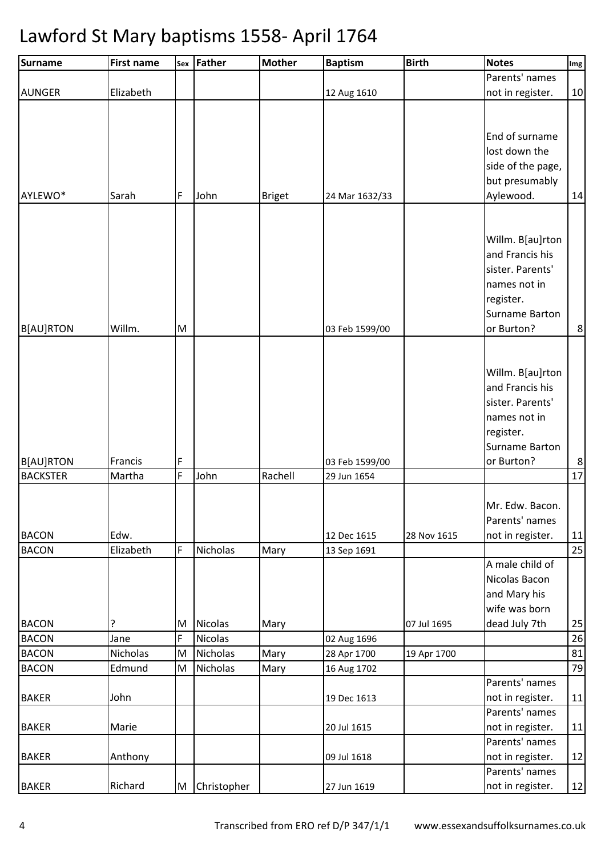| Surname                             | <b>First name</b> |        | sex Father     | <b>Mother</b> | <b>Baptism</b> | <b>Birth</b> | <b>Notes</b>          | Img     |
|-------------------------------------|-------------------|--------|----------------|---------------|----------------|--------------|-----------------------|---------|
|                                     |                   |        |                |               |                |              | Parents' names        |         |
| <b>AUNGER</b>                       | Elizabeth         |        |                |               | 12 Aug 1610    |              | not in register.      | 10      |
|                                     |                   |        |                |               |                |              |                       |         |
|                                     |                   |        |                |               |                |              |                       |         |
|                                     |                   |        |                |               |                |              | End of surname        |         |
|                                     |                   |        |                |               |                |              | lost down the         |         |
|                                     |                   |        |                |               |                |              | side of the page,     |         |
|                                     |                   |        |                |               |                |              | but presumably        |         |
| AYLEWO*                             | Sarah             | F      | John           | <b>Briget</b> | 24 Mar 1632/33 |              | Aylewood.             | 14      |
|                                     |                   |        |                |               |                |              |                       |         |
|                                     |                   |        |                |               |                |              |                       |         |
|                                     |                   |        |                |               |                |              | Willm. B[au]rton      |         |
|                                     |                   |        |                |               |                |              | and Francis his       |         |
|                                     |                   |        |                |               |                |              | sister. Parents'      |         |
|                                     |                   |        |                |               |                |              | names not in          |         |
|                                     |                   |        |                |               |                |              | register.             |         |
|                                     |                   |        |                |               |                |              | <b>Surname Barton</b> |         |
| <b>B[AU]RTON</b>                    | Willm.            | M      |                |               | 03 Feb 1599/00 |              | or Burton?            | $\bf 8$ |
|                                     |                   |        |                |               |                |              |                       |         |
|                                     |                   |        |                |               |                |              | Willm. B[au]rton      |         |
|                                     |                   |        |                |               |                |              | and Francis his       |         |
|                                     |                   |        |                |               |                |              | sister. Parents'      |         |
|                                     |                   |        |                |               |                |              |                       |         |
|                                     |                   |        |                |               |                |              | names not in          |         |
|                                     |                   |        |                |               |                |              | register.             |         |
|                                     |                   |        |                |               |                |              | <b>Surname Barton</b> |         |
| <b>B[AU]RTON</b><br><b>BACKSTER</b> | Francis<br>Martha | F<br>F | John           | Rachell       | 03 Feb 1599/00 |              | or Burton?            | 8<br>17 |
|                                     |                   |        |                |               | 29 Jun 1654    |              |                       |         |
|                                     |                   |        |                |               |                |              | Mr. Edw. Bacon.       |         |
|                                     |                   |        |                |               |                |              | Parents' names        |         |
| <b>BACON</b>                        | Edw.              |        |                |               | 12 Dec 1615    | 28 Nov 1615  | not in register.      | 11      |
| <b>BACON</b>                        | Elizabeth         | F      | Nicholas       | Mary          | 13 Sep 1691    |              |                       | 25      |
|                                     |                   |        |                |               |                |              | A male child of       |         |
|                                     |                   |        |                |               |                |              | Nicolas Bacon         |         |
|                                     |                   |        |                |               |                |              | and Mary his          |         |
|                                     |                   |        |                |               |                |              | wife was born         |         |
| <b>BACON</b>                        | ?                 | M      | Nicolas        | Mary          |                | 07 Jul 1695  | dead July 7th         | 25      |
| <b>BACON</b>                        | Jane              | F      | <b>Nicolas</b> |               | 02 Aug 1696    |              |                       | 26      |
| <b>BACON</b>                        | Nicholas          | M      | Nicholas       | Mary          | 28 Apr 1700    | 19 Apr 1700  |                       | 81      |
| <b>BACON</b>                        | Edmund            | M      | Nicholas       | Mary          | 16 Aug 1702    |              |                       | 79      |
|                                     |                   |        |                |               |                |              | Parents' names        |         |
| <b>BAKER</b>                        | John              |        |                |               | 19 Dec 1613    |              | not in register.      | 11      |
|                                     |                   |        |                |               |                |              | Parents' names        |         |
| <b>BAKER</b>                        | Marie             |        |                |               | 20 Jul 1615    |              | not in register.      | 11      |
|                                     |                   |        |                |               |                |              | Parents' names        |         |
| <b>BAKER</b>                        | Anthony           |        |                |               | 09 Jul 1618    |              | not in register.      | 12      |
|                                     |                   |        |                |               |                |              | Parents' names        |         |
| <b>BAKER</b>                        | Richard           |        | M Christopher  |               | 27 Jun 1619    |              | not in register.      | 12      |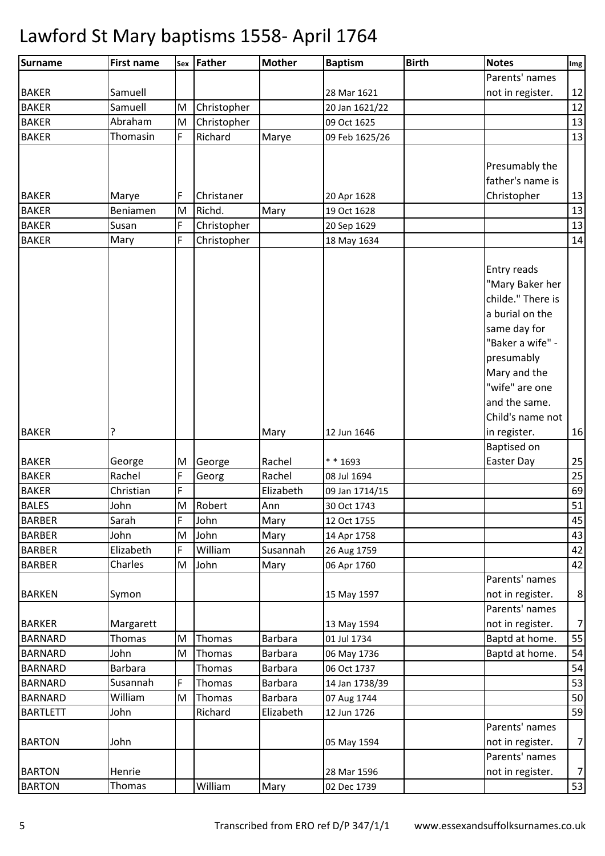| <b>Surname</b>  | <b>First name</b> | Sex | Father      | <b>Mother</b>  | <b>Baptism</b> | <b>Birth</b> | <b>Notes</b>       | Img            |
|-----------------|-------------------|-----|-------------|----------------|----------------|--------------|--------------------|----------------|
|                 |                   |     |             |                |                |              | Parents' names     |                |
| <b>BAKER</b>    | Samuell           |     |             |                | 28 Mar 1621    |              | not in register.   | 12             |
| <b>BAKER</b>    | Samuell           | M   | Christopher |                | 20 Jan 1621/22 |              |                    | 12             |
| <b>BAKER</b>    | Abraham           | M   | Christopher |                | 09 Oct 1625    |              |                    | 13             |
| <b>BAKER</b>    | Thomasin          | F   | Richard     | Marye          | 09 Feb 1625/26 |              |                    | 13             |
|                 |                   |     |             |                |                |              |                    |                |
|                 |                   |     |             |                |                |              | Presumably the     |                |
|                 |                   |     |             |                |                |              | father's name is   |                |
| <b>BAKER</b>    | Marye             | F   | Christaner  |                | 20 Apr 1628    |              | Christopher        | 13             |
| <b>BAKER</b>    | Beniamen          | M   | Richd.      | Mary           | 19 Oct 1628    |              |                    | 13             |
| <b>BAKER</b>    | Susan             | F   | Christopher |                | 20 Sep 1629    |              |                    | 13             |
| <b>BAKER</b>    | Mary              | F   | Christopher |                | 18 May 1634    |              |                    | 14             |
|                 |                   |     |             |                |                |              |                    |                |
|                 |                   |     |             |                |                |              | Entry reads        |                |
|                 |                   |     |             |                |                |              | "Mary Baker her    |                |
|                 |                   |     |             |                |                |              | childe." There is  |                |
|                 |                   |     |             |                |                |              | a burial on the    |                |
|                 |                   |     |             |                |                |              | same day for       |                |
|                 |                   |     |             |                |                |              | "Baker a wife" -   |                |
|                 |                   |     |             |                |                |              | presumably         |                |
|                 |                   |     |             |                |                |              | Mary and the       |                |
|                 |                   |     |             |                |                |              | "wife" are one     |                |
|                 |                   |     |             |                |                |              | and the same.      |                |
|                 |                   |     |             |                |                |              | Child's name not   |                |
| <b>BAKER</b>    | ?                 |     |             | Mary           | 12 Jun 1646    |              | in register.       | 16             |
|                 |                   |     |             |                |                |              | <b>Baptised on</b> |                |
| <b>BAKER</b>    | George            | M   | George      | Rachel         | $* * 1693$     |              | Easter Day         | 25             |
| <b>BAKER</b>    | Rachel            | F   | Georg       | Rachel         | 08 Jul 1694    |              |                    | 25             |
| <b>BAKER</b>    | Christian         | F   |             | Elizabeth      | 09 Jan 1714/15 |              |                    | 69             |
| <b>BALES</b>    | John              | M   | Robert      | Ann            | 30 Oct 1743    |              |                    | 51             |
| <b>BARBER</b>   | Sarah             | F   | John        | Mary           | 12 Oct 1755    |              |                    | 45             |
| <b>BARBER</b>   | John              | M   | John        | Mary           | 14 Apr 1758    |              |                    | 43             |
| <b>BARBER</b>   | Elizabeth         | F   | William     | Susannah       | 26 Aug 1759    |              |                    | 42             |
| <b>BARBER</b>   | Charles           | M   | John        | Mary           | 06 Apr 1760    |              |                    | 42             |
|                 |                   |     |             |                |                |              | Parents' names     |                |
| <b>BARKEN</b>   | Symon             |     |             |                | 15 May 1597    |              | not in register.   | 8              |
|                 |                   |     |             |                |                |              | Parents' names     |                |
| <b>BARKER</b>   | Margarett         |     |             |                | 13 May 1594    |              | not in register.   | $\overline{7}$ |
| <b>BARNARD</b>  | <b>Thomas</b>     | M   | Thomas      | <b>Barbara</b> | 01 Jul 1734    |              | Baptd at home.     | 55             |
| <b>BARNARD</b>  | John              | M   | Thomas      | <b>Barbara</b> | 06 May 1736    |              | Baptd at home.     | 54             |
| <b>BARNARD</b>  | <b>Barbara</b>    |     | Thomas      | <b>Barbara</b> | 06 Oct 1737    |              |                    | 54             |
| <b>BARNARD</b>  | Susannah          | F   | Thomas      | <b>Barbara</b> | 14 Jan 1738/39 |              |                    | 53             |
| <b>BARNARD</b>  | William           | M   | Thomas      | <b>Barbara</b> | 07 Aug 1744    |              |                    | 50             |
| <b>BARTLETT</b> | John              |     | Richard     | Elizabeth      | 12 Jun 1726    |              |                    | 59             |
|                 |                   |     |             |                |                |              | Parents' names     |                |
| <b>BARTON</b>   | John              |     |             |                | 05 May 1594    |              | not in register.   | $\overline{7}$ |
|                 |                   |     |             |                |                |              | Parents' names     |                |
| <b>BARTON</b>   | Henrie            |     |             |                | 28 Mar 1596    |              | not in register.   | $\overline{7}$ |
| <b>BARTON</b>   | Thomas            |     | William     | Mary           | 02 Dec 1739    |              |                    | 53             |
|                 |                   |     |             |                |                |              |                    |                |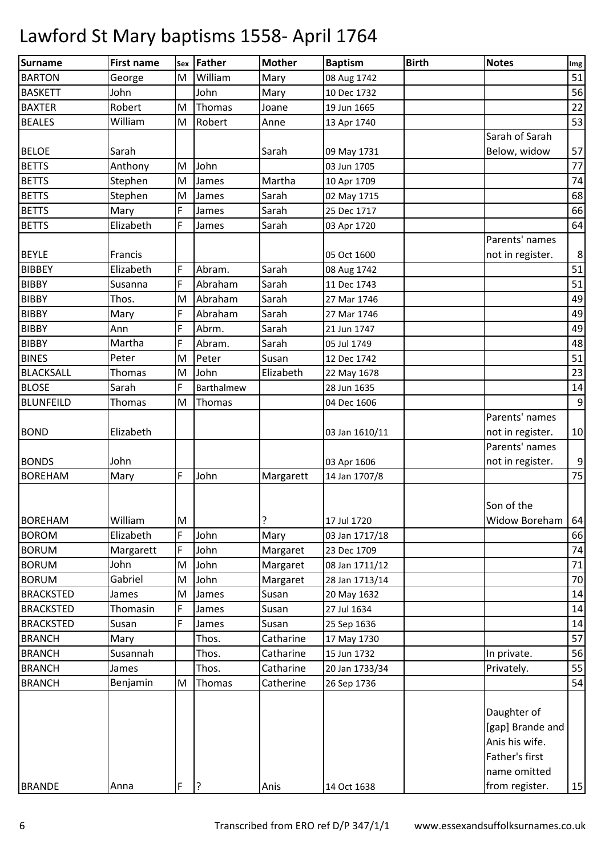| Surname          | <b>First name</b> |   | sex Father | <b>Mother</b> | <b>Baptism</b> | <b>Birth</b> | <b>Notes</b>     | Img              |
|------------------|-------------------|---|------------|---------------|----------------|--------------|------------------|------------------|
| <b>BARTON</b>    | George            | M | William    | Mary          | 08 Aug 1742    |              |                  | 51               |
| <b>BASKETT</b>   | John              |   | John       | Mary          | 10 Dec 1732    |              |                  | 56               |
| <b>BAXTER</b>    | Robert            | M | Thomas     | Joane         | 19 Jun 1665    |              |                  | 22               |
| <b>BEALES</b>    | William           | M | Robert     | Anne          | 13 Apr 1740    |              |                  | 53               |
|                  |                   |   |            |               |                |              | Sarah of Sarah   |                  |
| <b>BELOE</b>     | Sarah             |   |            | Sarah         | 09 May 1731    |              | Below, widow     | 57               |
| <b>BETTS</b>     | Anthony           | M | John       |               | 03 Jun 1705    |              |                  | 77               |
| <b>BETTS</b>     | Stephen           | M | James      | Martha        | 10 Apr 1709    |              |                  | 74               |
| <b>BETTS</b>     | Stephen           | M | James      | Sarah         | 02 May 1715    |              |                  | 68               |
| <b>BETTS</b>     | Mary              | F | James      | Sarah         | 25 Dec 1717    |              |                  | 66               |
| <b>BETTS</b>     | Elizabeth         | F | James      | Sarah         | 03 Apr 1720    |              |                  | 64               |
|                  |                   |   |            |               |                |              | Parents' names   |                  |
| <b>BEYLE</b>     | Francis           |   |            |               | 05 Oct 1600    |              | not in register. | $\bf 8$          |
| <b>BIBBEY</b>    | Elizabeth         | F | Abram.     | Sarah         | 08 Aug 1742    |              |                  | 51               |
| <b>BIBBY</b>     | Susanna           | F | Abraham    | Sarah         | 11 Dec 1743    |              |                  | 51               |
| <b>BIBBY</b>     | Thos.             | M | Abraham    | Sarah         | 27 Mar 1746    |              |                  | 49               |
| <b>BIBBY</b>     | Mary              | F | Abraham    | Sarah         | 27 Mar 1746    |              |                  | 49               |
| <b>BIBBY</b>     | Ann               | F | Abrm.      | Sarah         | 21 Jun 1747    |              |                  | 49               |
| <b>BIBBY</b>     | Martha            | F | Abram.     | Sarah         | 05 Jul 1749    |              |                  | 48               |
| <b>BINES</b>     | Peter             | M | Peter      | Susan         | 12 Dec 1742    |              |                  | 51               |
| <b>BLACKSALL</b> | Thomas            | M | John       | Elizabeth     | 22 May 1678    |              |                  | 23               |
| <b>BLOSE</b>     | Sarah             | F | Barthalmew |               | 28 Jun 1635    |              |                  | 14               |
| <b>BLUNFEILD</b> | Thomas            | M | Thomas     |               | 04 Dec 1606    |              |                  | $\overline{9}$   |
|                  |                   |   |            |               |                |              | Parents' names   |                  |
| <b>BOND</b>      | Elizabeth         |   |            |               | 03 Jan 1610/11 |              | not in register. | 10               |
|                  |                   |   |            |               |                |              | Parents' names   |                  |
| <b>BONDS</b>     | John              |   |            |               | 03 Apr 1606    |              | not in register. | $\boldsymbol{9}$ |
| <b>BOREHAM</b>   | Mary              | F | John       | Margarett     | 14 Jan 1707/8  |              |                  | 75               |
|                  |                   |   |            |               |                |              |                  |                  |
|                  |                   |   |            |               |                |              | Son of the       |                  |
| <b>BOREHAM</b>   | William           | M |            | ?             | 17 Jul 1720    |              | Widow Boreham    | 64               |
| <b>BOROM</b>     | Elizabeth         | F | John       | Mary          | 03 Jan 1717/18 |              |                  | 66               |
| <b>BORUM</b>     | Margarett         | F | John       | Margaret      | 23 Dec 1709    |              |                  | 74               |
| <b>BORUM</b>     | John              | M | John       | Margaret      | 08 Jan 1711/12 |              |                  | 71               |
| <b>BORUM</b>     | Gabriel           | M | John       | Margaret      | 28 Jan 1713/14 |              |                  | 70               |
| <b>BRACKSTED</b> | James             | M | James      | Susan         | 20 May 1632    |              |                  | 14               |
| <b>BRACKSTED</b> | Thomasin          | F | James      | Susan         | 27 Jul 1634    |              |                  | 14               |
| <b>BRACKSTED</b> | Susan             | F | James      | Susan         | 25 Sep 1636    |              |                  | 14               |
| <b>BRANCH</b>    | Mary              |   | Thos.      | Catharine     | 17 May 1730    |              |                  | 57               |
| <b>BRANCH</b>    | Susannah          |   | Thos.      | Catharine     | 15 Jun 1732    |              | In private.      | 56               |
| <b>BRANCH</b>    | James             |   | Thos.      | Catharine     | 20 Jan 1733/34 |              | Privately.       | 55               |
| <b>BRANCH</b>    | Benjamin          | M | Thomas     | Catherine     | 26 Sep 1736    |              |                  | 54               |
|                  |                   |   |            |               |                |              | Daughter of      |                  |
|                  |                   |   |            |               |                |              | [gap] Brande and |                  |
|                  |                   |   |            |               |                |              | Anis his wife.   |                  |
|                  |                   |   |            |               |                |              | Father's first   |                  |
|                  |                   |   |            |               |                |              | name omitted     |                  |
| <b>BRANDE</b>    | Anna              | F | ?          | Anis          | 14 Oct 1638    |              | from register.   | 15               |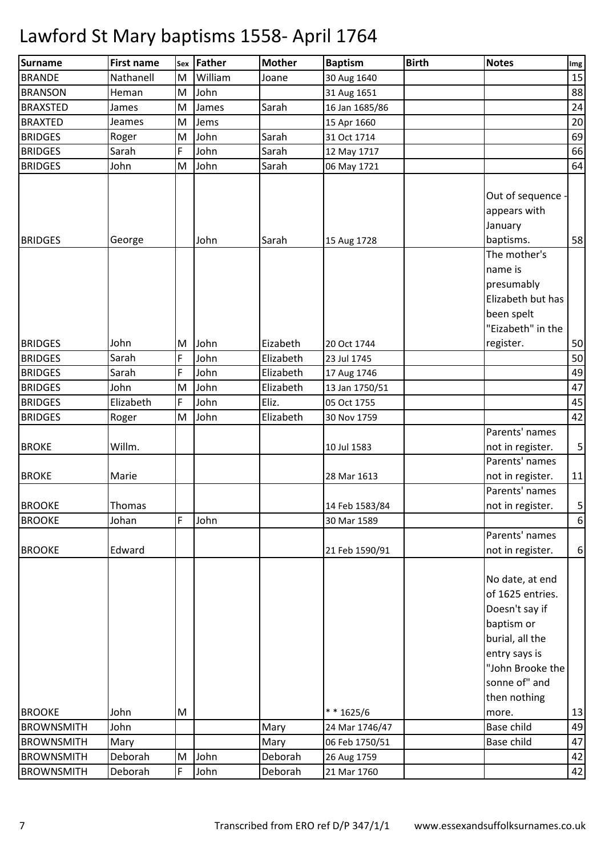| <b>Surname</b>    | <b>First name</b> |        | sex Father | <b>Mother</b> | <b>Baptism</b> | <b>Birth</b> | <b>Notes</b>                                                                                                                                                 | Img         |
|-------------------|-------------------|--------|------------|---------------|----------------|--------------|--------------------------------------------------------------------------------------------------------------------------------------------------------------|-------------|
| <b>BRANDE</b>     | Nathanell         | M      | William    | Joane         | 30 Aug 1640    |              |                                                                                                                                                              | 15          |
| <b>BRANSON</b>    | Heman             | M      | John       |               | 31 Aug 1651    |              |                                                                                                                                                              | 88          |
| <b>BRAXSTED</b>   | James             | M      | James      | Sarah         | 16 Jan 1685/86 |              |                                                                                                                                                              | 24          |
| <b>BRAXTED</b>    | Jeames            | M      | Jems       |               | 15 Apr 1660    |              |                                                                                                                                                              | 20          |
| <b>BRIDGES</b>    | Roger             | M      | John       | Sarah         | 31 Oct 1714    |              |                                                                                                                                                              | 69          |
| <b>BRIDGES</b>    | Sarah             | F      | John       | Sarah         | 12 May 1717    |              |                                                                                                                                                              | 66          |
| <b>BRIDGES</b>    | John              | M      | John       | Sarah         | 06 May 1721    |              |                                                                                                                                                              | 64          |
| <b>BRIDGES</b>    | George            |        | John       | Sarah         | 15 Aug 1728    |              | Out of sequence<br>appears with<br>January<br>baptisms.<br>The mother's<br>name is<br>presumably<br>Elizabeth but has                                        | 58          |
| <b>BRIDGES</b>    | John              | M<br>F | John       | Eizabeth      | 20 Oct 1744    |              | been spelt<br>"Eizabeth" in the<br>register.                                                                                                                 | 50          |
| <b>BRIDGES</b>    | Sarah             |        | John       | Elizabeth     | 23 Jul 1745    |              |                                                                                                                                                              | 50          |
| <b>BRIDGES</b>    | Sarah             | F      | John       | Elizabeth     | 17 Aug 1746    |              |                                                                                                                                                              | 49          |
| <b>BRIDGES</b>    | John              | M      | John       | Elizabeth     | 13 Jan 1750/51 |              |                                                                                                                                                              | 47          |
| <b>BRIDGES</b>    | Elizabeth         | F      | John       | Eliz.         | 05 Oct 1755    |              |                                                                                                                                                              | 45          |
| <b>BRIDGES</b>    | Roger             | M      | John       | Elizabeth     | 30 Nov 1759    |              |                                                                                                                                                              | 42          |
| <b>BROKE</b>      | Willm.            |        |            |               | 10 Jul 1583    |              | Parents' names<br>not in register.                                                                                                                           | $\mathsf S$ |
| <b>BROKE</b>      | Marie             |        |            |               | 28 Mar 1613    |              | Parents' names<br>not in register.                                                                                                                           | 11          |
| <b>BROOKE</b>     | Thomas            |        |            |               | 14 Feb 1583/84 |              | Parents' names<br>not in register.                                                                                                                           | 5           |
| <b>BROOKE</b>     | Johan             | F      | John       |               | 30 Mar 1589    |              |                                                                                                                                                              | $6\,$       |
| <b>BROOKE</b>     | Edward            |        |            |               | 21 Feb 1590/91 |              | Parents' names<br>not in register.                                                                                                                           | 6           |
|                   |                   |        |            |               |                |              | No date, at end<br>of 1625 entries.<br>Doesn't say if<br>baptism or<br>burial, all the<br>entry says is<br>"John Brooke the<br>sonne of" and<br>then nothing |             |
| <b>BROOKE</b>     | John              | M      |            |               | $* * 1625/6$   |              | more.                                                                                                                                                        | 13          |
| <b>BROWNSMITH</b> | John              |        |            | Mary          | 24 Mar 1746/47 |              | Base child                                                                                                                                                   | 49          |
| <b>BROWNSMITH</b> | Mary              |        |            | Mary          | 06 Feb 1750/51 |              | Base child                                                                                                                                                   | 47          |
| <b>BROWNSMITH</b> | Deborah           | M      | John       | Deborah       | 26 Aug 1759    |              |                                                                                                                                                              | 42          |
| <b>BROWNSMITH</b> | Deborah           | F      | John       | Deborah       | 21 Mar 1760    |              |                                                                                                                                                              | 42          |
|                   |                   |        |            |               |                |              |                                                                                                                                                              |             |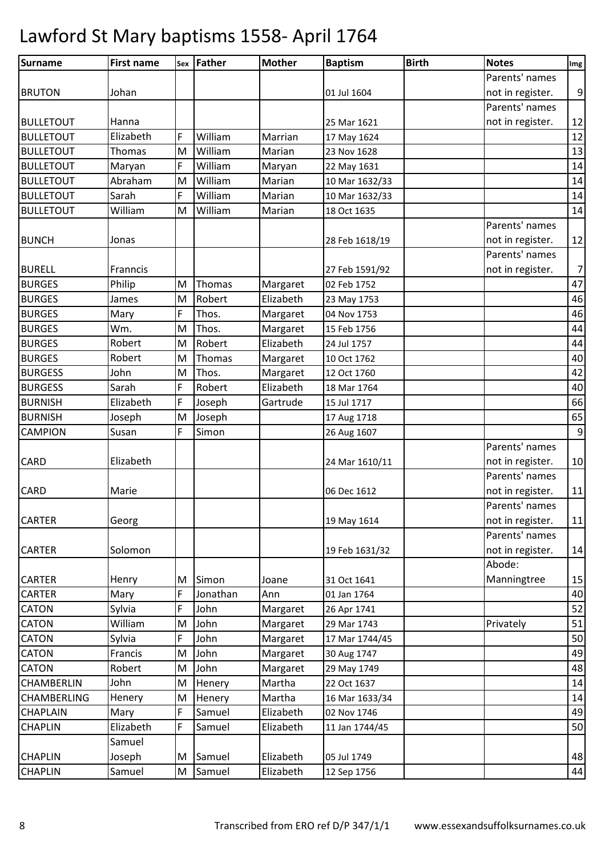| Surname          | <b>First name</b> |   | sex Father | <b>Mother</b> | <b>Baptism</b> | <b>Birth</b> | <b>Notes</b>     | Img            |
|------------------|-------------------|---|------------|---------------|----------------|--------------|------------------|----------------|
|                  |                   |   |            |               |                |              | Parents' names   |                |
| <b>BRUTON</b>    | Johan             |   |            |               | 01 Jul 1604    |              | not in register. | 9              |
|                  |                   |   |            |               |                |              | Parents' names   |                |
| <b>BULLETOUT</b> | Hanna             |   |            |               | 25 Mar 1621    |              | not in register. | 12             |
| <b>BULLETOUT</b> | Elizabeth         | F | William    | Marrian       | 17 May 1624    |              |                  | 12             |
| <b>BULLETOUT</b> | Thomas            | M | William    | Marian        | 23 Nov 1628    |              |                  | 13             |
| <b>BULLETOUT</b> | Maryan            | F | William    | Maryan        | 22 May 1631    |              |                  | 14             |
| <b>BULLETOUT</b> | Abraham           | M | William    | Marian        | 10 Mar 1632/33 |              |                  | 14             |
| <b>BULLETOUT</b> | Sarah             | F | William    | Marian        | 10 Mar 1632/33 |              |                  | 14             |
| <b>BULLETOUT</b> | William           | M | William    | Marian        | 18 Oct 1635    |              |                  | 14             |
|                  |                   |   |            |               |                |              | Parents' names   |                |
| <b>BUNCH</b>     | Jonas             |   |            |               | 28 Feb 1618/19 |              | not in register. | 12             |
|                  |                   |   |            |               |                |              | Parents' names   |                |
| <b>BURELL</b>    | Franncis          |   |            |               | 27 Feb 1591/92 |              | not in register. | $\overline{7}$ |
| <b>BURGES</b>    | Philip            | M | Thomas     | Margaret      | 02 Feb 1752    |              |                  | 47             |
| <b>BURGES</b>    | James             | M | Robert     | Elizabeth     | 23 May 1753    |              |                  | 46             |
| <b>BURGES</b>    | Mary              | F | Thos.      | Margaret      | 04 Nov 1753    |              |                  | 46             |
| <b>BURGES</b>    | Wm.               | M | Thos.      | Margaret      | 15 Feb 1756    |              |                  | 44             |
| <b>BURGES</b>    | Robert            | M | Robert     | Elizabeth     | 24 Jul 1757    |              |                  | 44             |
| <b>BURGES</b>    | Robert            | M | Thomas     | Margaret      | 10 Oct 1762    |              |                  | 40             |
| <b>BURGESS</b>   | John              | M | Thos.      | Margaret      | 12 Oct 1760    |              |                  | 42             |
| <b>BURGESS</b>   | Sarah             | F | Robert     | Elizabeth     | 18 Mar 1764    |              |                  | 40             |
| <b>BURNISH</b>   | Elizabeth         | F | Joseph     | Gartrude      | 15 Jul 1717    |              |                  | 66             |
| <b>BURNISH</b>   | Joseph            | M | Joseph     |               | 17 Aug 1718    |              |                  | 65             |
| <b>CAMPION</b>   | Susan             | F | Simon      |               | 26 Aug 1607    |              |                  | 9              |
|                  |                   |   |            |               |                |              | Parents' names   |                |
| CARD             | Elizabeth         |   |            |               | 24 Mar 1610/11 |              | not in register. | 10             |
|                  |                   |   |            |               |                |              | Parents' names   |                |
| CARD             | Marie             |   |            |               | 06 Dec 1612    |              | not in register. | 11             |
|                  |                   |   |            |               |                |              | Parents' names   |                |
| <b>CARTER</b>    | Georg             |   |            |               | 19 May 1614    |              | not in register. | 11             |
|                  |                   |   |            |               |                |              | Parents' names   |                |
| CARTER           | Solomon           |   |            |               | 19 Feb 1631/32 |              | not in register. | 14             |
|                  |                   |   |            |               |                |              | Abode:           |                |
| <b>CARTER</b>    | Henry             | M | Simon      | Joane         | 31 Oct 1641    |              | Manningtree      | 15             |
| <b>CARTER</b>    | Mary              | F | Jonathan   | Ann           | 01 Jan 1764    |              |                  | 40             |
| CATON            | Sylvia            | F | John       | Margaret      | 26 Apr 1741    |              |                  | 52             |
| <b>CATON</b>     | William           | M | John       | Margaret      | 29 Mar 1743    |              | Privately        | 51             |
| <b>CATON</b>     | Sylvia            | F | John       | Margaret      | 17 Mar 1744/45 |              |                  | 50             |
| CATON            | Francis           | M | John       | Margaret      | 30 Aug 1747    |              |                  | 49             |
| <b>CATON</b>     | Robert            | M | John       | Margaret      | 29 May 1749    |              |                  | 48             |
| CHAMBERLIN       | John              | M | Henery     | Martha        | 22 Oct 1637    |              |                  | 14             |
| CHAMBERLING      | Henery            | M | Henery     | Martha        | 16 Mar 1633/34 |              |                  | 14             |
| CHAPLAIN         | Mary              | F | Samuel     | Elizabeth     | 02 Nov 1746    |              |                  | 49             |
| <b>CHAPLIN</b>   | Elizabeth         | F | Samuel     | Elizabeth     | 11 Jan 1744/45 |              |                  | 50             |
|                  | Samuel            |   |            |               |                |              |                  |                |
| <b>CHAPLIN</b>   | Joseph            | M | Samuel     | Elizabeth     | 05 Jul 1749    |              |                  | 48             |
| CHAPLIN          | Samuel            | M | Samuel     | Elizabeth     | 12 Sep 1756    |              |                  | 44             |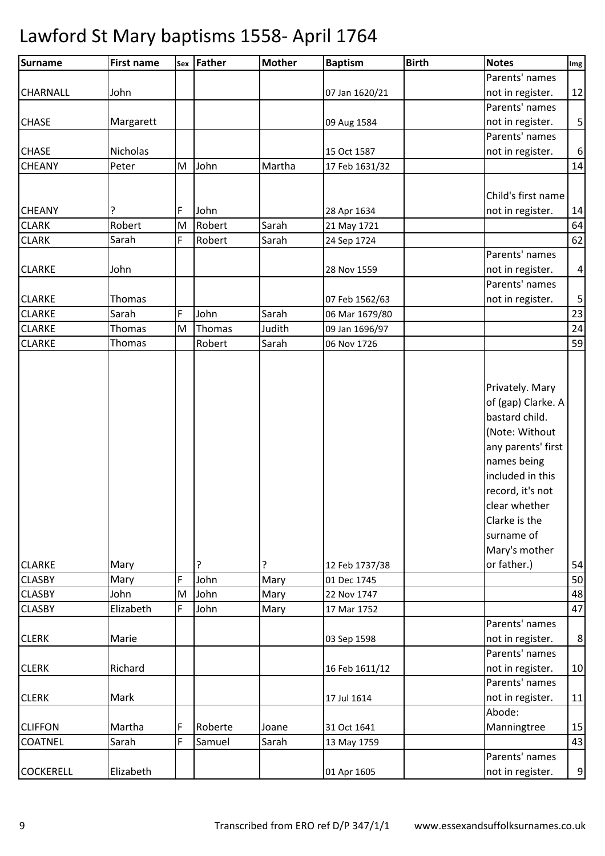| Surname          | <b>First name</b> |   | sex Father | <b>Mother</b> | <b>Baptism</b> | <b>Birth</b> | <b>Notes</b>                                                                                                                                                                                                                           | Img              |
|------------------|-------------------|---|------------|---------------|----------------|--------------|----------------------------------------------------------------------------------------------------------------------------------------------------------------------------------------------------------------------------------------|------------------|
|                  |                   |   |            |               |                |              | Parents' names                                                                                                                                                                                                                         |                  |
| CHARNALL         | John              |   |            |               | 07 Jan 1620/21 |              | not in register.                                                                                                                                                                                                                       | 12               |
|                  |                   |   |            |               |                |              | Parents' names                                                                                                                                                                                                                         |                  |
| <b>CHASE</b>     | Margarett         |   |            |               | 09 Aug 1584    |              | not in register.                                                                                                                                                                                                                       | $\mathsf S$      |
|                  |                   |   |            |               |                |              | Parents' names                                                                                                                                                                                                                         |                  |
| <b>CHASE</b>     | Nicholas          |   |            |               | 15 Oct 1587    |              | not in register.                                                                                                                                                                                                                       | $\boldsymbol{6}$ |
| <b>CHEANY</b>    | Peter             | M | John       | Martha        | 17 Feb 1631/32 |              |                                                                                                                                                                                                                                        | 14               |
|                  |                   |   |            |               |                |              |                                                                                                                                                                                                                                        |                  |
|                  |                   |   |            |               |                |              | Child's first name                                                                                                                                                                                                                     |                  |
| <b>CHEANY</b>    | ?                 | F | John       |               | 28 Apr 1634    |              | not in register.                                                                                                                                                                                                                       | 14               |
| <b>CLARK</b>     | Robert            | M | Robert     | Sarah         | 21 May 1721    |              |                                                                                                                                                                                                                                        | 64               |
| <b>CLARK</b>     | Sarah             | F | Robert     | Sarah         | 24 Sep 1724    |              |                                                                                                                                                                                                                                        | 62               |
|                  |                   |   |            |               |                |              | Parents' names                                                                                                                                                                                                                         |                  |
| <b>CLARKE</b>    | John              |   |            |               | 28 Nov 1559    |              | not in register.                                                                                                                                                                                                                       | 4                |
|                  |                   |   |            |               |                |              | Parents' names                                                                                                                                                                                                                         |                  |
| <b>CLARKE</b>    | Thomas            |   |            |               | 07 Feb 1562/63 |              | not in register.                                                                                                                                                                                                                       | $\mathsf S$      |
| <b>CLARKE</b>    | Sarah             | F | John       | Sarah         | 06 Mar 1679/80 |              |                                                                                                                                                                                                                                        | 23               |
| <b>CLARKE</b>    | Thomas            | M | Thomas     | Judith        | 09 Jan 1696/97 |              |                                                                                                                                                                                                                                        | 24               |
| <b>CLARKE</b>    | Thomas            |   | Robert     | Sarah         | 06 Nov 1726    |              |                                                                                                                                                                                                                                        | 59               |
| <b>CLARKE</b>    | Mary              |   | ?          | ?             | 12 Feb 1737/38 |              | Privately. Mary<br>of (gap) Clarke. A<br>bastard child.<br>(Note: Without<br>any parents' first<br>names being<br>included in this<br>record, it's not<br>clear whether<br>Clarke is the<br>surname of<br>Mary's mother<br>or father.) | 54               |
| <b>CLASBY</b>    | Mary              | F | John       | Mary          | 01 Dec 1745    |              |                                                                                                                                                                                                                                        | 50               |
| <b>CLASBY</b>    | John              | M | John       | Mary          | 22 Nov 1747    |              |                                                                                                                                                                                                                                        | 48               |
| <b>CLASBY</b>    | Elizabeth         | F | John       | Mary          | 17 Mar 1752    |              |                                                                                                                                                                                                                                        | 47               |
|                  |                   |   |            |               |                |              | Parents' names                                                                                                                                                                                                                         |                  |
| <b>CLERK</b>     | Marie             |   |            |               | 03 Sep 1598    |              | not in register.                                                                                                                                                                                                                       | 8                |
|                  |                   |   |            |               |                |              | Parents' names                                                                                                                                                                                                                         |                  |
| <b>CLERK</b>     | Richard           |   |            |               | 16 Feb 1611/12 |              | not in register.                                                                                                                                                                                                                       | 10               |
|                  |                   |   |            |               |                |              | Parents' names                                                                                                                                                                                                                         |                  |
| <b>CLERK</b>     | Mark              |   |            |               | 17 Jul 1614    |              | not in register.                                                                                                                                                                                                                       | 11               |
|                  |                   |   |            |               |                |              | Abode:                                                                                                                                                                                                                                 |                  |
| <b>CLIFFON</b>   | Martha            | F | Roberte    | Joane         | 31 Oct 1641    |              | Manningtree                                                                                                                                                                                                                            | 15               |
| <b>COATNEL</b>   | Sarah             | F | Samuel     | Sarah         | 13 May 1759    |              |                                                                                                                                                                                                                                        | 43               |
|                  |                   |   |            |               |                |              | Parents' names                                                                                                                                                                                                                         |                  |
| <b>COCKERELL</b> |                   |   |            |               |                |              |                                                                                                                                                                                                                                        |                  |
|                  | Elizabeth         |   |            |               | 01 Apr 1605    |              | not in register.                                                                                                                                                                                                                       | 9                |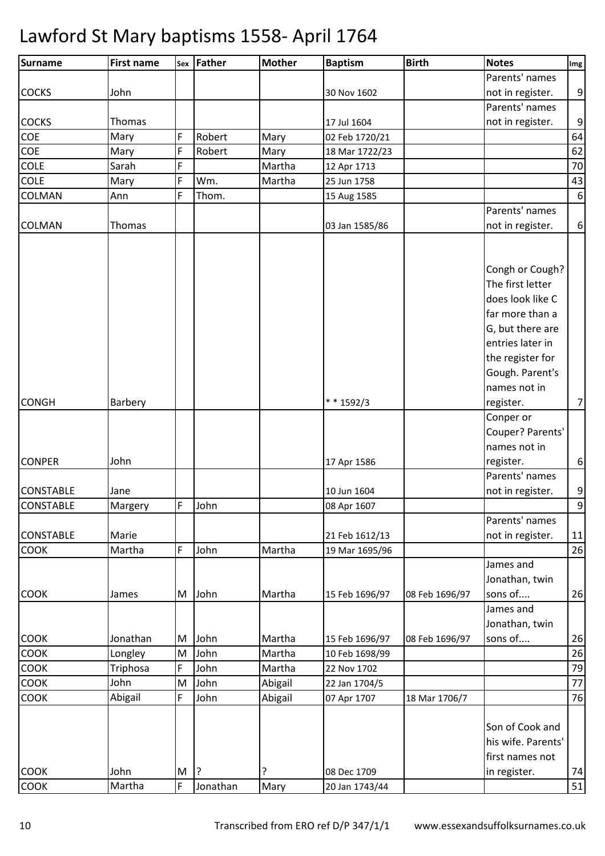| Surname          | <b>First name</b> |   | sex Father | <b>Mother</b> | <b>Baptism</b> | <b>Birth</b>   | <b>Notes</b>                | Img              |
|------------------|-------------------|---|------------|---------------|----------------|----------------|-----------------------------|------------------|
|                  |                   |   |            |               |                |                | Parents' names              |                  |
| <b>COCKS</b>     | John              |   |            |               | 30 Nov 1602    |                | not in register.            | 9                |
|                  |                   |   |            |               |                |                | Parents' names              |                  |
| <b>COCKS</b>     | Thomas            |   |            |               | 17 Jul 1604    |                | not in register.            | 9                |
| COE              | Mary              | F | Robert     | Mary          | 02 Feb 1720/21 |                |                             | 64               |
| COE              | Mary              | F | Robert     | Mary          | 18 Mar 1722/23 |                |                             | 62               |
| <b>COLE</b>      | Sarah             | F |            | Martha        | 12 Apr 1713    |                |                             | 70               |
| COLE             | Mary              | F | Wm.        | Martha        | 25 Jun 1758    |                |                             | 43               |
| COLMAN           | Ann               | F | Thom.      |               | 15 Aug 1585    |                |                             | $\boldsymbol{6}$ |
|                  |                   |   |            |               |                |                | Parents' names              |                  |
| <b>COLMAN</b>    | Thomas            |   |            |               | 03 Jan 1585/86 |                | not in register.            | 6                |
|                  |                   |   |            |               |                |                |                             |                  |
|                  |                   |   |            |               |                |                |                             |                  |
|                  |                   |   |            |               |                |                | Congh or Cough?             |                  |
|                  |                   |   |            |               |                |                | The first letter            |                  |
|                  |                   |   |            |               |                |                | does look like C            |                  |
|                  |                   |   |            |               |                |                | far more than a             |                  |
|                  |                   |   |            |               |                |                | G, but there are            |                  |
|                  |                   |   |            |               |                |                | entries later in            |                  |
|                  |                   |   |            |               |                |                | the register for            |                  |
|                  |                   |   |            |               |                |                | Gough. Parent's             |                  |
|                  |                   |   |            |               |                |                | names not in                |                  |
| <b>CONGH</b>     | Barbery           |   |            |               | * * 1592/3     |                | register.                   | $\overline{7}$   |
|                  |                   |   |            |               |                |                | Conper or                   |                  |
|                  |                   |   |            |               |                |                |                             |                  |
|                  |                   |   |            |               |                |                | Couper? Parents'            |                  |
|                  |                   |   |            |               |                |                | names not in                |                  |
| <b>CONPER</b>    | John              |   |            |               | 17 Apr 1586    |                | register.<br>Parents' names | $\boldsymbol{6}$ |
|                  |                   |   |            |               |                |                |                             |                  |
| <b>CONSTABLE</b> | Jane              |   |            |               | 10 Jun 1604    |                | not in register.            | 9                |
| <b>CONSTABLE</b> | Margery           | F | John       |               | 08 Apr 1607    |                |                             | 9                |
|                  |                   |   |            |               |                |                | Parents' names              |                  |
| <b>CONSTABLE</b> | Marie             |   |            |               | 21 Feb 1612/13 |                | not in register.            | 11               |
| COOK             | Martha            | F | John       | Martha        | 19 Mar 1695/96 |                |                             | 26               |
|                  |                   |   |            |               |                |                | James and                   |                  |
|                  |                   |   |            |               |                |                | Jonathan, twin              |                  |
| COOK             | James             | M | John       | Martha        | 15 Feb 1696/97 | 08 Feb 1696/97 | sons of                     | 26               |
|                  |                   |   |            |               |                |                | James and                   |                  |
|                  |                   |   |            |               |                |                | Jonathan, twin              |                  |
| COOK             | Jonathan          | M | John       | Martha        | 15 Feb 1696/97 | 08 Feb 1696/97 | sons of                     | 26               |
| COOK             | Longley           | M | John       | Martha        | 10 Feb 1698/99 |                |                             | 26               |
| COOK             | Triphosa          | F | John       | Martha        | 22 Nov 1702    |                |                             | 79               |
| COOK             | John              | M | John       | Abigail       | 22 Jan 1704/5  |                |                             | 77               |
| COOK             | Abigail           | F | John       | Abigail       | 07 Apr 1707    | 18 Mar 1706/7  |                             | 76               |
|                  |                   |   |            |               |                |                |                             |                  |
|                  |                   |   |            |               |                |                | Son of Cook and             |                  |
|                  |                   |   |            |               |                |                | his wife. Parents'          |                  |
|                  |                   |   |            |               |                |                | first names not             |                  |
| <b>COOK</b>      | John              | M | ?          | ?             | 08 Dec 1709    |                | in register.                | 74               |
| COOK             | Martha            | F | Jonathan   | Mary          | 20 Jan 1743/44 |                |                             | 51               |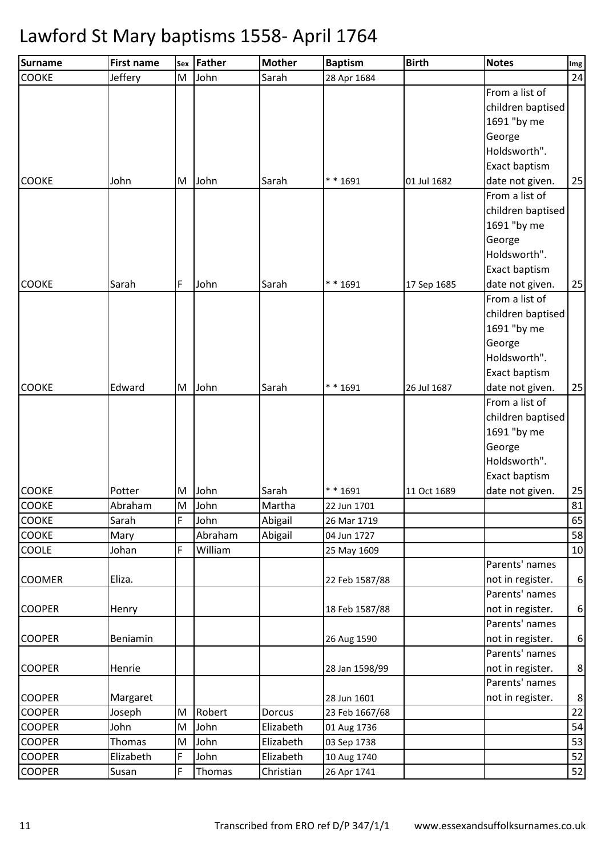| <b>Surname</b>                 | <b>First name</b> | Sex    | Father       | <b>Mother</b>          | <b>Baptism</b> | <b>Birth</b> | <b>Notes</b>                       | Img            |
|--------------------------------|-------------------|--------|--------------|------------------------|----------------|--------------|------------------------------------|----------------|
| <b>COOKE</b>                   | Jeffery           | M      | John         | Sarah                  | 28 Apr 1684    |              |                                    | 24             |
|                                |                   |        |              |                        |                |              | From a list of                     |                |
|                                |                   |        |              |                        |                |              | children baptised                  |                |
|                                |                   |        |              |                        |                |              | 1691 "by me                        |                |
|                                |                   |        |              |                        |                |              | George                             |                |
|                                |                   |        |              |                        |                |              | Holdsworth".                       |                |
|                                |                   |        |              |                        |                |              | Exact baptism                      |                |
| <b>COOKE</b>                   | John              | M      | John         | Sarah                  | ** 1691        | 01 Jul 1682  | date not given.                    | 25             |
|                                |                   |        |              |                        |                |              | From a list of                     |                |
|                                |                   |        |              |                        |                |              | children baptised                  |                |
|                                |                   |        |              |                        |                |              | 1691 "by me                        |                |
|                                |                   |        |              |                        |                |              | George                             |                |
|                                |                   |        |              |                        |                |              | Holdsworth".                       |                |
|                                |                   |        |              |                        |                |              | Exact baptism                      |                |
| <b>COOKE</b>                   | Sarah             | F      | John         | Sarah                  | $* * 1691$     | 17 Sep 1685  | date not given.                    | 25             |
|                                |                   |        |              |                        |                |              | From a list of                     |                |
|                                |                   |        |              |                        |                |              | children baptised                  |                |
|                                |                   |        |              |                        |                |              | 1691 "by me                        |                |
|                                |                   |        |              |                        |                |              | George                             |                |
|                                |                   |        |              |                        |                |              | Holdsworth".                       |                |
|                                |                   |        |              |                        |                |              | Exact baptism                      |                |
| <b>COOKE</b>                   | Edward            |        | M John       | Sarah                  | ** 1691        | 26 Jul 1687  | date not given.                    | 25             |
|                                |                   |        |              |                        |                |              | From a list of                     |                |
|                                |                   |        |              |                        |                |              | children baptised                  |                |
|                                |                   |        |              |                        |                |              | 1691 "by me                        |                |
|                                |                   |        |              |                        |                |              | George                             |                |
|                                |                   |        |              |                        |                |              | Holdsworth".                       |                |
|                                |                   |        |              |                        |                |              | Exact baptism                      |                |
| <b>COOKE</b>                   | Potter            |        | M John       | Sarah                  | ** 1691        | 11 Oct 1689  | date not given.                    | 25             |
| <b>COOKE</b>                   | Abraham           | M      | John         | Martha                 | 22 Jun 1701    |              |                                    | 81             |
| <b>COOKE</b>                   | Sarah             | F.     | John         | Abigail                | 26 Mar 1719    |              |                                    | 65             |
| COOKE                          | Mary              |        | Abraham      | Abigail                | 04 Jun 1727    |              |                                    | 58             |
| COOLE                          | Johan             | F      | William      |                        | 25 May 1609    |              |                                    | 10             |
|                                |                   |        |              |                        |                |              | Parents' names                     |                |
| <b>COOMER</b>                  | Eliza.            |        |              |                        | 22 Feb 1587/88 |              | not in register.                   | 6              |
|                                |                   |        |              |                        |                |              | Parents' names                     |                |
| <b>COOPER</b>                  | Henry             |        |              |                        | 18 Feb 1587/88 |              | not in register.                   | 6              |
|                                |                   |        |              |                        |                |              | Parents' names                     |                |
| <b>COOPER</b>                  | Beniamin          |        |              |                        | 26 Aug 1590    |              | not in register.                   | 6              |
|                                |                   |        |              |                        |                |              | Parents' names                     |                |
| <b>COOPER</b>                  | Henrie            |        |              |                        | 28 Jan 1598/99 |              | not in register.<br>Parents' names | 8 <sup>1</sup> |
|                                |                   |        |              |                        |                |              |                                    |                |
| <b>COOPER</b><br><b>COOPER</b> | Margaret          | M      |              |                        | 28 Jun 1601    |              | not in register.                   | 8 <sup>°</sup> |
|                                | Joseph<br>John    |        | Robert       | Dorcus                 | 23 Feb 1667/68 |              |                                    | 22             |
| <b>COOPER</b><br><b>COOPER</b> | Thomas            | M<br>M | John<br>John | Elizabeth<br>Elizabeth | 01 Aug 1736    |              |                                    | 54<br>53       |
| <b>COOPER</b>                  | Elizabeth         | F      | John         | Elizabeth              | 03 Sep 1738    |              |                                    | 52             |
|                                |                   |        |              |                        | 10 Aug 1740    |              |                                    |                |
| <b>COOPER</b>                  | Susan             | F      | Thomas       | Christian              | 26 Apr 1741    |              |                                    | 52             |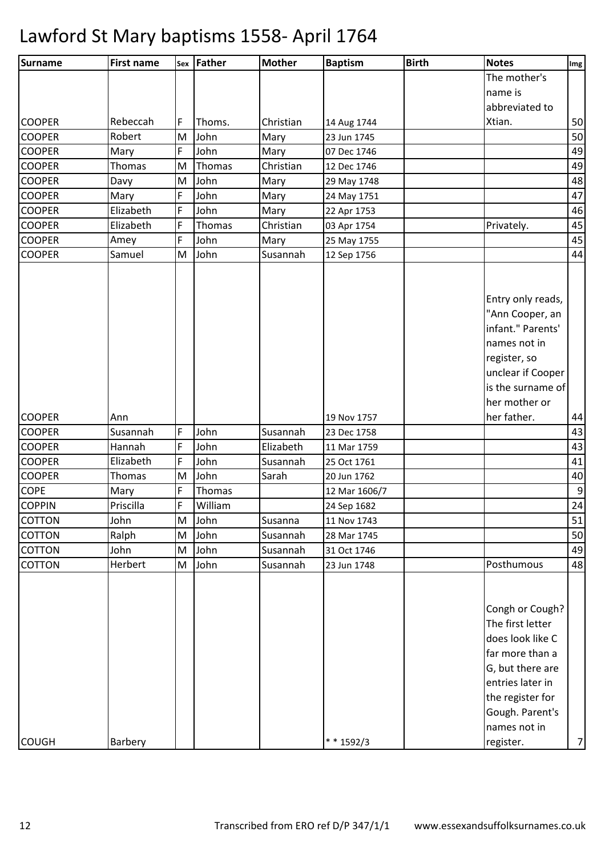| <b>Surname</b> | <b>First name</b> | Sex | Father  | <b>Mother</b> | <b>Baptism</b>             | <b>Birth</b> | <b>Notes</b>                                                                                                                                                              | Img              |
|----------------|-------------------|-----|---------|---------------|----------------------------|--------------|---------------------------------------------------------------------------------------------------------------------------------------------------------------------------|------------------|
|                |                   |     |         |               |                            |              | The mother's                                                                                                                                                              |                  |
|                |                   |     |         |               |                            |              | name is                                                                                                                                                                   |                  |
|                |                   |     |         |               |                            |              | abbreviated to                                                                                                                                                            |                  |
| <b>COOPER</b>  | Rebeccah          | F   | Thoms.  | Christian     | 14 Aug 1744                |              | Xtian.                                                                                                                                                                    | 50               |
| <b>COOPER</b>  | Robert            | M   | John    | Mary          | 23 Jun 1745                |              |                                                                                                                                                                           | 50               |
| <b>COOPER</b>  | Mary              | F   | John    | Mary          | 07 Dec 1746                |              |                                                                                                                                                                           | 49               |
| <b>COOPER</b>  | Thomas            | M   | Thomas  | Christian     | 12 Dec 1746                |              |                                                                                                                                                                           | 49               |
| <b>COOPER</b>  | Davy              | M   | John    | Mary          | 29 May 1748                |              |                                                                                                                                                                           | 48               |
| <b>COOPER</b>  | Mary              | F   | John    | Mary          | 24 May 1751                |              |                                                                                                                                                                           | 47               |
| <b>COOPER</b>  | Elizabeth         | F   | John    | Mary          | 22 Apr 1753                |              |                                                                                                                                                                           | 46               |
| <b>COOPER</b>  | Elizabeth         | F   | Thomas  | Christian     | 03 Apr 1754                |              | Privately.                                                                                                                                                                | 45               |
| <b>COOPER</b>  | Amey              | F   | John    | Mary          | 25 May 1755                |              |                                                                                                                                                                           | 45               |
| <b>COOPER</b>  | Samuel            | M   | John    | Susannah      | 12 Sep 1756                |              |                                                                                                                                                                           | 44               |
|                |                   |     |         |               |                            |              | Entry only reads,<br>"Ann Cooper, an<br>infant." Parents'<br>names not in<br>register, so<br>unclear if Cooper<br>is the surname of                                       |                  |
| <b>COOPER</b>  |                   |     |         |               |                            |              | her mother or<br>her father.                                                                                                                                              |                  |
| <b>COOPER</b>  | Ann<br>Susannah   | F   | John    | Susannah      | 19 Nov 1757<br>23 Dec 1758 |              |                                                                                                                                                                           | 44<br>43         |
| <b>COOPER</b>  | Hannah            | F   | John    | Elizabeth     | 11 Mar 1759                |              |                                                                                                                                                                           | 43               |
| <b>COOPER</b>  | Elizabeth         | F   | John    | Susannah      | 25 Oct 1761                |              |                                                                                                                                                                           | 41               |
| <b>COOPER</b>  | Thomas            | M   | John    | Sarah         | 20 Jun 1762                |              |                                                                                                                                                                           | 40               |
| <b>COPE</b>    | Mary              | F   | Thomas  |               | 12 Mar 1606/7              |              |                                                                                                                                                                           | $\boldsymbol{9}$ |
| <b>COPPIN</b>  | Priscilla         | F   | William |               | 24 Sep 1682                |              |                                                                                                                                                                           | 24               |
| <b>COTTON</b>  | John              | M   | John    | Susanna       | 11 Nov 1743                |              |                                                                                                                                                                           | 51               |
| <b>COTTON</b>  | Ralph             | M   | John    | Susannah      | 28 Mar 1745                |              |                                                                                                                                                                           | 50               |
| <b>COTTON</b>  | John              | M   | John    | Susannah      | 31 Oct 1746                |              |                                                                                                                                                                           | 49               |
| <b>COTTON</b>  | Herbert           | M   | John    | Susannah      | 23 Jun 1748                |              | Posthumous                                                                                                                                                                | 48               |
|                |                   |     |         |               |                            |              | Congh or Cough?<br>The first letter<br>does look like C<br>far more than a<br>G, but there are<br>entries later in<br>the register for<br>Gough. Parent's<br>names not in |                  |
| <b>COUGH</b>   | Barbery           |     |         |               | $* * 1592/3$               |              | register.                                                                                                                                                                 | $\overline{7}$   |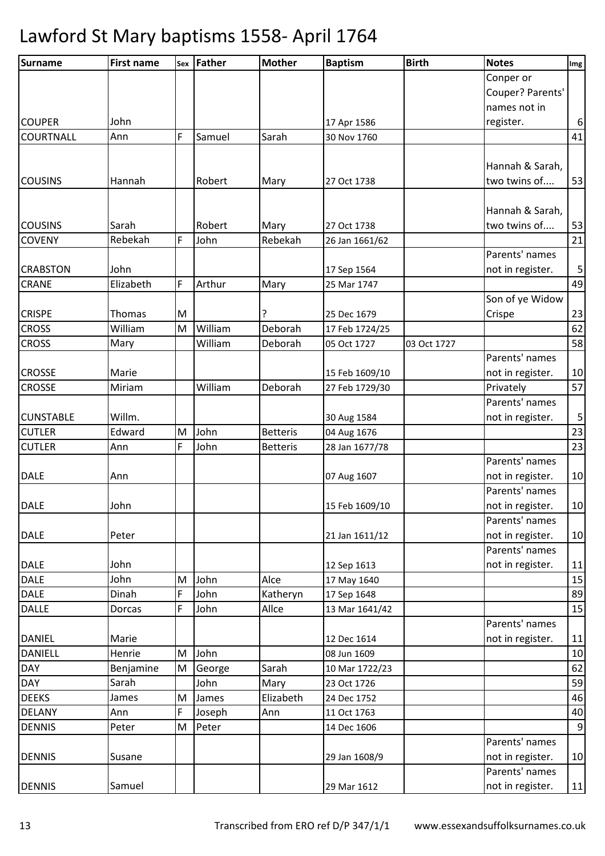| <b>Surname</b>   | <b>First name</b> |   | sex   Father | <b>Mother</b>   | <b>Baptism</b>                | <b>Birth</b> | <b>Notes</b>     | Img              |
|------------------|-------------------|---|--------------|-----------------|-------------------------------|--------------|------------------|------------------|
|                  |                   |   |              |                 |                               |              | Conper or        |                  |
|                  |                   |   |              |                 |                               |              | Couper? Parents' |                  |
|                  |                   |   |              |                 |                               |              | names not in     |                  |
| <b>COUPER</b>    | John              |   |              |                 | 17 Apr 1586                   |              | register.        | $\boldsymbol{6}$ |
| <b>COURTNALL</b> | Ann               | F | Samuel       | Sarah           | 30 Nov 1760                   |              |                  | 41               |
|                  |                   |   |              |                 |                               |              |                  |                  |
|                  |                   |   |              |                 |                               |              | Hannah & Sarah,  |                  |
| <b>COUSINS</b>   | Hannah            |   | Robert       | Mary            | 27 Oct 1738                   |              | two twins of     | 53               |
|                  |                   |   |              |                 |                               |              |                  |                  |
|                  |                   |   |              |                 |                               |              | Hannah & Sarah,  |                  |
| <b>COUSINS</b>   | Sarah             |   | Robert       | Mary            | 27 Oct 1738                   |              | two twins of     | 53               |
| <b>COVENY</b>    | Rebekah           | F | John         | Rebekah         | 26 Jan 1661/62                |              |                  | 21               |
|                  |                   |   |              |                 |                               |              | Parents' names   |                  |
| <b>CRABSTON</b>  | John              |   |              |                 | 17 Sep 1564                   |              | not in register. | 5                |
| <b>CRANE</b>     | Elizabeth         | F | Arthur       | Mary            | 25 Mar 1747                   |              |                  | 49               |
|                  |                   |   |              |                 |                               |              | Son of ye Widow  |                  |
| <b>CRISPE</b>    | Thomas            | M |              | ?               | 25 Dec 1679                   |              | Crispe           | 23               |
| <b>CROSS</b>     | William           | M | William      | Deborah         | 17 Feb 1724/25                |              |                  | 62               |
| <b>CROSS</b>     | Mary              |   | William      | Deborah         | 05 Oct 1727                   | 03 Oct 1727  |                  | 58               |
|                  |                   |   |              |                 |                               |              | Parents' names   |                  |
| <b>CROSSE</b>    | Marie             |   |              |                 | 15 Feb 1609/10                |              | not in register. | 10               |
| <b>CROSSE</b>    | Miriam            |   | William      | Deborah         | 27 Feb 1729/30                |              | Privately        | 57               |
|                  |                   |   |              |                 |                               |              | Parents' names   |                  |
| <b>CUNSTABLE</b> | Willm.            |   |              |                 | 30 Aug 1584                   |              | not in register. | $\sqrt{5}$       |
| <b>CUTLER</b>    | Edward            | M | John         | <b>Betteris</b> | 04 Aug 1676                   |              |                  | 23               |
| <b>CUTLER</b>    | Ann               | F | John         | <b>Betteris</b> | 28 Jan 1677/78                |              |                  | 23               |
|                  |                   |   |              |                 |                               |              | Parents' names   |                  |
| <b>DALE</b>      | Ann               |   |              |                 | 07 Aug 1607                   |              | not in register. | 10               |
|                  |                   |   |              |                 |                               |              | Parents' names   |                  |
| <b>DALE</b>      | John              |   |              |                 | 15 Feb 1609/10                |              | not in register. | 10               |
|                  |                   |   |              |                 |                               |              | Parents' names   |                  |
| <b>DALE</b>      | Peter             |   |              |                 | 21 Jan 1611/12                |              | not in register. | 10               |
|                  |                   |   |              |                 |                               |              | Parents' names   |                  |
| <b>DALE</b>      | John              |   |              |                 | 12 Sep 1613                   |              | not in register. | 11               |
| <b>DALE</b>      | John              | M | John         | Alce            | 17 May 1640                   |              |                  | 15               |
| <b>DALE</b>      | Dinah             | F | John         | Katheryn        | 17 Sep 1648                   |              |                  | 89               |
| <b>DALLE</b>     | Dorcas            | F | John         | Allce           | 13 Mar 1641/42                |              | Parents' names   | 15               |
| <b>DANIEL</b>    | Marie             |   |              |                 |                               |              |                  |                  |
| <b>DANIELL</b>   | Henrie            | M | John         |                 | 12 Dec 1614                   |              | not in register. | 11<br>10         |
| <b>DAY</b>       | Benjamine         | M | George       | Sarah           | 08 Jun 1609                   |              |                  | 62               |
| <b>DAY</b>       | Sarah             |   | John         | Mary            | 10 Mar 1722/23<br>23 Oct 1726 |              |                  | 59               |
| <b>DEEKS</b>     | James             | M | James        | Elizabeth       | 24 Dec 1752                   |              |                  | 46               |
| <b>DELANY</b>    | Ann               | F | Joseph       | Ann             | 11 Oct 1763                   |              |                  | 40               |
| <b>DENNIS</b>    | Peter             | M | Peter        |                 | 14 Dec 1606                   |              |                  | $\overline{9}$   |
|                  |                   |   |              |                 |                               |              | Parents' names   |                  |
| <b>DENNIS</b>    | Susane            |   |              |                 | 29 Jan 1608/9                 |              | not in register. | 10               |
|                  |                   |   |              |                 |                               |              | Parents' names   |                  |
| <b>DENNIS</b>    | Samuel            |   |              |                 | 29 Mar 1612                   |              | not in register. | $11$             |
|                  |                   |   |              |                 |                               |              |                  |                  |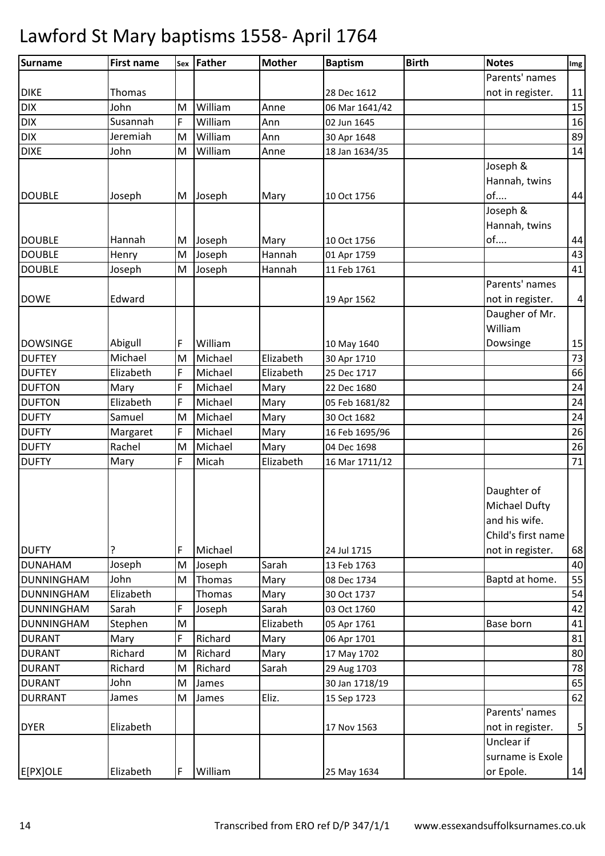| Parents' names<br><b>DIKE</b><br><b>Thomas</b><br>28 Dec 1612<br>not in register.<br><b>DIX</b><br>John<br>William<br>Anne<br>M<br>06 Mar 1641/42<br>$\mathsf{DIX}$<br>Susannah<br>F<br>William<br>02 Jun 1645<br>Ann<br><b>DIX</b><br>Jeremiah<br>William<br>Ann<br>M<br>30 Apr 1648<br><b>DIXE</b><br>William<br>John<br>M<br>Anne<br>18 Jan 1634/35<br>Joseph &<br>Hannah, twins<br><b>DOUBLE</b><br>of<br>Joseph<br>Joseph<br>Mary<br>M<br>10 Oct 1756<br>Joseph &<br>Hannah, twins<br><b>DOUBLE</b><br>of<br>Hannah<br>Joseph<br>Mary<br>M<br>10 Oct 1756<br><b>DOUBLE</b><br>Joseph<br>M<br>Hannah<br>Henry<br>01 Apr 1759<br><b>DOUBLE</b><br>M<br>Joseph<br>Hannah<br>Joseph<br>11 Feb 1761<br>Parents' names<br>Edward<br><b>DOWE</b><br>not in register.<br>19 Apr 1562<br>Daugher of Mr.<br>William<br>Dowsinge<br><b>DOWSINGE</b><br>Abigull<br>William<br>F<br>10 May 1640<br>Michael<br>Michael<br>Elizabeth<br><b>DUFTEY</b><br>M<br>30 Apr 1710<br>F<br><b>DUFTEY</b><br>Elizabeth<br>Michael<br>Elizabeth<br>25 Dec 1717<br><b>DUFTON</b><br>F<br>Michael<br>Mary<br>Mary<br>22 Dec 1680<br>Elizabeth<br>F<br><b>DUFTON</b><br>Michael<br>Mary<br>05 Feb 1681/82<br><b>DUFTY</b><br>Michael<br>Samuel<br>Mary<br>M<br>30 Oct 1682<br>F<br><b>DUFTY</b><br>Michael<br>Mary<br>Margaret<br>16 Feb 1695/96<br>Rachel<br>Michael<br><b>DUFTY</b><br>M<br>Mary<br>04 Dec 1698<br>F<br>Micah<br><b>DUFTY</b><br>Mary<br>Elizabeth<br>16 Mar 1711/12<br>Daughter of<br><b>Michael Dufty</b><br>and his wife.<br>Child's first name<br><b>DUFTY</b><br>Michael<br>?<br>F<br>24 Jul 1715<br>not in register.<br>Joseph<br>Sarah<br>Joseph<br><b>DUNAHAM</b><br>M<br>13 Feb 1763<br><b>DUNNINGHAM</b><br>John<br>M<br>Thomas<br>Baptd at home.<br>Mary<br>08 Dec 1734<br>Elizabeth<br><b>DUNNINGHAM</b><br>Thomas<br>Mary<br>30 Oct 1737<br>F<br>Sarah<br><b>DUNNINGHAM</b><br>Sarah<br>Joseph<br>03 Oct 1760<br>Elizabeth<br>Base born<br><b>DUNNINGHAM</b><br>Stephen<br>M<br>05 Apr 1761<br>F<br>Richard<br>Mary<br><b>DURANT</b><br>Mary<br>06 Apr 1701<br>Richard<br>M<br>Richard<br><b>DURANT</b><br>Mary<br>17 May 1702<br>Richard<br>Richard<br><b>DURANT</b><br>Sarah<br>M<br>29 Aug 1703<br><b>DURANT</b><br>John<br>M<br>30 Jan 1718/19<br>James<br>Eliz.<br><b>DURRANT</b><br>James<br>M<br>James<br>15 Sep 1723<br>Parents' names<br>Elizabeth<br><b>DYER</b><br>not in register.<br>17 Nov 1563<br>Unclear if<br>surname is Exole<br>F<br>Elizabeth<br>William<br>or Epole.<br>25 May 1634 | <b>Surname</b> | <b>First name</b> | sex Father | <b>Mother</b> | <b>Baptism</b> | <b>Birth</b> | <b>Notes</b> | Img |
|-----------------------------------------------------------------------------------------------------------------------------------------------------------------------------------------------------------------------------------------------------------------------------------------------------------------------------------------------------------------------------------------------------------------------------------------------------------------------------------------------------------------------------------------------------------------------------------------------------------------------------------------------------------------------------------------------------------------------------------------------------------------------------------------------------------------------------------------------------------------------------------------------------------------------------------------------------------------------------------------------------------------------------------------------------------------------------------------------------------------------------------------------------------------------------------------------------------------------------------------------------------------------------------------------------------------------------------------------------------------------------------------------------------------------------------------------------------------------------------------------------------------------------------------------------------------------------------------------------------------------------------------------------------------------------------------------------------------------------------------------------------------------------------------------------------------------------------------------------------------------------------------------------------------------------------------------------------------------------------------------------------------------------------------------------------------------------------------------------------------------------------------------------------------------------------------------------------------------------------------------------------------------------------------------------------------------------------------------------------------------------------------------------------------------------------------------------------------------------------------------------------------|----------------|-------------------|------------|---------------|----------------|--------------|--------------|-----|
|                                                                                                                                                                                                                                                                                                                                                                                                                                                                                                                                                                                                                                                                                                                                                                                                                                                                                                                                                                                                                                                                                                                                                                                                                                                                                                                                                                                                                                                                                                                                                                                                                                                                                                                                                                                                                                                                                                                                                                                                                                                                                                                                                                                                                                                                                                                                                                                                                                                                                                                 |                |                   |            |               |                |              |              |     |
| 15<br>16<br>89<br>14<br>44<br>44<br>43<br>41<br>$\overline{\mathbf{4}}$<br>15<br>73<br>66<br>24<br>24<br>24<br>26<br>26<br>71<br>68<br>40<br>55<br>54<br>42<br>41<br>81<br>80<br>78<br>65<br>62<br>5<br>14                                                                                                                                                                                                                                                                                                                                                                                                                                                                                                                                                                                                                                                                                                                                                                                                                                                                                                                                                                                                                                                                                                                                                                                                                                                                                                                                                                                                                                                                                                                                                                                                                                                                                                                                                                                                                                                                                                                                                                                                                                                                                                                                                                                                                                                                                                      |                |                   |            |               |                |              |              | 11  |
|                                                                                                                                                                                                                                                                                                                                                                                                                                                                                                                                                                                                                                                                                                                                                                                                                                                                                                                                                                                                                                                                                                                                                                                                                                                                                                                                                                                                                                                                                                                                                                                                                                                                                                                                                                                                                                                                                                                                                                                                                                                                                                                                                                                                                                                                                                                                                                                                                                                                                                                 |                |                   |            |               |                |              |              |     |
|                                                                                                                                                                                                                                                                                                                                                                                                                                                                                                                                                                                                                                                                                                                                                                                                                                                                                                                                                                                                                                                                                                                                                                                                                                                                                                                                                                                                                                                                                                                                                                                                                                                                                                                                                                                                                                                                                                                                                                                                                                                                                                                                                                                                                                                                                                                                                                                                                                                                                                                 |                |                   |            |               |                |              |              |     |
|                                                                                                                                                                                                                                                                                                                                                                                                                                                                                                                                                                                                                                                                                                                                                                                                                                                                                                                                                                                                                                                                                                                                                                                                                                                                                                                                                                                                                                                                                                                                                                                                                                                                                                                                                                                                                                                                                                                                                                                                                                                                                                                                                                                                                                                                                                                                                                                                                                                                                                                 |                |                   |            |               |                |              |              |     |
|                                                                                                                                                                                                                                                                                                                                                                                                                                                                                                                                                                                                                                                                                                                                                                                                                                                                                                                                                                                                                                                                                                                                                                                                                                                                                                                                                                                                                                                                                                                                                                                                                                                                                                                                                                                                                                                                                                                                                                                                                                                                                                                                                                                                                                                                                                                                                                                                                                                                                                                 |                |                   |            |               |                |              |              |     |
|                                                                                                                                                                                                                                                                                                                                                                                                                                                                                                                                                                                                                                                                                                                                                                                                                                                                                                                                                                                                                                                                                                                                                                                                                                                                                                                                                                                                                                                                                                                                                                                                                                                                                                                                                                                                                                                                                                                                                                                                                                                                                                                                                                                                                                                                                                                                                                                                                                                                                                                 |                |                   |            |               |                |              |              |     |
|                                                                                                                                                                                                                                                                                                                                                                                                                                                                                                                                                                                                                                                                                                                                                                                                                                                                                                                                                                                                                                                                                                                                                                                                                                                                                                                                                                                                                                                                                                                                                                                                                                                                                                                                                                                                                                                                                                                                                                                                                                                                                                                                                                                                                                                                                                                                                                                                                                                                                                                 |                |                   |            |               |                |              |              |     |
|                                                                                                                                                                                                                                                                                                                                                                                                                                                                                                                                                                                                                                                                                                                                                                                                                                                                                                                                                                                                                                                                                                                                                                                                                                                                                                                                                                                                                                                                                                                                                                                                                                                                                                                                                                                                                                                                                                                                                                                                                                                                                                                                                                                                                                                                                                                                                                                                                                                                                                                 |                |                   |            |               |                |              |              |     |
|                                                                                                                                                                                                                                                                                                                                                                                                                                                                                                                                                                                                                                                                                                                                                                                                                                                                                                                                                                                                                                                                                                                                                                                                                                                                                                                                                                                                                                                                                                                                                                                                                                                                                                                                                                                                                                                                                                                                                                                                                                                                                                                                                                                                                                                                                                                                                                                                                                                                                                                 |                |                   |            |               |                |              |              |     |
|                                                                                                                                                                                                                                                                                                                                                                                                                                                                                                                                                                                                                                                                                                                                                                                                                                                                                                                                                                                                                                                                                                                                                                                                                                                                                                                                                                                                                                                                                                                                                                                                                                                                                                                                                                                                                                                                                                                                                                                                                                                                                                                                                                                                                                                                                                                                                                                                                                                                                                                 |                |                   |            |               |                |              |              |     |
|                                                                                                                                                                                                                                                                                                                                                                                                                                                                                                                                                                                                                                                                                                                                                                                                                                                                                                                                                                                                                                                                                                                                                                                                                                                                                                                                                                                                                                                                                                                                                                                                                                                                                                                                                                                                                                                                                                                                                                                                                                                                                                                                                                                                                                                                                                                                                                                                                                                                                                                 |                |                   |            |               |                |              |              |     |
|                                                                                                                                                                                                                                                                                                                                                                                                                                                                                                                                                                                                                                                                                                                                                                                                                                                                                                                                                                                                                                                                                                                                                                                                                                                                                                                                                                                                                                                                                                                                                                                                                                                                                                                                                                                                                                                                                                                                                                                                                                                                                                                                                                                                                                                                                                                                                                                                                                                                                                                 |                |                   |            |               |                |              |              |     |
|                                                                                                                                                                                                                                                                                                                                                                                                                                                                                                                                                                                                                                                                                                                                                                                                                                                                                                                                                                                                                                                                                                                                                                                                                                                                                                                                                                                                                                                                                                                                                                                                                                                                                                                                                                                                                                                                                                                                                                                                                                                                                                                                                                                                                                                                                                                                                                                                                                                                                                                 |                |                   |            |               |                |              |              |     |
|                                                                                                                                                                                                                                                                                                                                                                                                                                                                                                                                                                                                                                                                                                                                                                                                                                                                                                                                                                                                                                                                                                                                                                                                                                                                                                                                                                                                                                                                                                                                                                                                                                                                                                                                                                                                                                                                                                                                                                                                                                                                                                                                                                                                                                                                                                                                                                                                                                                                                                                 |                |                   |            |               |                |              |              |     |
|                                                                                                                                                                                                                                                                                                                                                                                                                                                                                                                                                                                                                                                                                                                                                                                                                                                                                                                                                                                                                                                                                                                                                                                                                                                                                                                                                                                                                                                                                                                                                                                                                                                                                                                                                                                                                                                                                                                                                                                                                                                                                                                                                                                                                                                                                                                                                                                                                                                                                                                 |                |                   |            |               |                |              |              |     |
|                                                                                                                                                                                                                                                                                                                                                                                                                                                                                                                                                                                                                                                                                                                                                                                                                                                                                                                                                                                                                                                                                                                                                                                                                                                                                                                                                                                                                                                                                                                                                                                                                                                                                                                                                                                                                                                                                                                                                                                                                                                                                                                                                                                                                                                                                                                                                                                                                                                                                                                 |                |                   |            |               |                |              |              |     |
|                                                                                                                                                                                                                                                                                                                                                                                                                                                                                                                                                                                                                                                                                                                                                                                                                                                                                                                                                                                                                                                                                                                                                                                                                                                                                                                                                                                                                                                                                                                                                                                                                                                                                                                                                                                                                                                                                                                                                                                                                                                                                                                                                                                                                                                                                                                                                                                                                                                                                                                 |                |                   |            |               |                |              |              |     |
|                                                                                                                                                                                                                                                                                                                                                                                                                                                                                                                                                                                                                                                                                                                                                                                                                                                                                                                                                                                                                                                                                                                                                                                                                                                                                                                                                                                                                                                                                                                                                                                                                                                                                                                                                                                                                                                                                                                                                                                                                                                                                                                                                                                                                                                                                                                                                                                                                                                                                                                 |                |                   |            |               |                |              |              |     |
|                                                                                                                                                                                                                                                                                                                                                                                                                                                                                                                                                                                                                                                                                                                                                                                                                                                                                                                                                                                                                                                                                                                                                                                                                                                                                                                                                                                                                                                                                                                                                                                                                                                                                                                                                                                                                                                                                                                                                                                                                                                                                                                                                                                                                                                                                                                                                                                                                                                                                                                 |                |                   |            |               |                |              |              |     |
|                                                                                                                                                                                                                                                                                                                                                                                                                                                                                                                                                                                                                                                                                                                                                                                                                                                                                                                                                                                                                                                                                                                                                                                                                                                                                                                                                                                                                                                                                                                                                                                                                                                                                                                                                                                                                                                                                                                                                                                                                                                                                                                                                                                                                                                                                                                                                                                                                                                                                                                 |                |                   |            |               |                |              |              |     |
|                                                                                                                                                                                                                                                                                                                                                                                                                                                                                                                                                                                                                                                                                                                                                                                                                                                                                                                                                                                                                                                                                                                                                                                                                                                                                                                                                                                                                                                                                                                                                                                                                                                                                                                                                                                                                                                                                                                                                                                                                                                                                                                                                                                                                                                                                                                                                                                                                                                                                                                 |                |                   |            |               |                |              |              |     |
|                                                                                                                                                                                                                                                                                                                                                                                                                                                                                                                                                                                                                                                                                                                                                                                                                                                                                                                                                                                                                                                                                                                                                                                                                                                                                                                                                                                                                                                                                                                                                                                                                                                                                                                                                                                                                                                                                                                                                                                                                                                                                                                                                                                                                                                                                                                                                                                                                                                                                                                 |                |                   |            |               |                |              |              |     |
|                                                                                                                                                                                                                                                                                                                                                                                                                                                                                                                                                                                                                                                                                                                                                                                                                                                                                                                                                                                                                                                                                                                                                                                                                                                                                                                                                                                                                                                                                                                                                                                                                                                                                                                                                                                                                                                                                                                                                                                                                                                                                                                                                                                                                                                                                                                                                                                                                                                                                                                 |                |                   |            |               |                |              |              |     |
|                                                                                                                                                                                                                                                                                                                                                                                                                                                                                                                                                                                                                                                                                                                                                                                                                                                                                                                                                                                                                                                                                                                                                                                                                                                                                                                                                                                                                                                                                                                                                                                                                                                                                                                                                                                                                                                                                                                                                                                                                                                                                                                                                                                                                                                                                                                                                                                                                                                                                                                 |                |                   |            |               |                |              |              |     |
|                                                                                                                                                                                                                                                                                                                                                                                                                                                                                                                                                                                                                                                                                                                                                                                                                                                                                                                                                                                                                                                                                                                                                                                                                                                                                                                                                                                                                                                                                                                                                                                                                                                                                                                                                                                                                                                                                                                                                                                                                                                                                                                                                                                                                                                                                                                                                                                                                                                                                                                 |                |                   |            |               |                |              |              |     |
|                                                                                                                                                                                                                                                                                                                                                                                                                                                                                                                                                                                                                                                                                                                                                                                                                                                                                                                                                                                                                                                                                                                                                                                                                                                                                                                                                                                                                                                                                                                                                                                                                                                                                                                                                                                                                                                                                                                                                                                                                                                                                                                                                                                                                                                                                                                                                                                                                                                                                                                 |                |                   |            |               |                |              |              |     |
|                                                                                                                                                                                                                                                                                                                                                                                                                                                                                                                                                                                                                                                                                                                                                                                                                                                                                                                                                                                                                                                                                                                                                                                                                                                                                                                                                                                                                                                                                                                                                                                                                                                                                                                                                                                                                                                                                                                                                                                                                                                                                                                                                                                                                                                                                                                                                                                                                                                                                                                 |                |                   |            |               |                |              |              |     |
|                                                                                                                                                                                                                                                                                                                                                                                                                                                                                                                                                                                                                                                                                                                                                                                                                                                                                                                                                                                                                                                                                                                                                                                                                                                                                                                                                                                                                                                                                                                                                                                                                                                                                                                                                                                                                                                                                                                                                                                                                                                                                                                                                                                                                                                                                                                                                                                                                                                                                                                 |                |                   |            |               |                |              |              |     |
|                                                                                                                                                                                                                                                                                                                                                                                                                                                                                                                                                                                                                                                                                                                                                                                                                                                                                                                                                                                                                                                                                                                                                                                                                                                                                                                                                                                                                                                                                                                                                                                                                                                                                                                                                                                                                                                                                                                                                                                                                                                                                                                                                                                                                                                                                                                                                                                                                                                                                                                 |                |                   |            |               |                |              |              |     |
|                                                                                                                                                                                                                                                                                                                                                                                                                                                                                                                                                                                                                                                                                                                                                                                                                                                                                                                                                                                                                                                                                                                                                                                                                                                                                                                                                                                                                                                                                                                                                                                                                                                                                                                                                                                                                                                                                                                                                                                                                                                                                                                                                                                                                                                                                                                                                                                                                                                                                                                 |                |                   |            |               |                |              |              |     |
|                                                                                                                                                                                                                                                                                                                                                                                                                                                                                                                                                                                                                                                                                                                                                                                                                                                                                                                                                                                                                                                                                                                                                                                                                                                                                                                                                                                                                                                                                                                                                                                                                                                                                                                                                                                                                                                                                                                                                                                                                                                                                                                                                                                                                                                                                                                                                                                                                                                                                                                 |                |                   |            |               |                |              |              |     |
|                                                                                                                                                                                                                                                                                                                                                                                                                                                                                                                                                                                                                                                                                                                                                                                                                                                                                                                                                                                                                                                                                                                                                                                                                                                                                                                                                                                                                                                                                                                                                                                                                                                                                                                                                                                                                                                                                                                                                                                                                                                                                                                                                                                                                                                                                                                                                                                                                                                                                                                 |                |                   |            |               |                |              |              |     |
|                                                                                                                                                                                                                                                                                                                                                                                                                                                                                                                                                                                                                                                                                                                                                                                                                                                                                                                                                                                                                                                                                                                                                                                                                                                                                                                                                                                                                                                                                                                                                                                                                                                                                                                                                                                                                                                                                                                                                                                                                                                                                                                                                                                                                                                                                                                                                                                                                                                                                                                 |                |                   |            |               |                |              |              |     |
|                                                                                                                                                                                                                                                                                                                                                                                                                                                                                                                                                                                                                                                                                                                                                                                                                                                                                                                                                                                                                                                                                                                                                                                                                                                                                                                                                                                                                                                                                                                                                                                                                                                                                                                                                                                                                                                                                                                                                                                                                                                                                                                                                                                                                                                                                                                                                                                                                                                                                                                 |                |                   |            |               |                |              |              |     |
|                                                                                                                                                                                                                                                                                                                                                                                                                                                                                                                                                                                                                                                                                                                                                                                                                                                                                                                                                                                                                                                                                                                                                                                                                                                                                                                                                                                                                                                                                                                                                                                                                                                                                                                                                                                                                                                                                                                                                                                                                                                                                                                                                                                                                                                                                                                                                                                                                                                                                                                 |                |                   |            |               |                |              |              |     |
|                                                                                                                                                                                                                                                                                                                                                                                                                                                                                                                                                                                                                                                                                                                                                                                                                                                                                                                                                                                                                                                                                                                                                                                                                                                                                                                                                                                                                                                                                                                                                                                                                                                                                                                                                                                                                                                                                                                                                                                                                                                                                                                                                                                                                                                                                                                                                                                                                                                                                                                 |                |                   |            |               |                |              |              |     |
|                                                                                                                                                                                                                                                                                                                                                                                                                                                                                                                                                                                                                                                                                                                                                                                                                                                                                                                                                                                                                                                                                                                                                                                                                                                                                                                                                                                                                                                                                                                                                                                                                                                                                                                                                                                                                                                                                                                                                                                                                                                                                                                                                                                                                                                                                                                                                                                                                                                                                                                 |                |                   |            |               |                |              |              |     |
|                                                                                                                                                                                                                                                                                                                                                                                                                                                                                                                                                                                                                                                                                                                                                                                                                                                                                                                                                                                                                                                                                                                                                                                                                                                                                                                                                                                                                                                                                                                                                                                                                                                                                                                                                                                                                                                                                                                                                                                                                                                                                                                                                                                                                                                                                                                                                                                                                                                                                                                 |                |                   |            |               |                |              |              |     |
|                                                                                                                                                                                                                                                                                                                                                                                                                                                                                                                                                                                                                                                                                                                                                                                                                                                                                                                                                                                                                                                                                                                                                                                                                                                                                                                                                                                                                                                                                                                                                                                                                                                                                                                                                                                                                                                                                                                                                                                                                                                                                                                                                                                                                                                                                                                                                                                                                                                                                                                 |                |                   |            |               |                |              |              |     |
|                                                                                                                                                                                                                                                                                                                                                                                                                                                                                                                                                                                                                                                                                                                                                                                                                                                                                                                                                                                                                                                                                                                                                                                                                                                                                                                                                                                                                                                                                                                                                                                                                                                                                                                                                                                                                                                                                                                                                                                                                                                                                                                                                                                                                                                                                                                                                                                                                                                                                                                 |                |                   |            |               |                |              |              |     |
|                                                                                                                                                                                                                                                                                                                                                                                                                                                                                                                                                                                                                                                                                                                                                                                                                                                                                                                                                                                                                                                                                                                                                                                                                                                                                                                                                                                                                                                                                                                                                                                                                                                                                                                                                                                                                                                                                                                                                                                                                                                                                                                                                                                                                                                                                                                                                                                                                                                                                                                 |                |                   |            |               |                |              |              |     |
|                                                                                                                                                                                                                                                                                                                                                                                                                                                                                                                                                                                                                                                                                                                                                                                                                                                                                                                                                                                                                                                                                                                                                                                                                                                                                                                                                                                                                                                                                                                                                                                                                                                                                                                                                                                                                                                                                                                                                                                                                                                                                                                                                                                                                                                                                                                                                                                                                                                                                                                 |                |                   |            |               |                |              |              |     |
|                                                                                                                                                                                                                                                                                                                                                                                                                                                                                                                                                                                                                                                                                                                                                                                                                                                                                                                                                                                                                                                                                                                                                                                                                                                                                                                                                                                                                                                                                                                                                                                                                                                                                                                                                                                                                                                                                                                                                                                                                                                                                                                                                                                                                                                                                                                                                                                                                                                                                                                 |                |                   |            |               |                |              |              |     |
|                                                                                                                                                                                                                                                                                                                                                                                                                                                                                                                                                                                                                                                                                                                                                                                                                                                                                                                                                                                                                                                                                                                                                                                                                                                                                                                                                                                                                                                                                                                                                                                                                                                                                                                                                                                                                                                                                                                                                                                                                                                                                                                                                                                                                                                                                                                                                                                                                                                                                                                 |                |                   |            |               |                |              |              |     |
|                                                                                                                                                                                                                                                                                                                                                                                                                                                                                                                                                                                                                                                                                                                                                                                                                                                                                                                                                                                                                                                                                                                                                                                                                                                                                                                                                                                                                                                                                                                                                                                                                                                                                                                                                                                                                                                                                                                                                                                                                                                                                                                                                                                                                                                                                                                                                                                                                                                                                                                 |                |                   |            |               |                |              |              |     |
|                                                                                                                                                                                                                                                                                                                                                                                                                                                                                                                                                                                                                                                                                                                                                                                                                                                                                                                                                                                                                                                                                                                                                                                                                                                                                                                                                                                                                                                                                                                                                                                                                                                                                                                                                                                                                                                                                                                                                                                                                                                                                                                                                                                                                                                                                                                                                                                                                                                                                                                 |                |                   |            |               |                |              |              |     |
|                                                                                                                                                                                                                                                                                                                                                                                                                                                                                                                                                                                                                                                                                                                                                                                                                                                                                                                                                                                                                                                                                                                                                                                                                                                                                                                                                                                                                                                                                                                                                                                                                                                                                                                                                                                                                                                                                                                                                                                                                                                                                                                                                                                                                                                                                                                                                                                                                                                                                                                 | E[PX]OLE       |                   |            |               |                |              |              |     |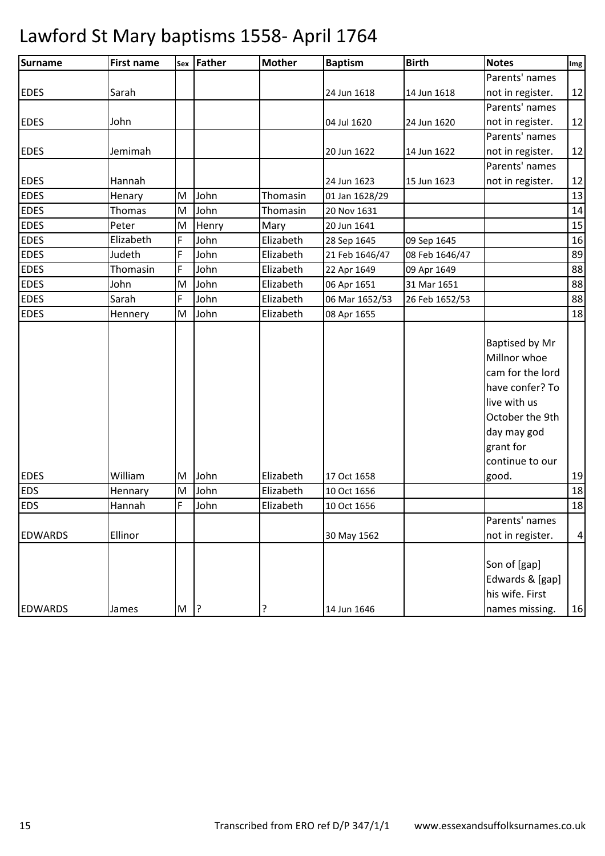| Surname        | <b>First name</b> |             | sex Father | <b>Mother</b> | <b>Baptism</b> | <b>Birth</b>   | <b>Notes</b>                                                                                                                                                     | Img            |
|----------------|-------------------|-------------|------------|---------------|----------------|----------------|------------------------------------------------------------------------------------------------------------------------------------------------------------------|----------------|
|                |                   |             |            |               |                |                | Parents' names                                                                                                                                                   |                |
| <b>EDES</b>    | Sarah             |             |            |               | 24 Jun 1618    | 14 Jun 1618    | not in register.                                                                                                                                                 | 12             |
|                |                   |             |            |               |                |                | Parents' names                                                                                                                                                   |                |
| <b>EDES</b>    | John              |             |            |               | 04 Jul 1620    | 24 Jun 1620    | not in register.                                                                                                                                                 | 12             |
|                |                   |             |            |               |                |                | Parents' names                                                                                                                                                   |                |
| <b>EDES</b>    | Jemimah           |             |            |               | 20 Jun 1622    | 14 Jun 1622    | not in register.                                                                                                                                                 | 12             |
|                |                   |             |            |               |                |                | Parents' names                                                                                                                                                   |                |
| <b>EDES</b>    | Hannah            |             |            |               | 24 Jun 1623    | 15 Jun 1623    | not in register.                                                                                                                                                 | 12             |
| <b>EDES</b>    | Henary            | M           | John       | Thomasin      | 01 Jan 1628/29 |                |                                                                                                                                                                  | 13             |
| <b>EDES</b>    | Thomas            | M           | John       | Thomasin      | 20 Nov 1631    |                |                                                                                                                                                                  | 14             |
| <b>EDES</b>    | Peter             | M           | Henry      | Mary          | 20 Jun 1641    |                |                                                                                                                                                                  | 15             |
| <b>EDES</b>    | Elizabeth         | F           | John       | Elizabeth     | 28 Sep 1645    | 09 Sep 1645    |                                                                                                                                                                  | 16             |
| <b>EDES</b>    | Judeth            | F           | John       | Elizabeth     | 21 Feb 1646/47 | 08 Feb 1646/47 |                                                                                                                                                                  | 89             |
| <b>EDES</b>    | Thomasin          | F           | John       | Elizabeth     | 22 Apr 1649    | 09 Apr 1649    |                                                                                                                                                                  | 88             |
| <b>EDES</b>    | John              | M           | John       | Elizabeth     | 06 Apr 1651    | 31 Mar 1651    |                                                                                                                                                                  | 88             |
| <b>EDES</b>    | Sarah             | F           | John       | Elizabeth     | 06 Mar 1652/53 | 26 Feb 1652/53 |                                                                                                                                                                  | 88             |
| <b>EDES</b>    | Hennery           | M           | John       | Elizabeth     | 08 Apr 1655    |                |                                                                                                                                                                  | 18             |
| <b>EDES</b>    | William           | M           | John       | Elizabeth     | 17 Oct 1658    |                | Baptised by Mr<br>Millnor whoe<br>cam for the lord<br>have confer? To<br>live with us<br>October the 9th<br>day may god<br>grant for<br>continue to our<br>good. | 19             |
| <b>EDS</b>     | Hennary           | M           | John       | Elizabeth     | 10 Oct 1656    |                |                                                                                                                                                                  | 18             |
| <b>EDS</b>     | Hannah            | $\mathsf F$ | John       | Elizabeth     | 10 Oct 1656    |                |                                                                                                                                                                  | 18             |
|                |                   |             |            |               |                |                | Parents' names                                                                                                                                                   |                |
| <b>EDWARDS</b> | Ellinor           |             |            |               | 30 May 1562    |                | not in register.                                                                                                                                                 | $\overline{a}$ |
| <b>EDWARDS</b> | James             | $M$ ?       |            | ?             | 14 Jun 1646    |                | Son of [gap]<br>Edwards & [gap]<br>his wife. First<br>names missing.                                                                                             | 16             |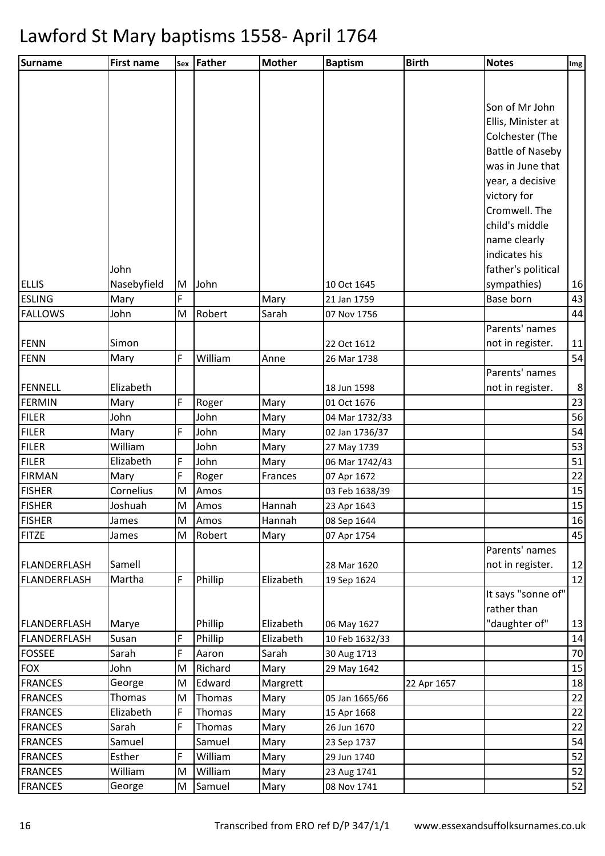| Son of Mr John<br>Ellis, Minister at<br>Colchester (The<br><b>Battle of Naseby</b><br>was in June that<br>year, a decisive<br>victory for<br>Cromwell. The<br>child's middle<br>name clearly<br>indicates his<br>father's political<br>John<br>Nasebyfield<br>sympathies)<br>John<br>16<br>M<br>10 Oct 1645<br>43<br><b>ESLING</b><br>F<br>Base born<br>Mary<br>Mary<br>21 Jan 1759<br>44<br><b>FALLOWS</b><br>Robert<br>Sarah<br>John<br>M<br>07 Nov 1756<br>Parents' names<br>not in register.<br><b>FENN</b><br>Simon<br>22 Oct 1612<br>11<br>54<br>FENN<br>F<br>William<br>Anne<br>26 Mar 1738<br>Mary<br>Parents' names<br>Elizabeth<br>not in register.<br>8<br>FENNELL<br>18 Jun 1598<br>23<br>F<br>FERMIN<br>Mary<br>Roger<br>Mary<br>01 Oct 1676<br><b>FILER</b><br>56<br>John<br>John<br>Mary<br>04 Mar 1732/33<br><b>FILER</b><br>54<br>F<br>John<br>02 Jan 1736/37<br>Mary<br>Mary<br>William<br>53<br><b>FILER</b><br>John<br>Mary<br>27 May 1739<br>51<br>F<br><b>FILER</b><br>Elizabeth<br>John<br>Mary<br>06 Mar 1742/43<br>22<br>F<br><b>FIRMAN</b><br>Roger<br>Mary<br>Frances<br>07 Apr 1672<br><b>FISHER</b><br>15<br>Cornelius<br>Amos<br>M<br>03 Feb 1638/39<br>15<br>M<br><b>FISHER</b><br>Joshuah<br>Hannah<br>23 Apr 1643<br>Amos<br><b>FISHER</b><br>16<br>M<br>Hannah<br>Amos<br>08 Sep 1644<br>James<br><b>FITZE</b><br>45<br>Robert<br>M<br>Mary<br>07 Apr 1754<br>James<br>Parents' names<br>Samell<br>not in register.<br>FLANDERFLASH<br>12<br>28 Mar 1620<br>F<br>Phillip<br>12<br><b>FLANDERFLASH</b><br>Martha<br>Elizabeth<br>19 Sep 1624<br>It says "sonne of"<br>rather than<br>"daughter of"<br>FLANDERFLASH<br>Marye<br>Phillip<br>Elizabeth<br>06 May 1627<br>13<br>F<br>Phillip<br>14<br>Elizabeth<br><b>FLANDERFLASH</b><br>Susan<br>10 Feb 1632/33<br>F<br>70<br><b>FOSSEE</b><br>Sarah<br>Sarah<br>Aaron<br>30 Aug 1713<br>John<br>Richard<br>15<br><b>FOX</b><br>M<br>Mary<br>29 May 1642<br>18<br><b>FRANCES</b><br>Edward<br>Margrett<br>George<br>M<br>22 Apr 1657<br>$\overline{22}$<br><b>FRANCES</b><br>Thomas<br>Thomas<br>Mary<br>M<br>05 Jan 1665/66<br>22<br>Elizabeth<br>F<br><b>FRANCES</b><br><b>Thomas</b><br>Mary<br>15 Apr 1668<br>22<br><b>FRANCES</b><br>Sarah<br>F<br>Thomas<br>Mary<br>26 Jun 1670<br>54<br><b>FRANCES</b><br>Samuel<br>Samuel<br>Mary<br>23 Sep 1737<br>52<br><b>FRANCES</b><br>Esther<br>F<br>William<br>Mary<br>29 Jun 1740<br>52<br><b>FRANCES</b><br>William<br>William<br>M<br>Mary<br>23 Aug 1741<br>52<br>George<br>Samuel<br>08 Nov 1741<br>M<br>Mary | Surname        | <b>First name</b> | Sex Father | <b>Mother</b> | <b>Baptism</b> | <b>Birth</b> | <b>Notes</b> | Img |
|--------------------------------------------------------------------------------------------------------------------------------------------------------------------------------------------------------------------------------------------------------------------------------------------------------------------------------------------------------------------------------------------------------------------------------------------------------------------------------------------------------------------------------------------------------------------------------------------------------------------------------------------------------------------------------------------------------------------------------------------------------------------------------------------------------------------------------------------------------------------------------------------------------------------------------------------------------------------------------------------------------------------------------------------------------------------------------------------------------------------------------------------------------------------------------------------------------------------------------------------------------------------------------------------------------------------------------------------------------------------------------------------------------------------------------------------------------------------------------------------------------------------------------------------------------------------------------------------------------------------------------------------------------------------------------------------------------------------------------------------------------------------------------------------------------------------------------------------------------------------------------------------------------------------------------------------------------------------------------------------------------------------------------------------------------------------------------------------------------------------------------------------------------------------------------------------------------------------------------------------------------------------------------------------------------------------------------------------------------------------------------------------------------------------------------------------------------------------------------------------------------------------------------------------------|----------------|-------------------|------------|---------------|----------------|--------------|--------------|-----|
|                                                                                                                                                                                                                                                                                                                                                                                                                                                                                                                                                                                                                                                                                                                                                                                                                                                                                                                                                                                                                                                                                                                                                                                                                                                                                                                                                                                                                                                                                                                                                                                                                                                                                                                                                                                                                                                                                                                                                                                                                                                                                                                                                                                                                                                                                                                                                                                                                                                                                                                                                  |                |                   |            |               |                |              |              |     |
|                                                                                                                                                                                                                                                                                                                                                                                                                                                                                                                                                                                                                                                                                                                                                                                                                                                                                                                                                                                                                                                                                                                                                                                                                                                                                                                                                                                                                                                                                                                                                                                                                                                                                                                                                                                                                                                                                                                                                                                                                                                                                                                                                                                                                                                                                                                                                                                                                                                                                                                                                  |                |                   |            |               |                |              |              |     |
|                                                                                                                                                                                                                                                                                                                                                                                                                                                                                                                                                                                                                                                                                                                                                                                                                                                                                                                                                                                                                                                                                                                                                                                                                                                                                                                                                                                                                                                                                                                                                                                                                                                                                                                                                                                                                                                                                                                                                                                                                                                                                                                                                                                                                                                                                                                                                                                                                                                                                                                                                  |                |                   |            |               |                |              |              |     |
|                                                                                                                                                                                                                                                                                                                                                                                                                                                                                                                                                                                                                                                                                                                                                                                                                                                                                                                                                                                                                                                                                                                                                                                                                                                                                                                                                                                                                                                                                                                                                                                                                                                                                                                                                                                                                                                                                                                                                                                                                                                                                                                                                                                                                                                                                                                                                                                                                                                                                                                                                  |                |                   |            |               |                |              |              |     |
|                                                                                                                                                                                                                                                                                                                                                                                                                                                                                                                                                                                                                                                                                                                                                                                                                                                                                                                                                                                                                                                                                                                                                                                                                                                                                                                                                                                                                                                                                                                                                                                                                                                                                                                                                                                                                                                                                                                                                                                                                                                                                                                                                                                                                                                                                                                                                                                                                                                                                                                                                  |                |                   |            |               |                |              |              |     |
|                                                                                                                                                                                                                                                                                                                                                                                                                                                                                                                                                                                                                                                                                                                                                                                                                                                                                                                                                                                                                                                                                                                                                                                                                                                                                                                                                                                                                                                                                                                                                                                                                                                                                                                                                                                                                                                                                                                                                                                                                                                                                                                                                                                                                                                                                                                                                                                                                                                                                                                                                  |                |                   |            |               |                |              |              |     |
|                                                                                                                                                                                                                                                                                                                                                                                                                                                                                                                                                                                                                                                                                                                                                                                                                                                                                                                                                                                                                                                                                                                                                                                                                                                                                                                                                                                                                                                                                                                                                                                                                                                                                                                                                                                                                                                                                                                                                                                                                                                                                                                                                                                                                                                                                                                                                                                                                                                                                                                                                  |                |                   |            |               |                |              |              |     |
|                                                                                                                                                                                                                                                                                                                                                                                                                                                                                                                                                                                                                                                                                                                                                                                                                                                                                                                                                                                                                                                                                                                                                                                                                                                                                                                                                                                                                                                                                                                                                                                                                                                                                                                                                                                                                                                                                                                                                                                                                                                                                                                                                                                                                                                                                                                                                                                                                                                                                                                                                  |                |                   |            |               |                |              |              |     |
|                                                                                                                                                                                                                                                                                                                                                                                                                                                                                                                                                                                                                                                                                                                                                                                                                                                                                                                                                                                                                                                                                                                                                                                                                                                                                                                                                                                                                                                                                                                                                                                                                                                                                                                                                                                                                                                                                                                                                                                                                                                                                                                                                                                                                                                                                                                                                                                                                                                                                                                                                  |                |                   |            |               |                |              |              |     |
|                                                                                                                                                                                                                                                                                                                                                                                                                                                                                                                                                                                                                                                                                                                                                                                                                                                                                                                                                                                                                                                                                                                                                                                                                                                                                                                                                                                                                                                                                                                                                                                                                                                                                                                                                                                                                                                                                                                                                                                                                                                                                                                                                                                                                                                                                                                                                                                                                                                                                                                                                  |                |                   |            |               |                |              |              |     |
|                                                                                                                                                                                                                                                                                                                                                                                                                                                                                                                                                                                                                                                                                                                                                                                                                                                                                                                                                                                                                                                                                                                                                                                                                                                                                                                                                                                                                                                                                                                                                                                                                                                                                                                                                                                                                                                                                                                                                                                                                                                                                                                                                                                                                                                                                                                                                                                                                                                                                                                                                  |                |                   |            |               |                |              |              |     |
|                                                                                                                                                                                                                                                                                                                                                                                                                                                                                                                                                                                                                                                                                                                                                                                                                                                                                                                                                                                                                                                                                                                                                                                                                                                                                                                                                                                                                                                                                                                                                                                                                                                                                                                                                                                                                                                                                                                                                                                                                                                                                                                                                                                                                                                                                                                                                                                                                                                                                                                                                  |                |                   |            |               |                |              |              |     |
|                                                                                                                                                                                                                                                                                                                                                                                                                                                                                                                                                                                                                                                                                                                                                                                                                                                                                                                                                                                                                                                                                                                                                                                                                                                                                                                                                                                                                                                                                                                                                                                                                                                                                                                                                                                                                                                                                                                                                                                                                                                                                                                                                                                                                                                                                                                                                                                                                                                                                                                                                  |                |                   |            |               |                |              |              |     |
|                                                                                                                                                                                                                                                                                                                                                                                                                                                                                                                                                                                                                                                                                                                                                                                                                                                                                                                                                                                                                                                                                                                                                                                                                                                                                                                                                                                                                                                                                                                                                                                                                                                                                                                                                                                                                                                                                                                                                                                                                                                                                                                                                                                                                                                                                                                                                                                                                                                                                                                                                  |                |                   |            |               |                |              |              |     |
|                                                                                                                                                                                                                                                                                                                                                                                                                                                                                                                                                                                                                                                                                                                                                                                                                                                                                                                                                                                                                                                                                                                                                                                                                                                                                                                                                                                                                                                                                                                                                                                                                                                                                                                                                                                                                                                                                                                                                                                                                                                                                                                                                                                                                                                                                                                                                                                                                                                                                                                                                  | <b>ELLIS</b>   |                   |            |               |                |              |              |     |
|                                                                                                                                                                                                                                                                                                                                                                                                                                                                                                                                                                                                                                                                                                                                                                                                                                                                                                                                                                                                                                                                                                                                                                                                                                                                                                                                                                                                                                                                                                                                                                                                                                                                                                                                                                                                                                                                                                                                                                                                                                                                                                                                                                                                                                                                                                                                                                                                                                                                                                                                                  |                |                   |            |               |                |              |              |     |
|                                                                                                                                                                                                                                                                                                                                                                                                                                                                                                                                                                                                                                                                                                                                                                                                                                                                                                                                                                                                                                                                                                                                                                                                                                                                                                                                                                                                                                                                                                                                                                                                                                                                                                                                                                                                                                                                                                                                                                                                                                                                                                                                                                                                                                                                                                                                                                                                                                                                                                                                                  |                |                   |            |               |                |              |              |     |
|                                                                                                                                                                                                                                                                                                                                                                                                                                                                                                                                                                                                                                                                                                                                                                                                                                                                                                                                                                                                                                                                                                                                                                                                                                                                                                                                                                                                                                                                                                                                                                                                                                                                                                                                                                                                                                                                                                                                                                                                                                                                                                                                                                                                                                                                                                                                                                                                                                                                                                                                                  |                |                   |            |               |                |              |              |     |
|                                                                                                                                                                                                                                                                                                                                                                                                                                                                                                                                                                                                                                                                                                                                                                                                                                                                                                                                                                                                                                                                                                                                                                                                                                                                                                                                                                                                                                                                                                                                                                                                                                                                                                                                                                                                                                                                                                                                                                                                                                                                                                                                                                                                                                                                                                                                                                                                                                                                                                                                                  |                |                   |            |               |                |              |              |     |
|                                                                                                                                                                                                                                                                                                                                                                                                                                                                                                                                                                                                                                                                                                                                                                                                                                                                                                                                                                                                                                                                                                                                                                                                                                                                                                                                                                                                                                                                                                                                                                                                                                                                                                                                                                                                                                                                                                                                                                                                                                                                                                                                                                                                                                                                                                                                                                                                                                                                                                                                                  |                |                   |            |               |                |              |              |     |
|                                                                                                                                                                                                                                                                                                                                                                                                                                                                                                                                                                                                                                                                                                                                                                                                                                                                                                                                                                                                                                                                                                                                                                                                                                                                                                                                                                                                                                                                                                                                                                                                                                                                                                                                                                                                                                                                                                                                                                                                                                                                                                                                                                                                                                                                                                                                                                                                                                                                                                                                                  |                |                   |            |               |                |              |              |     |
|                                                                                                                                                                                                                                                                                                                                                                                                                                                                                                                                                                                                                                                                                                                                                                                                                                                                                                                                                                                                                                                                                                                                                                                                                                                                                                                                                                                                                                                                                                                                                                                                                                                                                                                                                                                                                                                                                                                                                                                                                                                                                                                                                                                                                                                                                                                                                                                                                                                                                                                                                  |                |                   |            |               |                |              |              |     |
|                                                                                                                                                                                                                                                                                                                                                                                                                                                                                                                                                                                                                                                                                                                                                                                                                                                                                                                                                                                                                                                                                                                                                                                                                                                                                                                                                                                                                                                                                                                                                                                                                                                                                                                                                                                                                                                                                                                                                                                                                                                                                                                                                                                                                                                                                                                                                                                                                                                                                                                                                  |                |                   |            |               |                |              |              |     |
|                                                                                                                                                                                                                                                                                                                                                                                                                                                                                                                                                                                                                                                                                                                                                                                                                                                                                                                                                                                                                                                                                                                                                                                                                                                                                                                                                                                                                                                                                                                                                                                                                                                                                                                                                                                                                                                                                                                                                                                                                                                                                                                                                                                                                                                                                                                                                                                                                                                                                                                                                  |                |                   |            |               |                |              |              |     |
|                                                                                                                                                                                                                                                                                                                                                                                                                                                                                                                                                                                                                                                                                                                                                                                                                                                                                                                                                                                                                                                                                                                                                                                                                                                                                                                                                                                                                                                                                                                                                                                                                                                                                                                                                                                                                                                                                                                                                                                                                                                                                                                                                                                                                                                                                                                                                                                                                                                                                                                                                  |                |                   |            |               |                |              |              |     |
|                                                                                                                                                                                                                                                                                                                                                                                                                                                                                                                                                                                                                                                                                                                                                                                                                                                                                                                                                                                                                                                                                                                                                                                                                                                                                                                                                                                                                                                                                                                                                                                                                                                                                                                                                                                                                                                                                                                                                                                                                                                                                                                                                                                                                                                                                                                                                                                                                                                                                                                                                  |                |                   |            |               |                |              |              |     |
|                                                                                                                                                                                                                                                                                                                                                                                                                                                                                                                                                                                                                                                                                                                                                                                                                                                                                                                                                                                                                                                                                                                                                                                                                                                                                                                                                                                                                                                                                                                                                                                                                                                                                                                                                                                                                                                                                                                                                                                                                                                                                                                                                                                                                                                                                                                                                                                                                                                                                                                                                  |                |                   |            |               |                |              |              |     |
|                                                                                                                                                                                                                                                                                                                                                                                                                                                                                                                                                                                                                                                                                                                                                                                                                                                                                                                                                                                                                                                                                                                                                                                                                                                                                                                                                                                                                                                                                                                                                                                                                                                                                                                                                                                                                                                                                                                                                                                                                                                                                                                                                                                                                                                                                                                                                                                                                                                                                                                                                  |                |                   |            |               |                |              |              |     |
|                                                                                                                                                                                                                                                                                                                                                                                                                                                                                                                                                                                                                                                                                                                                                                                                                                                                                                                                                                                                                                                                                                                                                                                                                                                                                                                                                                                                                                                                                                                                                                                                                                                                                                                                                                                                                                                                                                                                                                                                                                                                                                                                                                                                                                                                                                                                                                                                                                                                                                                                                  |                |                   |            |               |                |              |              |     |
|                                                                                                                                                                                                                                                                                                                                                                                                                                                                                                                                                                                                                                                                                                                                                                                                                                                                                                                                                                                                                                                                                                                                                                                                                                                                                                                                                                                                                                                                                                                                                                                                                                                                                                                                                                                                                                                                                                                                                                                                                                                                                                                                                                                                                                                                                                                                                                                                                                                                                                                                                  |                |                   |            |               |                |              |              |     |
|                                                                                                                                                                                                                                                                                                                                                                                                                                                                                                                                                                                                                                                                                                                                                                                                                                                                                                                                                                                                                                                                                                                                                                                                                                                                                                                                                                                                                                                                                                                                                                                                                                                                                                                                                                                                                                                                                                                                                                                                                                                                                                                                                                                                                                                                                                                                                                                                                                                                                                                                                  |                |                   |            |               |                |              |              |     |
|                                                                                                                                                                                                                                                                                                                                                                                                                                                                                                                                                                                                                                                                                                                                                                                                                                                                                                                                                                                                                                                                                                                                                                                                                                                                                                                                                                                                                                                                                                                                                                                                                                                                                                                                                                                                                                                                                                                                                                                                                                                                                                                                                                                                                                                                                                                                                                                                                                                                                                                                                  |                |                   |            |               |                |              |              |     |
|                                                                                                                                                                                                                                                                                                                                                                                                                                                                                                                                                                                                                                                                                                                                                                                                                                                                                                                                                                                                                                                                                                                                                                                                                                                                                                                                                                                                                                                                                                                                                                                                                                                                                                                                                                                                                                                                                                                                                                                                                                                                                                                                                                                                                                                                                                                                                                                                                                                                                                                                                  |                |                   |            |               |                |              |              |     |
|                                                                                                                                                                                                                                                                                                                                                                                                                                                                                                                                                                                                                                                                                                                                                                                                                                                                                                                                                                                                                                                                                                                                                                                                                                                                                                                                                                                                                                                                                                                                                                                                                                                                                                                                                                                                                                                                                                                                                                                                                                                                                                                                                                                                                                                                                                                                                                                                                                                                                                                                                  |                |                   |            |               |                |              |              |     |
|                                                                                                                                                                                                                                                                                                                                                                                                                                                                                                                                                                                                                                                                                                                                                                                                                                                                                                                                                                                                                                                                                                                                                                                                                                                                                                                                                                                                                                                                                                                                                                                                                                                                                                                                                                                                                                                                                                                                                                                                                                                                                                                                                                                                                                                                                                                                                                                                                                                                                                                                                  |                |                   |            |               |                |              |              |     |
|                                                                                                                                                                                                                                                                                                                                                                                                                                                                                                                                                                                                                                                                                                                                                                                                                                                                                                                                                                                                                                                                                                                                                                                                                                                                                                                                                                                                                                                                                                                                                                                                                                                                                                                                                                                                                                                                                                                                                                                                                                                                                                                                                                                                                                                                                                                                                                                                                                                                                                                                                  |                |                   |            |               |                |              |              |     |
|                                                                                                                                                                                                                                                                                                                                                                                                                                                                                                                                                                                                                                                                                                                                                                                                                                                                                                                                                                                                                                                                                                                                                                                                                                                                                                                                                                                                                                                                                                                                                                                                                                                                                                                                                                                                                                                                                                                                                                                                                                                                                                                                                                                                                                                                                                                                                                                                                                                                                                                                                  |                |                   |            |               |                |              |              |     |
|                                                                                                                                                                                                                                                                                                                                                                                                                                                                                                                                                                                                                                                                                                                                                                                                                                                                                                                                                                                                                                                                                                                                                                                                                                                                                                                                                                                                                                                                                                                                                                                                                                                                                                                                                                                                                                                                                                                                                                                                                                                                                                                                                                                                                                                                                                                                                                                                                                                                                                                                                  |                |                   |            |               |                |              |              |     |
|                                                                                                                                                                                                                                                                                                                                                                                                                                                                                                                                                                                                                                                                                                                                                                                                                                                                                                                                                                                                                                                                                                                                                                                                                                                                                                                                                                                                                                                                                                                                                                                                                                                                                                                                                                                                                                                                                                                                                                                                                                                                                                                                                                                                                                                                                                                                                                                                                                                                                                                                                  |                |                   |            |               |                |              |              |     |
|                                                                                                                                                                                                                                                                                                                                                                                                                                                                                                                                                                                                                                                                                                                                                                                                                                                                                                                                                                                                                                                                                                                                                                                                                                                                                                                                                                                                                                                                                                                                                                                                                                                                                                                                                                                                                                                                                                                                                                                                                                                                                                                                                                                                                                                                                                                                                                                                                                                                                                                                                  |                |                   |            |               |                |              |              |     |
|                                                                                                                                                                                                                                                                                                                                                                                                                                                                                                                                                                                                                                                                                                                                                                                                                                                                                                                                                                                                                                                                                                                                                                                                                                                                                                                                                                                                                                                                                                                                                                                                                                                                                                                                                                                                                                                                                                                                                                                                                                                                                                                                                                                                                                                                                                                                                                                                                                                                                                                                                  |                |                   |            |               |                |              |              |     |
|                                                                                                                                                                                                                                                                                                                                                                                                                                                                                                                                                                                                                                                                                                                                                                                                                                                                                                                                                                                                                                                                                                                                                                                                                                                                                                                                                                                                                                                                                                                                                                                                                                                                                                                                                                                                                                                                                                                                                                                                                                                                                                                                                                                                                                                                                                                                                                                                                                                                                                                                                  |                |                   |            |               |                |              |              |     |
|                                                                                                                                                                                                                                                                                                                                                                                                                                                                                                                                                                                                                                                                                                                                                                                                                                                                                                                                                                                                                                                                                                                                                                                                                                                                                                                                                                                                                                                                                                                                                                                                                                                                                                                                                                                                                                                                                                                                                                                                                                                                                                                                                                                                                                                                                                                                                                                                                                                                                                                                                  |                |                   |            |               |                |              |              |     |
|                                                                                                                                                                                                                                                                                                                                                                                                                                                                                                                                                                                                                                                                                                                                                                                                                                                                                                                                                                                                                                                                                                                                                                                                                                                                                                                                                                                                                                                                                                                                                                                                                                                                                                                                                                                                                                                                                                                                                                                                                                                                                                                                                                                                                                                                                                                                                                                                                                                                                                                                                  |                |                   |            |               |                |              |              |     |
|                                                                                                                                                                                                                                                                                                                                                                                                                                                                                                                                                                                                                                                                                                                                                                                                                                                                                                                                                                                                                                                                                                                                                                                                                                                                                                                                                                                                                                                                                                                                                                                                                                                                                                                                                                                                                                                                                                                                                                                                                                                                                                                                                                                                                                                                                                                                                                                                                                                                                                                                                  |                |                   |            |               |                |              |              |     |
|                                                                                                                                                                                                                                                                                                                                                                                                                                                                                                                                                                                                                                                                                                                                                                                                                                                                                                                                                                                                                                                                                                                                                                                                                                                                                                                                                                                                                                                                                                                                                                                                                                                                                                                                                                                                                                                                                                                                                                                                                                                                                                                                                                                                                                                                                                                                                                                                                                                                                                                                                  |                |                   |            |               |                |              |              |     |
|                                                                                                                                                                                                                                                                                                                                                                                                                                                                                                                                                                                                                                                                                                                                                                                                                                                                                                                                                                                                                                                                                                                                                                                                                                                                                                                                                                                                                                                                                                                                                                                                                                                                                                                                                                                                                                                                                                                                                                                                                                                                                                                                                                                                                                                                                                                                                                                                                                                                                                                                                  |                |                   |            |               |                |              |              |     |
|                                                                                                                                                                                                                                                                                                                                                                                                                                                                                                                                                                                                                                                                                                                                                                                                                                                                                                                                                                                                                                                                                                                                                                                                                                                                                                                                                                                                                                                                                                                                                                                                                                                                                                                                                                                                                                                                                                                                                                                                                                                                                                                                                                                                                                                                                                                                                                                                                                                                                                                                                  | <b>FRANCES</b> |                   |            |               |                |              |              |     |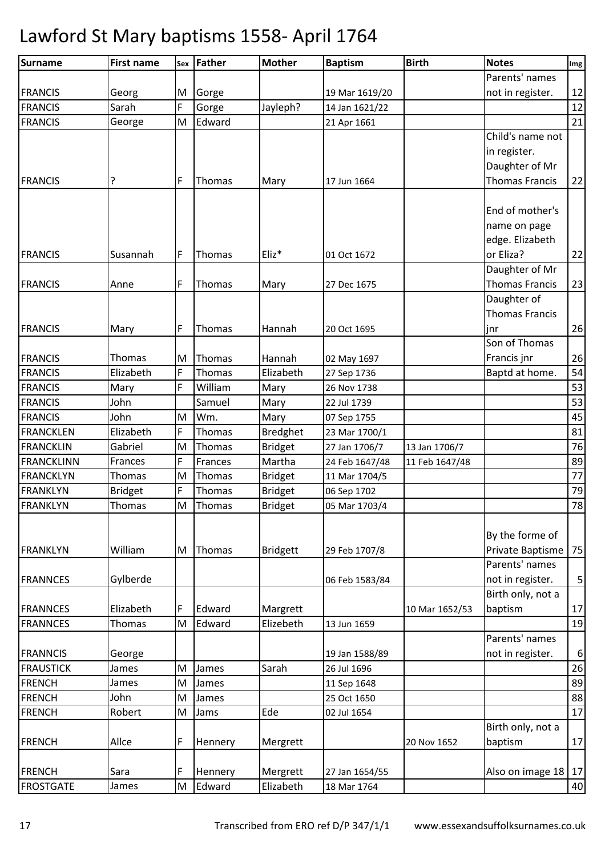| Surname           | <b>First name</b> |   | sex Father | <b>Mother</b>   | <b>Baptism</b> | <b>Birth</b>   | <b>Notes</b>          | Img         |
|-------------------|-------------------|---|------------|-----------------|----------------|----------------|-----------------------|-------------|
|                   |                   |   |            |                 |                |                | Parents' names        |             |
| <b>FRANCIS</b>    | Georg             | M | Gorge      |                 | 19 Mar 1619/20 |                | not in register.      | 12          |
| <b>FRANCIS</b>    | Sarah             | F | Gorge      | Jayleph?        | 14 Jan 1621/22 |                |                       | 12          |
| <b>FRANCIS</b>    | George            | M | Edward     |                 | 21 Apr 1661    |                |                       | 21          |
|                   |                   |   |            |                 |                |                | Child's name not      |             |
|                   |                   |   |            |                 |                |                | in register.          |             |
|                   |                   |   |            |                 |                |                | Daughter of Mr        |             |
| <b>FRANCIS</b>    | ?                 | F | Thomas     | Mary            | 17 Jun 1664    |                | <b>Thomas Francis</b> | 22          |
|                   |                   |   |            |                 |                |                |                       |             |
|                   |                   |   |            |                 |                |                | End of mother's       |             |
|                   |                   |   |            |                 |                |                | name on page          |             |
|                   |                   |   |            |                 |                |                | edge. Elizabeth       |             |
| <b>FRANCIS</b>    | Susannah          | F | Thomas     | Eliz*           | 01 Oct 1672    |                | or Eliza?             | 22          |
|                   |                   |   |            |                 |                |                | Daughter of Mr        |             |
| <b>FRANCIS</b>    | Anne              | F | Thomas     | Mary            | 27 Dec 1675    |                | <b>Thomas Francis</b> | 23          |
|                   |                   |   |            |                 |                |                | Daughter of           |             |
|                   |                   |   |            |                 |                |                | <b>Thomas Francis</b> |             |
| <b>FRANCIS</b>    | Mary              | F | Thomas     | Hannah          | 20 Oct 1695    |                | jnr                   | 26          |
|                   |                   |   |            |                 |                |                | Son of Thomas         |             |
| <b>FRANCIS</b>    | Thomas            | M | Thomas     | Hannah          | 02 May 1697    |                | Francis jnr           | 26          |
| <b>FRANCIS</b>    | Elizabeth         | F | Thomas     | Elizabeth       | 27 Sep 1736    |                | Baptd at home.        | 54          |
| <b>FRANCIS</b>    | Mary              | F | William    | Mary            | 26 Nov 1738    |                |                       | 53          |
| <b>FRANCIS</b>    | John              |   | Samuel     | Mary            | 22 Jul 1739    |                |                       | 53          |
| <b>FRANCIS</b>    | John              | M | Wm.        | Mary            | 07 Sep 1755    |                |                       | 45          |
| <b>FRANCKLEN</b>  | Elizabeth         | F | Thomas     | <b>Bredghet</b> | 23 Mar 1700/1  |                |                       | 81          |
| <b>FRANCKLIN</b>  | Gabriel           | M | Thomas     | <b>Bridget</b>  | 27 Jan 1706/7  | 13 Jan 1706/7  |                       | 76          |
| <b>FRANCKLINN</b> | Frances           | F | Frances    | Martha          | 24 Feb 1647/48 | 11 Feb 1647/48 |                       | 89          |
| <b>FRANCKLYN</b>  | Thomas            | M | Thomas     | <b>Bridget</b>  | 11 Mar 1704/5  |                |                       | 77          |
| <b>FRANKLYN</b>   | <b>Bridget</b>    | F | Thomas     | <b>Bridget</b>  | 06 Sep 1702    |                |                       | 79          |
| FRANKLYN          | Thomas            | M | Thomas     | <b>Bridget</b>  | 05 Mar 1703/4  |                |                       | 78          |
|                   |                   |   |            |                 |                |                |                       |             |
|                   |                   |   |            |                 |                |                | By the forme of       |             |
| <b>FRANKLYN</b>   | William           | M | Thomas     | <b>Bridgett</b> | 29 Feb 1707/8  |                | Private Baptisme      | 75          |
|                   |                   |   |            |                 |                |                | Parents' names        |             |
| <b>FRANNCES</b>   | Gylberde          |   |            |                 | 06 Feb 1583/84 |                | not in register.      | $\mathsf S$ |
|                   |                   |   |            |                 |                |                | Birth only, not a     |             |
| <b>FRANNCES</b>   | Elizabeth         | F | Edward     | Margrett        |                | 10 Mar 1652/53 | baptism               | 17          |
| <b>FRANNCES</b>   | Thomas            | M | Edward     | Elizebeth       | 13 Jun 1659    |                |                       | 19          |
|                   |                   |   |            |                 |                |                | Parents' names        |             |
| <b>FRANNCIS</b>   | George            |   |            |                 | 19 Jan 1588/89 |                | not in register.      | 6           |
| <b>FRAUSTICK</b>  | James             | M | James      | Sarah           | 26 Jul 1696    |                |                       | 26          |
| <b>FRENCH</b>     | James             | M | James      |                 | 11 Sep 1648    |                |                       | 89          |
| <b>FRENCH</b>     | John              | M | James      |                 | 25 Oct 1650    |                |                       | 88          |
| <b>FRENCH</b>     | Robert            | M | Jams       | Ede             | 02 Jul 1654    |                |                       | 17          |
|                   |                   |   |            |                 |                |                | Birth only, not a     |             |
| <b>FRENCH</b>     | Allce             | F | Hennery    | Mergrett        |                | 20 Nov 1652    | baptism               | 17          |
|                   |                   |   |            |                 |                |                |                       |             |
| <b>FRENCH</b>     | Sara              | F | Hennery    | Mergrett        | 27 Jan 1654/55 |                | Also on image 18      | 17          |
| <b>FROSTGATE</b>  | James             | M | Edward     | Elizabeth       | 18 Mar 1764    |                |                       | 40          |
|                   |                   |   |            |                 |                |                |                       |             |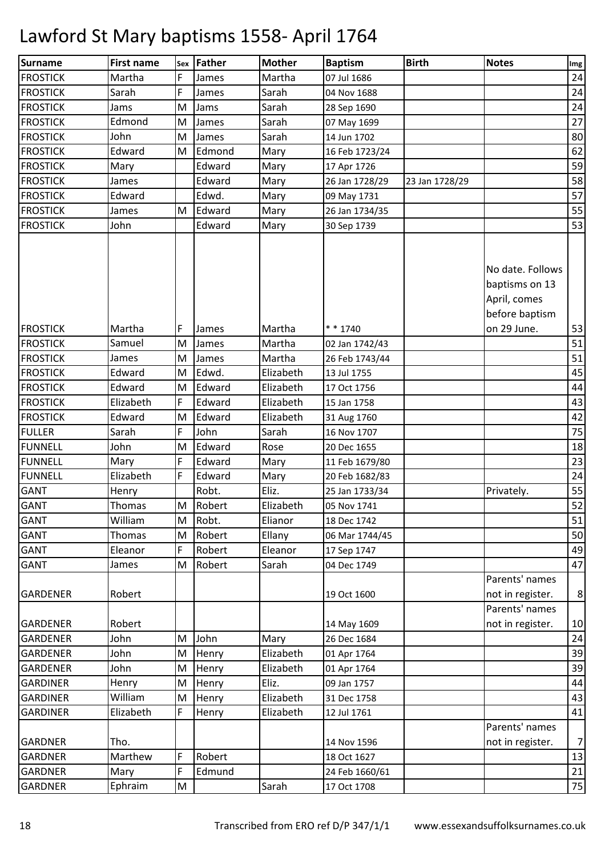| Martha<br>F<br>24<br>Martha<br>07 Jul 1686<br>James<br>Sarah<br>24<br>Sarah<br>F<br>James<br>04 Nov 1688<br>24<br>Jams<br>Sarah<br>M<br>Jams<br>28 Sep 1690<br>Edmond<br>27<br>M<br>James<br>Sarah<br>07 May 1699<br>80<br>John<br>Sarah<br>M<br>James<br>14 Jun 1702<br>62<br>Edward<br>M<br>Edmond<br>Mary<br>16 Feb 1723/24<br>59<br>Mary<br>Edward<br>Mary<br>17 Apr 1726<br>58<br>James<br>Edward<br>Mary<br>26 Jan 1728/29<br>23 Jan 1728/29<br>57<br>Edwd.<br>Edward<br>Mary<br>09 May 1731<br>55<br>Edward<br>James<br>M<br>Mary<br>26 Jan 1734/35<br>John<br>53<br>Edward<br>Mary<br>30 Sep 1739<br>No date. Follows<br>baptisms on 13<br>April, comes<br>before baptism<br>on 29 June.<br>Martha<br>F<br>$* * 1740$<br>Martha<br>James<br>Samuel<br>Martha<br>M<br>James<br>02 Jan 1742/43<br>51<br>M<br>James<br>Martha<br>26 Feb 1743/44<br>James<br>Edwd.<br>Elizabeth<br>Edward<br>M<br>13 Jul 1755<br>Edward<br>Edward<br>44<br>M<br>Elizabeth<br>17 Oct 1756<br>Elizabeth<br>F<br>Edward<br>Elizabeth<br>15 Jan 1758<br>Edward<br><b>FROSTICK</b><br>Edward<br>Elizabeth<br>M<br>31 Aug 1760<br>F<br>75<br>Sarah<br>John<br>Sarah<br>16 Nov 1707<br>John<br>M<br>Edward<br>Rose<br>20 Dec 1655<br>F<br>Mary<br>Edward<br>Mary<br>11 Feb 1679/80<br>F<br>Elizabeth<br>Edward<br>Mary<br>20 Feb 1682/83<br>Robt.<br>Eliz.<br>55<br>Privately.<br>25 Jan 1733/34<br>Henry<br>Thomas<br>M Robert<br>Elizabeth<br>05 Nov 1741<br>William<br>Robt.<br>Elianor<br>M<br>18 Dec 1742<br>Thomas<br>M<br>Robert<br>Ellany<br>06 Mar 1744/45<br>F<br>Eleanor<br>Robert<br>Eleanor<br>17 Sep 1747<br>Robert<br>Sarah<br>James<br>M<br>04 Dec 1749<br>Parents' names<br>Robert<br>not in register.<br>19 Oct 1600<br>Parents' names<br>Robert<br>not in register.<br>14 May 1609<br>John<br>John<br>M<br>Mary<br>26 Dec 1684<br>John<br>Elizabeth<br>M<br>Henry<br>01 Apr 1764<br>John<br>Elizabeth<br>Henry<br>M<br>01 Apr 1764<br>Eliz.<br>Henry<br>M<br>09 Jan 1757<br>Henry<br>William<br>Elizabeth<br>Henry<br>M<br>31 Dec 1758<br>F<br>Elizabeth<br>Elizabeth<br>Henry<br>12 Jul 1761<br>Parents' names<br>Tho.<br>not in register.<br>14 Nov 1596<br>F<br>Marthew<br>Robert<br>18 Oct 1627 | Surname         | <b>First name</b> | sex Father | <b>Mother</b> | <b>Baptism</b> | <b>Birth</b> | <b>Notes</b> | Img |
|-----------------------------------------------------------------------------------------------------------------------------------------------------------------------------------------------------------------------------------------------------------------------------------------------------------------------------------------------------------------------------------------------------------------------------------------------------------------------------------------------------------------------------------------------------------------------------------------------------------------------------------------------------------------------------------------------------------------------------------------------------------------------------------------------------------------------------------------------------------------------------------------------------------------------------------------------------------------------------------------------------------------------------------------------------------------------------------------------------------------------------------------------------------------------------------------------------------------------------------------------------------------------------------------------------------------------------------------------------------------------------------------------------------------------------------------------------------------------------------------------------------------------------------------------------------------------------------------------------------------------------------------------------------------------------------------------------------------------------------------------------------------------------------------------------------------------------------------------------------------------------------------------------------------------------------------------------------------------------------------------------------------------------------------------------------------------------------------------------------------------------------------------------------------------------------------------------|-----------------|-------------------|------------|---------------|----------------|--------------|--------------|-----|
|                                                                                                                                                                                                                                                                                                                                                                                                                                                                                                                                                                                                                                                                                                                                                                                                                                                                                                                                                                                                                                                                                                                                                                                                                                                                                                                                                                                                                                                                                                                                                                                                                                                                                                                                                                                                                                                                                                                                                                                                                                                                                                                                                                                                     | <b>FROSTICK</b> |                   |            |               |                |              |              |     |
|                                                                                                                                                                                                                                                                                                                                                                                                                                                                                                                                                                                                                                                                                                                                                                                                                                                                                                                                                                                                                                                                                                                                                                                                                                                                                                                                                                                                                                                                                                                                                                                                                                                                                                                                                                                                                                                                                                                                                                                                                                                                                                                                                                                                     | <b>FROSTICK</b> |                   |            |               |                |              |              |     |
|                                                                                                                                                                                                                                                                                                                                                                                                                                                                                                                                                                                                                                                                                                                                                                                                                                                                                                                                                                                                                                                                                                                                                                                                                                                                                                                                                                                                                                                                                                                                                                                                                                                                                                                                                                                                                                                                                                                                                                                                                                                                                                                                                                                                     | <b>FROSTICK</b> |                   |            |               |                |              |              |     |
|                                                                                                                                                                                                                                                                                                                                                                                                                                                                                                                                                                                                                                                                                                                                                                                                                                                                                                                                                                                                                                                                                                                                                                                                                                                                                                                                                                                                                                                                                                                                                                                                                                                                                                                                                                                                                                                                                                                                                                                                                                                                                                                                                                                                     | <b>FROSTICK</b> |                   |            |               |                |              |              |     |
|                                                                                                                                                                                                                                                                                                                                                                                                                                                                                                                                                                                                                                                                                                                                                                                                                                                                                                                                                                                                                                                                                                                                                                                                                                                                                                                                                                                                                                                                                                                                                                                                                                                                                                                                                                                                                                                                                                                                                                                                                                                                                                                                                                                                     | <b>FROSTICK</b> |                   |            |               |                |              |              |     |
|                                                                                                                                                                                                                                                                                                                                                                                                                                                                                                                                                                                                                                                                                                                                                                                                                                                                                                                                                                                                                                                                                                                                                                                                                                                                                                                                                                                                                                                                                                                                                                                                                                                                                                                                                                                                                                                                                                                                                                                                                                                                                                                                                                                                     | <b>FROSTICK</b> |                   |            |               |                |              |              |     |
|                                                                                                                                                                                                                                                                                                                                                                                                                                                                                                                                                                                                                                                                                                                                                                                                                                                                                                                                                                                                                                                                                                                                                                                                                                                                                                                                                                                                                                                                                                                                                                                                                                                                                                                                                                                                                                                                                                                                                                                                                                                                                                                                                                                                     | <b>FROSTICK</b> |                   |            |               |                |              |              |     |
|                                                                                                                                                                                                                                                                                                                                                                                                                                                                                                                                                                                                                                                                                                                                                                                                                                                                                                                                                                                                                                                                                                                                                                                                                                                                                                                                                                                                                                                                                                                                                                                                                                                                                                                                                                                                                                                                                                                                                                                                                                                                                                                                                                                                     | <b>FROSTICK</b> |                   |            |               |                |              |              |     |
|                                                                                                                                                                                                                                                                                                                                                                                                                                                                                                                                                                                                                                                                                                                                                                                                                                                                                                                                                                                                                                                                                                                                                                                                                                                                                                                                                                                                                                                                                                                                                                                                                                                                                                                                                                                                                                                                                                                                                                                                                                                                                                                                                                                                     | <b>FROSTICK</b> |                   |            |               |                |              |              |     |
|                                                                                                                                                                                                                                                                                                                                                                                                                                                                                                                                                                                                                                                                                                                                                                                                                                                                                                                                                                                                                                                                                                                                                                                                                                                                                                                                                                                                                                                                                                                                                                                                                                                                                                                                                                                                                                                                                                                                                                                                                                                                                                                                                                                                     | <b>FROSTICK</b> |                   |            |               |                |              |              |     |
|                                                                                                                                                                                                                                                                                                                                                                                                                                                                                                                                                                                                                                                                                                                                                                                                                                                                                                                                                                                                                                                                                                                                                                                                                                                                                                                                                                                                                                                                                                                                                                                                                                                                                                                                                                                                                                                                                                                                                                                                                                                                                                                                                                                                     | <b>FROSTICK</b> |                   |            |               |                |              |              |     |
|                                                                                                                                                                                                                                                                                                                                                                                                                                                                                                                                                                                                                                                                                                                                                                                                                                                                                                                                                                                                                                                                                                                                                                                                                                                                                                                                                                                                                                                                                                                                                                                                                                                                                                                                                                                                                                                                                                                                                                                                                                                                                                                                                                                                     |                 |                   |            |               |                |              |              |     |
| 51<br>45<br>43<br>42<br>18<br>23<br>24<br>52<br>51<br>50<br>49<br>47<br>8<br>10<br>24<br>39<br>39<br>44<br>43<br>41<br>7<br>13                                                                                                                                                                                                                                                                                                                                                                                                                                                                                                                                                                                                                                                                                                                                                                                                                                                                                                                                                                                                                                                                                                                                                                                                                                                                                                                                                                                                                                                                                                                                                                                                                                                                                                                                                                                                                                                                                                                                                                                                                                                                      | <b>FROSTICK</b> |                   |            |               |                |              |              | 53  |
|                                                                                                                                                                                                                                                                                                                                                                                                                                                                                                                                                                                                                                                                                                                                                                                                                                                                                                                                                                                                                                                                                                                                                                                                                                                                                                                                                                                                                                                                                                                                                                                                                                                                                                                                                                                                                                                                                                                                                                                                                                                                                                                                                                                                     | <b>FROSTICK</b> |                   |            |               |                |              |              |     |
|                                                                                                                                                                                                                                                                                                                                                                                                                                                                                                                                                                                                                                                                                                                                                                                                                                                                                                                                                                                                                                                                                                                                                                                                                                                                                                                                                                                                                                                                                                                                                                                                                                                                                                                                                                                                                                                                                                                                                                                                                                                                                                                                                                                                     | <b>FROSTICK</b> |                   |            |               |                |              |              |     |
|                                                                                                                                                                                                                                                                                                                                                                                                                                                                                                                                                                                                                                                                                                                                                                                                                                                                                                                                                                                                                                                                                                                                                                                                                                                                                                                                                                                                                                                                                                                                                                                                                                                                                                                                                                                                                                                                                                                                                                                                                                                                                                                                                                                                     | <b>FROSTICK</b> |                   |            |               |                |              |              |     |
|                                                                                                                                                                                                                                                                                                                                                                                                                                                                                                                                                                                                                                                                                                                                                                                                                                                                                                                                                                                                                                                                                                                                                                                                                                                                                                                                                                                                                                                                                                                                                                                                                                                                                                                                                                                                                                                                                                                                                                                                                                                                                                                                                                                                     | <b>FROSTICK</b> |                   |            |               |                |              |              |     |
|                                                                                                                                                                                                                                                                                                                                                                                                                                                                                                                                                                                                                                                                                                                                                                                                                                                                                                                                                                                                                                                                                                                                                                                                                                                                                                                                                                                                                                                                                                                                                                                                                                                                                                                                                                                                                                                                                                                                                                                                                                                                                                                                                                                                     | <b>FROSTICK</b> |                   |            |               |                |              |              |     |
|                                                                                                                                                                                                                                                                                                                                                                                                                                                                                                                                                                                                                                                                                                                                                                                                                                                                                                                                                                                                                                                                                                                                                                                                                                                                                                                                                                                                                                                                                                                                                                                                                                                                                                                                                                                                                                                                                                                                                                                                                                                                                                                                                                                                     |                 |                   |            |               |                |              |              |     |
|                                                                                                                                                                                                                                                                                                                                                                                                                                                                                                                                                                                                                                                                                                                                                                                                                                                                                                                                                                                                                                                                                                                                                                                                                                                                                                                                                                                                                                                                                                                                                                                                                                                                                                                                                                                                                                                                                                                                                                                                                                                                                                                                                                                                     | <b>FULLER</b>   |                   |            |               |                |              |              |     |
|                                                                                                                                                                                                                                                                                                                                                                                                                                                                                                                                                                                                                                                                                                                                                                                                                                                                                                                                                                                                                                                                                                                                                                                                                                                                                                                                                                                                                                                                                                                                                                                                                                                                                                                                                                                                                                                                                                                                                                                                                                                                                                                                                                                                     | <b>FUNNELL</b>  |                   |            |               |                |              |              |     |
|                                                                                                                                                                                                                                                                                                                                                                                                                                                                                                                                                                                                                                                                                                                                                                                                                                                                                                                                                                                                                                                                                                                                                                                                                                                                                                                                                                                                                                                                                                                                                                                                                                                                                                                                                                                                                                                                                                                                                                                                                                                                                                                                                                                                     | FUNNELL         |                   |            |               |                |              |              |     |
|                                                                                                                                                                                                                                                                                                                                                                                                                                                                                                                                                                                                                                                                                                                                                                                                                                                                                                                                                                                                                                                                                                                                                                                                                                                                                                                                                                                                                                                                                                                                                                                                                                                                                                                                                                                                                                                                                                                                                                                                                                                                                                                                                                                                     | <b>FUNNELL</b>  |                   |            |               |                |              |              |     |
|                                                                                                                                                                                                                                                                                                                                                                                                                                                                                                                                                                                                                                                                                                                                                                                                                                                                                                                                                                                                                                                                                                                                                                                                                                                                                                                                                                                                                                                                                                                                                                                                                                                                                                                                                                                                                                                                                                                                                                                                                                                                                                                                                                                                     | <b>GANT</b>     |                   |            |               |                |              |              |     |
|                                                                                                                                                                                                                                                                                                                                                                                                                                                                                                                                                                                                                                                                                                                                                                                                                                                                                                                                                                                                                                                                                                                                                                                                                                                                                                                                                                                                                                                                                                                                                                                                                                                                                                                                                                                                                                                                                                                                                                                                                                                                                                                                                                                                     | <b>GANT</b>     |                   |            |               |                |              |              |     |
|                                                                                                                                                                                                                                                                                                                                                                                                                                                                                                                                                                                                                                                                                                                                                                                                                                                                                                                                                                                                                                                                                                                                                                                                                                                                                                                                                                                                                                                                                                                                                                                                                                                                                                                                                                                                                                                                                                                                                                                                                                                                                                                                                                                                     | <b>GANT</b>     |                   |            |               |                |              |              |     |
|                                                                                                                                                                                                                                                                                                                                                                                                                                                                                                                                                                                                                                                                                                                                                                                                                                                                                                                                                                                                                                                                                                                                                                                                                                                                                                                                                                                                                                                                                                                                                                                                                                                                                                                                                                                                                                                                                                                                                                                                                                                                                                                                                                                                     | <b>GANT</b>     |                   |            |               |                |              |              |     |
|                                                                                                                                                                                                                                                                                                                                                                                                                                                                                                                                                                                                                                                                                                                                                                                                                                                                                                                                                                                                                                                                                                                                                                                                                                                                                                                                                                                                                                                                                                                                                                                                                                                                                                                                                                                                                                                                                                                                                                                                                                                                                                                                                                                                     | <b>GANT</b>     |                   |            |               |                |              |              |     |
|                                                                                                                                                                                                                                                                                                                                                                                                                                                                                                                                                                                                                                                                                                                                                                                                                                                                                                                                                                                                                                                                                                                                                                                                                                                                                                                                                                                                                                                                                                                                                                                                                                                                                                                                                                                                                                                                                                                                                                                                                                                                                                                                                                                                     | <b>GANT</b>     |                   |            |               |                |              |              |     |
|                                                                                                                                                                                                                                                                                                                                                                                                                                                                                                                                                                                                                                                                                                                                                                                                                                                                                                                                                                                                                                                                                                                                                                                                                                                                                                                                                                                                                                                                                                                                                                                                                                                                                                                                                                                                                                                                                                                                                                                                                                                                                                                                                                                                     | <b>GARDENER</b> |                   |            |               |                |              |              |     |
|                                                                                                                                                                                                                                                                                                                                                                                                                                                                                                                                                                                                                                                                                                                                                                                                                                                                                                                                                                                                                                                                                                                                                                                                                                                                                                                                                                                                                                                                                                                                                                                                                                                                                                                                                                                                                                                                                                                                                                                                                                                                                                                                                                                                     | <b>GARDENER</b> |                   |            |               |                |              |              |     |
|                                                                                                                                                                                                                                                                                                                                                                                                                                                                                                                                                                                                                                                                                                                                                                                                                                                                                                                                                                                                                                                                                                                                                                                                                                                                                                                                                                                                                                                                                                                                                                                                                                                                                                                                                                                                                                                                                                                                                                                                                                                                                                                                                                                                     | <b>GARDENER</b> |                   |            |               |                |              |              |     |
|                                                                                                                                                                                                                                                                                                                                                                                                                                                                                                                                                                                                                                                                                                                                                                                                                                                                                                                                                                                                                                                                                                                                                                                                                                                                                                                                                                                                                                                                                                                                                                                                                                                                                                                                                                                                                                                                                                                                                                                                                                                                                                                                                                                                     | <b>GARDENER</b> |                   |            |               |                |              |              |     |
|                                                                                                                                                                                                                                                                                                                                                                                                                                                                                                                                                                                                                                                                                                                                                                                                                                                                                                                                                                                                                                                                                                                                                                                                                                                                                                                                                                                                                                                                                                                                                                                                                                                                                                                                                                                                                                                                                                                                                                                                                                                                                                                                                                                                     | <b>GARDENER</b> |                   |            |               |                |              |              |     |
|                                                                                                                                                                                                                                                                                                                                                                                                                                                                                                                                                                                                                                                                                                                                                                                                                                                                                                                                                                                                                                                                                                                                                                                                                                                                                                                                                                                                                                                                                                                                                                                                                                                                                                                                                                                                                                                                                                                                                                                                                                                                                                                                                                                                     | <b>GARDINER</b> |                   |            |               |                |              |              |     |
|                                                                                                                                                                                                                                                                                                                                                                                                                                                                                                                                                                                                                                                                                                                                                                                                                                                                                                                                                                                                                                                                                                                                                                                                                                                                                                                                                                                                                                                                                                                                                                                                                                                                                                                                                                                                                                                                                                                                                                                                                                                                                                                                                                                                     | <b>GARDINER</b> |                   |            |               |                |              |              |     |
|                                                                                                                                                                                                                                                                                                                                                                                                                                                                                                                                                                                                                                                                                                                                                                                                                                                                                                                                                                                                                                                                                                                                                                                                                                                                                                                                                                                                                                                                                                                                                                                                                                                                                                                                                                                                                                                                                                                                                                                                                                                                                                                                                                                                     | <b>GARDINER</b> |                   |            |               |                |              |              |     |
|                                                                                                                                                                                                                                                                                                                                                                                                                                                                                                                                                                                                                                                                                                                                                                                                                                                                                                                                                                                                                                                                                                                                                                                                                                                                                                                                                                                                                                                                                                                                                                                                                                                                                                                                                                                                                                                                                                                                                                                                                                                                                                                                                                                                     |                 |                   |            |               |                |              |              |     |
|                                                                                                                                                                                                                                                                                                                                                                                                                                                                                                                                                                                                                                                                                                                                                                                                                                                                                                                                                                                                                                                                                                                                                                                                                                                                                                                                                                                                                                                                                                                                                                                                                                                                                                                                                                                                                                                                                                                                                                                                                                                                                                                                                                                                     | <b>GARDNER</b>  |                   |            |               |                |              |              |     |
|                                                                                                                                                                                                                                                                                                                                                                                                                                                                                                                                                                                                                                                                                                                                                                                                                                                                                                                                                                                                                                                                                                                                                                                                                                                                                                                                                                                                                                                                                                                                                                                                                                                                                                                                                                                                                                                                                                                                                                                                                                                                                                                                                                                                     | <b>GARDNER</b>  |                   |            |               |                |              |              |     |
| F<br>21<br>Edmund<br>Mary<br>24 Feb 1660/61                                                                                                                                                                                                                                                                                                                                                                                                                                                                                                                                                                                                                                                                                                                                                                                                                                                                                                                                                                                                                                                                                                                                                                                                                                                                                                                                                                                                                                                                                                                                                                                                                                                                                                                                                                                                                                                                                                                                                                                                                                                                                                                                                         | <b>GARDNER</b>  |                   |            |               |                |              |              |     |
| $75\,$<br>Ephraim<br>M<br>Sarah<br>17 Oct 1708                                                                                                                                                                                                                                                                                                                                                                                                                                                                                                                                                                                                                                                                                                                                                                                                                                                                                                                                                                                                                                                                                                                                                                                                                                                                                                                                                                                                                                                                                                                                                                                                                                                                                                                                                                                                                                                                                                                                                                                                                                                                                                                                                      | <b>GARDNER</b>  |                   |            |               |                |              |              |     |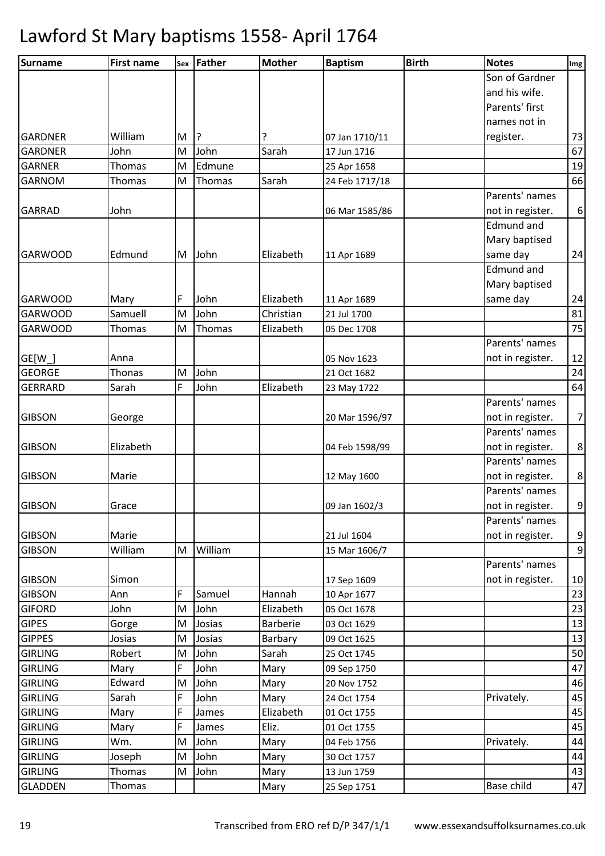| Surname        | <b>First name</b> |   | sex Father | Mother          | <b>Baptism</b> | <b>Birth</b> | <b>Notes</b>      | Img              |
|----------------|-------------------|---|------------|-----------------|----------------|--------------|-------------------|------------------|
|                |                   |   |            |                 |                |              | Son of Gardner    |                  |
|                |                   |   |            |                 |                |              | and his wife.     |                  |
|                |                   |   |            |                 |                |              | Parents' first    |                  |
|                |                   |   |            |                 |                |              | names not in      |                  |
| <b>GARDNER</b> | William           | M | ?          |                 | 07 Jan 1710/11 |              | register.         | 73               |
| <b>GARDNER</b> | John              | M | John       | Sarah           | 17 Jun 1716    |              |                   | 67               |
| <b>GARNER</b>  | Thomas            | M | Edmune     |                 | 25 Apr 1658    |              |                   | 19               |
| <b>GARNOM</b>  | Thomas            | M | Thomas     | Sarah           | 24 Feb 1717/18 |              |                   | 66               |
|                |                   |   |            |                 |                |              | Parents' names    |                  |
| <b>GARRAD</b>  | John              |   |            |                 | 06 Mar 1585/86 |              | not in register.  | $\boldsymbol{6}$ |
|                |                   |   |            |                 |                |              | Edmund and        |                  |
|                |                   |   |            |                 |                |              | Mary baptised     |                  |
| <b>GARWOOD</b> | Edmund            | M | John       | Elizabeth       | 11 Apr 1689    |              | same day          | 24               |
|                |                   |   |            |                 |                |              | Edmund and        |                  |
|                |                   |   |            |                 |                |              | Mary baptised     |                  |
| <b>GARWOOD</b> | Mary              | F | John       | Elizabeth       | 11 Apr 1689    |              | same day          | 24               |
| <b>GARWOOD</b> | Samuell           | M | John       | Christian       | 21 Jul 1700    |              |                   | 81               |
| <b>GARWOOD</b> | Thomas            | M | Thomas     | Elizabeth       | 05 Dec 1708    |              |                   | 75               |
|                |                   |   |            |                 |                |              | Parents' names    |                  |
| $GE[W_$        | Anna              |   |            |                 | 05 Nov 1623    |              | not in register.  | 12               |
| <b>GEORGE</b>  | Thonas            | M | John       |                 | 21 Oct 1682    |              |                   | 24               |
| <b>GERRARD</b> | Sarah             | F | John       | Elizabeth       | 23 May 1722    |              |                   | 64               |
|                |                   |   |            |                 |                |              | Parents' names    |                  |
| <b>GIBSON</b>  | George            |   |            |                 | 20 Mar 1596/97 |              | not in register.  | $\overline{7}$   |
|                |                   |   |            |                 |                |              | Parents' names    |                  |
| <b>GIBSON</b>  | Elizabeth         |   |            |                 | 04 Feb 1598/99 |              | not in register.  | $\bf 8$          |
|                |                   |   |            |                 |                |              | Parents' names    |                  |
| <b>GIBSON</b>  | Marie             |   |            |                 | 12 May 1600    |              | not in register.  | $\bf 8$          |
|                |                   |   |            |                 |                |              | Parents' names    |                  |
| <b>GIBSON</b>  | Grace             |   |            |                 | 09 Jan 1602/3  |              | not in register.  | $\boldsymbol{9}$ |
|                |                   |   |            |                 |                |              | Parents' names    |                  |
| <b>GIBSON</b>  | Marie             |   |            |                 | 21 Jul 1604    |              | not in register.  | $\boldsymbol{9}$ |
| <b>GIBSON</b>  | William           | M | William    |                 | 15 Mar 1606/7  |              |                   | $\boldsymbol{9}$ |
|                |                   |   |            |                 |                |              | Parents' names    |                  |
| <b>GIBSON</b>  | Simon             |   |            |                 | 17 Sep 1609    |              | not in register.  | 10               |
| <b>GIBSON</b>  | Ann               | F | Samuel     | Hannah          | 10 Apr 1677    |              |                   | 23               |
| <b>GIFORD</b>  | John              | M | John       | Elizabeth       | 05 Oct 1678    |              |                   | 23               |
| <b>GIPES</b>   | Gorge             | M | Josias     | <b>Barberie</b> | 03 Oct 1629    |              |                   | 13               |
| <b>GIPPES</b>  | Josias            | M | Josias     | Barbary         | 09 Oct 1625    |              |                   | 13               |
| <b>GIRLING</b> | Robert            | M | John       | Sarah           | 25 Oct 1745    |              |                   | 50               |
| <b>GIRLING</b> | Mary              | F | John       | Mary            | 09 Sep 1750    |              |                   | 47               |
| <b>GIRLING</b> | Edward            | M | John       | Mary            | 20 Nov 1752    |              |                   | 46               |
| <b>GIRLING</b> | Sarah             | F | John       | Mary            | 24 Oct 1754    |              | Privately.        | 45               |
| <b>GIRLING</b> | Mary              | F | James      | Elizabeth       | 01 Oct 1755    |              |                   | 45               |
| <b>GIRLING</b> | Mary              | F | James      | Eliz.           | 01 Oct 1755    |              |                   | 45               |
| <b>GIRLING</b> | Wm.               | M | John       | Mary            | 04 Feb 1756    |              | Privately.        | 44               |
| <b>GIRLING</b> | Joseph            | M | John       | Mary            | 30 Oct 1757    |              |                   | 44               |
| <b>GIRLING</b> | Thomas            | M | John       | Mary            | 13 Jun 1759    |              |                   | 43               |
| <b>GLADDEN</b> | Thomas            |   |            | Mary            | 25 Sep 1751    |              | <b>Base child</b> | 47               |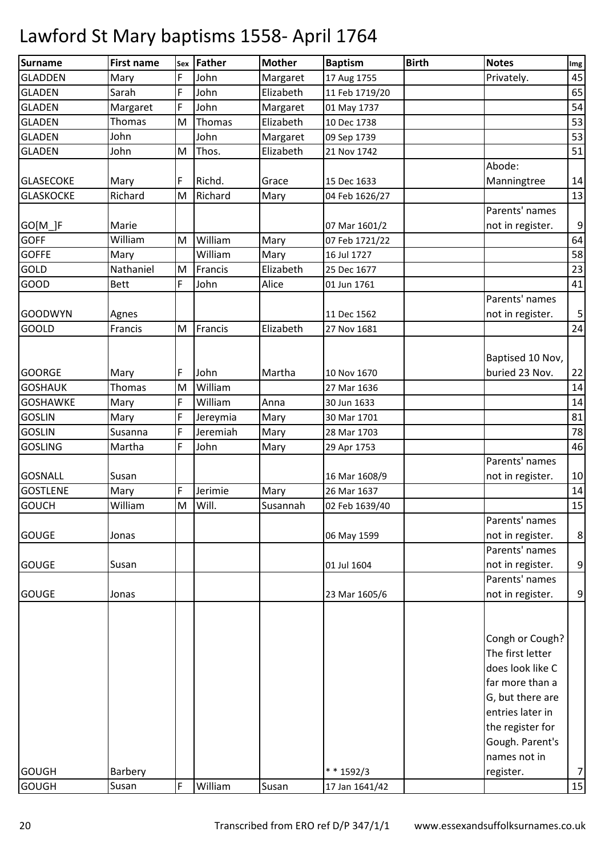| <b>Surname</b>   | <b>First name</b> | Sex | <b>Father</b> | <b>Mother</b> | <b>Baptism</b> | <b>Birth</b> | <b>Notes</b>     | <b>Img</b>       |
|------------------|-------------------|-----|---------------|---------------|----------------|--------------|------------------|------------------|
| <b>GLADDEN</b>   | Mary              | F   | John          | Margaret      | 17 Aug 1755    |              | Privately.       | 45               |
| <b>GLADEN</b>    | Sarah             | F   | John          | Elizabeth     | 11 Feb 1719/20 |              |                  | 65               |
| <b>GLADEN</b>    | Margaret          | F   | John          | Margaret      | 01 May 1737    |              |                  | 54               |
| <b>GLADEN</b>    | Thomas            | M   | Thomas        | Elizabeth     | 10 Dec 1738    |              |                  | 53               |
| <b>GLADEN</b>    | John              |     | John          | Margaret      | 09 Sep 1739    |              |                  | 53               |
| <b>GLADEN</b>    | John              | M   | Thos.         | Elizabeth     | 21 Nov 1742    |              |                  | 51               |
|                  |                   |     |               |               |                |              | Abode:           |                  |
| <b>GLASECOKE</b> | Mary              | F   | Richd.        | Grace         | 15 Dec 1633    |              | Manningtree      | 14               |
| <b>GLASKOCKE</b> | Richard           | M   | Richard       | Mary          | 04 Feb 1626/27 |              |                  | 13               |
|                  |                   |     |               |               |                |              | Parents' names   |                  |
| $GO[M_]F$        | Marie             |     |               |               | 07 Mar 1601/2  |              | not in register. | $\mathsf 9$      |
| <b>GOFF</b>      | William           | M   | William       | Mary          | 07 Feb 1721/22 |              |                  | 64               |
| <b>GOFFE</b>     | Mary              |     | William       | Mary          | 16 Jul 1727    |              |                  | 58               |
| GOLD             | Nathaniel         | M   | Francis       | Elizabeth     | 25 Dec 1677    |              |                  | 23               |
| <b>GOOD</b>      | <b>Bett</b>       | F   | John          | Alice         | 01 Jun 1761    |              |                  | 41               |
|                  |                   |     |               |               |                |              | Parents' names   |                  |
| <b>GOODWYN</b>   | Agnes             |     |               |               | 11 Dec 1562    |              | not in register. | $\sqrt{5}$       |
| <b>GOOLD</b>     | Francis           | M   | Francis       | Elizabeth     | 27 Nov 1681    |              |                  | 24               |
|                  |                   |     |               |               |                |              | Baptised 10 Nov, |                  |
| <b>GOORGE</b>    | Mary              | F   | John          | Martha        | 10 Nov 1670    |              | buried 23 Nov.   | 22               |
| <b>GOSHAUK</b>   | <b>Thomas</b>     | M   | William       |               | 27 Mar 1636    |              |                  | 14               |
| <b>GOSHAWKE</b>  | Mary              | F   | William       | Anna          | 30 Jun 1633    |              |                  | 14               |
| <b>GOSLIN</b>    | Mary              | F   | Jereymia      | Mary          | 30 Mar 1701    |              |                  | 81               |
| <b>GOSLIN</b>    | Susanna           | F   | Jeremiah      | Mary          | 28 Mar 1703    |              |                  | 78               |
| <b>GOSLING</b>   | Martha            | F   | John          | Mary          | 29 Apr 1753    |              |                  | 46               |
|                  |                   |     |               |               |                |              | Parents' names   |                  |
| <b>GOSNALL</b>   | Susan             |     |               |               | 16 Mar 1608/9  |              | not in register. | 10               |
| <b>GOSTLENE</b>  | Mary              | F   | Jerimie       | Mary          | 26 Mar 1637    |              |                  | 14               |
| <b>GOUCH</b>     | William           | M   | Will.         | Susannah      | 02 Feb 1639/40 |              |                  | 15               |
|                  |                   |     |               |               |                |              | Parents' names   |                  |
| <b>GOUGE</b>     | Jonas             |     |               |               | 06 May 1599    |              | not in register. | $\bf 8$          |
|                  |                   |     |               |               |                |              | Parents' names   |                  |
| <b>GOUGE</b>     | Susan             |     |               |               | 01 Jul 1604    |              | not in register. | 9                |
|                  |                   |     |               |               |                |              | Parents' names   |                  |
| <b>GOUGE</b>     | Jonas             |     |               |               | 23 Mar 1605/6  |              | not in register. | $\boldsymbol{9}$ |
|                  |                   |     |               |               |                |              |                  |                  |
|                  |                   |     |               |               |                |              |                  |                  |
|                  |                   |     |               |               |                |              | Congh or Cough?  |                  |
|                  |                   |     |               |               |                |              | The first letter |                  |
|                  |                   |     |               |               |                |              | does look like C |                  |
|                  |                   |     |               |               |                |              | far more than a  |                  |
|                  |                   |     |               |               |                |              | G, but there are |                  |
|                  |                   |     |               |               |                |              | entries later in |                  |
|                  |                   |     |               |               |                |              | the register for |                  |
|                  |                   |     |               |               |                |              | Gough. Parent's  |                  |
|                  |                   |     |               |               |                |              | names not in     |                  |
| <b>GOUGH</b>     | Barbery           |     |               |               | $* * 1592/3$   |              | register.        | $\overline{7}$   |
| <b>GOUGH</b>     | Susan             | F   | William       | Susan         | 17 Jan 1641/42 |              |                  | 15               |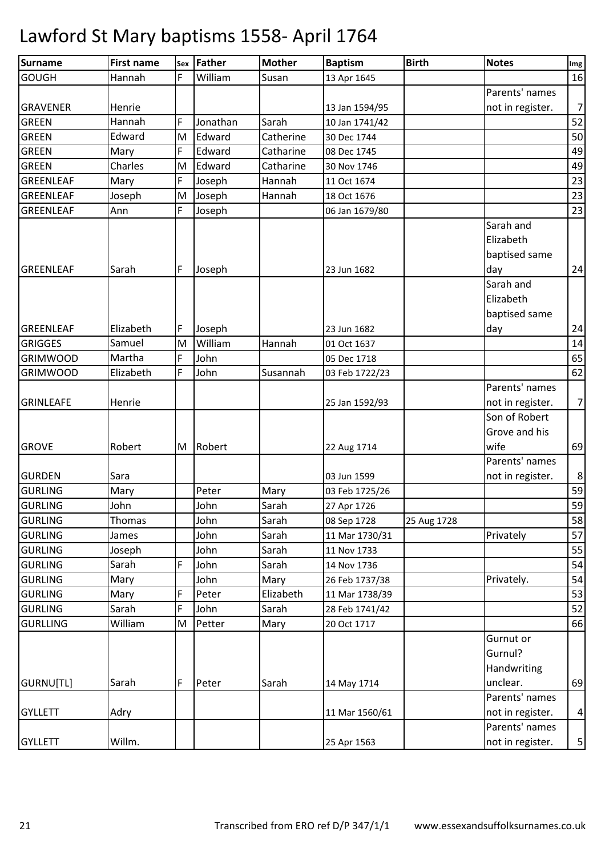| <b>Surname</b>   | <b>First name</b> |   | Sex Father | <b>Mother</b> | <b>Baptism</b> | <b>Birth</b> | <b>Notes</b>     | Img            |
|------------------|-------------------|---|------------|---------------|----------------|--------------|------------------|----------------|
| <b>GOUGH</b>     | Hannah            | F | William    | Susan         | 13 Apr 1645    |              |                  | 16             |
|                  |                   |   |            |               |                |              | Parents' names   |                |
| <b>GRAVENER</b>  | Henrie            |   |            |               | 13 Jan 1594/95 |              | not in register. | $\overline{7}$ |
| <b>GREEN</b>     | Hannah            | F | Jonathan   | Sarah         | 10 Jan 1741/42 |              |                  | 52             |
| <b>GREEN</b>     | Edward            | M | Edward     | Catherine     | 30 Dec 1744    |              |                  | 50             |
| <b>GREEN</b>     | Mary              | F | Edward     | Catharine     | 08 Dec 1745    |              |                  | 49             |
| <b>GREEN</b>     | Charles           | M | Edward     | Catharine     | 30 Nov 1746    |              |                  | 49             |
| GREENLEAF        | Mary              | F | Joseph     | Hannah        | 11 Oct 1674    |              |                  | 23             |
| <b>GREENLEAF</b> | Joseph            | M | Joseph     | Hannah        | 18 Oct 1676    |              |                  | 23             |
| <b>GREENLEAF</b> | Ann               | F | Joseph     |               | 06 Jan 1679/80 |              |                  | 23             |
|                  |                   |   |            |               |                |              | Sarah and        |                |
|                  |                   |   |            |               |                |              | Elizabeth        |                |
|                  |                   |   |            |               |                |              | baptised same    |                |
| GREENLEAF        | Sarah             | F | Joseph     |               | 23 Jun 1682    |              | day              | 24             |
|                  |                   |   |            |               |                |              | Sarah and        |                |
|                  |                   |   |            |               |                |              | Elizabeth        |                |
|                  |                   |   |            |               |                |              | baptised same    |                |
| <b>GREENLEAF</b> | Elizabeth         | F | Joseph     |               | 23 Jun 1682    |              | day              | 24             |
| <b>GRIGGES</b>   | Samuel            | M | William    | Hannah        | 01 Oct 1637    |              |                  | 14             |
| <b>GRIMWOOD</b>  | Martha            | F | John       |               | 05 Dec 1718    |              |                  | 65             |
| <b>GRIMWOOD</b>  | Elizabeth         | F | John       | Susannah      | 03 Feb 1722/23 |              |                  | 62             |
|                  |                   |   |            |               |                |              | Parents' names   |                |
| <b>GRINLEAFE</b> | Henrie            |   |            |               | 25 Jan 1592/93 |              | not in register. | $\overline{7}$ |
|                  |                   |   |            |               |                |              | Son of Robert    |                |
|                  |                   |   |            |               |                |              | Grove and his    |                |
| <b>GROVE</b>     | Robert            | M | Robert     |               | 22 Aug 1714    |              | wife             | 69             |
|                  |                   |   |            |               |                |              | Parents' names   |                |
| <b>GURDEN</b>    | Sara              |   |            |               | 03 Jun 1599    |              | not in register. | $\bf 8$        |
| <b>GURLING</b>   | Mary              |   | Peter      | Mary          | 03 Feb 1725/26 |              |                  | 59             |
| <b>GURLING</b>   | John              |   | John       | Sarah         | 27 Apr 1726    |              |                  | 59             |
| <b>GURLING</b>   | Thomas            |   | John       | Sarah         | 08 Sep 1728    | 25 Aug 1728  |                  | 58             |
| <b>GURLING</b>   | James             |   | John       | Sarah         | 11 Mar 1730/31 |              | Privately        | 57             |
| <b>GURLING</b>   | Joseph            |   | John       | Sarah         | 11 Nov 1733    |              |                  | 55             |
| <b>GURLING</b>   | Sarah             | F | John       | Sarah         | 14 Nov 1736    |              |                  | 54             |
| <b>GURLING</b>   | Mary              |   | John       | Mary          | 26 Feb 1737/38 |              | Privately.       | 54             |
| <b>GURLING</b>   | Mary              | F | Peter      | Elizabeth     | 11 Mar 1738/39 |              |                  | 53             |
| <b>GURLING</b>   | Sarah             | F | John       | Sarah         | 28 Feb 1741/42 |              |                  | 52             |
| <b>GURLLING</b>  | William           | M | Petter     | Mary          | 20 Oct 1717    |              |                  | 66             |
|                  |                   |   |            |               |                |              | Gurnut or        |                |
|                  |                   |   |            |               |                |              | Gurnul?          |                |
|                  |                   |   |            |               |                |              | Handwriting      |                |
| GURNU[TL]        | Sarah             | F | Peter      | Sarah         | 14 May 1714    |              | unclear.         | 69             |
|                  |                   |   |            |               |                |              | Parents' names   |                |
| <b>GYLLETT</b>   | Adry              |   |            |               | 11 Mar 1560/61 |              | not in register. | $\overline{4}$ |
|                  |                   |   |            |               |                |              | Parents' names   |                |
| <b>GYLLETT</b>   | Willm.            |   |            |               | 25 Apr 1563    |              | not in register. | 5              |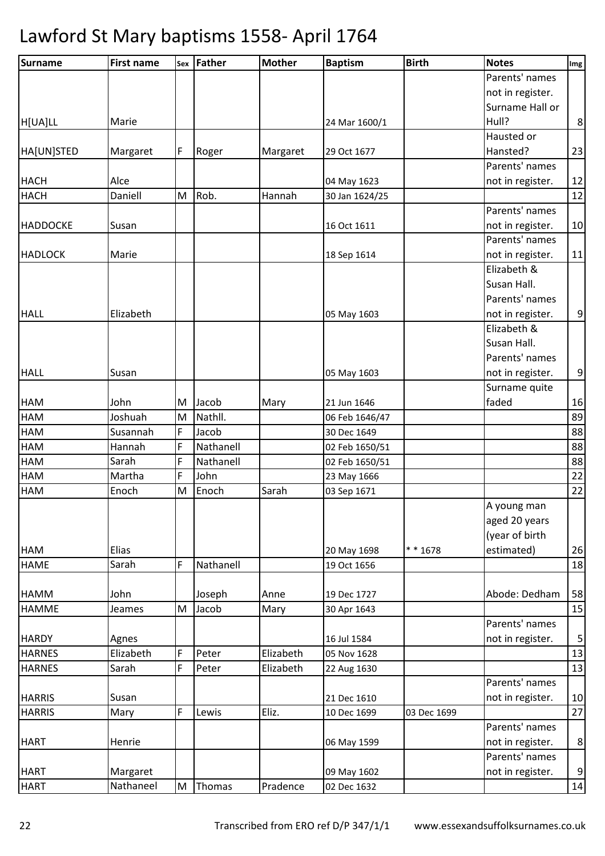| <b>Surname</b>  | <b>First name</b> |   | Sex Father | <b>Mother</b> | <b>Baptism</b> | <b>Birth</b> | <b>Notes</b>     | Img |
|-----------------|-------------------|---|------------|---------------|----------------|--------------|------------------|-----|
|                 |                   |   |            |               |                |              | Parents' names   |     |
|                 |                   |   |            |               |                |              | not in register. |     |
|                 |                   |   |            |               |                |              | Surname Hall or  |     |
| H[UA]LL         | Marie             |   |            |               | 24 Mar 1600/1  |              | Hull?            | 8   |
|                 |                   |   |            |               |                |              | Hausted or       |     |
| HA[UN]STED      | Margaret          | F | Roger      | Margaret      | 29 Oct 1677    |              | Hansted?         | 23  |
|                 |                   |   |            |               |                |              | Parents' names   |     |
| <b>HACH</b>     | Alce              |   |            |               | 04 May 1623    |              | not in register. | 12  |
| <b>HACH</b>     | Daniell           | M | Rob.       | Hannah        | 30 Jan 1624/25 |              |                  | 12  |
|                 |                   |   |            |               |                |              | Parents' names   |     |
| <b>HADDOCKE</b> | Susan             |   |            |               | 16 Oct 1611    |              | not in register. | 10  |
|                 |                   |   |            |               |                |              | Parents' names   |     |
| <b>HADLOCK</b>  | Marie             |   |            |               | 18 Sep 1614    |              | not in register. | 11  |
|                 |                   |   |            |               |                |              | Elizabeth &      |     |
|                 |                   |   |            |               |                |              | Susan Hall.      |     |
|                 |                   |   |            |               |                |              | Parents' names   |     |
| <b>HALL</b>     | Elizabeth         |   |            |               | 05 May 1603    |              | not in register. | 9   |
|                 |                   |   |            |               |                |              | Elizabeth &      |     |
|                 |                   |   |            |               |                |              | Susan Hall.      |     |
|                 |                   |   |            |               |                |              | Parents' names   |     |
| <b>HALL</b>     | Susan             |   |            |               | 05 May 1603    |              | not in register. | 9   |
|                 |                   |   |            |               |                |              | Surname quite    |     |
| HAM             | John              | M | Jacob      | Mary          | 21 Jun 1646    |              | faded            | 16  |
| HAM             | Joshuah           | M | Nathll.    |               | 06 Feb 1646/47 |              |                  | 89  |
| HAM             | Susannah          | F | Jacob      |               | 30 Dec 1649    |              |                  | 88  |
| HAM             | Hannah            | F | Nathanell  |               | 02 Feb 1650/51 |              |                  | 88  |
| HAM             | Sarah             | F | Nathanell  |               | 02 Feb 1650/51 |              |                  | 88  |
| HAM             | Martha            | F | John       |               | 23 May 1666    |              |                  | 22  |
| HAM             | Enoch             | M | Enoch      | Sarah         | 03 Sep 1671    |              |                  | 22  |
|                 |                   |   |            |               |                |              | A young man      |     |
|                 |                   |   |            |               |                |              | aged 20 years    |     |
|                 |                   |   |            |               |                |              | (year of birth   |     |
| HAM             | Elias             |   |            |               | 20 May 1698    | * * 1678     | estimated)       | 26  |
| <b>HAME</b>     | Sarah             | F | Nathanell  |               | 19 Oct 1656    |              |                  | 18  |
|                 |                   |   |            |               |                |              |                  |     |
| <b>HAMM</b>     | John              |   | Joseph     | Anne          | 19 Dec 1727    |              | Abode: Dedham    | 58  |
| HAMME           | Jeames            | M | Jacob      | Mary          | 30 Apr 1643    |              |                  | 15  |
|                 |                   |   |            |               |                |              | Parents' names   |     |
| <b>HARDY</b>    | Agnes             |   |            |               | 16 Jul 1584    |              | not in register. | 5   |
| <b>HARNES</b>   | Elizabeth         | F | Peter      | Elizabeth     | 05 Nov 1628    |              |                  | 13  |
| <b>HARNES</b>   | Sarah             | F | Peter      | Elizabeth     | 22 Aug 1630    |              |                  | 13  |
|                 |                   |   |            |               |                |              | Parents' names   |     |
| <b>HARRIS</b>   | Susan             |   |            |               | 21 Dec 1610    |              | not in register. | 10  |
| <b>HARRIS</b>   | Mary              | F | Lewis      | Eliz.         | 10 Dec 1699    | 03 Dec 1699  |                  | 27  |
|                 |                   |   |            |               |                |              | Parents' names   |     |
| <b>HART</b>     | Henrie            |   |            |               | 06 May 1599    |              | not in register. | 8   |
|                 |                   |   |            |               |                |              | Parents' names   |     |
| <b>HART</b>     | Margaret          |   |            |               | 09 May 1602    |              | not in register. | 9   |
| <b>HART</b>     | Nathaneel         | M | Thomas     | Pradence      | 02 Dec 1632    |              |                  | 14  |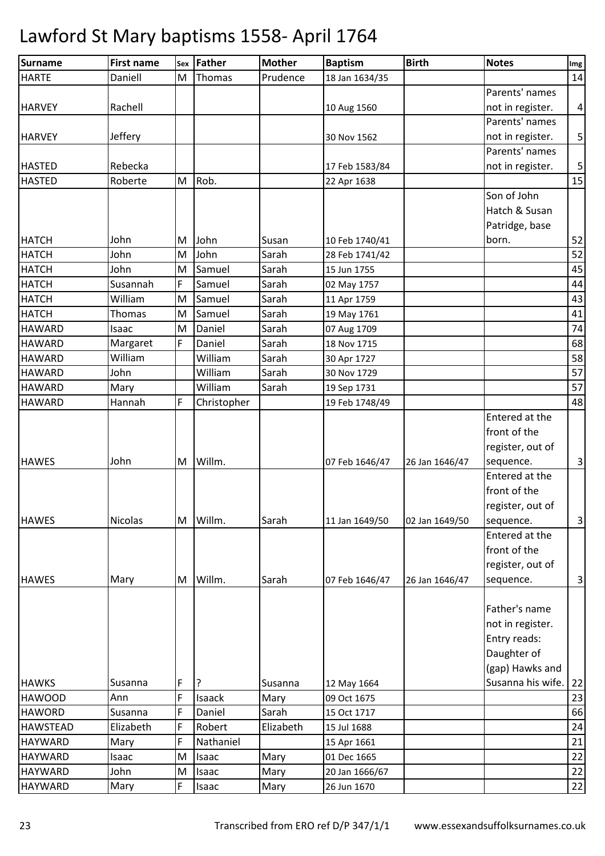| <b>Surname</b>  | <b>First name</b> | Sex | Father      | <b>Mother</b> | <b>Baptism</b> | <b>Birth</b>   | <b>Notes</b>      | Img                       |
|-----------------|-------------------|-----|-------------|---------------|----------------|----------------|-------------------|---------------------------|
| <b>HARTE</b>    | Daniell           | M   | Thomas      | Prudence      | 18 Jan 1634/35 |                |                   | 14                        |
|                 |                   |     |             |               |                |                | Parents' names    |                           |
| <b>HARVEY</b>   | Rachell           |     |             |               | 10 Aug 1560    |                | not in register.  | $\overline{\mathbf{4}}$   |
|                 |                   |     |             |               |                |                | Parents' names    |                           |
| <b>HARVEY</b>   | Jeffery           |     |             |               | 30 Nov 1562    |                | not in register.  | $\mathsf S$               |
|                 |                   |     |             |               |                |                | Parents' names    |                           |
| <b>HASTED</b>   | Rebecka           |     |             |               | 17 Feb 1583/84 |                | not in register.  | $\mathsf S$               |
| <b>HASTED</b>   | Roberte           | M   | Rob.        |               | 22 Apr 1638    |                |                   | 15                        |
|                 |                   |     |             |               |                |                | Son of John       |                           |
|                 |                   |     |             |               |                |                | Hatch & Susan     |                           |
|                 |                   |     |             |               |                |                | Patridge, base    |                           |
| <b>HATCH</b>    | John              | M   | John        | Susan         | 10 Feb 1740/41 |                | born.             | 52                        |
| <b>HATCH</b>    | John              | M   | John        | Sarah         | 28 Feb 1741/42 |                |                   | 52                        |
| <b>HATCH</b>    | John              | M   | Samuel      | Sarah         | 15 Jun 1755    |                |                   | 45                        |
| <b>HATCH</b>    | Susannah          | F   | Samuel      | Sarah         | 02 May 1757    |                |                   | 44                        |
| <b>HATCH</b>    | William           | M   | Samuel      | Sarah         | 11 Apr 1759    |                |                   | 43                        |
| <b>HATCH</b>    | <b>Thomas</b>     | M   | Samuel      | Sarah         | 19 May 1761    |                |                   | 41                        |
| <b>HAWARD</b>   | Isaac             | M   | Daniel      | Sarah         | 07 Aug 1709    |                |                   | 74                        |
| <b>HAWARD</b>   | Margaret          | F   | Daniel      | Sarah         | 18 Nov 1715    |                |                   | 68                        |
| <b>HAWARD</b>   | William           |     | William     | Sarah         | 30 Apr 1727    |                |                   | 58                        |
| <b>HAWARD</b>   | John              |     | William     | Sarah         | 30 Nov 1729    |                |                   | 57                        |
| <b>HAWARD</b>   | Mary              |     | William     | Sarah         | 19 Sep 1731    |                |                   | 57                        |
| <b>HAWARD</b>   | Hannah            | F   | Christopher |               | 19 Feb 1748/49 |                |                   | 48                        |
|                 |                   |     |             |               |                |                | Entered at the    |                           |
|                 |                   |     |             |               |                |                | front of the      |                           |
|                 |                   |     |             |               |                |                | register, out of  |                           |
| <b>HAWES</b>    | John              | M   | Willm.      |               | 07 Feb 1646/47 | 26 Jan 1646/47 | sequence.         | $\mathsf{3}$              |
|                 |                   |     |             |               |                |                | Entered at the    |                           |
|                 |                   |     |             |               |                |                | front of the      |                           |
|                 |                   |     |             |               |                |                | register, out of  |                           |
| <b>HAWES</b>    | Nicolas           | M   | Willm.      | Sarah         | 11 Jan 1649/50 | 02 Jan 1649/50 | sequence.         | $\ensuremath{\mathsf{3}}$ |
|                 |                   |     |             |               |                |                | Entered at the    |                           |
|                 |                   |     |             |               |                |                | front of the      |                           |
|                 |                   |     |             |               |                |                | register, out of  |                           |
| <b>HAWES</b>    | Mary              | M   | Willm.      | Sarah         | 07 Feb 1646/47 | 26 Jan 1646/47 | sequence.         | 3                         |
|                 |                   |     |             |               |                |                |                   |                           |
|                 |                   |     |             |               |                |                | Father's name     |                           |
|                 |                   |     |             |               |                |                | not in register.  |                           |
|                 |                   |     |             |               |                |                | Entry reads:      |                           |
|                 |                   |     |             |               |                |                | Daughter of       |                           |
|                 |                   |     |             |               |                |                | (gap) Hawks and   |                           |
| <b>HAWKS</b>    | Susanna           | F   | ?           | Susanna       | 12 May 1664    |                | Susanna his wife. | 22                        |
| <b>HAWOOD</b>   | Ann               | F   | Isaack      | Mary          | 09 Oct 1675    |                |                   | 23                        |
| <b>HAWORD</b>   | Susanna           | F   | Daniel      | Sarah         | 15 Oct 1717    |                |                   | 66                        |
| <b>HAWSTEAD</b> | Elizabeth         | F   | Robert      | Elizabeth     | 15 Jul 1688    |                |                   | 24                        |
| <b>HAYWARD</b>  | Mary              | F   | Nathaniel   |               | 15 Apr 1661    |                |                   | 21                        |
| <b>HAYWARD</b>  | Isaac             | M   | Isaac       | Mary          | 01 Dec 1665    |                |                   | 22                        |
| <b>HAYWARD</b>  | John              | M   | Isaac       | Mary          | 20 Jan 1666/67 |                |                   | 22                        |
| <b>HAYWARD</b>  | Mary              | F   | Isaac       | Mary          | 26 Jun 1670    |                |                   | 22                        |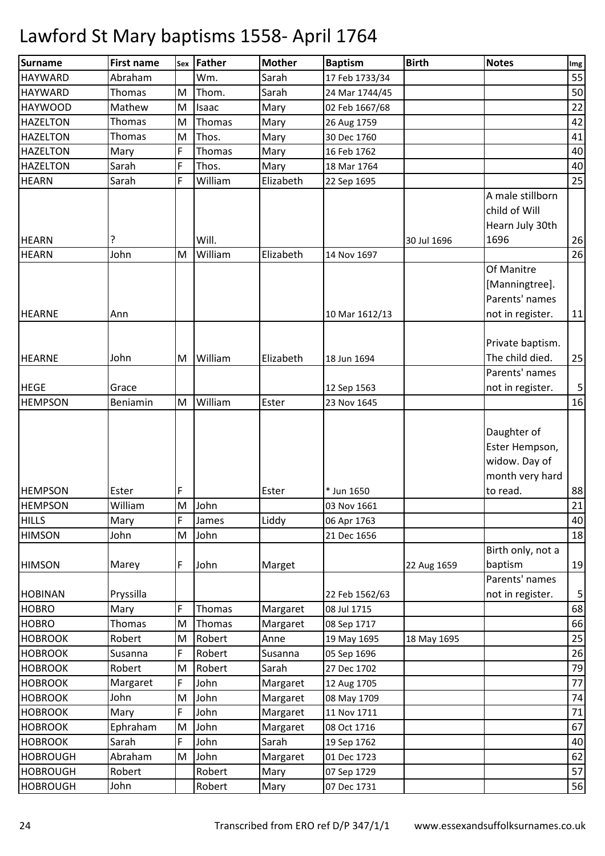| <b>Surname</b>  | <b>First name</b> | Sex | Father  | <b>Mother</b> | <b>Baptism</b> | <b>Birth</b> | <b>Notes</b>                                                                  | Img                     |
|-----------------|-------------------|-----|---------|---------------|----------------|--------------|-------------------------------------------------------------------------------|-------------------------|
| <b>HAYWARD</b>  | Abraham           |     | Wm.     | Sarah         | 17 Feb 1733/34 |              |                                                                               | 55                      |
| <b>HAYWARD</b>  | Thomas            | M   | Thom.   | Sarah         | 24 Mar 1744/45 |              |                                                                               | 50                      |
| <b>HAYWOOD</b>  | Mathew            | M   | Isaac   | Mary          | 02 Feb 1667/68 |              |                                                                               | 22                      |
| <b>HAZELTON</b> | Thomas            | M   | Thomas  | Mary          | 26 Aug 1759    |              |                                                                               | 42                      |
| <b>HAZELTON</b> | Thomas            | M   | Thos.   | Mary          | 30 Dec 1760    |              |                                                                               | 41                      |
| <b>HAZELTON</b> | Mary              | F   | Thomas  | Mary          | 16 Feb 1762    |              |                                                                               | 40                      |
| <b>HAZELTON</b> | Sarah             | F   | Thos.   | Mary          | 18 Mar 1764    |              |                                                                               | 40                      |
| <b>HEARN</b>    | Sarah             | F   | William | Elizabeth     | 22 Sep 1695    |              |                                                                               | 25                      |
| <b>HEARN</b>    | ?                 |     | Will.   |               |                | 30 Jul 1696  | A male stillborn<br>child of Will<br>Hearn July 30th<br>1696                  | 26                      |
| <b>HEARN</b>    | John              | M   | William | Elizabeth     | 14 Nov 1697    |              |                                                                               | 26                      |
| <b>HEARNE</b>   | Ann               |     |         |               | 10 Mar 1612/13 |              | Of Manitre<br>[Manningtree].<br>Parents' names<br>not in register.            | 11                      |
| <b>HEARNE</b>   | John              | M   | William | Elizabeth     | 18 Jun 1694    |              | Private baptism.<br>The child died.                                           | 25                      |
| <b>HEGE</b>     | Grace             |     |         |               | 12 Sep 1563    |              | Parents' names<br>not in register.                                            | $\overline{\mathbf{5}}$ |
| <b>HEMPSON</b>  | Beniamin          | M   | William | Ester         | 23 Nov 1645    |              |                                                                               | 16                      |
| <b>HEMPSON</b>  | Ester             | F   |         | Ester         | * Jun 1650     |              | Daughter of<br>Ester Hempson,<br>widow. Day of<br>month very hard<br>to read. | 88                      |
| <b>HEMPSON</b>  | William           | M   | John    |               | 03 Nov 1661    |              |                                                                               | 21                      |
| <b>HILLS</b>    | Mary              | F   | James   | Liddy         | 06 Apr 1763    |              |                                                                               | 40                      |
| <b>HIMSON</b>   | John              | M   | John    |               | 21 Dec 1656    |              |                                                                               | 18                      |
| <b>HIMSON</b>   | Marey             | F   | John    | Marget        |                | 22 Aug 1659  | Birth only, not a<br>baptism<br>Parents' names                                | 19                      |
| <b>HOBINAN</b>  | Pryssilla         |     |         |               | 22 Feb 1562/63 |              | not in register.                                                              | 5                       |
| <b>HOBRO</b>    | Mary              | F   | Thomas  | Margaret      | 08 Jul 1715    |              |                                                                               | 68                      |
| <b>HOBRO</b>    | Thomas            | M   | Thomas  | Margaret      | 08 Sep 1717    |              |                                                                               | 66                      |
| <b>HOBROOK</b>  | Robert            | M   | Robert  | Anne          | 19 May 1695    | 18 May 1695  |                                                                               | 25                      |
| <b>HOBROOK</b>  | Susanna           | F   | Robert  | Susanna       | 05 Sep 1696    |              |                                                                               | 26                      |
| <b>HOBROOK</b>  | Robert            | M   | Robert  | Sarah         | 27 Dec 1702    |              |                                                                               | 79                      |
| <b>HOBROOK</b>  | Margaret          | F   | John    | Margaret      | 12 Aug 1705    |              |                                                                               | 77                      |
| <b>HOBROOK</b>  | John              | M   | John    | Margaret      | 08 May 1709    |              |                                                                               | 74                      |
| <b>HOBROOK</b>  | Mary              | F   | John    | Margaret      | 11 Nov 1711    |              |                                                                               | $71\,$                  |
| <b>HOBROOK</b>  | Ephraham          | M   | John    | Margaret      | 08 Oct 1716    |              |                                                                               | 67                      |
| <b>HOBROOK</b>  | Sarah             | F   | John    | Sarah         | 19 Sep 1762    |              |                                                                               | 40                      |
| <b>HOBROUGH</b> | Abraham           | M   | John    | Margaret      | 01 Dec 1723    |              |                                                                               | 62                      |
| <b>HOBROUGH</b> | Robert            |     | Robert  | Mary          | 07 Sep 1729    |              |                                                                               | 57                      |
| <b>HOBROUGH</b> | John              |     | Robert  | Mary          | 07 Dec 1731    |              |                                                                               | 56                      |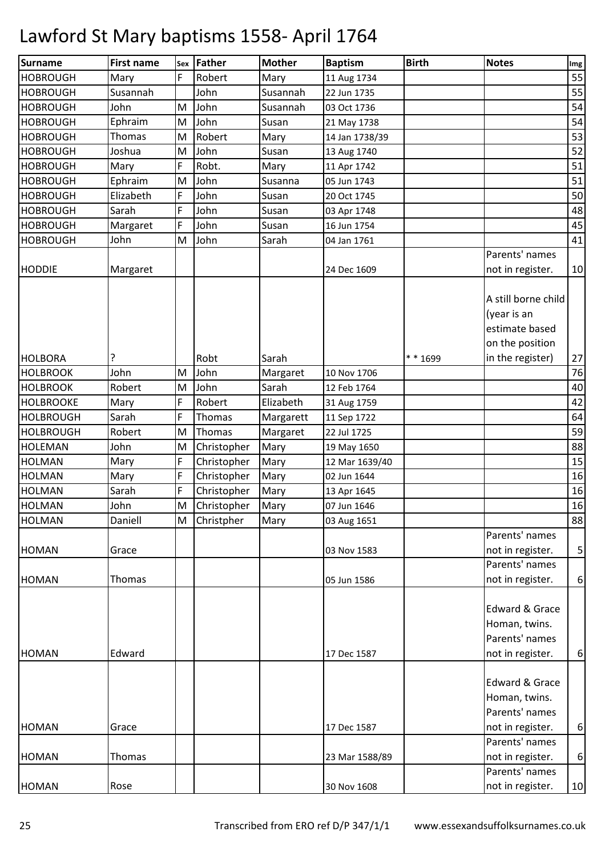| <b>Surname</b>   | <b>First name</b> | Sex | Father      | <b>Mother</b> | <b>Baptism</b> | <b>Birth</b> | <b>Notes</b>                                                            | $\mathop{\textsf{Img}}$ |
|------------------|-------------------|-----|-------------|---------------|----------------|--------------|-------------------------------------------------------------------------|-------------------------|
| <b>HOBROUGH</b>  | Mary              | F   | Robert      | Mary          | 11 Aug 1734    |              |                                                                         | 55                      |
| <b>HOBROUGH</b>  | Susannah          |     | John        | Susannah      | 22 Jun 1735    |              |                                                                         | 55                      |
| <b>HOBROUGH</b>  | John              | M   | John        | Susannah      | 03 Oct 1736    |              |                                                                         | 54                      |
| <b>HOBROUGH</b>  | Ephraim           | M   | John        | Susan         | 21 May 1738    |              |                                                                         | 54                      |
| <b>HOBROUGH</b>  | <b>Thomas</b>     | M   | Robert      | Mary          | 14 Jan 1738/39 |              |                                                                         | 53                      |
| <b>HOBROUGH</b>  | Joshua            | M   | John        | Susan         | 13 Aug 1740    |              |                                                                         | 52                      |
| <b>HOBROUGH</b>  | Mary              | F   | Robt.       | Mary          | 11 Apr 1742    |              |                                                                         | 51                      |
| <b>HOBROUGH</b>  | Ephraim           | M   | John        | Susanna       | 05 Jun 1743    |              |                                                                         | 51                      |
| <b>HOBROUGH</b>  | Elizabeth         | F   | John        | Susan         | 20 Oct 1745    |              |                                                                         | 50                      |
| <b>HOBROUGH</b>  | Sarah             | F   | John        | Susan         | 03 Apr 1748    |              |                                                                         | 48                      |
| <b>HOBROUGH</b>  | Margaret          | F   | John        | Susan         | 16 Jun 1754    |              |                                                                         | 45                      |
| <b>HOBROUGH</b>  | John              | M   | John        | Sarah         | 04 Jan 1761    |              |                                                                         | 41                      |
|                  |                   |     |             |               |                |              | Parents' names                                                          |                         |
| <b>HODDIE</b>    | Margaret          |     |             |               | 24 Dec 1609    |              | not in register.                                                        | 10                      |
|                  |                   |     |             |               |                |              | A still borne child<br>(year is an<br>estimate based<br>on the position |                         |
| <b>HOLBORA</b>   | ?                 |     | Robt        | Sarah         |                | * * 1699     | in the register)                                                        | 27                      |
| <b>HOLBROOK</b>  | John              | M   | John        | Margaret      | 10 Nov 1706    |              |                                                                         | 76                      |
| <b>HOLBROOK</b>  | Robert            | M   | John        | Sarah         | 12 Feb 1764    |              |                                                                         | 40                      |
| <b>HOLBROOKE</b> | Mary              | F   | Robert      | Elizabeth     | 31 Aug 1759    |              |                                                                         | 42                      |
| <b>HOLBROUGH</b> | Sarah             | F   | Thomas      | Margarett     | 11 Sep 1722    |              |                                                                         | 64                      |
| <b>HOLBROUGH</b> | Robert            | M   | Thomas      | Margaret      | 22 Jul 1725    |              |                                                                         | 59                      |
| <b>HOLEMAN</b>   | John              | M   | Christopher | Mary          | 19 May 1650    |              |                                                                         | 88                      |
| <b>HOLMAN</b>    | Mary              | F   | Christopher | Mary          | 12 Mar 1639/40 |              |                                                                         | 15                      |
| <b>HOLMAN</b>    | Mary              | F   | Christopher | Mary          | 02 Jun 1644    |              |                                                                         | 16                      |
| <b>HOLMAN</b>    | Sarah             | F   | Christopher | Mary          | 13 Apr 1645    |              |                                                                         | 16                      |
| <b>HOLMAN</b>    | John              | M   | Christopher | Mary          | 07 Jun 1646    |              |                                                                         | 16                      |
| <b>HOLMAN</b>    | Daniell           | M   | Christpher  | Mary          | 03 Aug 1651    |              |                                                                         | 88                      |
|                  |                   |     |             |               |                |              | Parents' names                                                          |                         |
| <b>HOMAN</b>     | Grace             |     |             |               | 03 Nov 1583    |              | not in register.                                                        | $\overline{5}$          |
|                  |                   |     |             |               |                |              | Parents' names                                                          |                         |
| <b>HOMAN</b>     | Thomas            |     |             |               | 05 Jun 1586    |              | not in register.                                                        | $\boldsymbol{6}$        |
| <b>HOMAN</b>     | Edward            |     |             |               | 17 Dec 1587    |              | Edward & Grace<br>Homan, twins.<br>Parents' names<br>not in register.   | $\boldsymbol{6}$        |
|                  |                   |     |             |               |                |              |                                                                         |                         |
|                  |                   |     |             |               |                |              | Edward & Grace<br>Homan, twins.<br>Parents' names                       |                         |
| <b>HOMAN</b>     | Grace             |     |             |               | 17 Dec 1587    |              | not in register.                                                        | $\boldsymbol{6}$        |
|                  |                   |     |             |               |                |              | Parents' names                                                          |                         |
| <b>HOMAN</b>     | Thomas            |     |             |               | 23 Mar 1588/89 |              | not in register.                                                        | $\boldsymbol{6}$        |
|                  |                   |     |             |               |                |              | Parents' names                                                          |                         |
| <b>HOMAN</b>     | Rose              |     |             |               | 30 Nov 1608    |              | not in register.                                                        | 10                      |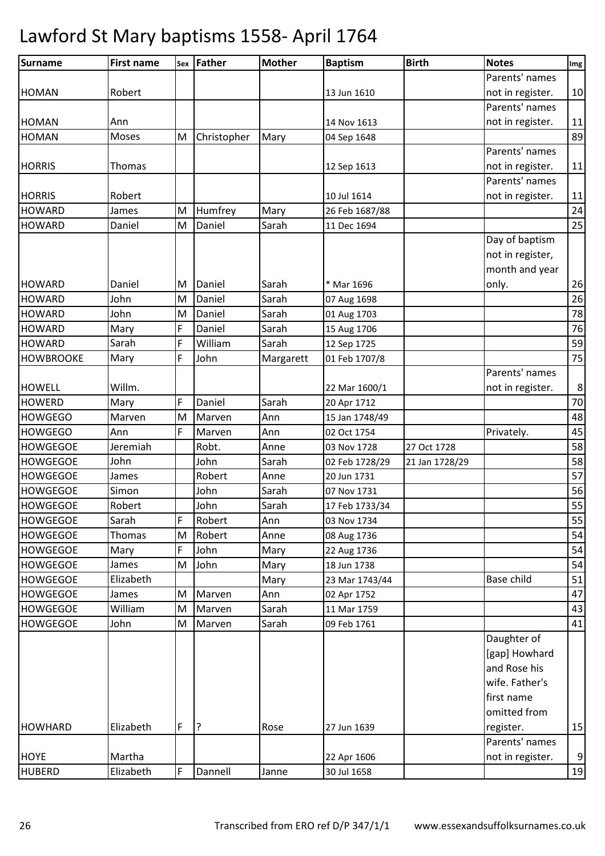| <b>Surname</b>   | First name    | Sex | Father      | <b>Mother</b> | <b>Baptism</b> | <b>Birth</b>   | <b>Notes</b>     | Img              |
|------------------|---------------|-----|-------------|---------------|----------------|----------------|------------------|------------------|
|                  |               |     |             |               |                |                | Parents' names   |                  |
| <b>HOMAN</b>     | Robert        |     |             |               | 13 Jun 1610    |                | not in register. | 10               |
|                  |               |     |             |               |                |                | Parents' names   |                  |
| <b>HOMAN</b>     | Ann           |     |             |               | 14 Nov 1613    |                | not in register. | 11               |
| <b>HOMAN</b>     | Moses         | M   | Christopher | Mary          | 04 Sep 1648    |                |                  | 89               |
|                  |               |     |             |               |                |                | Parents' names   |                  |
| <b>HORRIS</b>    | <b>Thomas</b> |     |             |               | 12 Sep 1613    |                | not in register. | 11               |
|                  |               |     |             |               |                |                | Parents' names   |                  |
| <b>HORRIS</b>    | Robert        |     |             |               | 10 Jul 1614    |                | not in register. | 11               |
| <b>HOWARD</b>    | James         | M   | Humfrey     | Mary          | 26 Feb 1687/88 |                |                  | 24               |
| <b>HOWARD</b>    | Daniel        | M   | Daniel      | Sarah         | 11 Dec 1694    |                |                  | 25               |
|                  |               |     |             |               |                |                | Day of baptism   |                  |
|                  |               |     |             |               |                |                | not in register, |                  |
|                  |               |     |             |               |                |                | month and year   |                  |
| <b>HOWARD</b>    | Daniel        | М   | Daniel      | Sarah         | * Mar 1696     |                | only.            | 26               |
| <b>HOWARD</b>    | John          | M   | Daniel      | Sarah         | 07 Aug 1698    |                |                  | 26               |
| <b>HOWARD</b>    | John          | M   | Daniel      | Sarah         | 01 Aug 1703    |                |                  | 78               |
| <b>HOWARD</b>    | Mary          | F   | Daniel      | Sarah         | 15 Aug 1706    |                |                  | 76               |
| <b>HOWARD</b>    | Sarah         | F   | William     | Sarah         | 12 Sep 1725    |                |                  | 59               |
| <b>HOWBROOKE</b> | Mary          | F   | John        | Margarett     | 01 Feb 1707/8  |                |                  | 75               |
|                  |               |     |             |               |                |                | Parents' names   |                  |
| <b>HOWELL</b>    | Willm.        |     |             |               | 22 Mar 1600/1  |                | not in register. | $\bf 8$          |
| <b>HOWERD</b>    | Mary          | F   | Daniel      | Sarah         | 20 Apr 1712    |                |                  | 70               |
| <b>HOWGEGO</b>   | Marven        | M   | Marven      | Ann           | 15 Jan 1748/49 |                |                  | 48               |
| <b>HOWGEGO</b>   | Ann           | F   | Marven      | Ann           | 02 Oct 1754    |                | Privately.       | 45               |
| <b>HOWGEGOE</b>  | Jeremiah      |     | Robt.       | Anne          | 03 Nov 1728    | 27 Oct 1728    |                  | 58               |
| <b>HOWGEGOE</b>  | John          |     | John        | Sarah         | 02 Feb 1728/29 | 21 Jan 1728/29 |                  | 58               |
| <b>HOWGEGOE</b>  | James         |     | Robert      | Anne          | 20 Jun 1731    |                |                  | 57               |
| <b>HOWGEGOE</b>  | Simon         |     | John        | Sarah         | 07 Nov 1731    |                |                  | 56               |
| <b>HOWGEGOE</b>  | Robert        |     | John        | Sarah         | 17 Feb 1733/34 |                |                  | 55               |
| <b>HOWGEGOE</b>  | Sarah         | F   | Robert      | Ann           | 03 Nov 1734    |                |                  | 55               |
| <b>HOWGEGOE</b>  | Thomas        | M   | Robert      | Anne          | 08 Aug 1736    |                |                  | 54               |
| <b>HOWGEGOE</b>  | Mary          | F   | John        | Mary          | 22 Aug 1736    |                |                  | 54               |
| <b>HOWGEGOE</b>  | James         | M   | John        | Mary          | 18 Jun 1738    |                |                  | 54               |
| <b>HOWGEGOE</b>  | Elizabeth     |     |             | Mary          | 23 Mar 1743/44 |                | Base child       | 51               |
| <b>HOWGEGOE</b>  | James         | M   | Marven      | Ann           | 02 Apr 1752    |                |                  | 47               |
| <b>HOWGEGOE</b>  | William       | M   | Marven      | Sarah         | 11 Mar 1759    |                |                  | 43               |
| <b>HOWGEGOE</b>  | John          | M   | Marven      | Sarah         | 09 Feb 1761    |                |                  | 41               |
|                  |               |     |             |               |                |                | Daughter of      |                  |
|                  |               |     |             |               |                |                | [gap] Howhard    |                  |
|                  |               |     |             |               |                |                | and Rose his     |                  |
|                  |               |     |             |               |                |                | wife. Father's   |                  |
|                  |               |     |             |               |                |                | first name       |                  |
|                  |               |     |             |               |                |                | omitted from     |                  |
| <b>HOWHARD</b>   | Elizabeth     | F   | ?           | Rose          | 27 Jun 1639    |                | register.        | 15               |
|                  |               |     |             |               |                |                | Parents' names   |                  |
| <b>HOYE</b>      | Martha        |     |             |               | 22 Apr 1606    |                | not in register. | $\boldsymbol{9}$ |
| <b>HUBERD</b>    | Elizabeth     | F   | Dannell     | Janne         | 30 Jul 1658    |                |                  | 19               |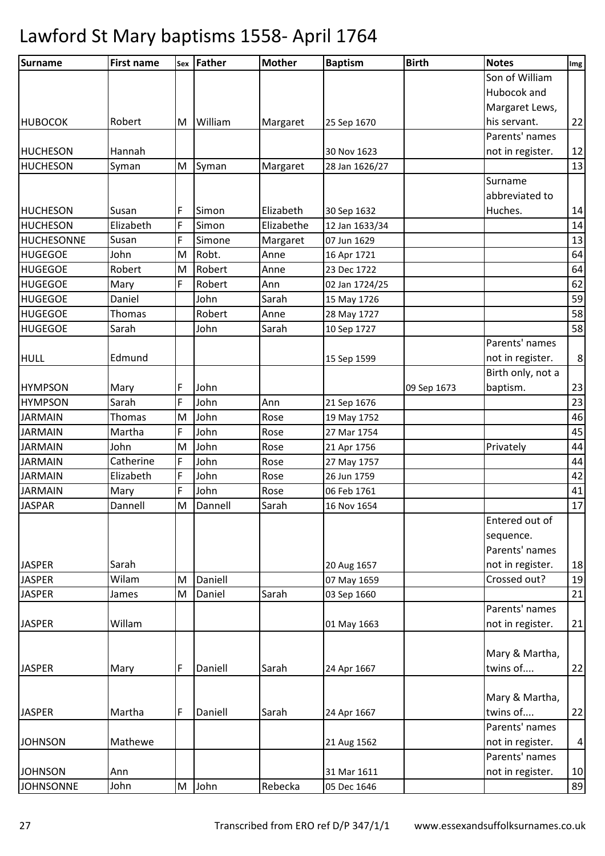| <b>Surname</b>    | <b>First name</b> |   | sex Father | <b>Mother</b> | <b>Baptism</b> | <b>Birth</b> | <b>Notes</b>      | Img |
|-------------------|-------------------|---|------------|---------------|----------------|--------------|-------------------|-----|
|                   |                   |   |            |               |                |              | Son of William    |     |
|                   |                   |   |            |               |                |              | Hubocok and       |     |
|                   |                   |   |            |               |                |              | Margaret Lews,    |     |
| <b>HUBOCOK</b>    | Robert            | M | William    | Margaret      | 25 Sep 1670    |              | his servant.      | 22  |
|                   |                   |   |            |               |                |              | Parents' names    |     |
| HUCHESON          | Hannah            |   |            |               | 30 Nov 1623    |              | not in register.  | 12  |
| <b>HUCHESON</b>   | Syman             | M | Syman      | Margaret      | 28 Jan 1626/27 |              |                   | 13  |
|                   |                   |   |            |               |                |              | Surname           |     |
|                   |                   |   |            |               |                |              | abbreviated to    |     |
| <b>HUCHESON</b>   | Susan             | F | Simon      | Elizabeth     | 30 Sep 1632    |              | Huches.           | 14  |
| <b>HUCHESON</b>   | Elizabeth         | F | Simon      | Elizabethe    | 12 Jan 1633/34 |              |                   | 14  |
| <b>HUCHESONNE</b> | Susan             | F | Simone     | Margaret      | 07 Jun 1629    |              |                   | 13  |
| <b>HUGEGOE</b>    | John              | M | Robt.      | Anne          | 16 Apr 1721    |              |                   | 64  |
| <b>HUGEGOE</b>    | Robert            | M | Robert     | Anne          | 23 Dec 1722    |              |                   | 64  |
| <b>HUGEGOE</b>    | Mary              | F | Robert     | Ann           | 02 Jan 1724/25 |              |                   | 62  |
| <b>HUGEGOE</b>    | Daniel            |   | John       | Sarah         | 15 May 1726    |              |                   | 59  |
| <b>HUGEGOE</b>    | <b>Thomas</b>     |   | Robert     | Anne          | 28 May 1727    |              |                   | 58  |
| <b>HUGEGOE</b>    | Sarah             |   | John       | Sarah         | 10 Sep 1727    |              |                   | 58  |
|                   |                   |   |            |               |                |              | Parents' names    |     |
| <b>HULL</b>       | Edmund            |   |            |               | 15 Sep 1599    |              | not in register.  | 8   |
|                   |                   |   |            |               |                |              | Birth only, not a |     |
| <b>HYMPSON</b>    | Mary              | F | John       |               |                | 09 Sep 1673  | baptism.          | 23  |
| <b>HYMPSON</b>    | Sarah             | F | John       | Ann           | 21 Sep 1676    |              |                   | 23  |
| <b>JARMAIN</b>    | Thomas            | M | John       | Rose          | 19 May 1752    |              |                   | 46  |
| <b>JARMAIN</b>    | Martha            | F | John       | Rose          | 27 Mar 1754    |              |                   | 45  |
| <b>JARMAIN</b>    | John              | M | John       | Rose          | 21 Apr 1756    |              | Privately         | 44  |
| <b>JARMAIN</b>    | Catherine         | F | John       | Rose          | 27 May 1757    |              |                   | 44  |
| <b>JARMAIN</b>    | Elizabeth         | F | John       | Rose          | 26 Jun 1759    |              |                   | 42  |
| <b>JARMAIN</b>    | Mary              | F | John       | Rose          | 06 Feb 1761    |              |                   | 41  |
| <b>JASPAR</b>     | Dannell           | M | Dannell    | Sarah         | 16 Nov 1654    |              |                   | 17  |
|                   |                   |   |            |               |                |              | Entered out of    |     |
|                   |                   |   |            |               |                |              | sequence.         |     |
|                   |                   |   |            |               |                |              | Parents' names    |     |
| <b>JASPER</b>     | Sarah             |   |            |               | 20 Aug 1657    |              | not in register.  | 18  |
| <b>JASPER</b>     | Wilam             | M | Daniell    |               | 07 May 1659    |              | Crossed out?      | 19  |
| <b>JASPER</b>     | James             | M | Daniel     | Sarah         | 03 Sep 1660    |              |                   | 21  |
|                   |                   |   |            |               |                |              | Parents' names    |     |
| <b>JASPER</b>     | Willam            |   |            |               | 01 May 1663    |              | not in register.  | 21  |
|                   |                   |   |            |               |                |              |                   |     |
|                   |                   |   |            |               |                |              | Mary & Martha,    |     |
| <b>JASPER</b>     | Mary              | F | Daniell    | Sarah         | 24 Apr 1667    |              | twins of          | 22  |
|                   |                   |   |            |               |                |              |                   |     |
|                   |                   |   |            |               |                |              | Mary & Martha,    |     |
| <b>JASPER</b>     | Martha            | F | Daniell    | Sarah         | 24 Apr 1667    |              | twins of          | 22  |
|                   |                   |   |            |               |                |              | Parents' names    |     |
| <b>JOHNSON</b>    | Mathewe           |   |            |               | 21 Aug 1562    |              | not in register.  | 4   |
|                   |                   |   |            |               |                |              | Parents' names    |     |
| <b>JOHNSON</b>    | Ann               |   |            |               | 31 Mar 1611    |              | not in register.  | 10  |
| <b>JOHNSONNE</b>  | John              |   | M John     | Rebecka       | 05 Dec 1646    |              |                   | 89  |
|                   |                   |   |            |               |                |              |                   |     |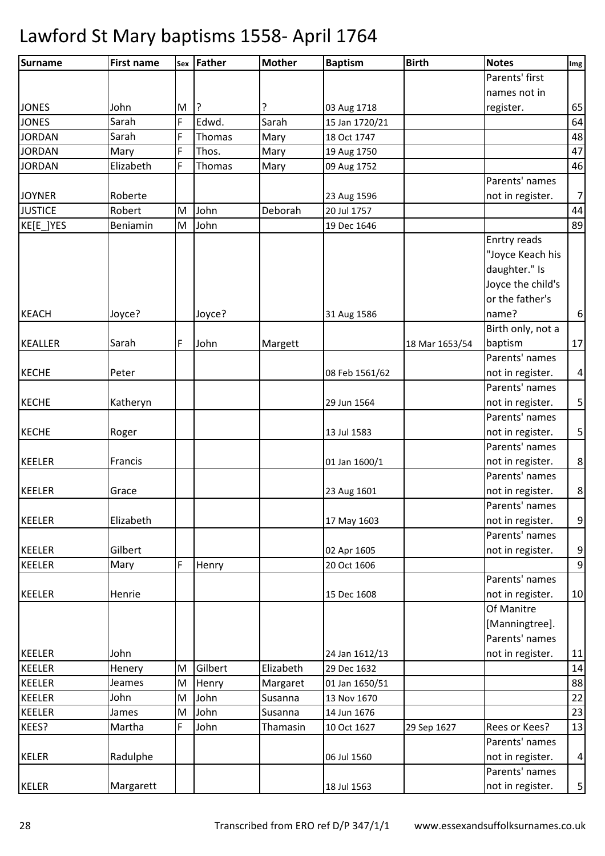| <b>Surname</b> | <b>First name</b> | Sex | Father  | <b>Mother</b> | <b>Baptism</b> | <b>Birth</b>   | <b>Notes</b>      | Img              |
|----------------|-------------------|-----|---------|---------------|----------------|----------------|-------------------|------------------|
|                |                   |     |         |               |                |                | Parents' first    |                  |
|                |                   |     |         |               |                |                | names not in      |                  |
| <b>JONES</b>   | John              | M   | ?       | ?             | 03 Aug 1718    |                | register.         | 65               |
| <b>JONES</b>   | Sarah             | F   | Edwd.   | Sarah         | 15 Jan 1720/21 |                |                   | 64               |
| <b>JORDAN</b>  | Sarah             | F   | Thomas  | Mary          | 18 Oct 1747    |                |                   | 48               |
| <b>JORDAN</b>  | Mary              | F   | Thos.   | Mary          | 19 Aug 1750    |                |                   | 47               |
| <b>JORDAN</b>  | Elizabeth         | F   | Thomas  | Mary          | 09 Aug 1752    |                |                   | 46               |
|                |                   |     |         |               |                |                | Parents' names    |                  |
| <b>JOYNER</b>  | Roberte           |     |         |               | 23 Aug 1596    |                | not in register.  | $\overline{7}$   |
| <b>JUSTICE</b> | Robert            | M   | John    | Deborah       | 20 Jul 1757    |                |                   | 44               |
| KE[E_]YES      | Beniamin          | M   | John    |               | 19 Dec 1646    |                |                   | 89               |
|                |                   |     |         |               |                |                | Enrtry reads      |                  |
|                |                   |     |         |               |                |                | "Joyce Keach his  |                  |
|                |                   |     |         |               |                |                | daughter." Is     |                  |
|                |                   |     |         |               |                |                | Joyce the child's |                  |
|                |                   |     |         |               |                |                | or the father's   |                  |
| <b>KEACH</b>   | Joyce?            |     | Joyce?  |               | 31 Aug 1586    |                | name?             | $\boldsymbol{6}$ |
|                |                   |     |         |               |                |                | Birth only, not a |                  |
| <b>KEALLER</b> | Sarah             | F   | John    | Margett       |                | 18 Mar 1653/54 | baptism           | 17               |
|                |                   |     |         |               |                |                | Parents' names    |                  |
| <b>KECHE</b>   | Peter             |     |         |               | 08 Feb 1561/62 |                | not in register.  | $\vert 4 \vert$  |
|                |                   |     |         |               |                |                | Parents' names    |                  |
| <b>KECHE</b>   | Katheryn          |     |         |               | 29 Jun 1564    |                | not in register.  | $\mathsf S$      |
|                |                   |     |         |               |                |                | Parents' names    |                  |
| <b>KECHE</b>   | Roger             |     |         |               | 13 Jul 1583    |                | not in register.  | $\mathbf{5}$     |
|                |                   |     |         |               |                |                | Parents' names    |                  |
| <b>KEELER</b>  | Francis           |     |         |               | 01 Jan 1600/1  |                | not in register.  | $\bf 8$          |
|                |                   |     |         |               |                |                | Parents' names    |                  |
| <b>KEELER</b>  | Grace             |     |         |               | 23 Aug 1601    |                | not in register.  | $\bf 8$          |
|                |                   |     |         |               |                |                | Parents' names    |                  |
| <b>KEELER</b>  | Elizabeth         |     |         |               | 17 May 1603    |                | not in register.  | $\overline{9}$   |
|                |                   |     |         |               |                |                | Parents' names    |                  |
| <b>KEELER</b>  | Gilbert           |     |         |               | 02 Apr 1605    |                | not in register.  | $\boldsymbol{9}$ |
| <b>KEELER</b>  | Mary              | F   | Henry   |               | 20 Oct 1606    |                |                   | $\overline{9}$   |
|                |                   |     |         |               |                |                | Parents' names    |                  |
| <b>KEELER</b>  | Henrie            |     |         |               | 15 Dec 1608    |                | not in register.  | 10               |
|                |                   |     |         |               |                |                | Of Manitre        |                  |
|                |                   |     |         |               |                |                | [Manningtree].    |                  |
|                |                   |     |         |               |                |                | Parents' names    |                  |
| <b>KEELER</b>  | John              |     |         |               | 24 Jan 1612/13 |                | not in register.  | 11               |
| <b>KEELER</b>  | Henery            | M   | Gilbert | Elizabeth     | 29 Dec 1632    |                |                   | 14               |
| <b>KEELER</b>  | Jeames            | M   | Henry   | Margaret      | 01 Jan 1650/51 |                |                   | 88               |
| <b>KEELER</b>  | John              | M   | John    | Susanna       | 13 Nov 1670    |                |                   | 22               |
| <b>KEELER</b>  | James             | M   | John    | Susanna       | 14 Jun 1676    |                |                   | 23               |
| KEES?          | Martha            | F   | John    | Thamasin      | 10 Oct 1627    | 29 Sep 1627    | Rees or Kees?     | 13               |
|                |                   |     |         |               |                |                | Parents' names    |                  |
| <b>KELER</b>   | Radulphe          |     |         |               | 06 Jul 1560    |                | not in register.  | $\vert 4 \vert$  |
|                |                   |     |         |               |                |                | Parents' names    |                  |
| <b>KELER</b>   | Margarett         |     |         |               | 18 Jul 1563    |                | not in register.  | $\mathbf{5}$     |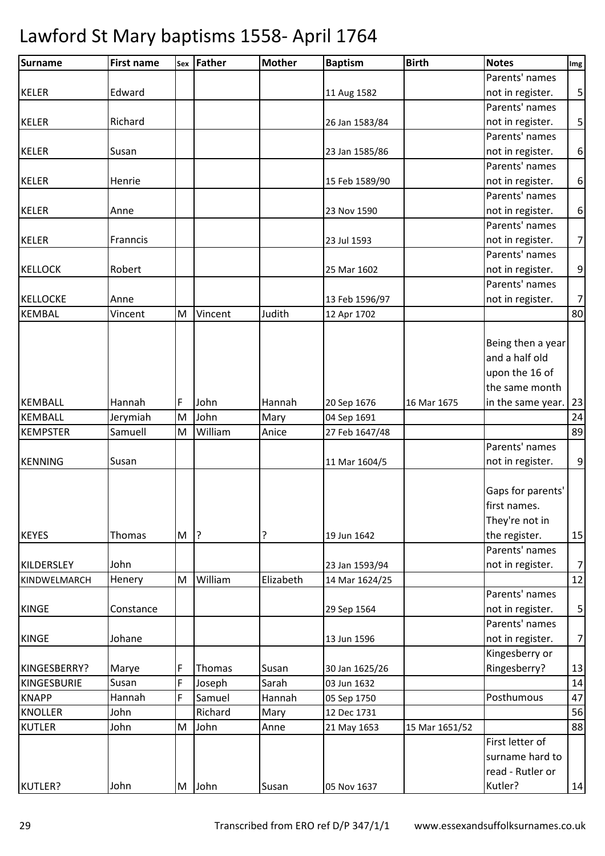| Surname         | <b>First name</b> | Sex | Father  | <b>Mother</b> | <b>Baptism</b> | <b>Birth</b>   | <b>Notes</b>      | Img              |
|-----------------|-------------------|-----|---------|---------------|----------------|----------------|-------------------|------------------|
|                 |                   |     |         |               |                |                | Parents' names    |                  |
| <b>KELER</b>    | Edward            |     |         |               | 11 Aug 1582    |                | not in register.  | 5                |
|                 |                   |     |         |               |                |                | Parents' names    |                  |
| <b>KELER</b>    | Richard           |     |         |               | 26 Jan 1583/84 |                | not in register.  | 5                |
|                 |                   |     |         |               |                |                | Parents' names    |                  |
| <b>KELER</b>    | Susan             |     |         |               | 23 Jan 1585/86 |                | not in register.  | $\boldsymbol{6}$ |
|                 |                   |     |         |               |                |                | Parents' names    |                  |
| <b>KELER</b>    | Henrie            |     |         |               | 15 Feb 1589/90 |                | not in register.  | 6                |
|                 |                   |     |         |               |                |                | Parents' names    |                  |
| <b>KELER</b>    | Anne              |     |         |               | 23 Nov 1590    |                | not in register.  | 6                |
|                 |                   |     |         |               |                |                | Parents' names    |                  |
| <b>KELER</b>    | Franncis          |     |         |               | 23 Jul 1593    |                | not in register.  | $\overline{7}$   |
|                 |                   |     |         |               |                |                | Parents' names    |                  |
| <b>KELLOCK</b>  | Robert            |     |         |               | 25 Mar 1602    |                | not in register.  | 9                |
|                 |                   |     |         |               |                |                | Parents' names    |                  |
| <b>KELLOCKE</b> | Anne              |     |         |               | 13 Feb 1596/97 |                | not in register.  | $\overline{7}$   |
| <b>KEMBAL</b>   | Vincent           | M   | Vincent | Judith        | 12 Apr 1702    |                |                   | 80               |
|                 |                   |     |         |               |                |                |                   |                  |
|                 |                   |     |         |               |                |                | Being then a year |                  |
|                 |                   |     |         |               |                |                | and a half old    |                  |
|                 |                   |     |         |               |                |                | upon the 16 of    |                  |
|                 |                   |     |         |               |                |                | the same month    |                  |
| <b>KEMBALL</b>  | Hannah            | F   | John    | Hannah        | 20 Sep 1676    | 16 Mar 1675    | in the same year. | 23               |
| <b>KEMBALL</b>  | Jerymiah          | M   | John    | Mary          | 04 Sep 1691    |                |                   | 24               |
| <b>KEMPSTER</b> | Samuell           | M   | William | Anice         | 27 Feb 1647/48 |                |                   | 89               |
|                 |                   |     |         |               |                |                | Parents' names    |                  |
| <b>KENNING</b>  | Susan             |     |         |               | 11 Mar 1604/5  |                | not in register.  | 9                |
|                 |                   |     |         |               |                |                |                   |                  |
|                 |                   |     |         |               |                |                | Gaps for parents' |                  |
|                 |                   |     |         |               |                |                | first names.      |                  |
|                 |                   |     |         |               |                |                | They're not in    |                  |
| <b>KEYES</b>    | Thomas            | M   | ?       | ?             | 19 Jun 1642    |                | the register.     | 15               |
|                 |                   |     |         |               |                |                | Parents' names    |                  |
| KILDERSLEY      | John              |     |         |               | 23 Jan 1593/94 |                | not in register.  | $\overline{7}$   |
| KINDWELMARCH    | Henery            | M   | William | Elizabeth     | 14 Mar 1624/25 |                |                   | 12               |
|                 |                   |     |         |               |                |                | Parents' names    |                  |
| <b>KINGE</b>    | Constance         |     |         |               | 29 Sep 1564    |                | not in register.  | $\mathsf S$      |
|                 |                   |     |         |               |                |                | Parents' names    |                  |
| <b>KINGE</b>    | Johane            |     |         |               | 13 Jun 1596    |                | not in register.  | $\overline{7}$   |
|                 |                   |     |         |               |                |                | Kingesberry or    |                  |
| KINGESBERRY?    | Marye             | F   | Thomas  | Susan         | 30 Jan 1625/26 |                | Ringesberry?      | 13               |
| KINGESBURIE     | Susan             | F   | Joseph  | Sarah         | 03 Jun 1632    |                |                   | 14               |
| <b>KNAPP</b>    | Hannah            | F   | Samuel  | Hannah        | 05 Sep 1750    |                | Posthumous        | 47               |
| <b>KNOLLER</b>  | John              |     | Richard | Mary          | 12 Dec 1731    |                |                   | 56               |
| <b>KUTLER</b>   | John              | M   | John    | Anne          | 21 May 1653    | 15 Mar 1651/52 |                   | 88               |
|                 |                   |     |         |               |                |                | First letter of   |                  |
|                 |                   |     |         |               |                |                | surname hard to   |                  |
|                 |                   |     |         |               |                |                | read - Rutler or  |                  |
| KUTLER?         | John              |     | M John  | Susan         | 05 Nov 1637    |                | Kutler?           | 14               |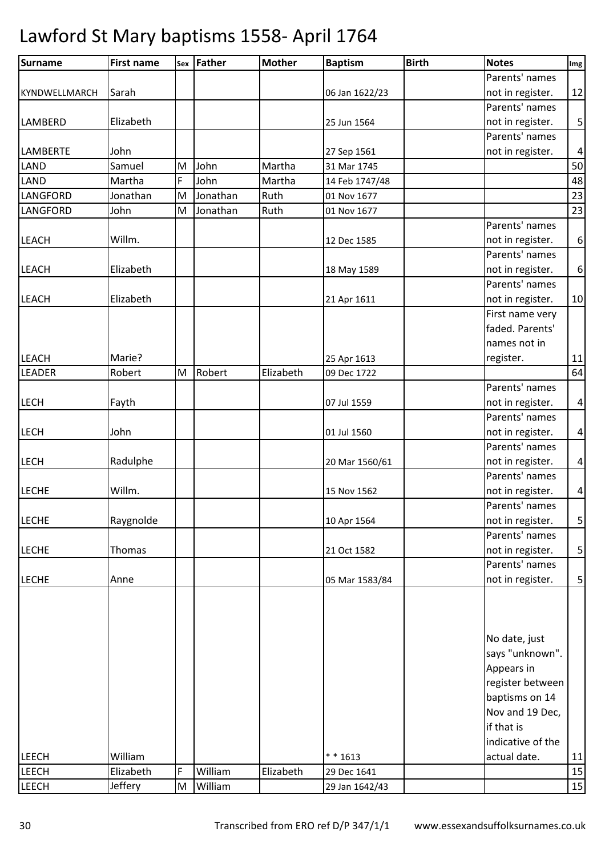| <b>Surname</b>  | <b>First name</b> | Sex | Father   | <b>Mother</b> | <b>Baptism</b> | <b>Birth</b> | <b>Notes</b>      | Img                     |
|-----------------|-------------------|-----|----------|---------------|----------------|--------------|-------------------|-------------------------|
|                 |                   |     |          |               |                |              | Parents' names    |                         |
| KYNDWELLMARCH   | Sarah             |     |          |               | 06 Jan 1622/23 |              | not in register.  | 12                      |
|                 |                   |     |          |               |                |              | Parents' names    |                         |
| LAMBERD         | Elizabeth         |     |          |               | 25 Jun 1564    |              | not in register.  | $\mathsf S$             |
|                 |                   |     |          |               |                |              | Parents' names    |                         |
| <b>LAMBERTE</b> | John              |     |          |               | 27 Sep 1561    |              | not in register.  | $\overline{\mathbf{r}}$ |
| LAND            | Samuel            | M   | John     | Martha        | 31 Mar 1745    |              |                   | 50                      |
| <b>LAND</b>     | Martha            | F   | John     | Martha        | 14 Feb 1747/48 |              |                   | 48                      |
| LANGFORD        | Jonathan          | M   | Jonathan | Ruth          | 01 Nov 1677    |              |                   | 23                      |
| LANGFORD        | John              | M   | Jonathan | Ruth          | 01 Nov 1677    |              |                   | 23                      |
|                 |                   |     |          |               |                |              | Parents' names    |                         |
| <b>LEACH</b>    | Willm.            |     |          |               | 12 Dec 1585    |              | not in register.  | $\boldsymbol{6}$        |
|                 |                   |     |          |               |                |              | Parents' names    |                         |
| <b>LEACH</b>    | Elizabeth         |     |          |               | 18 May 1589    |              | not in register.  | $\boldsymbol{6}$        |
|                 |                   |     |          |               |                |              | Parents' names    |                         |
| <b>LEACH</b>    | Elizabeth         |     |          |               | 21 Apr 1611    |              | not in register.  | 10                      |
|                 |                   |     |          |               |                |              | First name very   |                         |
|                 |                   |     |          |               |                |              | faded. Parents'   |                         |
|                 |                   |     |          |               |                |              | names not in      |                         |
| <b>LEACH</b>    | Marie?            |     |          |               | 25 Apr 1613    |              | register.         | $11\,$                  |
| <b>LEADER</b>   | Robert            | M   | Robert   | Elizabeth     | 09 Dec 1722    |              |                   | 64                      |
|                 |                   |     |          |               |                |              | Parents' names    |                         |
| <b>LECH</b>     | Fayth             |     |          |               | 07 Jul 1559    |              | not in register.  | $\overline{\mathbf{4}}$ |
|                 |                   |     |          |               |                |              | Parents' names    |                         |
| <b>LECH</b>     | John              |     |          |               | 01 Jul 1560    |              | not in register.  | $\overline{\mathbf{r}}$ |
|                 |                   |     |          |               |                |              | Parents' names    |                         |
| <b>LECH</b>     | Radulphe          |     |          |               | 20 Mar 1560/61 |              | not in register.  | $\overline{\mathbf{4}}$ |
|                 |                   |     |          |               |                |              | Parents' names    |                         |
| <b>LECHE</b>    | Willm.            |     |          |               | 15 Nov 1562    |              | not in register.  | $\overline{\mathbf{r}}$ |
|                 |                   |     |          |               |                |              | Parents' names    |                         |
| <b>LECHE</b>    | Raygnolde         |     |          |               | 10 Apr 1564    |              | not in register.  | $\mathsf S$             |
|                 |                   |     |          |               |                |              | Parents' names    |                         |
| <b>LECHE</b>    | Thomas            |     |          |               | 21 Oct 1582    |              | not in register.  | $\mathsf S$             |
|                 |                   |     |          |               |                |              | Parents' names    |                         |
| <b>LECHE</b>    | Anne              |     |          |               | 05 Mar 1583/84 |              | not in register.  | $\mathsf S$             |
|                 |                   |     |          |               |                |              |                   |                         |
|                 |                   |     |          |               |                |              | No date, just     |                         |
|                 |                   |     |          |               |                |              | says "unknown".   |                         |
|                 |                   |     |          |               |                |              | Appears in        |                         |
|                 |                   |     |          |               |                |              | register between  |                         |
|                 |                   |     |          |               |                |              | baptisms on 14    |                         |
|                 |                   |     |          |               |                |              | Nov and 19 Dec,   |                         |
|                 |                   |     |          |               |                |              | if that is        |                         |
|                 |                   |     |          |               |                |              | indicative of the |                         |
| LEECH           | William           |     |          |               | ** 1613        |              | actual date.      | 11                      |
| <b>LEECH</b>    | Elizabeth         | F   | William  | Elizabeth     | 29 Dec 1641    |              |                   | 15                      |
| <b>LEECH</b>    | Jeffery           | M   | William  |               | 29 Jan 1642/43 |              |                   | 15                      |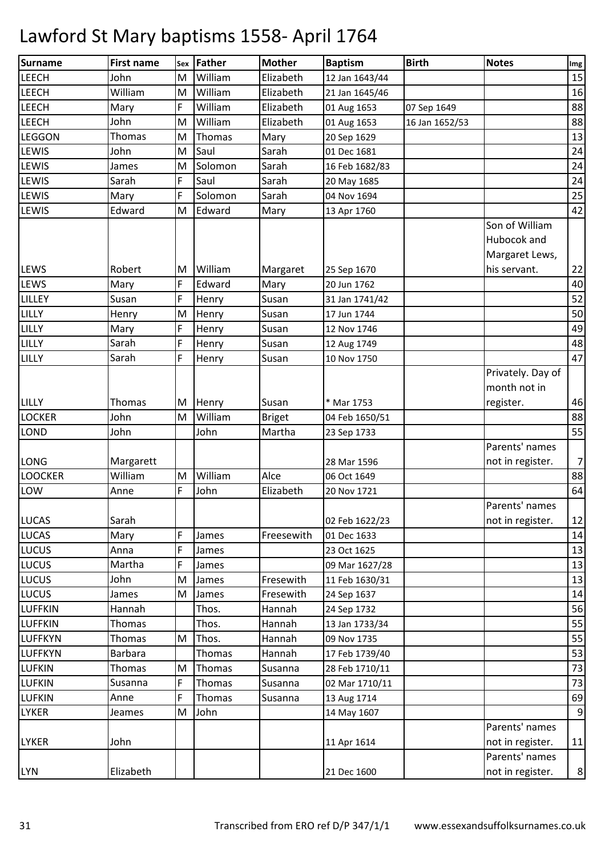| Surname                      | <b>First name</b> |   | sex Father | <b>Mother</b> | <b>Baptism</b>                | <b>Birth</b>   | <b>Notes</b>      | Img              |
|------------------------------|-------------------|---|------------|---------------|-------------------------------|----------------|-------------------|------------------|
| LEECH                        | John              | M | William    | Elizabeth     | 12 Jan 1643/44                |                |                   | 15               |
| <b>LEECH</b>                 | William           | M | William    | Elizabeth     | 21 Jan 1645/46                |                |                   | 16               |
| <b>LEECH</b>                 | Mary              | F | William    | Elizabeth     | 01 Aug 1653                   | 07 Sep 1649    |                   | 88               |
| <b>LEECH</b>                 | John              | M | William    | Elizabeth     | 01 Aug 1653                   | 16 Jan 1652/53 |                   | 88               |
| <b>LEGGON</b>                | Thomas            | M | Thomas     | Mary          | 20 Sep 1629                   |                |                   | 13               |
| LEWIS                        | John              | M | Saul       | Sarah         | 01 Dec 1681                   |                |                   | 24               |
| <b>LEWIS</b>                 | James             | M | Solomon    | Sarah         | 16 Feb 1682/83                |                |                   | 24               |
| <b>LEWIS</b>                 | Sarah             | F | Saul       | Sarah         | 20 May 1685                   |                |                   | 24               |
| <b>LEWIS</b>                 | Mary              | F | Solomon    | Sarah         | 04 Nov 1694                   |                |                   | 25               |
| <b>LEWIS</b>                 | Edward            | M | Edward     | Mary          | 13 Apr 1760                   |                |                   | 42               |
|                              |                   |   |            |               |                               |                | Son of William    |                  |
|                              |                   |   |            |               |                               |                | Hubocok and       |                  |
|                              |                   |   |            |               |                               |                | Margaret Lews,    |                  |
| <b>LEWS</b>                  | Robert            | M | William    | Margaret      | 25 Sep 1670                   |                | his servant.      | 22               |
| <b>LEWS</b>                  | Mary              | F | Edward     | Mary          | 20 Jun 1762                   |                |                   | 40               |
| LILLEY                       | Susan             | F | Henry      | Susan         | 31 Jan 1741/42                |                |                   | 52               |
| LILLY                        | Henry             | M | Henry      | Susan         | 17 Jun 1744                   |                |                   | 50               |
| LILLY                        | Mary              | F | Henry      | Susan         | 12 Nov 1746                   |                |                   | 49               |
| LILLY                        | Sarah             | F | Henry      | Susan         | 12 Aug 1749                   |                |                   | 48               |
| LILLY                        | Sarah             | F | Henry      | Susan         | 10 Nov 1750                   |                |                   | 47               |
|                              |                   |   |            |               |                               |                | Privately. Day of |                  |
|                              |                   |   |            |               |                               |                | month not in      |                  |
| <b>LILLY</b>                 | Thomas            | M | Henry      | Susan         | * Mar 1753                    |                | register.         | 46               |
| <b>LOCKER</b>                | John              | M | William    | <b>Briget</b> | 04 Feb 1650/51                |                |                   | 88               |
| <b>LOND</b>                  | John              |   | John       | Martha        | 23 Sep 1733                   |                |                   | 55               |
|                              |                   |   |            |               |                               |                | Parents' names    |                  |
| <b>LONG</b>                  | Margarett         |   |            |               | 28 Mar 1596                   |                | not in register.  | $\overline{7}$   |
| <b>LOOCKER</b>               | William           | M | William    | Alce          | 06 Oct 1649                   |                |                   | 88               |
| LOW                          | Anne              | F | John       | Elizabeth     | 20 Nov 1721                   |                |                   | 64               |
|                              |                   |   |            |               |                               |                | Parents' names    |                  |
| <b>LUCAS</b><br><b>LUCAS</b> | Sarah<br>Mary     | F | James      | Freesewith    | 02 Feb 1622/23<br>01 Dec 1633 |                | not in register.  | 12<br>14         |
| LUCUS                        | Anna              | F | James      |               | 23 Oct 1625                   |                |                   | 13               |
| LUCUS                        | Martha            | F | James      |               | 09 Mar 1627/28                |                |                   | 13               |
| LUCUS                        | John              | M | James      | Fresewith     | 11 Feb 1630/31                |                |                   | 13               |
| <b>LUCUS</b>                 | James             | M | James      | Fresewith     | 24 Sep 1637                   |                |                   | 14               |
| <b>LUFFKIN</b>               | Hannah            |   | Thos.      | Hannah        | 24 Sep 1732                   |                |                   | 56               |
| <b>LUFFKIN</b>               | Thomas            |   | Thos.      | Hannah        | 13 Jan 1733/34                |                |                   | 55               |
| <b>LUFFKYN</b>               | Thomas            | M | Thos.      | Hannah        | 09 Nov 1735                   |                |                   | 55               |
| <b>LUFFKYN</b>               | <b>Barbara</b>    |   | Thomas     | Hannah        | 17 Feb 1739/40                |                |                   | 53               |
| <b>LUFKIN</b>                | Thomas            | M | Thomas     | Susanna       | 28 Feb 1710/11                |                |                   | 73               |
| <b>LUFKIN</b>                | Susanna           | F | Thomas     | Susanna       | 02 Mar 1710/11                |                |                   | 73               |
| <b>LUFKIN</b>                | Anne              | F | Thomas     | Susanna       | 13 Aug 1714                   |                |                   | 69               |
| <b>LYKER</b>                 | Jeames            | M | John       |               | 14 May 1607                   |                |                   | $9\,$            |
|                              |                   |   |            |               |                               |                | Parents' names    |                  |
| <b>LYKER</b>                 | John              |   |            |               | 11 Apr 1614                   |                | not in register.  | 11               |
|                              |                   |   |            |               |                               |                | Parents' names    |                  |
| <b>LYN</b>                   | Elizabeth         |   |            |               | 21 Dec 1600                   |                | not in register.  | $\boldsymbol{8}$ |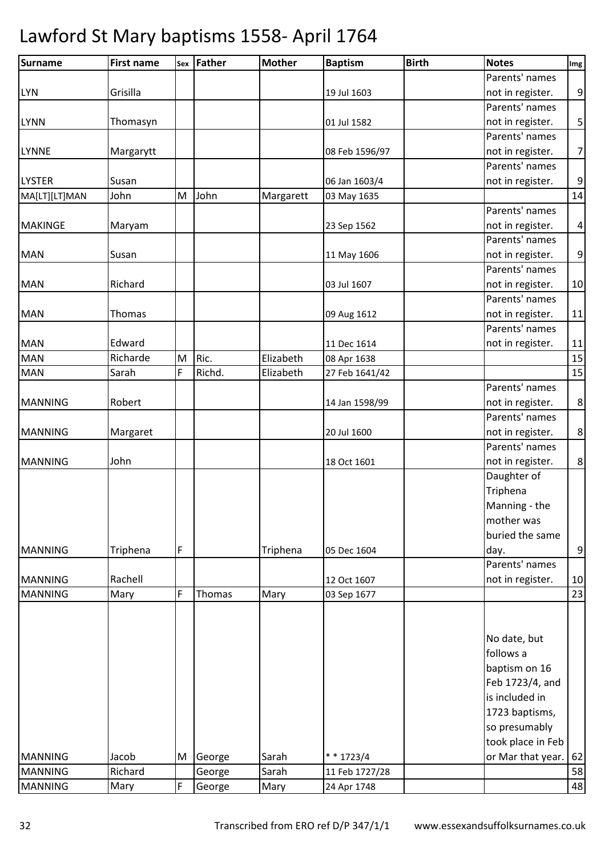| <b>Surname</b>                   | <b>First name</b> |   | sex Father | <b>Mother</b> | <b>Baptism</b>             | <b>Birth</b> | <b>Notes</b>           | Img              |
|----------------------------------|-------------------|---|------------|---------------|----------------------------|--------------|------------------------|------------------|
|                                  |                   |   |            |               |                            |              | Parents' names         |                  |
| <b>LYN</b>                       | Grisilla          |   |            |               | 19 Jul 1603                |              | not in register.       | 9                |
|                                  |                   |   |            |               |                            |              | Parents' names         |                  |
| <b>LYNN</b>                      | Thomasyn          |   |            |               | 01 Jul 1582                |              | not in register.       | $\mathsf S$      |
|                                  |                   |   |            |               |                            |              | Parents' names         |                  |
| <b>LYNNE</b>                     | Margarytt         |   |            |               | 08 Feb 1596/97             |              | not in register.       | $\overline{7}$   |
|                                  |                   |   |            |               |                            |              | Parents' names         |                  |
| <b>LYSTER</b>                    | Susan             |   |            |               | 06 Jan 1603/4              |              | not in register.       | $\boldsymbol{9}$ |
| MA[LT][LT]MAN                    | John              | M | John       | Margarett     | 03 May 1635                |              |                        | 14               |
|                                  |                   |   |            |               |                            |              | Parents' names         |                  |
| <b>MAKINGE</b>                   | Maryam            |   |            |               | 23 Sep 1562                |              | not in register.       | $\overline{a}$   |
|                                  |                   |   |            |               |                            |              | Parents' names         |                  |
| <b>MAN</b>                       | Susan             |   |            |               | 11 May 1606                |              | not in register.       | $\boldsymbol{9}$ |
|                                  |                   |   |            |               |                            |              | Parents' names         |                  |
| <b>MAN</b>                       | Richard           |   |            |               | 03 Jul 1607                |              | not in register.       | 10               |
|                                  |                   |   |            |               |                            |              | Parents' names         |                  |
| <b>MAN</b>                       | Thomas            |   |            |               | 09 Aug 1612                |              | not in register.       | 11               |
|                                  |                   |   |            |               |                            |              | Parents' names         |                  |
| <b>MAN</b>                       | Edward            |   |            |               | 11 Dec 1614                |              | not in register.       | 11               |
| <b>MAN</b>                       | Richarde          | M | Ric.       | Elizabeth     | 08 Apr 1638                |              |                        | 15               |
| <b>MAN</b>                       | Sarah             | F | Richd.     | Elizabeth     | 27 Feb 1641/42             |              |                        | 15               |
|                                  |                   |   |            |               |                            |              | Parents' names         |                  |
| <b>MANNING</b>                   | Robert            |   |            |               | 14 Jan 1598/99             |              | not in register.       | 8                |
|                                  |                   |   |            |               |                            |              | Parents' names         |                  |
| <b>MANNING</b>                   | Margaret          |   |            |               | 20 Jul 1600                |              | not in register.       | 8                |
|                                  |                   |   |            |               |                            |              | Parents' names         |                  |
| <b>MANNING</b>                   | John              |   |            |               | 18 Oct 1601                |              | not in register.       | 8                |
|                                  |                   |   |            |               |                            |              | Daughter of            |                  |
|                                  |                   |   |            |               |                            |              | Triphena               |                  |
|                                  |                   |   |            |               |                            |              | Manning - the          |                  |
|                                  |                   |   |            |               |                            |              | mother was             |                  |
| <b>MANNING</b>                   |                   |   |            |               |                            |              | buried the same        |                  |
|                                  | Triphena          | F |            | Triphena      | 05 Dec 1604                |              | day.<br>Parents' names | $\boldsymbol{9}$ |
|                                  | Rachell           |   |            |               |                            |              |                        |                  |
| <b>MANNING</b><br><b>MANNING</b> | Mary              | F | Thomas     | Mary          | 12 Oct 1607<br>03 Sep 1677 |              | not in register.       | 10<br>23         |
|                                  |                   |   |            |               |                            |              |                        |                  |
|                                  |                   |   |            |               |                            |              |                        |                  |
|                                  |                   |   |            |               |                            |              | No date, but           |                  |
|                                  |                   |   |            |               |                            |              | follows a              |                  |
|                                  |                   |   |            |               |                            |              | baptism on 16          |                  |
|                                  |                   |   |            |               |                            |              | Feb 1723/4, and        |                  |
|                                  |                   |   |            |               |                            |              | is included in         |                  |
|                                  |                   |   |            |               |                            |              | 1723 baptisms,         |                  |
|                                  |                   |   |            |               |                            |              | so presumably          |                  |
|                                  |                   |   |            |               |                            |              | took place in Feb      |                  |
| <b>MANNING</b>                   | Jacob             | M | George     | Sarah         | $* * 1723/4$               |              | or Mar that year.      | 62               |
| <b>MANNING</b>                   | Richard           |   | George     | Sarah         | 11 Feb 1727/28             |              |                        | 58               |
| <b>MANNING</b>                   | Mary              | F | George     | Mary          | 24 Apr 1748                |              |                        | 48               |
|                                  |                   |   |            |               |                            |              |                        |                  |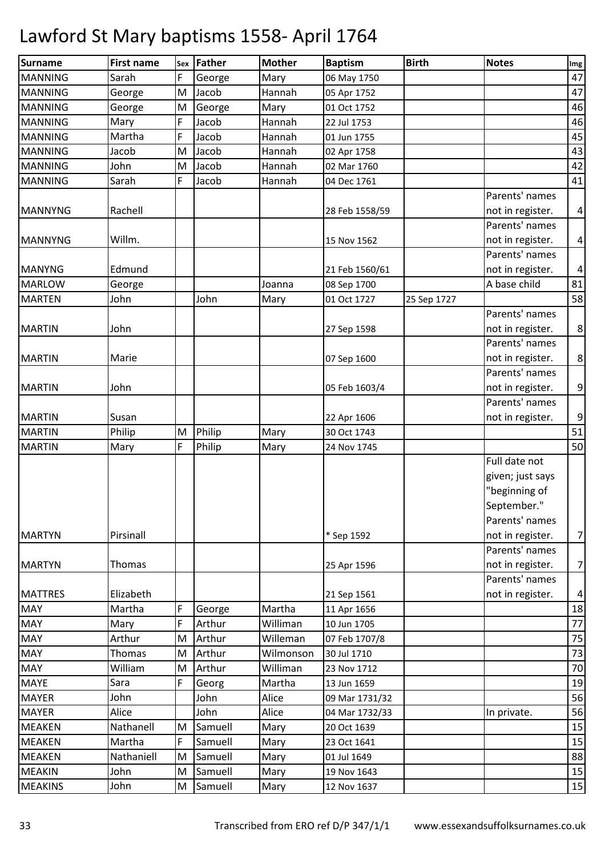| <b>Surname</b> | <b>First name</b> | Sex | Father  | <b>Mother</b> | <b>Baptism</b> | <b>Birth</b> | <b>Notes</b>     | Img              |
|----------------|-------------------|-----|---------|---------------|----------------|--------------|------------------|------------------|
| <b>MANNING</b> | Sarah             | F   | George  | Mary          | 06 May 1750    |              |                  | 47               |
| <b>MANNING</b> | George            | M   | Jacob   | Hannah        | 05 Apr 1752    |              |                  | 47               |
| <b>MANNING</b> | George            | M   | George  | Mary          | 01 Oct 1752    |              |                  | 46               |
| <b>MANNING</b> | Mary              | F   | Jacob   | Hannah        | 22 Jul 1753    |              |                  | 46               |
| <b>MANNING</b> | Martha            | F   | Jacob   | Hannah        | 01 Jun 1755    |              |                  | 45               |
| <b>MANNING</b> | Jacob             | M   | Jacob   | Hannah        | 02 Apr 1758    |              |                  | 43               |
| <b>MANNING</b> | John              | M   | Jacob   | Hannah        | 02 Mar 1760    |              |                  | 42               |
| <b>MANNING</b> | Sarah             | F   | Jacob   | Hannah        | 04 Dec 1761    |              |                  | 41               |
|                |                   |     |         |               |                |              | Parents' names   |                  |
| <b>MANNYNG</b> | Rachell           |     |         |               | 28 Feb 1558/59 |              | not in register. | $\overline{a}$   |
|                |                   |     |         |               |                |              | Parents' names   |                  |
| <b>MANNYNG</b> | Willm.            |     |         |               | 15 Nov 1562    |              | not in register. | $\pmb{4}$        |
|                |                   |     |         |               |                |              | Parents' names   |                  |
| <b>MANYNG</b>  | Edmund            |     |         |               | 21 Feb 1560/61 |              | not in register. | $\pmb{4}$        |
| <b>MARLOW</b>  | George            |     |         | Joanna        | 08 Sep 1700    |              | A base child     | 81               |
| <b>MARTEN</b>  | John              |     | John    | Mary          | 01 Oct 1727    | 25 Sep 1727  |                  | 58               |
|                |                   |     |         |               |                |              | Parents' names   |                  |
| <b>MARTIN</b>  | John              |     |         |               | 27 Sep 1598    |              | not in register. | $\bf 8$          |
|                |                   |     |         |               |                |              | Parents' names   |                  |
| <b>MARTIN</b>  | Marie             |     |         |               | 07 Sep 1600    |              | not in register. | $\bf 8$          |
|                |                   |     |         |               |                |              | Parents' names   |                  |
| <b>MARTIN</b>  | John              |     |         |               | 05 Feb 1603/4  |              | not in register. | 9                |
|                |                   |     |         |               |                |              | Parents' names   |                  |
| <b>MARTIN</b>  | Susan             |     |         |               | 22 Apr 1606    |              | not in register. | $\boldsymbol{9}$ |
| <b>MARTIN</b>  | Philip            | M   | Philip  | Mary          | 30 Oct 1743    |              |                  | 51               |
| <b>MARTIN</b>  | Mary              | F   | Philip  | Mary          | 24 Nov 1745    |              |                  | 50               |
|                |                   |     |         |               |                |              | Full date not    |                  |
|                |                   |     |         |               |                |              | given; just says |                  |
|                |                   |     |         |               |                |              | "beginning of    |                  |
|                |                   |     |         |               |                |              | September."      |                  |
|                |                   |     |         |               |                |              | Parents' names   |                  |
| <b>MARTYN</b>  | Pirsinall         |     |         |               | * Sep 1592     |              | not in register. | $\overline{7}$   |
|                |                   |     |         |               |                |              | Parents' names   |                  |
| <b>MARTYN</b>  | Thomas            |     |         |               | 25 Apr 1596    |              | not in register. | $\overline{7}$   |
|                |                   |     |         |               |                |              | Parents' names   |                  |
| <b>MATTRES</b> | Elizabeth         |     |         |               | 21 Sep 1561    |              | not in register. | $\pmb{4}$        |
| <b>MAY</b>     | Martha            | F   | George  | Martha        | 11 Apr 1656    |              |                  | 18               |
| <b>MAY</b>     | Mary              | F   | Arthur  | Williman      | 10 Jun 1705    |              |                  | 77               |
| <b>MAY</b>     | Arthur            | M   | Arthur  | Willeman      | 07 Feb 1707/8  |              |                  | 75               |
| <b>MAY</b>     | <b>Thomas</b>     | M   | Arthur  | Wilmonson     | 30 Jul 1710    |              |                  | 73               |
| <b>MAY</b>     | William           | M   | Arthur  | Williman      | 23 Nov 1712    |              |                  | 70               |
| <b>MAYE</b>    | Sara              | F   | Georg   | Martha        | 13 Jun 1659    |              |                  | 19               |
| <b>MAYER</b>   | John              |     | John    | Alice         | 09 Mar 1731/32 |              |                  | 56               |
| <b>MAYER</b>   | Alice             |     | John    | Alice         | 04 Mar 1732/33 |              | In private.      | 56               |
| <b>MEAKEN</b>  | Nathanell         | M   | Samuell | Mary          | 20 Oct 1639    |              |                  | 15               |
| <b>MEAKEN</b>  | Martha            | F   | Samuell | Mary          | 23 Oct 1641    |              |                  | 15               |
| <b>MEAKEN</b>  | Nathaniell        | M   | Samuell | Mary          | 01 Jul 1649    |              |                  | 88               |
| <b>MEAKIN</b>  | John              | M   | Samuell | Mary          | 19 Nov 1643    |              |                  | 15               |
| <b>MEAKINS</b> | John              | M   | Samuell | Mary          | 12 Nov 1637    |              |                  | 15               |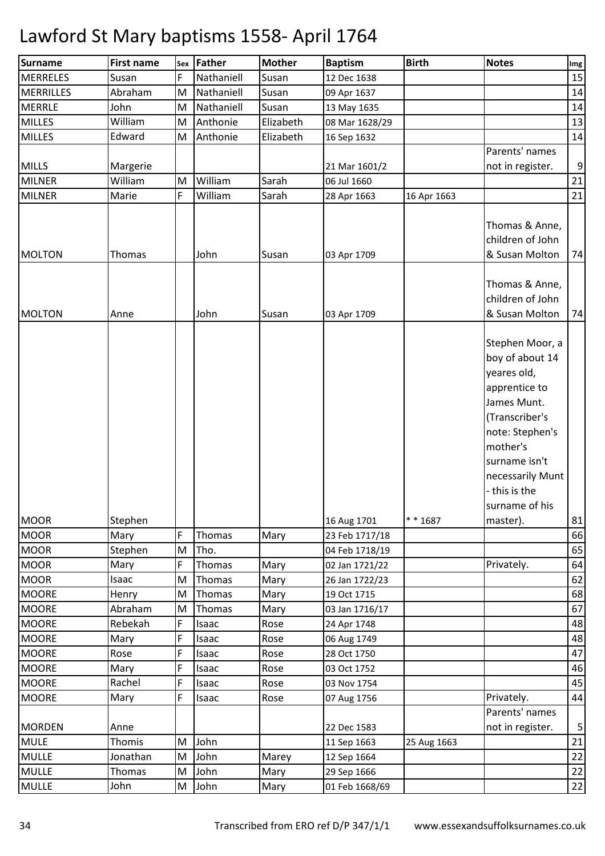| Surname          | <b>First name</b> | Sex | Father     | <b>Mother</b> | <b>Baptism</b> | <b>Birth</b> | <b>Notes</b>                                                                                                                                                                                                           | Img              |
|------------------|-------------------|-----|------------|---------------|----------------|--------------|------------------------------------------------------------------------------------------------------------------------------------------------------------------------------------------------------------------------|------------------|
| <b>MERRELES</b>  | Susan             | F   | Nathaniell | Susan         | 12 Dec 1638    |              |                                                                                                                                                                                                                        | 15               |
| <b>MERRILLES</b> | Abraham           | M   | Nathaniell | Susan         | 09 Apr 1637    |              |                                                                                                                                                                                                                        | 14               |
| <b>MERRLE</b>    | John              | M   | Nathaniell | Susan         | 13 May 1635    |              |                                                                                                                                                                                                                        | 14               |
| <b>MILLES</b>    | William           | M   | Anthonie   | Elizabeth     | 08 Mar 1628/29 |              |                                                                                                                                                                                                                        | 13               |
| <b>MILLES</b>    | Edward            | M   | Anthonie   | Elizabeth     | 16 Sep 1632    |              |                                                                                                                                                                                                                        | 14               |
|                  |                   |     |            |               |                |              | Parents' names                                                                                                                                                                                                         |                  |
| <b>MILLS</b>     | Margerie          |     |            |               | 21 Mar 1601/2  |              | not in register.                                                                                                                                                                                                       | $\boldsymbol{9}$ |
| <b>MILNER</b>    | William           | M   | William    | Sarah         | 06 Jul 1660    |              |                                                                                                                                                                                                                        | 21               |
| <b>MILNER</b>    | Marie             | F   | William    | Sarah         | 28 Apr 1663    | 16 Apr 1663  |                                                                                                                                                                                                                        | 21               |
| <b>MOLTON</b>    | Thomas            |     | John       | Susan         | 03 Apr 1709    |              | Thomas & Anne,<br>children of John<br>& Susan Molton                                                                                                                                                                   | 74               |
| <b>MOLTON</b>    | Anne              |     | John       | Susan         | 03 Apr 1709    |              | Thomas & Anne,<br>children of John<br>& Susan Molton                                                                                                                                                                   | 74               |
| <b>MOOR</b>      | Stephen           |     |            |               | 16 Aug 1701    | $* * 1687$   | Stephen Moor, a<br>boy of about 14<br>yeares old,<br>apprentice to<br>James Munt.<br>(Transcriber's<br>note: Stephen's<br>mother's<br>surname isn't<br>necessarily Munt<br>- this is the<br>surname of his<br>master). | 81               |
| <b>MOOR</b>      | Mary              | F   | Thomas     | Mary          | 23 Feb 1717/18 |              |                                                                                                                                                                                                                        | 66               |
| <b>MOOR</b>      | Stephen           | M   | Tho.       |               | 04 Feb 1718/19 |              |                                                                                                                                                                                                                        | 65               |
| <b>MOOR</b>      | Mary              | F   | Thomas     | Mary          | 02 Jan 1721/22 |              | Privately.                                                                                                                                                                                                             | 64               |
| <b>MOOR</b>      | Isaac             | M   | Thomas     | Mary          | 26 Jan 1722/23 |              |                                                                                                                                                                                                                        | 62               |
| <b>MOORE</b>     | Henry             | M   | Thomas     | Mary          | 19 Oct 1715    |              |                                                                                                                                                                                                                        | 68               |
| <b>MOORE</b>     | Abraham           | M   | Thomas     | Mary          | 03 Jan 1716/17 |              |                                                                                                                                                                                                                        | 67               |
| <b>MOORE</b>     | Rebekah           | F   | Isaac      | Rose          | 24 Apr 1748    |              |                                                                                                                                                                                                                        | 48               |
| <b>MOORE</b>     | Mary              | F   | Isaac      | Rose          | 06 Aug 1749    |              |                                                                                                                                                                                                                        | 48               |
| <b>MOORE</b>     | Rose              | F   | Isaac      | Rose          | 28 Oct 1750    |              |                                                                                                                                                                                                                        | 47               |
| <b>MOORE</b>     | Mary              | F   | Isaac      | Rose          | 03 Oct 1752    |              |                                                                                                                                                                                                                        | 46               |
| <b>MOORE</b>     | Rachel            | F   | Isaac      | Rose          | 03 Nov 1754    |              |                                                                                                                                                                                                                        | 45               |
| <b>MOORE</b>     | Mary              | F   | Isaac      | Rose          | 07 Aug 1756    |              | Privately.                                                                                                                                                                                                             | 44               |
|                  |                   |     |            |               |                |              | Parents' names                                                                                                                                                                                                         |                  |
| <b>MORDEN</b>    | Anne              |     |            |               | 22 Dec 1583    |              | not in register.                                                                                                                                                                                                       | $\mathsf S$      |
| <b>MULE</b>      | Thomis            | M   | John       |               | 11 Sep 1663    | 25 Aug 1663  |                                                                                                                                                                                                                        | 21               |
| <b>MULLE</b>     | Jonathan          | M   | John       | Marey         | 12 Sep 1664    |              |                                                                                                                                                                                                                        | 22               |
| <b>MULLE</b>     | Thomas            | M   | John       | Mary          | 29 Sep 1666    |              |                                                                                                                                                                                                                        | $22$             |
| <b>MULLE</b>     | John              | M   | John       | Mary          | 01 Feb 1668/69 |              |                                                                                                                                                                                                                        | $\overline{22}$  |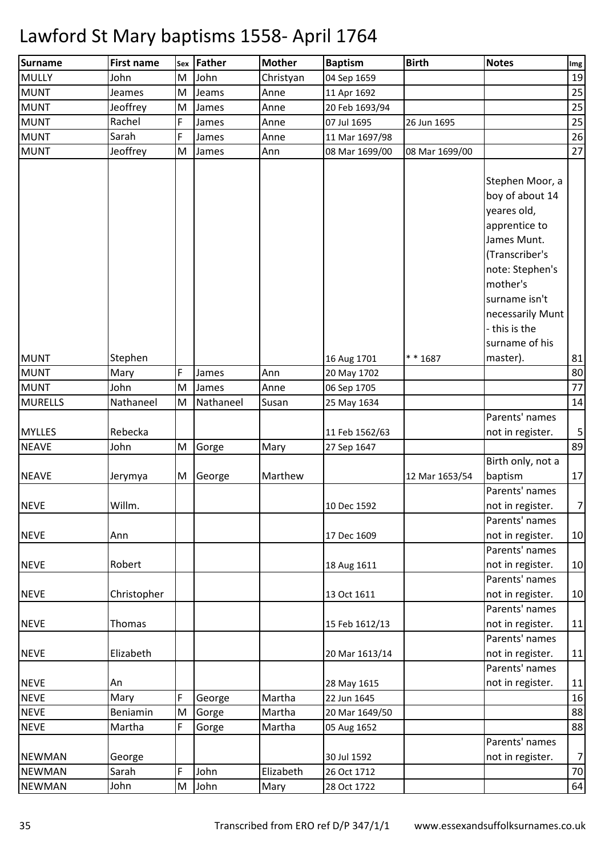| Surname        | <b>First name</b> |   | sex Father | <b>Mother</b> | <b>Baptism</b> | <b>Birth</b>   | <b>Notes</b>                                                                                                                       | Img             |
|----------------|-------------------|---|------------|---------------|----------------|----------------|------------------------------------------------------------------------------------------------------------------------------------|-----------------|
| <b>MULLY</b>   | John              | M | John       | Christyan     | 04 Sep 1659    |                |                                                                                                                                    | 19              |
| <b>MUNT</b>    | Jeames            | M | Jeams      | Anne          | 11 Apr 1692    |                |                                                                                                                                    | 25              |
| <b>MUNT</b>    | Jeoffrey          | M | James      | Anne          | 20 Feb 1693/94 |                |                                                                                                                                    | 25              |
| <b>MUNT</b>    | Rachel            | F | James      | Anne          | 07 Jul 1695    | 26 Jun 1695    |                                                                                                                                    | 25              |
| <b>MUNT</b>    | Sarah             | F | James      | Anne          | 11 Mar 1697/98 |                |                                                                                                                                    | 26              |
| <b>MUNT</b>    | Jeoffrey          | M | James      | Ann           | 08 Mar 1699/00 | 08 Mar 1699/00 |                                                                                                                                    | 27              |
|                |                   |   |            |               |                |                | Stephen Moor, a<br>boy of about 14<br>yeares old,<br>apprentice to<br>James Munt.<br>(Transcriber's<br>note: Stephen's<br>mother's |                 |
| <b>MUNT</b>    | Stephen           |   |            |               | 16 Aug 1701    | $* * 1687$     | surname isn't<br>necessarily Munt<br>- this is the<br>surname of his<br>master).                                                   | 81              |
| <b>MUNT</b>    | Mary              | F | James      | Ann           | 20 May 1702    |                |                                                                                                                                    | 80              |
| <b>MUNT</b>    | John              | M | James      | Anne          | 06 Sep 1705    |                |                                                                                                                                    | 77              |
| <b>MURELLS</b> | Nathaneel         | M | Nathaneel  | Susan         | 25 May 1634    |                |                                                                                                                                    | 14              |
|                |                   |   |            |               |                |                | Parents' names                                                                                                                     |                 |
| <b>MYLLES</b>  | Rebecka           |   |            |               | 11 Feb 1562/63 |                | not in register.                                                                                                                   | 5               |
| <b>NEAVE</b>   | John              | M | Gorge      | Mary          | 27 Sep 1647    |                |                                                                                                                                    | 89              |
| <b>NEAVE</b>   | Jerymya           | M | George     | Marthew       |                | 12 Mar 1653/54 | Birth only, not a<br>baptism                                                                                                       | 17              |
| <b>NEVE</b>    | Willm.            |   |            |               | 10 Dec 1592    |                | Parents' names<br>not in register.<br>Parents' names                                                                               | $7 \frac{1}{2}$ |
| <b>NEVE</b>    | Ann               |   |            |               | 17 Dec 1609    |                | not in register.<br>Parents' names                                                                                                 | 10              |
| <b>NEVE</b>    | Robert            |   |            |               | 18 Aug 1611    |                | not in register.<br>Parents' names                                                                                                 | 10              |
| <b>NEVE</b>    | Christopher       |   |            |               | 13 Oct 1611    |                | not in register.<br>Parents' names                                                                                                 | 10              |
| <b>NEVE</b>    | Thomas            |   |            |               | 15 Feb 1612/13 |                | not in register.<br>Parents' names                                                                                                 | 11              |
| <b>NEVE</b>    | Elizabeth         |   |            |               | 20 Mar 1613/14 |                | not in register.<br>Parents' names                                                                                                 | 11              |
| <b>NEVE</b>    | An                |   |            |               | 28 May 1615    |                | not in register.                                                                                                                   | 11              |
| <b>NEVE</b>    | Mary              | F | George     | Martha        | 22 Jun 1645    |                |                                                                                                                                    | 16              |
| <b>NEVE</b>    | Beniamin          | M | Gorge      | Martha        | 20 Mar 1649/50 |                |                                                                                                                                    | 88              |
| <b>NEVE</b>    | Martha            | F | Gorge      | Martha        | 05 Aug 1652    |                |                                                                                                                                    | 88              |
| <b>NEWMAN</b>  | George            |   |            |               | 30 Jul 1592    |                | Parents' names<br>not in register.                                                                                                 | 7               |
| <b>NEWMAN</b>  | Sarah             | F | John       | Elizabeth     | 26 Oct 1712    |                |                                                                                                                                    | 70              |
| <b>NEWMAN</b>  | John              | M | John       | Mary          | 28 Oct 1722    |                |                                                                                                                                    | 64              |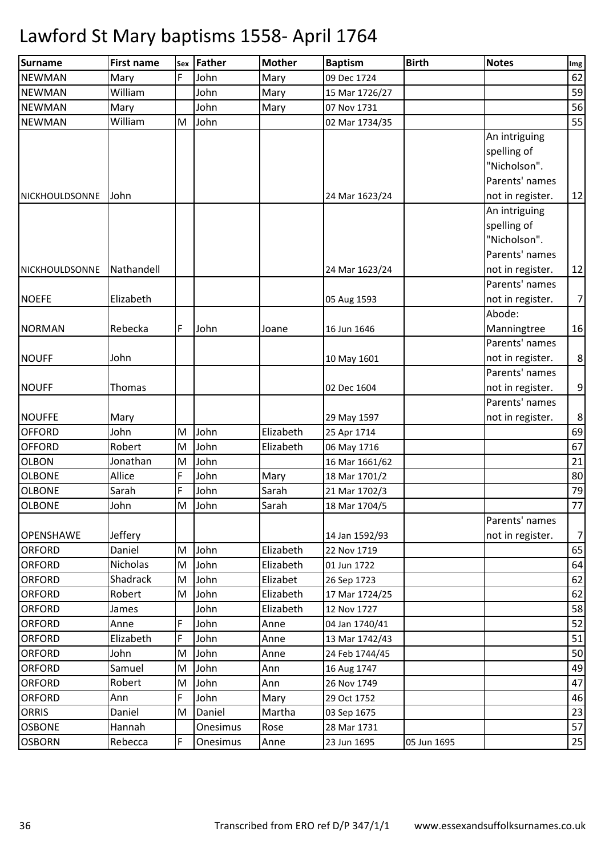| <b>Surname</b>   | <b>First name</b> | Sex | Father   | <b>Mother</b> | <b>Baptism</b> | <b>Birth</b> | <b>Notes</b>                                                                       | Img            |
|------------------|-------------------|-----|----------|---------------|----------------|--------------|------------------------------------------------------------------------------------|----------------|
| <b>NEWMAN</b>    | Mary              | F   | John     | Mary          | 09 Dec 1724    |              |                                                                                    | 62             |
| <b>NEWMAN</b>    | William           |     | John     | Mary          | 15 Mar 1726/27 |              |                                                                                    | 59             |
| <b>NEWMAN</b>    | Mary              |     | John     | Mary          | 07 Nov 1731    |              |                                                                                    | 56             |
| <b>NEWMAN</b>    | William           | M   | John     |               | 02 Mar 1734/35 |              |                                                                                    | 55             |
| NICKHOULDSONNE   | John              |     |          |               | 24 Mar 1623/24 |              | An intriguing<br>spelling of<br>"Nicholson".<br>Parents' names<br>not in register. | 12             |
| NICKHOULDSONNE   | Nathandell        |     |          |               | 24 Mar 1623/24 |              | An intriguing<br>spelling of<br>"Nicholson".<br>Parents' names<br>not in register. | 12             |
| <b>NOEFE</b>     | Elizabeth         |     |          |               | 05 Aug 1593    |              | Parents' names<br>not in register.                                                 | $\overline{7}$ |
| <b>NORMAN</b>    | Rebecka           | F   | John     | Joane         | 16 Jun 1646    |              | Abode:<br>Manningtree                                                              | 16             |
| <b>NOUFF</b>     | John              |     |          |               | 10 May 1601    |              | Parents' names<br>not in register.<br>Parents' names                               | $\bf 8$        |
| <b>NOUFF</b>     | Thomas            |     |          |               | 02 Dec 1604    |              | not in register.<br>Parents' names                                                 | $9\,$          |
| <b>NOUFFE</b>    | Mary              |     |          |               | 29 May 1597    |              | not in register.                                                                   | $\bf 8$        |
| <b>OFFORD</b>    | John              | M   | John     | Elizabeth     | 25 Apr 1714    |              |                                                                                    | 69             |
| <b>OFFORD</b>    | Robert            | M   | John     | Elizabeth     | 06 May 1716    |              |                                                                                    | 67             |
| <b>OLBON</b>     | Jonathan          | M   | John     |               | 16 Mar 1661/62 |              |                                                                                    | 21             |
| <b>OLBONE</b>    | Allice            | F   | John     | Mary          | 18 Mar 1701/2  |              |                                                                                    | 80             |
| <b>OLBONE</b>    | Sarah             | F   | John     | Sarah         | 21 Mar 1702/3  |              |                                                                                    | 79             |
| <b>OLBONE</b>    | John              | M   | John     | Sarah         | 18 Mar 1704/5  |              |                                                                                    | 77             |
| <b>OPENSHAWE</b> | Jeffery           |     |          |               | 14 Jan 1592/93 |              | Parents' names<br>not in register.                                                 | $\overline{7}$ |
| <b>ORFORD</b>    | Daniel            | M   | John     | Elizabeth     | 22 Nov 1719    |              |                                                                                    | 65             |
| <b>ORFORD</b>    | Nicholas          | M   | John     | Elizabeth     | 01 Jun 1722    |              |                                                                                    | 64             |
| <b>ORFORD</b>    | Shadrack          | M   | John     | Elizabet      | 26 Sep 1723    |              |                                                                                    | 62             |
| <b>ORFORD</b>    | Robert            | M   | John     | Elizabeth     | 17 Mar 1724/25 |              |                                                                                    | 62             |
| <b>ORFORD</b>    | James             |     | John     | Elizabeth     | 12 Nov 1727    |              |                                                                                    | 58             |
| <b>ORFORD</b>    | Anne              | F   | John     | Anne          | 04 Jan 1740/41 |              |                                                                                    | 52             |
| <b>ORFORD</b>    | Elizabeth         | F   | John     | Anne          | 13 Mar 1742/43 |              |                                                                                    | 51             |
| <b>ORFORD</b>    | John              | M   | John     | Anne          | 24 Feb 1744/45 |              |                                                                                    | 50             |
| <b>ORFORD</b>    | Samuel            | M   | John     | Ann           | 16 Aug 1747    |              |                                                                                    | 49             |
| <b>ORFORD</b>    | Robert            | M   | John     | Ann           | 26 Nov 1749    |              |                                                                                    | 47             |
| <b>ORFORD</b>    | Ann               | F   | John     | Mary          | 29 Oct 1752    |              |                                                                                    | 46             |
| <b>ORRIS</b>     | Daniel            | M   | Daniel   | Martha        | 03 Sep 1675    |              |                                                                                    | 23             |
| <b>OSBONE</b>    | Hannah            |     | Onesimus | Rose          | 28 Mar 1731    |              |                                                                                    | 57             |
| <b>OSBORN</b>    | Rebecca           | F   | Onesimus | Anne          | 23 Jun 1695    | 05 Jun 1695  |                                                                                    | 25             |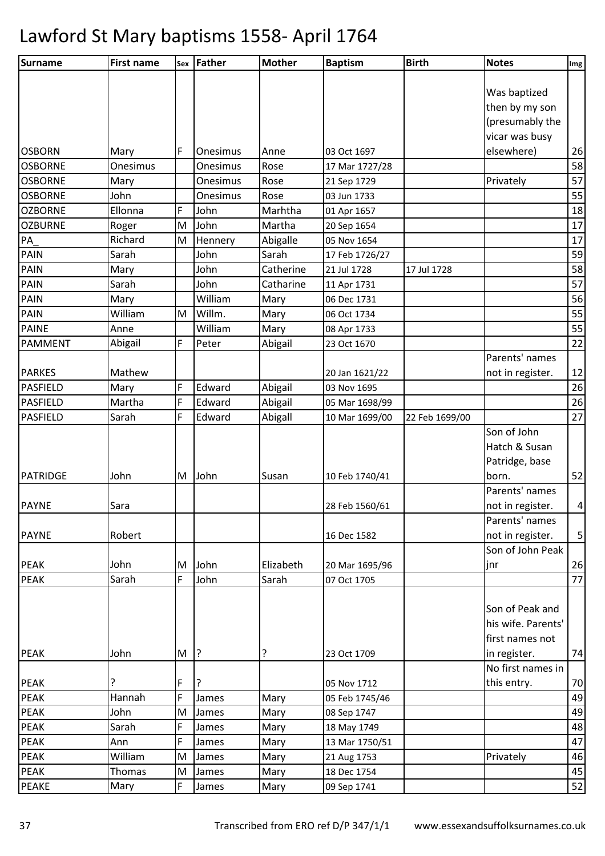| Surname         | <b>First name</b> | Sex | Father   | <b>Mother</b> | <b>Baptism</b> | <b>Birth</b>   | <b>Notes</b>       | Img            |
|-----------------|-------------------|-----|----------|---------------|----------------|----------------|--------------------|----------------|
|                 |                   |     |          |               |                |                |                    |                |
|                 |                   |     |          |               |                |                | Was baptized       |                |
|                 |                   |     |          |               |                |                | then by my son     |                |
|                 |                   |     |          |               |                |                | (presumably the    |                |
|                 |                   |     |          |               |                |                | vicar was busy     |                |
| <b>OSBORN</b>   | Mary              | F   | Onesimus | Anne          | 03 Oct 1697    |                | elsewhere)         | 26             |
| <b>OSBORNE</b>  | Onesimus          |     | Onesimus | Rose          | 17 Mar 1727/28 |                |                    | 58             |
| <b>OSBORNE</b>  | Mary              |     | Onesimus | Rose          | 21 Sep 1729    |                | Privately          | 57             |
| <b>OSBORNE</b>  | John              |     | Onesimus | Rose          | 03 Jun 1733    |                |                    | 55             |
| <b>OZBORNE</b>  | Ellonna           | F   | John     | Marhtha       | 01 Apr 1657    |                |                    | 18             |
| <b>OZBURNE</b>  | Roger             | M   | John     | Martha        | 20 Sep 1654    |                |                    | 17             |
| PA              | Richard           | M   | Hennery  | Abigalle      | 05 Nov 1654    |                |                    | 17             |
| PAIN            | Sarah             |     | John     | Sarah         | 17 Feb 1726/27 |                |                    | 59             |
| <b>PAIN</b>     | Mary              |     | John     | Catherine     | 21 Jul 1728    | 17 Jul 1728    |                    | 58             |
| <b>PAIN</b>     | Sarah             |     | John     | Catharine     | 11 Apr 1731    |                |                    | 57             |
| <b>PAIN</b>     | Mary              |     | William  | Mary          | 06 Dec 1731    |                |                    | 56             |
| PAIN            | William           | M   | Willm.   | Mary          | 06 Oct 1734    |                |                    | 55             |
| <b>PAINE</b>    | Anne              |     | William  | Mary          | 08 Apr 1733    |                |                    | 55             |
| <b>PAMMENT</b>  | Abigail           | F   | Peter    | Abigail       | 23 Oct 1670    |                |                    | 22             |
|                 |                   |     |          |               |                |                | Parents' names     |                |
| <b>PARKES</b>   | Mathew            |     |          |               | 20 Jan 1621/22 |                | not in register.   | 12             |
| <b>PASFIELD</b> | Mary              | F   | Edward   | Abigail       | 03 Nov 1695    |                |                    | 26             |
| <b>PASFIELD</b> | Martha            | F   | Edward   | Abigail       | 05 Mar 1698/99 |                |                    | 26             |
| PASFIELD        | Sarah             | F   | Edward   | Abigall       | 10 Mar 1699/00 | 22 Feb 1699/00 |                    | 27             |
|                 |                   |     |          |               |                |                | Son of John        |                |
|                 |                   |     |          |               |                |                | Hatch & Susan      |                |
|                 |                   |     |          |               |                |                | Patridge, base     |                |
| PATRIDGE        | John              | M   | John     | Susan         | 10 Feb 1740/41 |                | born.              | 52             |
|                 |                   |     |          |               |                |                | Parents' names     |                |
| <b>PAYNE</b>    | Sara              |     |          |               | 28 Feb 1560/61 |                | not in register.   | $\overline{4}$ |
|                 |                   |     |          |               |                |                | Parents' names     |                |
| <b>PAYNE</b>    | Robert            |     |          |               | 16 Dec 1582    |                | not in register.   | 5 <sup>1</sup> |
|                 |                   |     |          |               |                |                | Son of John Peak   |                |
| <b>PEAK</b>     | John              | M   | John     | Elizabeth     | 20 Mar 1695/96 |                | jnr                | 26             |
| <b>PEAK</b>     | Sarah             | F   | John     | Sarah         | 07 Oct 1705    |                |                    | 77             |
|                 |                   |     |          |               |                |                |                    |                |
|                 |                   |     |          |               |                |                | Son of Peak and    |                |
|                 |                   |     |          |               |                |                | his wife. Parents' |                |
|                 |                   |     |          |               |                |                | first names not    |                |
| <b>PEAK</b>     | John              | M   | ?        | ?             | 23 Oct 1709    |                | in register.       | 74             |
|                 |                   |     |          |               |                |                | No first names in  |                |
| <b>PEAK</b>     | ?                 | F   | ?        |               | 05 Nov 1712    |                | this entry.        | 70             |
| PEAK            | Hannah            | F   | James    | Mary          | 05 Feb 1745/46 |                |                    | 49             |
| PEAK            | John              | M   | James    | Mary          | 08 Sep 1747    |                |                    | 49             |
| <b>PEAK</b>     | Sarah             | F   | James    | Mary          | 18 May 1749    |                |                    | 48             |
| PEAK            | Ann               | F   | James    | Mary          | 13 Mar 1750/51 |                |                    | 47             |
| <b>PEAK</b>     | William           | M   | James    | Mary          | 21 Aug 1753    |                | Privately          | 46             |
| <b>PEAK</b>     | Thomas            | M   | James    | Mary          | 18 Dec 1754    |                |                    | 45             |
| <b>PEAKE</b>    | Mary              | F   | James    | Mary          | 09 Sep 1741    |                |                    | 52             |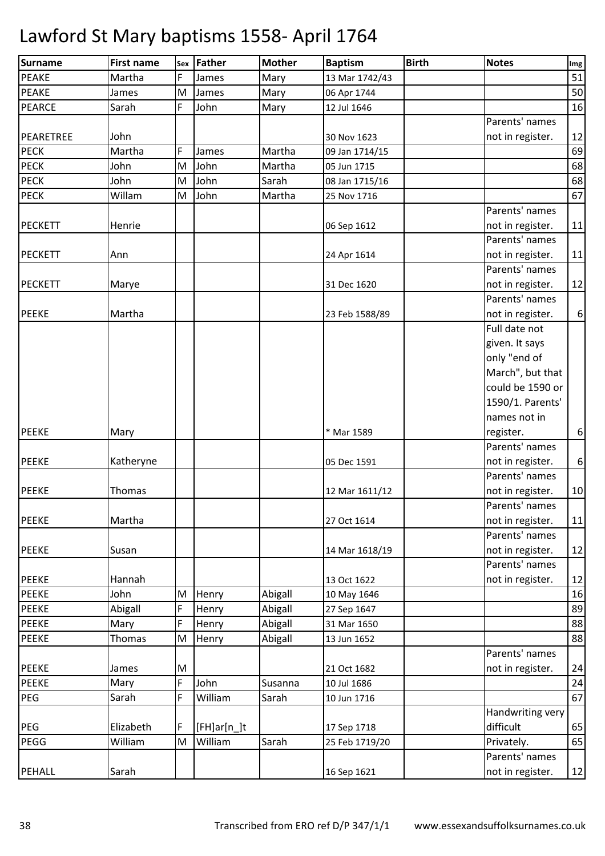| <b>Surname</b> | <b>First name</b> | Sex | Father        | <b>Mother</b> | <b>Baptism</b> | <b>Birth</b> | <b>Notes</b>     | Img              |
|----------------|-------------------|-----|---------------|---------------|----------------|--------------|------------------|------------------|
| <b>PEAKE</b>   | Martha            | F   | James         | Mary          | 13 Mar 1742/43 |              |                  | 51               |
| <b>PEAKE</b>   | James             | M   | James         | Mary          | 06 Apr 1744    |              |                  | 50               |
| PEARCE         | Sarah             | F   | John          | Mary          | 12 Jul 1646    |              |                  | 16               |
|                |                   |     |               |               |                |              | Parents' names   |                  |
| PEARETREE      | John              |     |               |               | 30 Nov 1623    |              | not in register. | 12               |
| <b>PECK</b>    | Martha            | F   | James         | Martha        | 09 Jan 1714/15 |              |                  | 69               |
| <b>PECK</b>    | John              | M   | John          | Martha        | 05 Jun 1715    |              |                  | 68               |
| <b>PECK</b>    | John              | M   | John          | Sarah         | 08 Jan 1715/16 |              |                  | 68               |
| <b>PECK</b>    | Willam            | M   | John          | Martha        | 25 Nov 1716    |              |                  | 67               |
|                |                   |     |               |               |                |              | Parents' names   |                  |
| <b>PECKETT</b> | Henrie            |     |               |               | 06 Sep 1612    |              | not in register. | 11               |
|                |                   |     |               |               |                |              | Parents' names   |                  |
| PECKETT        | Ann               |     |               |               | 24 Apr 1614    |              | not in register. | 11               |
|                |                   |     |               |               |                |              | Parents' names   |                  |
| <b>PECKETT</b> | Marye             |     |               |               | 31 Dec 1620    |              | not in register. | 12               |
|                |                   |     |               |               |                |              | Parents' names   |                  |
| <b>PEEKE</b>   | Martha            |     |               |               | 23 Feb 1588/89 |              | not in register. | 6                |
|                |                   |     |               |               |                |              | Full date not    |                  |
|                |                   |     |               |               |                |              | given. It says   |                  |
|                |                   |     |               |               |                |              | only "end of     |                  |
|                |                   |     |               |               |                |              | March", but that |                  |
|                |                   |     |               |               |                |              | could be 1590 or |                  |
|                |                   |     |               |               |                |              | 1590/1. Parents' |                  |
|                |                   |     |               |               |                |              | names not in     |                  |
| <b>PEEKE</b>   | Mary              |     |               |               | * Mar 1589     |              | register.        | $\boldsymbol{6}$ |
|                |                   |     |               |               |                |              | Parents' names   |                  |
| <b>PEEKE</b>   | Katheryne         |     |               |               | 05 Dec 1591    |              | not in register. | 6                |
|                |                   |     |               |               |                |              | Parents' names   |                  |
| <b>PEEKE</b>   | Thomas            |     |               |               | 12 Mar 1611/12 |              | not in register. | 10               |
|                |                   |     |               |               |                |              | Parents' names   |                  |
| <b>PEEKE</b>   | Martha            |     |               |               | 27 Oct 1614    |              | not in register. | 11               |
|                |                   |     |               |               |                |              | Parents' names   |                  |
| <b>PEEKE</b>   | Susan             |     |               |               | 14 Mar 1618/19 |              | not in register. | 12               |
|                |                   |     |               |               |                |              | Parents' names   |                  |
| <b>PEEKE</b>   | Hannah            |     |               |               | 13 Oct 1622    |              | not in register. | 12               |
| <b>PEEKE</b>   | John              | M   | Henry         | Abigall       | 10 May 1646    |              |                  | 16               |
| <b>PEEKE</b>   | Abigall           | F   | Henry         | Abigall       | 27 Sep 1647    |              |                  | 89               |
| <b>PEEKE</b>   | Mary              | F   | Henry         | Abigall       | 31 Mar 1650    |              |                  | 88               |
| <b>PEEKE</b>   | <b>Thomas</b>     | M   | Henry         | Abigall       | 13 Jun 1652    |              |                  | 88               |
|                |                   |     |               |               |                |              | Parents' names   |                  |
| <b>PEEKE</b>   | James             | M   |               |               | 21 Oct 1682    |              | not in register. | 24               |
| <b>PEEKE</b>   | Mary              | F   | John          | Susanna       | 10 Jul 1686    |              |                  | 24               |
| PEG            | Sarah             | F   | William       | Sarah         | 10 Jun 1716    |              |                  | 67               |
|                |                   |     |               |               |                |              | Handwriting very |                  |
| <b>PEG</b>     | Elizabeth         | F   | $[FH]ar[n_]t$ |               | 17 Sep 1718    |              | difficult        | 65               |
| PEGG           | William           | M   | William       | Sarah         | 25 Feb 1719/20 |              | Privately.       | 65               |
|                |                   |     |               |               |                |              | Parents' names   |                  |
| PEHALL         | Sarah             |     |               |               | 16 Sep 1621    |              | not in register. | 12               |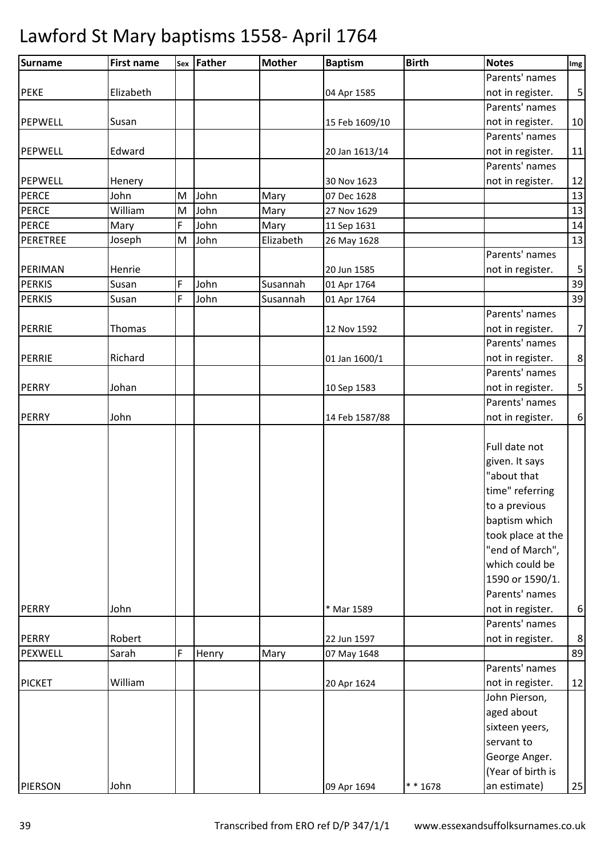| Surname        | <b>First name</b> |   | sex Father | <b>Mother</b> | <b>Baptism</b> | <b>Birth</b> | <b>Notes</b>                                                                                                                                                                                       | Img                     |
|----------------|-------------------|---|------------|---------------|----------------|--------------|----------------------------------------------------------------------------------------------------------------------------------------------------------------------------------------------------|-------------------------|
|                |                   |   |            |               |                |              | Parents' names                                                                                                                                                                                     |                         |
| <b>PEKE</b>    | Elizabeth         |   |            |               | 04 Apr 1585    |              | not in register.                                                                                                                                                                                   | $\overline{\mathbf{5}}$ |
|                |                   |   |            |               |                |              | Parents' names                                                                                                                                                                                     |                         |
| <b>PEPWELL</b> | Susan             |   |            |               | 15 Feb 1609/10 |              | not in register.                                                                                                                                                                                   | 10                      |
|                |                   |   |            |               |                |              | Parents' names                                                                                                                                                                                     |                         |
| <b>PEPWELL</b> | Edward            |   |            |               | 20 Jan 1613/14 |              | not in register.                                                                                                                                                                                   | 11                      |
|                |                   |   |            |               |                |              | Parents' names                                                                                                                                                                                     |                         |
| <b>PEPWELL</b> | Henery            |   |            |               | 30 Nov 1623    |              | not in register.                                                                                                                                                                                   | 12                      |
| <b>PERCE</b>   | John              | M | John       | Mary          | 07 Dec 1628    |              |                                                                                                                                                                                                    | 13                      |
| <b>PERCE</b>   | William           | M | John       | Mary          | 27 Nov 1629    |              |                                                                                                                                                                                                    | 13                      |
| <b>PERCE</b>   | Mary              | F | John       | Mary          | 11 Sep 1631    |              |                                                                                                                                                                                                    | 14                      |
| PERETREE       | Joseph            | M | John       | Elizabeth     | 26 May 1628    |              |                                                                                                                                                                                                    | 13                      |
|                |                   |   |            |               |                |              | Parents' names                                                                                                                                                                                     |                         |
| PERIMAN        | Henrie            |   |            |               | 20 Jun 1585    |              | not in register.                                                                                                                                                                                   | $\overline{\mathbf{5}}$ |
| <b>PERKIS</b>  | Susan             | F | John       | Susannah      | 01 Apr 1764    |              |                                                                                                                                                                                                    | 39                      |
| <b>PERKIS</b>  | Susan             | F | John       | Susannah      | 01 Apr 1764    |              |                                                                                                                                                                                                    | 39                      |
|                |                   |   |            |               |                |              | Parents' names                                                                                                                                                                                     |                         |
| PERRIE         | Thomas            |   |            |               | 12 Nov 1592    |              | not in register.                                                                                                                                                                                   | $\overline{7}$          |
|                |                   |   |            |               |                |              | Parents' names                                                                                                                                                                                     |                         |
| PERRIE         | Richard           |   |            |               | 01 Jan 1600/1  |              | not in register.                                                                                                                                                                                   | $\,8\,$                 |
|                |                   |   |            |               |                |              | Parents' names                                                                                                                                                                                     |                         |
| <b>PERRY</b>   | Johan             |   |            |               | 10 Sep 1583    |              | not in register.                                                                                                                                                                                   | $\mathsf S$             |
|                |                   |   |            |               |                |              | Parents' names                                                                                                                                                                                     |                         |
| <b>PERRY</b>   | John              |   |            |               | 14 Feb 1587/88 |              | not in register.                                                                                                                                                                                   | $\boldsymbol{6}$        |
|                |                   |   |            |               |                |              | Full date not<br>given. It says<br>"about that<br>time" referring<br>to a previous<br>baptism which<br>took place at the<br>"end of March",<br>which could be<br>1590 or 1590/1.<br>Parents' names |                         |
| <b>PERRY</b>   | John              |   |            |               | * Mar 1589     |              | not in register.                                                                                                                                                                                   | $\boldsymbol{6}$        |
| <b>PERRY</b>   | Robert            |   |            |               |                |              | Parents' names                                                                                                                                                                                     | $\,8\,$                 |
|                | Sarah             | F |            |               | 22 Jun 1597    |              | not in register.                                                                                                                                                                                   | 89                      |
| PEXWELL        |                   |   | Henry      | Mary          | 07 May 1648    |              | Parents' names                                                                                                                                                                                     |                         |
| <b>PICKET</b>  | William           |   |            |               | 20 Apr 1624    |              | not in register.                                                                                                                                                                                   | 12                      |
|                |                   |   |            |               |                |              | John Pierson,                                                                                                                                                                                      |                         |
|                |                   |   |            |               |                |              | aged about                                                                                                                                                                                         |                         |
|                |                   |   |            |               |                |              | sixteen yeers,                                                                                                                                                                                     |                         |
|                |                   |   |            |               |                |              |                                                                                                                                                                                                    |                         |
|                |                   |   |            |               |                |              | servant to                                                                                                                                                                                         |                         |
|                |                   |   |            |               |                |              | George Anger.                                                                                                                                                                                      |                         |
|                |                   |   |            |               |                |              | (Year of birth is                                                                                                                                                                                  |                         |
| <b>PIERSON</b> | John              |   |            |               | 09 Apr 1694    | $* * 1678$   | an estimate)                                                                                                                                                                                       | 25                      |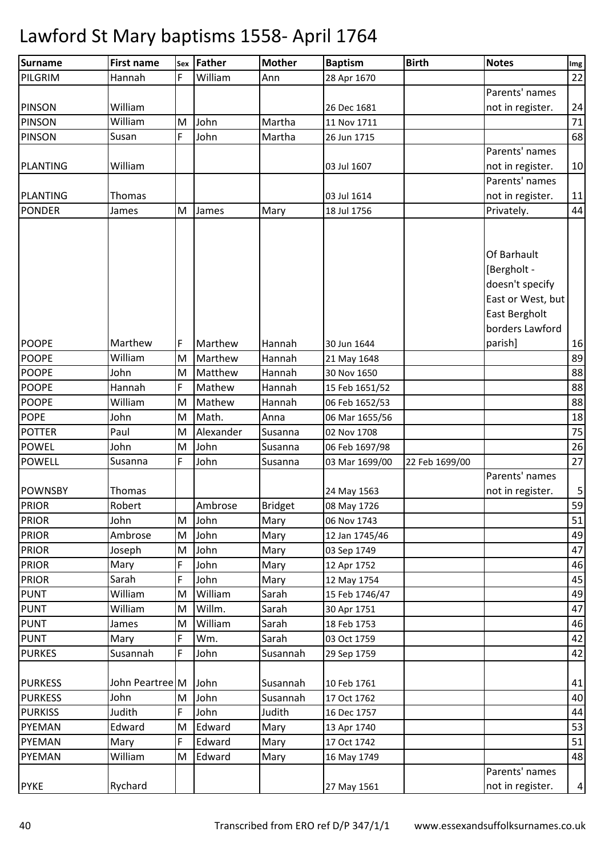| Surname         | <b>First name</b> | Sex | Father    | <b>Mother</b>  | <b>Baptism</b> | <b>Birth</b>   | <b>Notes</b>      | Img            |
|-----------------|-------------------|-----|-----------|----------------|----------------|----------------|-------------------|----------------|
| PILGRIM         | Hannah            | F   | William   | Ann            | 28 Apr 1670    |                |                   | 22             |
|                 |                   |     |           |                |                |                | Parents' names    |                |
| <b>PINSON</b>   | William           |     |           |                | 26 Dec 1681    |                | not in register.  | 24             |
| <b>PINSON</b>   | William           | M   | John      | Martha         | 11 Nov 1711    |                |                   | 71             |
| <b>PINSON</b>   | Susan             | F   | John      | Martha         | 26 Jun 1715    |                |                   | 68             |
|                 |                   |     |           |                |                |                | Parents' names    |                |
| <b>PLANTING</b> | William           |     |           |                | 03 Jul 1607    |                | not in register.  | 10             |
|                 |                   |     |           |                |                |                | Parents' names    |                |
| <b>PLANTING</b> | Thomas            |     |           |                | 03 Jul 1614    |                | not in register.  | 11             |
| <b>PONDER</b>   | James             | M   | James     | Mary           | 18 Jul 1756    |                | Privately.        | 44             |
|                 |                   |     |           |                |                |                |                   |                |
|                 |                   |     |           |                |                |                |                   |                |
|                 |                   |     |           |                |                |                | Of Barhault       |                |
|                 |                   |     |           |                |                |                | [Bergholt -       |                |
|                 |                   |     |           |                |                |                | doesn't specify   |                |
|                 |                   |     |           |                |                |                | East or West, but |                |
|                 |                   |     |           |                |                |                | East Bergholt     |                |
|                 |                   |     |           |                |                |                | borders Lawford   |                |
| <b>POOPE</b>    | Marthew           | F   | Marthew   | Hannah         | 30 Jun 1644    |                | parish]           | 16             |
| <b>POOPE</b>    | William           | M   | Marthew   | Hannah         | 21 May 1648    |                |                   | 89             |
| <b>POOPE</b>    | John              | M   | Matthew   | Hannah         | 30 Nov 1650    |                |                   | 88             |
| <b>POOPE</b>    | Hannah            | F   | Mathew    | Hannah         | 15 Feb 1651/52 |                |                   | 88             |
| <b>POOPE</b>    | William           | M   | Mathew    | Hannah         | 06 Feb 1652/53 |                |                   | 88             |
| <b>POPE</b>     | John              | M   | Math.     | Anna           | 06 Mar 1655/56 |                |                   | 18             |
| <b>POTTER</b>   | Paul              | M   | Alexander | Susanna        | 02 Nov 1708    |                |                   | 75             |
| <b>POWEL</b>    | John              | M   | John      | Susanna        | 06 Feb 1697/98 |                |                   | 26             |
| <b>POWELL</b>   | Susanna           | F   | John      | Susanna        | 03 Mar 1699/00 | 22 Feb 1699/00 |                   | 27             |
|                 |                   |     |           |                |                |                | Parents' names    |                |
| <b>POWNSBY</b>  | Thomas            |     |           |                | 24 May 1563    |                | not in register.  | 5              |
| <b>PRIOR</b>    | Robert            |     | Ambrose   | <b>Bridget</b> | 08 May 1726    |                |                   | 59             |
| <b>PRIOR</b>    | John              | M   | John      | Mary           | 06 Nov 1743    |                |                   | 51             |
| <b>PRIOR</b>    | Ambrose           | M   | John      | Mary           | 12 Jan 1745/46 |                |                   | 49             |
| <b>PRIOR</b>    | Joseph            | M   | John      | Mary           | 03 Sep 1749    |                |                   | 47             |
| <b>PRIOR</b>    | Mary              | F   | John      | Mary           | 12 Apr 1752    |                |                   | 46             |
| <b>PRIOR</b>    | Sarah             | F   | John      | Mary           | 12 May 1754    |                |                   | 45             |
| <b>PUNT</b>     | William           | M   | William   | Sarah          | 15 Feb 1746/47 |                |                   | 49             |
| <b>PUNT</b>     | William           | M   | Willm.    | Sarah          | 30 Apr 1751    |                |                   | 47             |
| <b>PUNT</b>     | James             | M   | William   | Sarah          | 18 Feb 1753    |                |                   | 46             |
| <b>PUNT</b>     | Mary              | F   | Wm.       | Sarah          | 03 Oct 1759    |                |                   | 42             |
| <b>PURKES</b>   | Susannah          | F   | John      | Susannah       | 29 Sep 1759    |                |                   | 42             |
|                 |                   |     |           |                |                |                |                   |                |
| <b>PURKESS</b>  | John Peartree M   |     | John      | Susannah       | 10 Feb 1761    |                |                   | 41             |
| <b>PURKESS</b>  | John              | M   | John      | Susannah       | 17 Oct 1762    |                |                   | 40             |
| <b>PURKISS</b>  | Judith            | F   | John      | Judith         | 16 Dec 1757    |                |                   | 44             |
| PYEMAN          | Edward            | M   | Edward    | Mary           | 13 Apr 1740    |                |                   | 53             |
| PYEMAN          | Mary              | F   | Edward    | Mary           | 17 Oct 1742    |                |                   | 51             |
| <b>PYEMAN</b>   | William           | M   | Edward    | Mary           | 16 May 1749    |                |                   | 48             |
|                 |                   |     |           |                |                |                | Parents' names    |                |
| <b>PYKE</b>     | Rychard           |     |           |                | 27 May 1561    |                | not in register.  | $\overline{a}$ |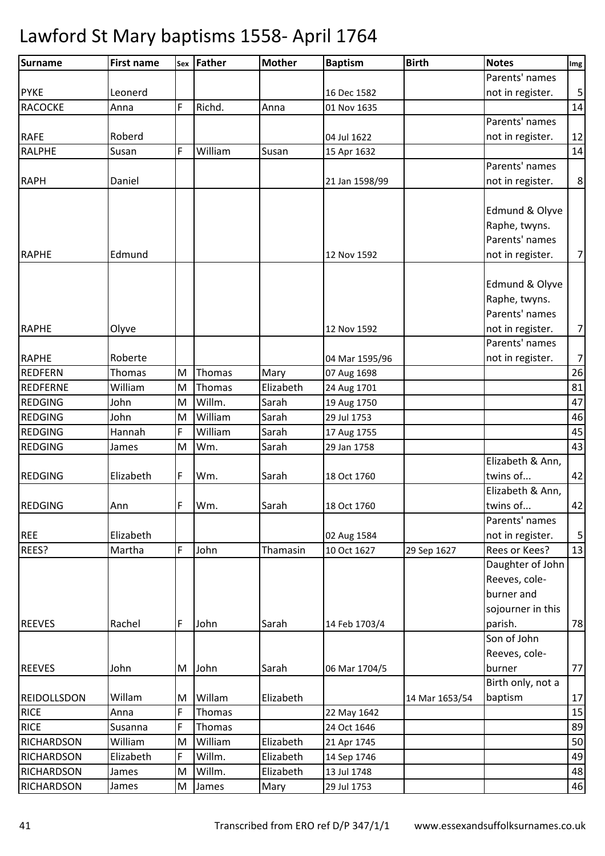| <b>Surname</b>     | <b>First name</b> |   | Sex Father | <b>Mother</b> | <b>Baptism</b> | <b>Birth</b>   | <b>Notes</b>      | Img            |
|--------------------|-------------------|---|------------|---------------|----------------|----------------|-------------------|----------------|
|                    |                   |   |            |               |                |                | Parents' names    |                |
| <b>PYKE</b>        | Leonerd           |   |            |               | 16 Dec 1582    |                | not in register.  | 5              |
| <b>RACOCKE</b>     | Anna              | F | Richd.     | Anna          | 01 Nov 1635    |                |                   | 14             |
|                    |                   |   |            |               |                |                | Parents' names    |                |
| <b>RAFE</b>        | Roberd            |   |            |               | 04 Jul 1622    |                | not in register.  | 12             |
| <b>RALPHE</b>      | Susan             | F | William    | Susan         | 15 Apr 1632    |                |                   | 14             |
|                    |                   |   |            |               |                |                | Parents' names    |                |
| <b>RAPH</b>        | Daniel            |   |            |               | 21 Jan 1598/99 |                | not in register.  | 8              |
|                    |                   |   |            |               |                |                |                   |                |
|                    |                   |   |            |               |                |                | Edmund & Olyve    |                |
|                    |                   |   |            |               |                |                | Raphe, twyns.     |                |
|                    |                   |   |            |               |                |                | Parents' names    |                |
| <b>RAPHE</b>       | Edmund            |   |            |               | 12 Nov 1592    |                | not in register.  | $\overline{7}$ |
|                    |                   |   |            |               |                |                |                   |                |
|                    |                   |   |            |               |                |                | Edmund & Olyve    |                |
|                    |                   |   |            |               |                |                | Raphe, twyns.     |                |
|                    |                   |   |            |               |                |                | Parents' names    |                |
| <b>RAPHE</b>       | Olyve             |   |            |               | 12 Nov 1592    |                | not in register.  | $\overline{7}$ |
|                    |                   |   |            |               |                |                | Parents' names    |                |
| <b>RAPHE</b>       | Roberte           |   |            |               | 04 Mar 1595/96 |                | not in register.  | $\overline{7}$ |
| <b>REDFERN</b>     | Thomas            | M | Thomas     | Mary          | 07 Aug 1698    |                |                   | 26             |
| <b>REDFERNE</b>    | William           | M | Thomas     | Elizabeth     | 24 Aug 1701    |                |                   | 81             |
| <b>REDGING</b>     | John              | M | Willm.     | Sarah         | 19 Aug 1750    |                |                   | 47             |
| <b>REDGING</b>     | John              | M | William    | Sarah         | 29 Jul 1753    |                |                   | 46             |
| <b>REDGING</b>     | Hannah            | F | William    | Sarah         | 17 Aug 1755    |                |                   | 45             |
| <b>REDGING</b>     | James             | M | Wm.        | Sarah         | 29 Jan 1758    |                |                   | 43             |
|                    |                   |   |            |               |                |                | Elizabeth & Ann,  |                |
| <b>REDGING</b>     | Elizabeth         | F | Wm.        | Sarah         | 18 Oct 1760    |                | twins of          | 42             |
|                    |                   |   |            |               |                |                | Elizabeth & Ann,  |                |
| <b>REDGING</b>     | Ann               | F | Wm.        | Sarah         | 18 Oct 1760    |                | twins of          | 42             |
|                    |                   |   |            |               |                |                | Parents' names    |                |
| <b>REE</b>         | Elizabeth         |   |            |               | 02 Aug 1584    |                | not in register.  | 5              |
| REES?              | Martha            | F | John       | Thamasin      | 10 Oct 1627    | 29 Sep 1627    | Rees or Kees?     | 13             |
|                    |                   |   |            |               |                |                | Daughter of John  |                |
|                    |                   |   |            |               |                |                | Reeves, cole-     |                |
|                    |                   |   |            |               |                |                | burner and        |                |
|                    |                   |   |            |               |                |                | sojourner in this |                |
| <b>REEVES</b>      | Rachel            | F | John       | Sarah         | 14 Feb 1703/4  |                | parish.           | 78             |
|                    |                   |   |            |               |                |                | Son of John       |                |
|                    |                   |   |            |               |                |                | Reeves, cole-     |                |
| <b>REEVES</b>      | John              | M | John       | Sarah         | 06 Mar 1704/5  |                | burner            | 77             |
|                    |                   |   |            |               |                |                | Birth only, not a |                |
| <b>REIDOLLSDON</b> | Willam            | М | Willam     | Elizabeth     |                | 14 Mar 1653/54 | baptism           | 17             |
| <b>RICE</b>        | Anna              | F | Thomas     |               | 22 May 1642    |                |                   | 15             |
| <b>RICE</b>        | Susanna           | F | Thomas     |               | 24 Oct 1646    |                |                   | 89             |
| RICHARDSON         | William           | M | William    | Elizabeth     | 21 Apr 1745    |                |                   | 50             |
| <b>RICHARDSON</b>  | Elizabeth         | F | Willm.     | Elizabeth     | 14 Sep 1746    |                |                   | 49             |
| <b>RICHARDSON</b>  | James             | M | Willm.     | Elizabeth     | 13 Jul 1748    |                |                   | 48             |
| <b>RICHARDSON</b>  | James             | M | James      | Mary          | 29 Jul 1753    |                |                   | 46             |
|                    |                   |   |            |               |                |                |                   |                |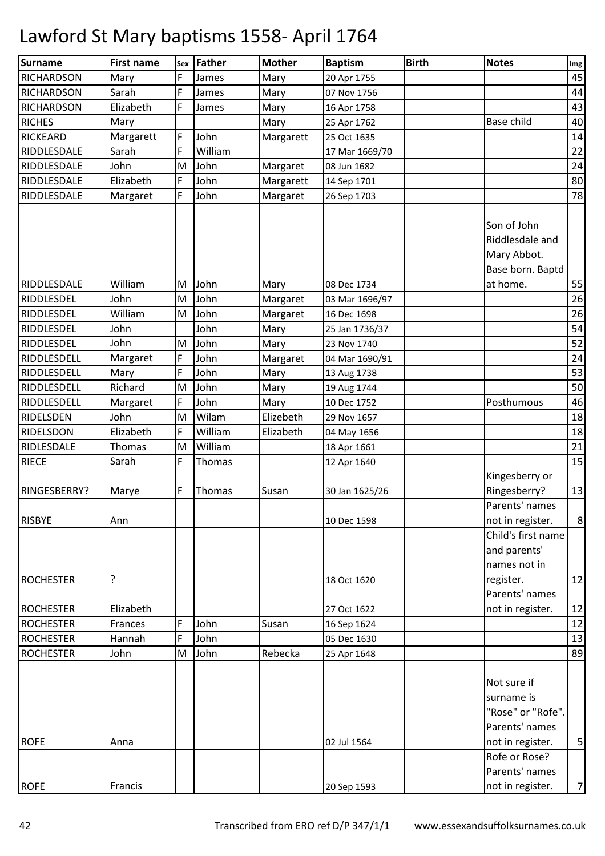| <b>Surname</b>    | <b>First name</b> | Sex | Father  | <b>Mother</b> | <b>Baptism</b> | <b>Birth</b> | <b>Notes</b>                                                      | Img            |
|-------------------|-------------------|-----|---------|---------------|----------------|--------------|-------------------------------------------------------------------|----------------|
| <b>RICHARDSON</b> | Mary              | F   | James   | Mary          | 20 Apr 1755    |              |                                                                   | 45             |
| <b>RICHARDSON</b> | Sarah             | F   | James   | Mary          | 07 Nov 1756    |              |                                                                   | 44             |
| <b>RICHARDSON</b> | Elizabeth         | F   | James   | Mary          | 16 Apr 1758    |              |                                                                   | 43             |
| <b>RICHES</b>     | Mary              |     |         | Mary          | 25 Apr 1762    |              | <b>Base child</b>                                                 | 40             |
| <b>RICKEARD</b>   | Margarett         | F   | John    | Margarett     | 25 Oct 1635    |              |                                                                   | 14             |
| RIDDLESDALE       | Sarah             | F   | William |               | 17 Mar 1669/70 |              |                                                                   | 22             |
| RIDDLESDALE       | John              | M   | John    | Margaret      | 08 Jun 1682    |              |                                                                   | 24             |
| RIDDLESDALE       | Elizabeth         | F   | John    | Margarett     | 14 Sep 1701    |              |                                                                   | 80             |
| RIDDLESDALE       | Margaret          | F   | John    | Margaret      | 26 Sep 1703    |              |                                                                   | 78             |
|                   |                   |     |         |               |                |              | Son of John<br>Riddlesdale and<br>Mary Abbot.<br>Base born. Baptd |                |
| RIDDLESDALE       | William           | M   | John    | Mary          | 08 Dec 1734    |              | at home.                                                          | 55             |
| <b>RIDDLESDEL</b> | John              | M   | John    | Margaret      | 03 Mar 1696/97 |              |                                                                   | 26             |
| RIDDLESDEL        | William           | M   | John    | Margaret      | 16 Dec 1698    |              |                                                                   | 26             |
| RIDDLESDEL        | John              |     | John    | Mary          | 25 Jan 1736/37 |              |                                                                   | 54             |
| RIDDLESDEL        | John              | M   | John    | Mary          | 23 Nov 1740    |              |                                                                   | 52             |
| RIDDLESDELL       | Margaret          | F   | John    | Margaret      | 04 Mar 1690/91 |              |                                                                   | 24             |
| RIDDLESDELL       | Mary              | F   | John    | Mary          | 13 Aug 1738    |              |                                                                   | 53             |
| RIDDLESDELL       | Richard           | M   | John    | Mary          | 19 Aug 1744    |              |                                                                   | 50             |
| RIDDLESDELL       | Margaret          | F   | John    | Mary          | 10 Dec 1752    |              | Posthumous                                                        | 46             |
| RIDELSDEN         | John              | M   | Wilam   | Elizebeth     | 29 Nov 1657    |              |                                                                   | 18             |
| RIDELSDON         | Elizabeth         | F   | William | Elizabeth     | 04 May 1656    |              |                                                                   | 18             |
| RIDLESDALE        | <b>Thomas</b>     | M   | William |               | 18 Apr 1661    |              |                                                                   | 21             |
| <b>RIECE</b>      | Sarah             | F   | Thomas  |               | 12 Apr 1640    |              |                                                                   | 15             |
|                   |                   |     |         |               |                |              | Kingesberry or                                                    |                |
| RINGESBERRY?      | Marye             | F   | Thomas  | Susan         | 30 Jan 1625/26 |              | Ringesberry?                                                      | 13             |
|                   |                   |     |         |               |                |              | Parents' names                                                    |                |
| <b>RISBYE</b>     | Ann               |     |         |               | 10 Dec 1598    |              | not in register.                                                  | $\,8\,$        |
|                   |                   |     |         |               |                |              | Child's first name                                                |                |
|                   |                   |     |         |               |                |              | and parents'                                                      |                |
|                   |                   |     |         |               |                |              | names not in                                                      |                |
| <b>ROCHESTER</b>  | ?                 |     |         |               | 18 Oct 1620    |              | register.                                                         | 12             |
|                   |                   |     |         |               |                |              | Parents' names                                                    |                |
| <b>ROCHESTER</b>  | Elizabeth         |     |         |               | 27 Oct 1622    |              | not in register.                                                  | 12             |
| <b>ROCHESTER</b>  | Frances           | F   | John    | Susan         | 16 Sep 1624    |              |                                                                   | 12             |
| <b>ROCHESTER</b>  | Hannah            | F   | John    |               | 05 Dec 1630    |              |                                                                   | 13             |
| <b>ROCHESTER</b>  | John              | M   | John    | Rebecka       | 25 Apr 1648    |              |                                                                   | 89             |
|                   |                   |     |         |               |                |              | Not sure if<br>surname is<br>"Rose" or "Rofe".<br>Parents' names  |                |
| <b>ROFE</b>       | Anna              |     |         |               | 02 Jul 1564    |              | not in register.                                                  | $\mathbf{5}$   |
|                   |                   |     |         |               |                |              | Rofe or Rose?                                                     |                |
|                   |                   |     |         |               |                |              | Parents' names                                                    |                |
| <b>ROFE</b>       | Francis           |     |         |               | 20 Sep 1593    |              | not in register.                                                  | $\overline{7}$ |
|                   |                   |     |         |               |                |              |                                                                   |                |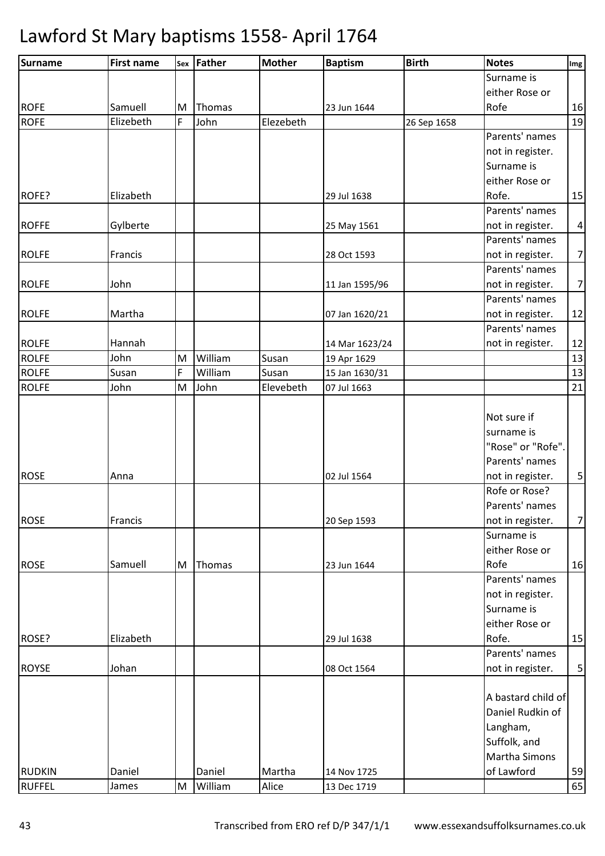| <b>Surname</b> | <b>First name</b> |   | Sex Father | <b>Mother</b> | <b>Baptism</b> | <b>Birth</b> | <b>Notes</b>       | Img                     |
|----------------|-------------------|---|------------|---------------|----------------|--------------|--------------------|-------------------------|
|                |                   |   |            |               |                |              | Surname is         |                         |
|                |                   |   |            |               |                |              | either Rose or     |                         |
| <b>ROFE</b>    | Samuell           | M | Thomas     |               | 23 Jun 1644    |              | Rofe               | 16                      |
| <b>ROFE</b>    | Elizebeth         | F | John       | Elezebeth     |                | 26 Sep 1658  |                    | 19                      |
|                |                   |   |            |               |                |              | Parents' names     |                         |
|                |                   |   |            |               |                |              | not in register.   |                         |
|                |                   |   |            |               |                |              | Surname is         |                         |
|                |                   |   |            |               |                |              | either Rose or     |                         |
| ROFE?          | Elizabeth         |   |            |               | 29 Jul 1638    |              | Rofe.              | 15                      |
|                |                   |   |            |               |                |              | Parents' names     |                         |
| <b>ROFFE</b>   | Gylberte          |   |            |               | 25 May 1561    |              | not in register.   | $\overline{\mathbf{4}}$ |
|                |                   |   |            |               |                |              | Parents' names     |                         |
| <b>ROLFE</b>   | Francis           |   |            |               | 28 Oct 1593    |              | not in register.   | $\overline{7}$          |
|                |                   |   |            |               |                |              | Parents' names     |                         |
| <b>ROLFE</b>   | John              |   |            |               | 11 Jan 1595/96 |              | not in register.   | $\overline{7}$          |
|                |                   |   |            |               |                |              | Parents' names     |                         |
| <b>ROLFE</b>   | Martha            |   |            |               | 07 Jan 1620/21 |              | not in register.   | 12                      |
|                |                   |   |            |               |                |              | Parents' names     |                         |
| <b>ROLFE</b>   | Hannah            |   |            |               | 14 Mar 1623/24 |              | not in register.   | 12                      |
| <b>ROLFE</b>   | John              | M | William    | Susan         | 19 Apr 1629    |              |                    | 13                      |
| <b>ROLFE</b>   | Susan             | F | William    | Susan         | 15 Jan 1630/31 |              |                    | 13                      |
| <b>ROLFE</b>   | John              | M | John       | Elevebeth     | 07 Jul 1663    |              |                    | 21                      |
|                |                   |   |            |               |                |              |                    |                         |
|                |                   |   |            |               |                |              | Not sure if        |                         |
|                |                   |   |            |               |                |              | surname is         |                         |
|                |                   |   |            |               |                |              | "Rose" or "Rofe".  |                         |
|                |                   |   |            |               |                |              | Parents' names     |                         |
| <b>ROSE</b>    | Anna              |   |            |               | 02 Jul 1564    |              | not in register.   | $\mathsf S$             |
|                |                   |   |            |               |                |              | Rofe or Rose?      |                         |
|                |                   |   |            |               |                |              | Parents' names     |                         |
| <b>ROSE</b>    | Francis           |   |            |               | 20 Sep 1593    |              | not in register.   | $\overline{7}$          |
|                |                   |   |            |               |                |              | Surname is         |                         |
|                |                   |   |            |               |                |              | either Rose or     |                         |
| <b>ROSE</b>    | Samuell           | M | Thomas     |               | 23 Jun 1644    |              | Rofe               | 16                      |
|                |                   |   |            |               |                |              | Parents' names     |                         |
|                |                   |   |            |               |                |              | not in register.   |                         |
|                |                   |   |            |               |                |              | Surname is         |                         |
|                |                   |   |            |               |                |              | either Rose or     |                         |
| ROSE?          | Elizabeth         |   |            |               | 29 Jul 1638    |              | Rofe.              | 15                      |
|                |                   |   |            |               |                |              | Parents' names     |                         |
| <b>ROYSE</b>   | Johan             |   |            |               | 08 Oct 1564    |              | not in register.   | $\mathsf S$             |
|                |                   |   |            |               |                |              |                    |                         |
|                |                   |   |            |               |                |              | A bastard child of |                         |
|                |                   |   |            |               |                |              | Daniel Rudkin of   |                         |
|                |                   |   |            |               |                |              | Langham,           |                         |
|                |                   |   |            |               |                |              | Suffolk, and       |                         |
|                |                   |   |            |               |                |              | Martha Simons      |                         |
| <b>RUDKIN</b>  | Daniel            |   | Daniel     | Martha        | 14 Nov 1725    |              | of Lawford         | 59                      |
| <b>RUFFEL</b>  | James             | M | William    | Alice         | 13 Dec 1719    |              |                    | 65                      |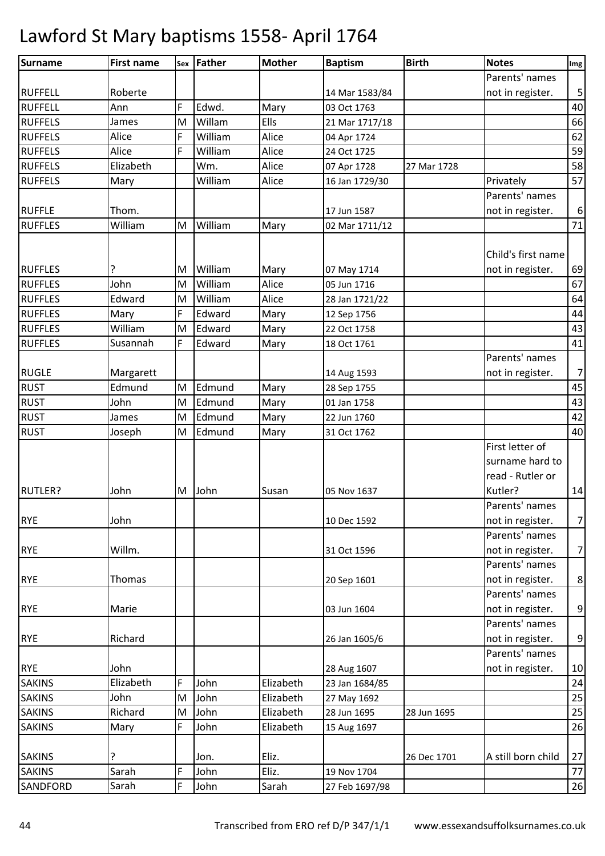| <b>Surname</b>  | <b>First name</b> |   | sex Father | <b>Mother</b> | <b>Baptism</b> | <b>Birth</b> | <b>Notes</b>                       | Img              |
|-----------------|-------------------|---|------------|---------------|----------------|--------------|------------------------------------|------------------|
|                 |                   |   |            |               |                |              | Parents' names                     |                  |
| <b>RUFFELL</b>  | Roberte           |   |            |               | 14 Mar 1583/84 |              | not in register.                   | $\mathsf S$      |
| <b>RUFFELL</b>  | Ann               | F | Edwd.      | Mary          | 03 Oct 1763    |              |                                    | 40               |
| <b>RUFFELS</b>  | James             | M | Willam     | Ells          | 21 Mar 1717/18 |              |                                    | 66               |
| <b>RUFFELS</b>  | Alice             | F | William    | Alice         | 04 Apr 1724    |              |                                    | 62               |
| <b>RUFFELS</b>  | Alice             | F | William    | Alice         | 24 Oct 1725    |              |                                    | 59               |
| <b>RUFFELS</b>  | Elizabeth         |   | Wm.        | Alice         | 07 Apr 1728    | 27 Mar 1728  |                                    | 58               |
| <b>RUFFELS</b>  | Mary              |   | William    | Alice         | 16 Jan 1729/30 |              | Privately                          | 57               |
|                 |                   |   |            |               |                |              | Parents' names                     |                  |
| <b>RUFFLE</b>   | Thom.             |   |            |               | 17 Jun 1587    |              | not in register.                   | $\boldsymbol{6}$ |
| <b>RUFFLES</b>  | William           | M | William    | Mary          | 02 Mar 1711/12 |              |                                    | $71$             |
|                 |                   |   |            |               |                |              |                                    |                  |
|                 |                   |   |            |               |                |              | Child's first name                 |                  |
| <b>RUFFLES</b>  | ?                 | М | William    | Mary          | 07 May 1714    |              | not in register.                   | 69               |
| <b>RUFFLES</b>  | John              | M | William    | Alice         | 05 Jun 1716    |              |                                    | 67               |
| <b>RUFFLES</b>  | Edward            | M | William    | Alice         | 28 Jan 1721/22 |              |                                    | 64               |
| <b>RUFFLES</b>  | Mary              | F | Edward     | Mary          | 12 Sep 1756    |              |                                    | 44               |
| <b>RUFFLES</b>  | William           | M | Edward     | Mary          | 22 Oct 1758    |              |                                    | 43               |
| <b>RUFFLES</b>  | Susannah          | F | Edward     | Mary          | 18 Oct 1761    |              |                                    | 41               |
|                 |                   |   |            |               |                |              | Parents' names                     |                  |
| <b>RUGLE</b>    | Margarett         |   |            |               | 14 Aug 1593    |              | not in register.                   | $\overline{7}$   |
| <b>RUST</b>     | Edmund            | M | Edmund     | Mary          | 28 Sep 1755    |              |                                    | 45               |
| <b>RUST</b>     | John              | M | Edmund     | Mary          | 01 Jan 1758    |              |                                    | 43               |
| <b>RUST</b>     | James             | M | Edmund     | Mary          | 22 Jun 1760    |              |                                    | 42               |
| <b>RUST</b>     | Joseph            | M | Edmund     | Mary          | 31 Oct 1762    |              |                                    | 40               |
|                 |                   |   |            |               |                |              | First letter of                    |                  |
|                 |                   |   |            |               |                |              | surname hard to                    |                  |
|                 |                   |   |            |               |                |              | read - Rutler or                   |                  |
| RUTLER?         | John              |   | M John     | Susan         | 05 Nov 1637    |              | Kutler?                            | 14               |
|                 |                   |   |            |               |                |              | Parents' names                     |                  |
| <b>RYE</b>      | John              |   |            |               | 10 Dec 1592    |              | not in register.                   | $\overline{7}$   |
|                 |                   |   |            |               |                |              | Parents' names                     |                  |
| <b>RYE</b>      | Willm.            |   |            |               | 31 Oct 1596    |              | not in register.                   | $\overline{7}$   |
|                 |                   |   |            |               |                |              | Parents' names                     |                  |
|                 |                   |   |            |               |                |              |                                    |                  |
| <b>RYE</b>      | Thomas            |   |            |               | 20 Sep 1601    |              | not in register.<br>Parents' names | $\bf 8$          |
|                 |                   |   |            |               |                |              |                                    |                  |
| <b>RYE</b>      | Marie             |   |            |               | 03 Jun 1604    |              | not in register.                   | $\boldsymbol{9}$ |
|                 |                   |   |            |               |                |              | Parents' names                     |                  |
| <b>RYE</b>      | Richard           |   |            |               | 26 Jan 1605/6  |              | not in register.                   | $9\,$            |
|                 |                   |   |            |               |                |              | Parents' names                     |                  |
| <b>RYE</b>      | John              |   |            |               | 28 Aug 1607    |              | not in register.                   | 10               |
| <b>SAKINS</b>   | Elizabeth         | F | John       | Elizabeth     | 23 Jan 1684/85 |              |                                    | 24               |
| <b>SAKINS</b>   | John              | M | John       | Elizabeth     | 27 May 1692    |              |                                    | 25               |
| <b>SAKINS</b>   | Richard           | M | John       | Elizabeth     | 28 Jun 1695    | 28 Jun 1695  |                                    | 25               |
| <b>SAKINS</b>   | Mary              | F | John       | Elizabeth     | 15 Aug 1697    |              |                                    | 26               |
|                 |                   |   |            |               |                |              |                                    |                  |
| <b>SAKINS</b>   | ?                 |   | Jon.       | Eliz.         |                | 26 Dec 1701  | A still born child                 | 27               |
| <b>SAKINS</b>   | Sarah             | F | John       | Eliz.         | 19 Nov 1704    |              |                                    | 77               |
| <b>SANDFORD</b> | Sarah             | F | John       | Sarah         | 27 Feb 1697/98 |              |                                    | 26               |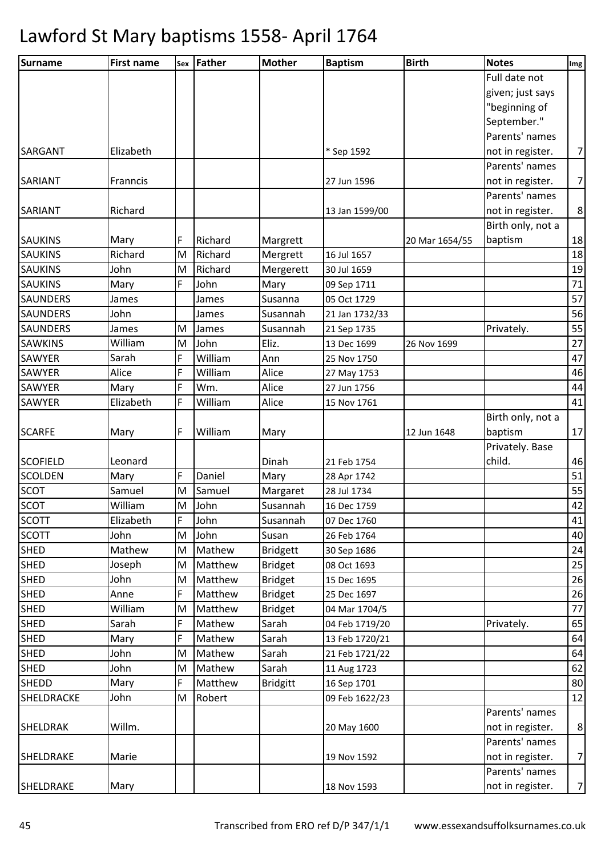| Surname         | <b>First name</b> |   | sex Father | <b>Mother</b>   | <b>Baptism</b> | <b>Birth</b>   | <b>Notes</b>      | Img            |
|-----------------|-------------------|---|------------|-----------------|----------------|----------------|-------------------|----------------|
|                 |                   |   |            |                 |                |                | Full date not     |                |
|                 |                   |   |            |                 |                |                | given; just says  |                |
|                 |                   |   |            |                 |                |                | "beginning of     |                |
|                 |                   |   |            |                 |                |                | September."       |                |
|                 |                   |   |            |                 |                |                | Parents' names    |                |
| <b>SARGANT</b>  | Elizabeth         |   |            |                 | * Sep 1592     |                | not in register.  | $\overline{7}$ |
|                 |                   |   |            |                 |                |                | Parents' names    |                |
| <b>SARIANT</b>  | Franncis          |   |            |                 | 27 Jun 1596    |                | not in register.  | $\overline{7}$ |
|                 |                   |   |            |                 |                |                | Parents' names    |                |
| <b>SARIANT</b>  | Richard           |   |            |                 | 13 Jan 1599/00 |                | not in register.  | $\,8\,$        |
|                 |                   |   |            |                 |                |                | Birth only, not a |                |
| <b>SAUKINS</b>  | Mary              | F | Richard    | Margrett        |                | 20 Mar 1654/55 | baptism           | 18             |
| <b>SAUKINS</b>  | Richard           | M | Richard    | Mergrett        | 16 Jul 1657    |                |                   | 18             |
| <b>SAUKINS</b>  | John              | M | Richard    | Mergerett       | 30 Jul 1659    |                |                   | 19             |
| <b>SAUKINS</b>  | Mary              | F | John       | Mary            | 09 Sep 1711    |                |                   | 71             |
| <b>SAUNDERS</b> | James             |   | James      | Susanna         | 05 Oct 1729    |                |                   | 57             |
| <b>SAUNDERS</b> | John              |   | James      | Susannah        | 21 Jan 1732/33 |                |                   | 56             |
| <b>SAUNDERS</b> | James             | М | James      | Susannah        | 21 Sep 1735    |                | Privately.        | 55             |
| <b>SAWKINS</b>  | William           | M | John       | Eliz.           | 13 Dec 1699    | 26 Nov 1699    |                   | 27             |
| SAWYER          | Sarah             | F | William    | Ann             | 25 Nov 1750    |                |                   | 47             |
| <b>SAWYER</b>   | Alice             | F | William    | Alice           | 27 May 1753    |                |                   | 46             |
| <b>SAWYER</b>   | Mary              | F | Wm.        | Alice           | 27 Jun 1756    |                |                   | 44             |
| <b>SAWYER</b>   | Elizabeth         | F | William    | Alice           | 15 Nov 1761    |                |                   | 41             |
|                 |                   |   |            |                 |                |                | Birth only, not a |                |
| <b>SCARFE</b>   | Mary              | F | William    | Mary            |                | 12 Jun 1648    | baptism           | 17             |
|                 |                   |   |            |                 |                |                | Privately. Base   |                |
| <b>SCOFIELD</b> | Leonard           |   |            | Dinah           | 21 Feb 1754    |                | child.            | 46             |
| <b>SCOLDEN</b>  | Mary              | F | Daniel     | Mary            | 28 Apr 1742    |                |                   | 51             |
| <b>SCOT</b>     | Samuel            | M | Samuel     | Margaret        | 28 Jul 1734    |                |                   | 55             |
| <b>SCOT</b>     | William           |   | M John     | Susannah        | 16 Dec 1759    |                |                   | 42             |
| <b>SCOTT</b>    | Elizabeth         | F | John       | Susannah        | 07 Dec 1760    |                |                   | 41             |
| <b>SCOTT</b>    | John              | M | John       | Susan           | 26 Feb 1764    |                |                   | 40             |
| <b>SHED</b>     | Mathew            | M | Mathew     | <b>Bridgett</b> | 30 Sep 1686    |                |                   | 24             |
| <b>SHED</b>     | Joseph            | M | Matthew    | <b>Bridget</b>  | 08 Oct 1693    |                |                   | 25             |
| <b>SHED</b>     | John              | M | Matthew    | <b>Bridget</b>  | 15 Dec 1695    |                |                   | 26             |
| <b>SHED</b>     | Anne              | F | Matthew    | <b>Bridget</b>  | 25 Dec 1697    |                |                   | 26             |
| <b>SHED</b>     | William           | M | Matthew    | <b>Bridget</b>  | 04 Mar 1704/5  |                |                   | 77             |
| <b>SHED</b>     | Sarah             | F | Mathew     | Sarah           | 04 Feb 1719/20 |                | Privately.        | 65             |
| <b>SHED</b>     | Mary              | F | Mathew     | Sarah           | 13 Feb 1720/21 |                |                   | 64             |
| <b>SHED</b>     | John              | M | Mathew     | Sarah           | 21 Feb 1721/22 |                |                   | 64             |
| <b>SHED</b>     | John              | M | Mathew     | Sarah           | 11 Aug 1723    |                |                   | 62             |
| SHEDD           | Mary              | F | Matthew    | <b>Bridgitt</b> | 16 Sep 1701    |                |                   | 80             |
| SHELDRACKE      | John              | M | Robert     |                 | 09 Feb 1622/23 |                |                   | 12             |
|                 |                   |   |            |                 |                |                | Parents' names    |                |
| SHELDRAK        | Willm.            |   |            |                 | 20 May 1600    |                | not in register.  | 8              |
|                 |                   |   |            |                 |                |                | Parents' names    |                |
| SHELDRAKE       | Marie             |   |            |                 | 19 Nov 1592    |                | not in register.  | $\overline{7}$ |
|                 |                   |   |            |                 |                |                | Parents' names    |                |
| SHELDRAKE       | Mary              |   |            |                 | 18 Nov 1593    |                | not in register.  | $\overline{7}$ |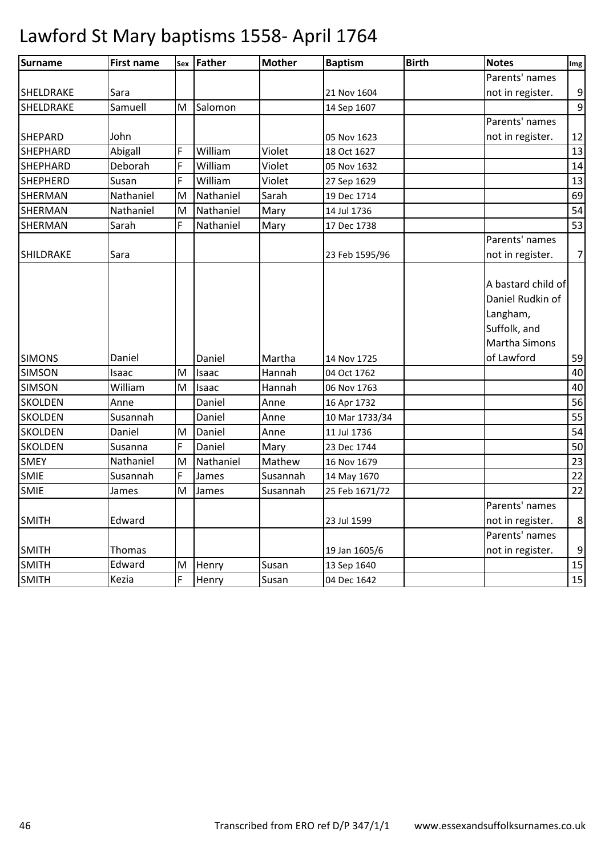| <b>Surname</b>   | <b>First name</b> |   | sex Father | <b>Mother</b> | <b>Baptism</b> | <b>Birth</b> | <b>Notes</b>                                                                               | Img            |
|------------------|-------------------|---|------------|---------------|----------------|--------------|--------------------------------------------------------------------------------------------|----------------|
|                  |                   |   |            |               |                |              | Parents' names                                                                             |                |
| SHELDRAKE        | Sara              |   |            |               | 21 Nov 1604    |              | not in register.                                                                           | 9              |
| SHELDRAKE        | Samuell           | M | Salomon    |               | 14 Sep 1607    |              |                                                                                            | 9              |
|                  |                   |   |            |               |                |              | Parents' names                                                                             |                |
| <b>SHEPARD</b>   | John              |   |            |               | 05 Nov 1623    |              | not in register.                                                                           | 12             |
| <b>SHEPHARD</b>  | Abigall           | F | William    | Violet        | 18 Oct 1627    |              |                                                                                            | 13             |
| <b>SHEPHARD</b>  | Deborah           | F | William    | Violet        | 05 Nov 1632    |              |                                                                                            | 14             |
| <b>SHEPHERD</b>  | Susan             | F | William    | Violet        | 27 Sep 1629    |              |                                                                                            | 13             |
| <b>SHERMAN</b>   | Nathaniel         | M | Nathaniel  | Sarah         | 19 Dec 1714    |              |                                                                                            | 69             |
| <b>SHERMAN</b>   | Nathaniel         | M | Nathaniel  | Mary          | 14 Jul 1736    |              |                                                                                            | 54             |
| <b>SHERMAN</b>   | Sarah             | F | Nathaniel  | Mary          | 17 Dec 1738    |              |                                                                                            | 53             |
|                  |                   |   |            |               |                |              | Parents' names                                                                             |                |
| <b>SHILDRAKE</b> | Sara              |   |            |               | 23 Feb 1595/96 |              | not in register.                                                                           | $\overline{7}$ |
|                  |                   |   |            |               |                |              | A bastard child of<br>Daniel Rudkin of<br>Langham,<br>Suffolk, and<br><b>Martha Simons</b> |                |
| <b>SIMONS</b>    | Daniel            |   | Daniel     | Martha        | 14 Nov 1725    |              | of Lawford                                                                                 | 59             |
| <b>SIMSON</b>    | Isaac             | M | Isaac      | Hannah        | 04 Oct 1762    |              |                                                                                            | 40             |
| <b>SIMSON</b>    | William           | M | Isaac      | Hannah        | 06 Nov 1763    |              |                                                                                            | 40             |
| <b>SKOLDEN</b>   | Anne              |   | Daniel     | Anne          | 16 Apr 1732    |              |                                                                                            | 56             |
| <b>SKOLDEN</b>   | Susannah          |   | Daniel     | Anne          | 10 Mar 1733/34 |              |                                                                                            | 55             |
| <b>SKOLDEN</b>   | Daniel            | M | Daniel     | Anne          | 11 Jul 1736    |              |                                                                                            | 54             |
| <b>SKOLDEN</b>   | Susanna           | F | Daniel     | Mary          | 23 Dec 1744    |              |                                                                                            | 50             |
| <b>SMEY</b>      | Nathaniel         | M | Nathaniel  | Mathew        | 16 Nov 1679    |              |                                                                                            | 23             |
| SMIE             | Susannah          | F | James      | Susannah      | 14 May 1670    |              |                                                                                            | 22             |
| <b>SMIE</b>      | James             | M | James      | Susannah      | 25 Feb 1671/72 |              |                                                                                            | 22             |
| <b>SMITH</b>     | Edward            |   |            |               | 23 Jul 1599    |              | Parents' names<br>not in register.                                                         | 8              |
| <b>SMITH</b>     | Thomas            |   |            |               | 19 Jan 1605/6  |              | Parents' names<br>not in register.                                                         | 9              |
| <b>SMITH</b>     | Edward            | M | Henry      | Susan         | 13 Sep 1640    |              |                                                                                            | 15             |
| <b>SMITH</b>     | Kezia             | F | Henry      | Susan         | 04 Dec 1642    |              |                                                                                            | 15             |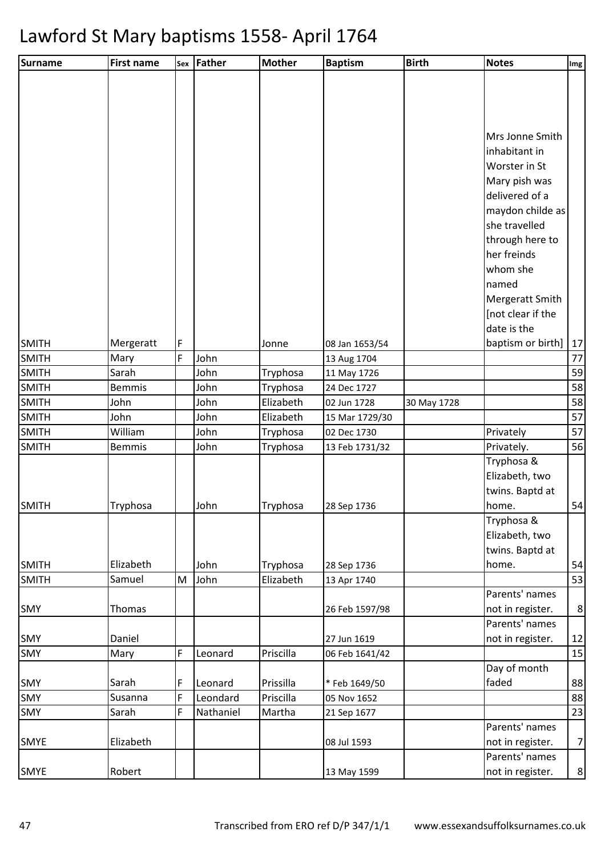| Surname      | <b>First name</b> |   | Sex Father | <b>Mother</b> | <b>Baptism</b> | <b>Birth</b> | <b>Notes</b>                      | Img            |
|--------------|-------------------|---|------------|---------------|----------------|--------------|-----------------------------------|----------------|
|              |                   |   |            |               |                |              |                                   |                |
|              |                   |   |            |               |                |              |                                   |                |
|              |                   |   |            |               |                |              |                                   |                |
|              |                   |   |            |               |                |              |                                   |                |
|              |                   |   |            |               |                |              | Mrs Jonne Smith                   |                |
|              |                   |   |            |               |                |              | inhabitant in                     |                |
|              |                   |   |            |               |                |              | Worster in St                     |                |
|              |                   |   |            |               |                |              | Mary pish was<br>delivered of a   |                |
|              |                   |   |            |               |                |              |                                   |                |
|              |                   |   |            |               |                |              | maydon childe as<br>she travelled |                |
|              |                   |   |            |               |                |              |                                   |                |
|              |                   |   |            |               |                |              | through here to<br>her freinds    |                |
|              |                   |   |            |               |                |              | whom she                          |                |
|              |                   |   |            |               |                |              | named                             |                |
|              |                   |   |            |               |                |              | Mergeratt Smith                   |                |
|              |                   |   |            |               |                |              | [not clear if the                 |                |
|              |                   |   |            |               |                |              | date is the                       |                |
| <b>SMITH</b> | Mergeratt         | F |            | Jonne         | 08 Jan 1653/54 |              | baptism or birth]                 | 17             |
| <b>SMITH</b> | Mary              | F | John       |               | 13 Aug 1704    |              |                                   | 77             |
| <b>SMITH</b> | Sarah             |   | John       | Tryphosa      | 11 May 1726    |              |                                   | 59             |
| <b>SMITH</b> | <b>Bemmis</b>     |   | John       | Tryphosa      | 24 Dec 1727    |              |                                   | 58             |
| <b>SMITH</b> | John              |   | John       | Elizabeth     | 02 Jun 1728    | 30 May 1728  |                                   | 58             |
| <b>SMITH</b> | John              |   | John       | Elizabeth     | 15 Mar 1729/30 |              |                                   | 57             |
| <b>SMITH</b> | William           |   | John       | Tryphosa      | 02 Dec 1730    |              | Privately                         | 57             |
| <b>SMITH</b> | <b>Bemmis</b>     |   | John       | Tryphosa      | 13 Feb 1731/32 |              | Privately.                        | 56             |
|              |                   |   |            |               |                |              | Tryphosa &                        |                |
|              |                   |   |            |               |                |              | Elizabeth, two                    |                |
|              |                   |   |            |               |                |              | twins. Baptd at                   |                |
| <b>SMITH</b> | Tryphosa          |   | John       | Tryphosa      | 28 Sep 1736    |              | home.                             | 54             |
|              |                   |   |            |               |                |              | Tryphosa &                        |                |
|              |                   |   |            |               |                |              | Elizabeth, two                    |                |
|              |                   |   |            |               |                |              | twins. Baptd at                   |                |
| <b>SMITH</b> | Elizabeth         |   | John       | Tryphosa      | 28 Sep 1736    |              | home.                             | 54             |
| <b>SMITH</b> | Samuel            | M | John       | Elizabeth     | 13 Apr 1740    |              | Parents' names                    | 53             |
| <b>SMY</b>   | Thomas            |   |            |               | 26 Feb 1597/98 |              | not in register.                  | 8 <sup>2</sup> |
|              |                   |   |            |               |                |              | Parents' names                    |                |
| <b>SMY</b>   | Daniel            |   |            |               | 27 Jun 1619    |              | not in register.                  | 12             |
| <b>SMY</b>   | Mary              | F | Leonard    | Priscilla     | 06 Feb 1641/42 |              |                                   | 15             |
|              |                   |   |            |               |                |              | Day of month                      |                |
| <b>SMY</b>   | Sarah             | F | Leonard    | Prissilla     | *Feb 1649/50   |              | faded                             | 88             |
| SMY          | Susanna           | F | Leondard   | Priscilla     | 05 Nov 1652    |              |                                   | 88             |
| <b>SMY</b>   | Sarah             | F | Nathaniel  | Martha        | 21 Sep 1677    |              |                                   | 23             |
|              |                   |   |            |               |                |              | Parents' names                    |                |
| <b>SMYE</b>  | Elizabeth         |   |            |               | 08 Jul 1593    |              | not in register.                  | 7              |
|              |                   |   |            |               |                |              | Parents' names                    |                |
| SMYE         | Robert            |   |            |               | 13 May 1599    |              | not in register.                  | 8              |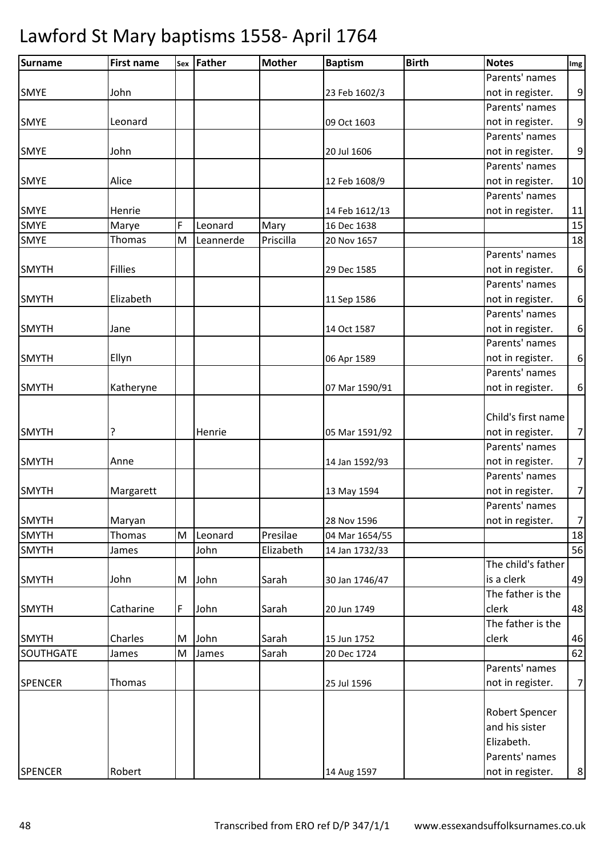| Surname        | <b>First name</b> |   | sex Father | <b>Mother</b> | <b>Baptism</b> | <b>Birth</b> | <b>Notes</b>       | Img              |
|----------------|-------------------|---|------------|---------------|----------------|--------------|--------------------|------------------|
|                |                   |   |            |               |                |              | Parents' names     |                  |
| <b>SMYE</b>    | John              |   |            |               | 23 Feb 1602/3  |              | not in register.   | 9                |
|                |                   |   |            |               |                |              | Parents' names     |                  |
| <b>SMYE</b>    | Leonard           |   |            |               | 09 Oct 1603    |              | not in register.   | $\boldsymbol{9}$ |
|                |                   |   |            |               |                |              | Parents' names     |                  |
| <b>SMYE</b>    | John              |   |            |               | 20 Jul 1606    |              | not in register.   | 9                |
|                |                   |   |            |               |                |              | Parents' names     |                  |
| <b>SMYE</b>    | Alice             |   |            |               | 12 Feb 1608/9  |              | not in register.   | 10               |
|                |                   |   |            |               |                |              | Parents' names     |                  |
| <b>SMYE</b>    | Henrie            |   |            |               | 14 Feb 1612/13 |              | not in register.   | 11               |
| <b>SMYE</b>    | Marye             | F | Leonard    | Mary          | 16 Dec 1638    |              |                    | 15               |
| <b>SMYE</b>    | Thomas            | M | Leannerde  | Priscilla     | 20 Nov 1657    |              |                    | 18               |
|                |                   |   |            |               |                |              | Parents' names     |                  |
| <b>SMYTH</b>   | <b>Fillies</b>    |   |            |               | 29 Dec 1585    |              | not in register.   | 6                |
|                |                   |   |            |               |                |              | Parents' names     |                  |
| <b>SMYTH</b>   | Elizabeth         |   |            |               | 11 Sep 1586    |              | not in register.   | $\boldsymbol{6}$ |
|                |                   |   |            |               |                |              | Parents' names     |                  |
| <b>SMYTH</b>   | Jane              |   |            |               | 14 Oct 1587    |              | not in register.   | $\boldsymbol{6}$ |
|                |                   |   |            |               |                |              | Parents' names     |                  |
| <b>SMYTH</b>   | Ellyn             |   |            |               | 06 Apr 1589    |              | not in register.   | $\boldsymbol{6}$ |
|                |                   |   |            |               |                |              | Parents' names     |                  |
| <b>SMYTH</b>   | Katheryne         |   |            |               | 07 Mar 1590/91 |              | not in register.   | 6                |
|                |                   |   |            |               |                |              |                    |                  |
|                |                   |   |            |               |                |              | Child's first name |                  |
| <b>SMYTH</b>   | ?                 |   | Henrie     |               | 05 Mar 1591/92 |              | not in register.   | $\overline{7}$   |
|                |                   |   |            |               |                |              | Parents' names     |                  |
| <b>SMYTH</b>   | Anne              |   |            |               | 14 Jan 1592/93 |              | not in register.   | $\overline{7}$   |
|                |                   |   |            |               |                |              | Parents' names     |                  |
| <b>SMYTH</b>   | Margarett         |   |            |               | 13 May 1594    |              | not in register.   | $\overline{7}$   |
|                |                   |   |            |               |                |              | Parents' names     |                  |
| <b>SMYTH</b>   | Maryan            |   |            |               | 28 Nov 1596    |              | not in register.   | $\overline{7}$   |
| <b>SMYTH</b>   | Thomas            | M | Leonard    | Presilae      | 04 Mar 1654/55 |              |                    | 18               |
| <b>SMYTH</b>   | James             |   | John       | Elizabeth     | 14 Jan 1732/33 |              |                    | 56               |
|                |                   |   |            |               |                |              | The child's father |                  |
| <b>SMYTH</b>   | John              | M | John       | Sarah         | 30 Jan 1746/47 |              | is a clerk         | 49               |
|                |                   |   |            |               |                |              | The father is the  |                  |
| <b>SMYTH</b>   | Catharine         | F | John       | Sarah         | 20 Jun 1749    |              | clerk              | 48               |
|                |                   |   |            |               |                |              | The father is the  |                  |
| <b>SMYTH</b>   | Charles           | M | John       | Sarah         | 15 Jun 1752    |              | clerk              | 46               |
| SOUTHGATE      | James             | M | James      | Sarah         | 20 Dec 1724    |              |                    | 62               |
|                |                   |   |            |               |                |              | Parents' names     |                  |
| <b>SPENCER</b> | Thomas            |   |            |               | 25 Jul 1596    |              | not in register.   | $\overline{7}$   |
|                |                   |   |            |               |                |              |                    |                  |
|                |                   |   |            |               |                |              | Robert Spencer     |                  |
|                |                   |   |            |               |                |              | and his sister     |                  |
|                |                   |   |            |               |                |              | Elizabeth.         |                  |
|                |                   |   |            |               |                |              | Parents' names     |                  |
| <b>SPENCER</b> | Robert            |   |            |               | 14 Aug 1597    |              | not in register.   | 8                |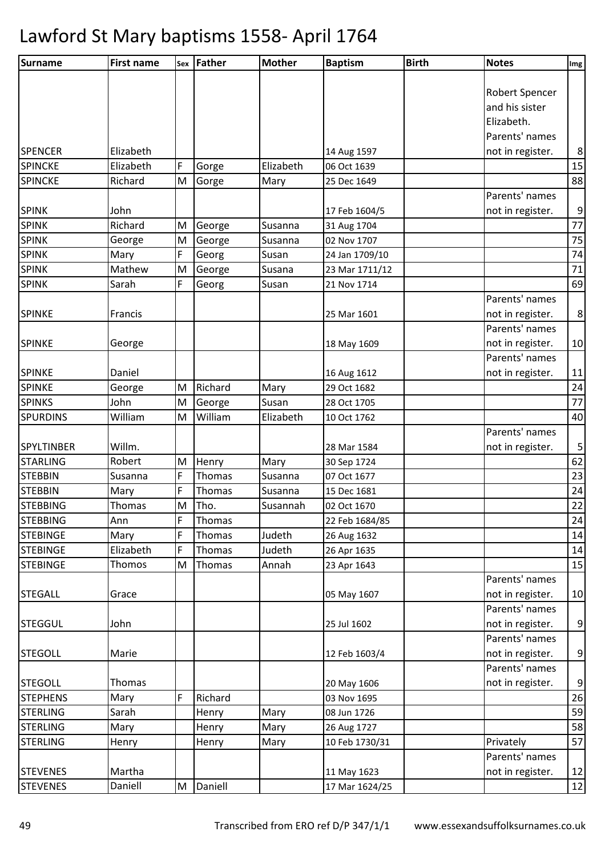| Surname           | <b>First name</b> |                                                                                       | sex Father | <b>Mother</b> | <b>Baptism</b> | <b>Birth</b> | <b>Notes</b>     | Img              |
|-------------------|-------------------|---------------------------------------------------------------------------------------|------------|---------------|----------------|--------------|------------------|------------------|
|                   |                   |                                                                                       |            |               |                |              |                  |                  |
|                   |                   |                                                                                       |            |               |                |              | Robert Spencer   |                  |
|                   |                   |                                                                                       |            |               |                |              | and his sister   |                  |
|                   |                   |                                                                                       |            |               |                |              | Elizabeth.       |                  |
|                   |                   |                                                                                       |            |               |                |              | Parents' names   |                  |
| <b>SPENCER</b>    | Elizabeth         |                                                                                       |            |               | 14 Aug 1597    |              | not in register. | 8                |
| <b>SPINCKE</b>    | Elizabeth         | F                                                                                     | Gorge      | Elizabeth     | 06 Oct 1639    |              |                  | 15               |
| <b>SPINCKE</b>    | Richard           | M                                                                                     | Gorge      | Mary          | 25 Dec 1649    |              |                  | 88               |
|                   |                   |                                                                                       |            |               |                |              | Parents' names   |                  |
| <b>SPINK</b>      | John              |                                                                                       |            |               | 17 Feb 1604/5  |              | not in register. | 9                |
| <b>SPINK</b>      | Richard           | M                                                                                     | George     | Susanna       | 31 Aug 1704    |              |                  | $77 \,$          |
| <b>SPINK</b>      | George            | $\mathsf{M}% _{T}=\mathsf{M}_{T}\!\left( a,b\right) ,\ \mathsf{M}_{T}=\mathsf{M}_{T}$ | George     | Susanna       | 02 Nov 1707    |              |                  | 75               |
| <b>SPINK</b>      | Mary              | F                                                                                     | Georg      | Susan         | 24 Jan 1709/10 |              |                  | 74               |
| <b>SPINK</b>      | Mathew            | M                                                                                     | George     | Susana        | 23 Mar 1711/12 |              |                  | $71\,$           |
| <b>SPINK</b>      | Sarah             | F                                                                                     | Georg      | Susan         | 21 Nov 1714    |              |                  | 69               |
|                   |                   |                                                                                       |            |               |                |              | Parents' names   |                  |
| <b>SPINKE</b>     | Francis           |                                                                                       |            |               | 25 Mar 1601    |              | not in register. | $\bf 8$          |
|                   |                   |                                                                                       |            |               |                |              | Parents' names   |                  |
| <b>SPINKE</b>     | George            |                                                                                       |            |               | 18 May 1609    |              | not in register. | 10               |
|                   |                   |                                                                                       |            |               |                |              | Parents' names   |                  |
| <b>SPINKE</b>     | Daniel            |                                                                                       |            |               | 16 Aug 1612    |              | not in register. | 11               |
| <b>SPINKE</b>     | George            | M                                                                                     | Richard    | Mary          | 29 Oct 1682    |              |                  | 24               |
| <b>SPINKS</b>     | John              | M                                                                                     | George     | Susan         | 28 Oct 1705    |              |                  | 77               |
| <b>SPURDINS</b>   | William           | M                                                                                     | William    | Elizabeth     | 10 Oct 1762    |              |                  | 40               |
|                   |                   |                                                                                       |            |               |                |              | Parents' names   |                  |
| <b>SPYLTINBER</b> | Willm.            |                                                                                       |            |               | 28 Mar 1584    |              | not in register. | 5                |
| <b>STARLING</b>   | Robert            | M                                                                                     | Henry      | Mary          | 30 Sep 1724    |              |                  | 62               |
| <b>STEBBIN</b>    | Susanna           | F                                                                                     | Thomas     | Susanna       | 07 Oct 1677    |              |                  | 23               |
| <b>STEBBIN</b>    | Mary              | F                                                                                     | Thomas     | Susanna       | 15 Dec 1681    |              |                  | 24               |
| <b>STEBBING</b>   | Thomas            | M                                                                                     | Tho.       | Susannah      | 02 Oct 1670    |              |                  | 22               |
| <b>STEBBING</b>   | Ann               | F                                                                                     | Thomas     |               | 22 Feb 1684/85 |              |                  | 24               |
| <b>STEBINGE</b>   | Mary              | F                                                                                     | Thomas     | Judeth        | 26 Aug 1632    |              |                  | 14               |
| <b>STEBINGE</b>   | Elizabeth         | F                                                                                     | Thomas     | Judeth        | 26 Apr 1635    |              |                  | 14               |
| <b>STEBINGE</b>   | Thomos            | M                                                                                     | Thomas     | Annah         | 23 Apr 1643    |              |                  | 15               |
|                   |                   |                                                                                       |            |               |                |              | Parents' names   |                  |
| <b>STEGALL</b>    | Grace             |                                                                                       |            |               | 05 May 1607    |              | not in register. | 10               |
|                   |                   |                                                                                       |            |               |                |              | Parents' names   |                  |
| <b>STEGGUL</b>    | John              |                                                                                       |            |               | 25 Jul 1602    |              | not in register. | $\overline{9}$   |
|                   |                   |                                                                                       |            |               |                |              | Parents' names   |                  |
| <b>STEGOLL</b>    | Marie             |                                                                                       |            |               | 12 Feb 1603/4  |              | not in register. | $\overline{9}$   |
|                   |                   |                                                                                       |            |               |                |              | Parents' names   |                  |
| <b>STEGOLL</b>    | Thomas            |                                                                                       |            |               | 20 May 1606    |              | not in register. | $\boldsymbol{9}$ |
| <b>STEPHENS</b>   | Mary              | F                                                                                     | Richard    |               | 03 Nov 1695    |              |                  | 26               |
| <b>STERLING</b>   | Sarah             |                                                                                       | Henry      | Mary          | 08 Jun 1726    |              |                  | 59               |
| <b>STERLING</b>   | Mary              |                                                                                       | Henry      | Mary          | 26 Aug 1727    |              |                  | 58               |
| <b>STERLING</b>   | Henry             |                                                                                       | Henry      | Mary          | 10 Feb 1730/31 |              | Privately        | 57               |
|                   |                   |                                                                                       |            |               |                |              | Parents' names   |                  |
| <b>STEVENES</b>   | Martha            |                                                                                       |            |               | 11 May 1623    |              | not in register. | 12               |
| <b>STEVENES</b>   | Daniell           | M                                                                                     | Daniell    |               | 17 Mar 1624/25 |              |                  | 12               |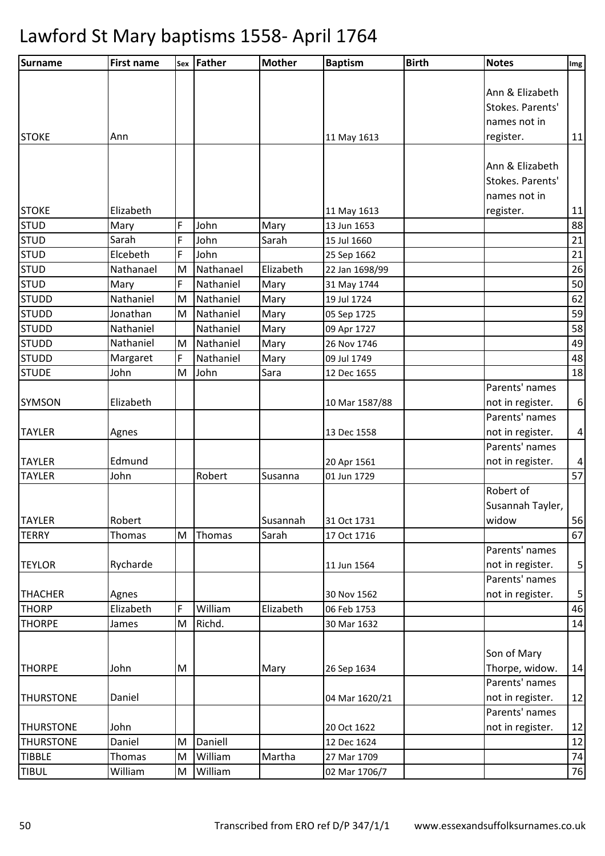| <b>Surname</b>   | <b>First name</b> | Sex | Father    | <b>Mother</b> | <b>Baptism</b> | <b>Birth</b> | <b>Notes</b>                       | Img              |
|------------------|-------------------|-----|-----------|---------------|----------------|--------------|------------------------------------|------------------|
|                  |                   |     |           |               |                |              |                                    |                  |
|                  |                   |     |           |               |                |              | Ann & Elizabeth                    |                  |
|                  |                   |     |           |               |                |              | Stokes. Parents'                   |                  |
|                  |                   |     |           |               |                |              | names not in                       |                  |
| <b>STOKE</b>     | Ann               |     |           |               | 11 May 1613    |              | register.                          | 11               |
|                  |                   |     |           |               |                |              |                                    |                  |
|                  |                   |     |           |               |                |              | Ann & Elizabeth                    |                  |
|                  |                   |     |           |               |                |              | Stokes. Parents'                   |                  |
|                  |                   |     |           |               |                |              | names not in                       |                  |
| <b>STOKE</b>     | Elizabeth         |     |           |               | 11 May 1613    |              | register.                          | $11\,$           |
| <b>STUD</b>      | Mary              | F   | John      | Mary          | 13 Jun 1653    |              |                                    | 88               |
| <b>STUD</b>      | Sarah             | F   | John      | Sarah         | 15 Jul 1660    |              |                                    | 21               |
| <b>STUD</b>      | Elcebeth          | F   | John      |               | 25 Sep 1662    |              |                                    | 21               |
| <b>STUD</b>      | Nathanael         | M   | Nathanael | Elizabeth     | 22 Jan 1698/99 |              |                                    | 26               |
| <b>STUD</b>      | Mary              | F   | Nathaniel | Mary          | 31 May 1744    |              |                                    | 50               |
| <b>STUDD</b>     | Nathaniel         | M   | Nathaniel | Mary          | 19 Jul 1724    |              |                                    | 62               |
| <b>STUDD</b>     | Jonathan          | M   | Nathaniel | Mary          | 05 Sep 1725    |              |                                    | 59               |
| <b>STUDD</b>     | Nathaniel         |     | Nathaniel | Mary          | 09 Apr 1727    |              |                                    | 58               |
| <b>STUDD</b>     | Nathaniel         | M   | Nathaniel | Mary          | 26 Nov 1746    |              |                                    | 49               |
| <b>STUDD</b>     | Margaret          | F   | Nathaniel | Mary          | 09 Jul 1749    |              |                                    | 48               |
| <b>STUDE</b>     | John              | M   | John      | Sara          | 12 Dec 1655    |              |                                    | 18               |
|                  |                   |     |           |               |                |              | Parents' names                     |                  |
| <b>SYMSON</b>    | Elizabeth         |     |           |               | 10 Mar 1587/88 |              | not in register.                   | $\boldsymbol{6}$ |
|                  |                   |     |           |               |                |              | Parents' names                     |                  |
| <b>TAYLER</b>    | Agnes             |     |           |               | 13 Dec 1558    |              | not in register.                   | $\overline{a}$   |
|                  |                   |     |           |               |                |              | Parents' names                     |                  |
| <b>TAYLER</b>    | Edmund            |     |           |               | 20 Apr 1561    |              | not in register.                   | $\pmb{4}$        |
| <b>TAYLER</b>    | John              |     | Robert    | Susanna       | 01 Jun 1729    |              |                                    | 57               |
|                  |                   |     |           |               |                |              | Robert of                          |                  |
|                  |                   |     |           |               |                |              | Susannah Tayler,                   |                  |
| <b>TAYLER</b>    | Robert<br>Thomas  |     |           | Susannah      | 31 Oct 1731    |              | widow                              | 56               |
| <b>TERRY</b>     |                   | M   | Thomas    | Sarah         | 17 Oct 1716    |              | Parents' names                     | 67               |
|                  |                   |     |           |               |                |              |                                    |                  |
| <b>TEYLOR</b>    | Rycharde          |     |           |               | 11 Jun 1564    |              | not in register.<br>Parents' names | 5                |
| <b>THACHER</b>   | Agnes             |     |           |               | 30 Nov 1562    |              | not in register.                   | $\mathsf S$      |
| <b>THORP</b>     | Elizabeth         | F   | William   | Elizabeth     | 06 Feb 1753    |              |                                    | 46               |
| <b>THORPE</b>    | James             | M   | Richd.    |               | 30 Mar 1632    |              |                                    | 14               |
|                  |                   |     |           |               |                |              |                                    |                  |
|                  |                   |     |           |               |                |              | Son of Mary                        |                  |
| <b>THORPE</b>    | John              | M   |           | Mary          | 26 Sep 1634    |              | Thorpe, widow.                     | 14               |
|                  |                   |     |           |               |                |              | Parents' names                     |                  |
| <b>THURSTONE</b> | Daniel            |     |           |               | 04 Mar 1620/21 |              | not in register.                   | 12               |
|                  |                   |     |           |               |                |              | Parents' names                     |                  |
| <b>THURSTONE</b> | John              |     |           |               | 20 Oct 1622    |              | not in register.                   | 12               |
| <b>THURSTONE</b> | Daniel            | M   | Daniell   |               | 12 Dec 1624    |              |                                    | 12               |
| <b>TIBBLE</b>    | Thomas            | M   | William   | Martha        | 27 Mar 1709    |              |                                    | 74               |
| <b>TIBUL</b>     | William           | M   | William   |               | 02 Mar 1706/7  |              |                                    | 76               |
|                  |                   |     |           |               |                |              |                                    |                  |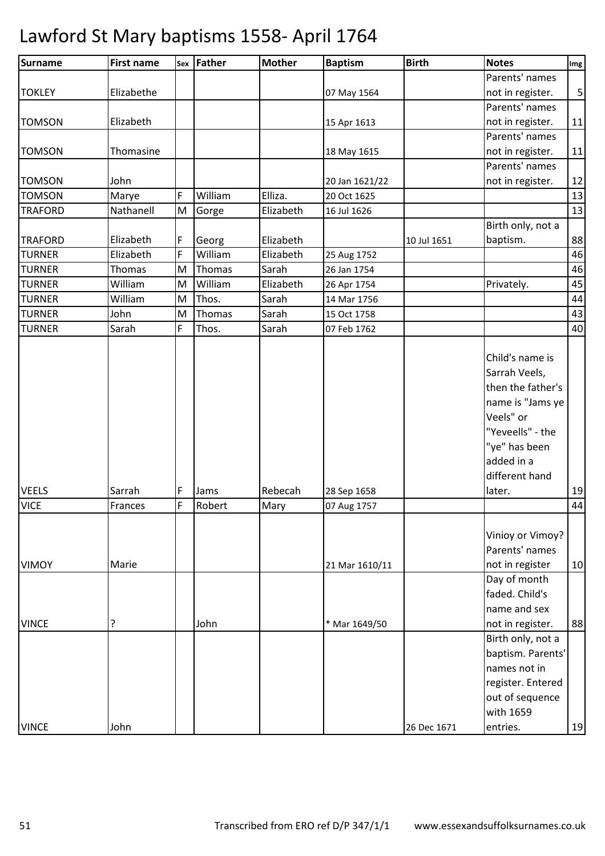| <b>Surname</b>              | <b>First name</b> |        | Sex Father     | <b>Mother</b>   | <b>Baptism</b>             | <b>Birth</b> | <b>Notes</b>                                                                                                                                       | Img        |
|-----------------------------|-------------------|--------|----------------|-----------------|----------------------------|--------------|----------------------------------------------------------------------------------------------------------------------------------------------------|------------|
|                             |                   |        |                |                 |                            |              | Parents' names                                                                                                                                     |            |
| <b>TOKLEY</b>               | Elizabethe        |        |                |                 | 07 May 1564                |              | not in register.                                                                                                                                   | $\sqrt{5}$ |
|                             |                   |        |                |                 |                            |              | Parents' names                                                                                                                                     |            |
| <b>TOMSON</b>               | Elizabeth         |        |                |                 | 15 Apr 1613                |              | not in register.                                                                                                                                   | 11         |
|                             |                   |        |                |                 |                            |              | Parents' names                                                                                                                                     |            |
| <b>TOMSON</b>               | Thomasine         |        |                |                 | 18 May 1615                |              | not in register.                                                                                                                                   | 11         |
|                             |                   |        |                |                 |                            |              | Parents' names                                                                                                                                     |            |
| <b>TOMSON</b>               | John              |        |                |                 | 20 Jan 1621/22             |              | not in register.                                                                                                                                   | 12         |
| <b>TOMSON</b>               | Marye             | F      | William        | Elliza.         | 20 Oct 1625                |              |                                                                                                                                                    | 13         |
| <b>TRAFORD</b>              | Nathanell         | M      | Gorge          | Elizabeth       | 16 Jul 1626                |              |                                                                                                                                                    | 13         |
|                             |                   |        |                |                 |                            |              | Birth only, not a                                                                                                                                  |            |
| <b>TRAFORD</b>              | Elizabeth         | F      | Georg          | Elizabeth       |                            | 10 Jul 1651  | baptism.                                                                                                                                           | 88         |
| <b>TURNER</b>               | Elizabeth         | F      | William        | Elizabeth       | 25 Aug 1752                |              |                                                                                                                                                    | 46         |
| <b>TURNER</b>               | Thomas            | M      | Thomas         | Sarah           | 26 Jan 1754                |              |                                                                                                                                                    | 46         |
| <b>TURNER</b>               | William           | M      | William        | Elizabeth       | 26 Apr 1754                |              | Privately.                                                                                                                                         | 45         |
| <b>TURNER</b>               | William           | M      | Thos.          | Sarah           | 14 Mar 1756                |              |                                                                                                                                                    | 44         |
| <b>TURNER</b>               | John              | M      | Thomas         | Sarah           | 15 Oct 1758                |              |                                                                                                                                                    | 43         |
| <b>TURNER</b>               | Sarah             | F      | Thos.          | Sarah           | 07 Feb 1762                |              |                                                                                                                                                    | 40         |
| <b>VEELS</b><br><b>VICE</b> | Sarrah<br>Frances | F<br>F | Jams<br>Robert | Rebecah<br>Mary | 28 Sep 1658<br>07 Aug 1757 |              | Sarrah Veels,<br>then the father's<br>name is "Jams ye<br>Veels" or<br>"Yeveells" - the<br>"ye" has been<br>added in a<br>different hand<br>later. | 19<br>44   |
|                             |                   |        |                |                 |                            |              |                                                                                                                                                    |            |
| <b>VIMOY</b>                | Marie             |        |                |                 | 21 Mar 1610/11             |              | Vinioy or Vimoy?<br>Parents' names<br>not in register<br>Day of month<br>faded. Child's                                                            | 10         |
|                             |                   |        |                |                 |                            |              | name and sex                                                                                                                                       |            |
| <b>VINCE</b>                | ?                 |        | John           |                 | * Mar 1649/50              |              | not in register.                                                                                                                                   | 88         |
|                             |                   |        |                |                 |                            |              | Birth only, not a                                                                                                                                  |            |
|                             |                   |        |                |                 |                            |              | baptism. Parents'<br>names not in<br>register. Entered<br>out of sequence                                                                          |            |
| <b>VINCE</b>                | John              |        |                |                 |                            | 26 Dec 1671  | with 1659<br>entries.                                                                                                                              | 19         |
|                             |                   |        |                |                 |                            |              |                                                                                                                                                    |            |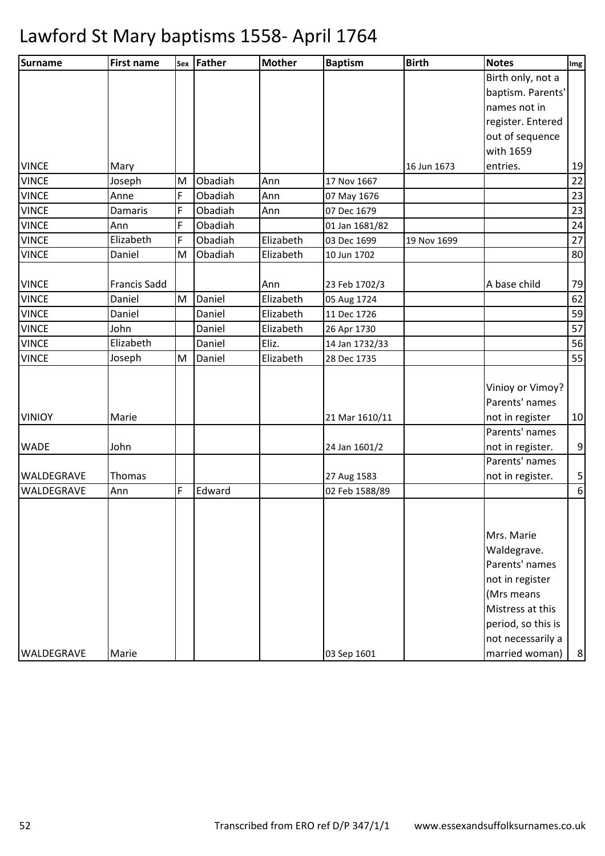| Surname           | <b>First name</b>   |   | sex Father | <b>Mother</b> | <b>Baptism</b> | <b>Birth</b> | <b>Notes</b>       | Img            |
|-------------------|---------------------|---|------------|---------------|----------------|--------------|--------------------|----------------|
|                   |                     |   |            |               |                |              | Birth only, not a  |                |
|                   |                     |   |            |               |                |              | baptism. Parents'  |                |
|                   |                     |   |            |               |                |              | names not in       |                |
|                   |                     |   |            |               |                |              | register. Entered  |                |
|                   |                     |   |            |               |                |              | out of sequence    |                |
|                   |                     |   |            |               |                |              | with 1659          |                |
| <b>VINCE</b>      | Mary                |   |            |               |                | 16 Jun 1673  | entries.           | 19             |
| <b>VINCE</b>      | Joseph              | M | Obadiah    | Ann           | 17 Nov 1667    |              |                    | 22             |
| <b>VINCE</b>      | Anne                | F | Obadiah    | Ann           | 07 May 1676    |              |                    | 23             |
| <b>VINCE</b>      | Damaris             | F | Obadiah    | Ann           | 07 Dec 1679    |              |                    | 23             |
| <b>VINCE</b>      | Ann                 | F | Obadiah    |               | 01 Jan 1681/82 |              |                    | 24             |
| <b>VINCE</b>      | Elizabeth           | F | Obadiah    | Elizabeth     | 03 Dec 1699    | 19 Nov 1699  |                    | $27\,$         |
| <b>VINCE</b>      | Daniel              | M | Obadiah    | Elizabeth     | 10 Jun 1702    |              |                    | 80             |
| <b>VINCE</b>      | <b>Francis Sadd</b> |   |            | Ann           | 23 Feb 1702/3  |              | A base child       | 79             |
| <b>VINCE</b>      | Daniel              | M | Daniel     | Elizabeth     | 05 Aug 1724    |              |                    | 62             |
| <b>VINCE</b>      | Daniel              |   | Daniel     | Elizabeth     | 11 Dec 1726    |              |                    | 59             |
| <b>VINCE</b>      | John                |   | Daniel     | Elizabeth     | 26 Apr 1730    |              |                    | 57             |
| <b>VINCE</b>      | Elizabeth           |   | Daniel     | Eliz.         | 14 Jan 1732/33 |              |                    | 56             |
| <b>VINCE</b>      | Joseph              | M | Daniel     | Elizabeth     | 28 Dec 1735    |              |                    | 55             |
|                   |                     |   |            |               |                |              |                    |                |
|                   |                     |   |            |               |                |              | Vinioy or Vimoy?   |                |
|                   |                     |   |            |               |                |              | Parents' names     |                |
| <b>VINIOY</b>     | Marie               |   |            |               | 21 Mar 1610/11 |              | not in register    | 10             |
|                   |                     |   |            |               |                |              | Parents' names     |                |
| <b>WADE</b>       | John                |   |            |               | 24 Jan 1601/2  |              | not in register.   | $\overline{9}$ |
|                   |                     |   |            |               |                |              | Parents' names     |                |
| <b>WALDEGRAVE</b> | Thomas              |   |            |               | 27 Aug 1583    |              | not in register.   | $\mathbf{5}$   |
| WALDEGRAVE        | Ann                 | F | Edward     |               | 02 Feb 1588/89 |              |                    | $6 \mid$       |
|                   |                     |   |            |               |                |              |                    |                |
|                   |                     |   |            |               |                |              |                    |                |
|                   |                     |   |            |               |                |              | Mrs. Marie         |                |
|                   |                     |   |            |               |                |              | Waldegrave.        |                |
|                   |                     |   |            |               |                |              | Parents' names     |                |
|                   |                     |   |            |               |                |              | not in register    |                |
|                   |                     |   |            |               |                |              | (Mrs means         |                |
|                   |                     |   |            |               |                |              | Mistress at this   |                |
|                   |                     |   |            |               |                |              | period, so this is |                |
|                   |                     |   |            |               |                |              | not necessarily a  |                |
| WALDEGRAVE        | Marie               |   |            |               | 03 Sep 1601    |              | married woman)     | 8 <sup>1</sup> |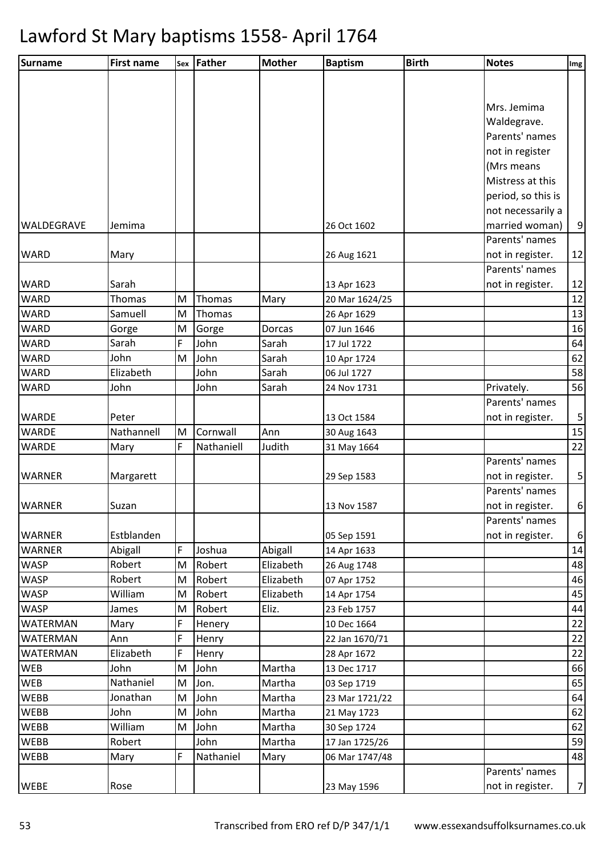| <b>Surname</b>  | <b>First name</b> |   | Sex Father | <b>Mother</b> | <b>Baptism</b> | <b>Birth</b> | <b>Notes</b>       | Img            |
|-----------------|-------------------|---|------------|---------------|----------------|--------------|--------------------|----------------|
|                 |                   |   |            |               |                |              |                    |                |
|                 |                   |   |            |               |                |              |                    |                |
|                 |                   |   |            |               |                |              | Mrs. Jemima        |                |
|                 |                   |   |            |               |                |              | Waldegrave.        |                |
|                 |                   |   |            |               |                |              | Parents' names     |                |
|                 |                   |   |            |               |                |              | not in register    |                |
|                 |                   |   |            |               |                |              | (Mrs means         |                |
|                 |                   |   |            |               |                |              | Mistress at this   |                |
|                 |                   |   |            |               |                |              | period, so this is |                |
|                 |                   |   |            |               |                |              | not necessarily a  |                |
| WALDEGRAVE      | Jemima            |   |            |               | 26 Oct 1602    |              | married woman)     | 9              |
|                 |                   |   |            |               |                |              | Parents' names     |                |
| <b>WARD</b>     | Mary              |   |            |               | 26 Aug 1621    |              | not in register.   | 12             |
|                 |                   |   |            |               |                |              | Parents' names     |                |
| <b>WARD</b>     | Sarah             |   |            |               | 13 Apr 1623    |              | not in register.   | 12             |
| <b>WARD</b>     | Thomas            | M | Thomas     | Mary          | 20 Mar 1624/25 |              |                    | 12             |
| <b>WARD</b>     | Samuell           | M | Thomas     |               | 26 Apr 1629    |              |                    | 13             |
| <b>WARD</b>     | Gorge             | M | Gorge      | Dorcas        | 07 Jun 1646    |              |                    | 16             |
| <b>WARD</b>     | Sarah             | F | John       | Sarah         | 17 Jul 1722    |              |                    | 64             |
| <b>WARD</b>     | John              | M | John       | Sarah         | 10 Apr 1724    |              |                    | 62             |
| <b>WARD</b>     | Elizabeth         |   | John       | Sarah         | 06 Jul 1727    |              |                    | 58             |
| <b>WARD</b>     | John              |   | John       | Sarah         | 24 Nov 1731    |              | Privately.         | 56             |
|                 |                   |   |            |               |                |              | Parents' names     |                |
| <b>WARDE</b>    | Peter             |   |            |               | 13 Oct 1584    |              | not in register.   | 5              |
| <b>WARDE</b>    | Nathannell        | M | Cornwall   | Ann           | 30 Aug 1643    |              |                    | 15             |
| <b>WARDE</b>    | Mary              | F | Nathaniell | Judith        | 31 May 1664    |              |                    | 22             |
|                 |                   |   |            |               |                |              | Parents' names     |                |
| <b>WARNER</b>   | Margarett         |   |            |               | 29 Sep 1583    |              | not in register.   | 5              |
|                 |                   |   |            |               |                |              | Parents' names     |                |
| <b>WARNER</b>   | Suzan             |   |            |               | 13 Nov 1587    |              | not in register.   | 6              |
|                 |                   |   |            |               |                |              | Parents' names     |                |
| <b>WARNER</b>   | Estblanden        |   |            |               | 05 Sep 1591    |              | not in register.   | 6              |
| <b>WARNER</b>   | Abigall           | F | Joshua     | Abigall       | 14 Apr 1633    |              |                    | 14             |
| <b>WASP</b>     | Robert            | M | Robert     | Elizabeth     | 26 Aug 1748    |              |                    | 48             |
| <b>WASP</b>     | Robert            | M | Robert     | Elizabeth     | 07 Apr 1752    |              |                    | 46             |
| <b>WASP</b>     | William           | M | Robert     | Elizabeth     | 14 Apr 1754    |              |                    | 45             |
| <b>WASP</b>     | James             | M | Robert     | Eliz.         | 23 Feb 1757    |              |                    | 44             |
| <b>WATERMAN</b> | Mary              | F | Henery     |               | 10 Dec 1664    |              |                    | 22             |
| <b>WATERMAN</b> | Ann               | F | Henry      |               | 22 Jan 1670/71 |              |                    | 22             |
| <b>WATERMAN</b> | Elizabeth         | F | Henry      |               | 28 Apr 1672    |              |                    | 22             |
| <b>WEB</b>      | John              | M | John       | Martha        | 13 Dec 1717    |              |                    | 66             |
| <b>WEB</b>      | Nathaniel         | M | Jon.       | Martha        | 03 Sep 1719    |              |                    | 65             |
| <b>WEBB</b>     | Jonathan          | M | John       | Martha        | 23 Mar 1721/22 |              |                    | 64             |
| <b>WEBB</b>     | John              | M | John       | Martha        | 21 May 1723    |              |                    | 62             |
| <b>WEBB</b>     | William           | M | John       | Martha        | 30 Sep 1724    |              |                    | 62             |
| <b>WEBB</b>     | Robert            |   | John       | Martha        | 17 Jan 1725/26 |              |                    | 59             |
| <b>WEBB</b>     | Mary              | F | Nathaniel  | Mary          | 06 Mar 1747/48 |              |                    | 48             |
|                 |                   |   |            |               |                |              | Parents' names     |                |
| <b>WEBE</b>     | Rose              |   |            |               | 23 May 1596    |              | not in register.   | $\overline{7}$ |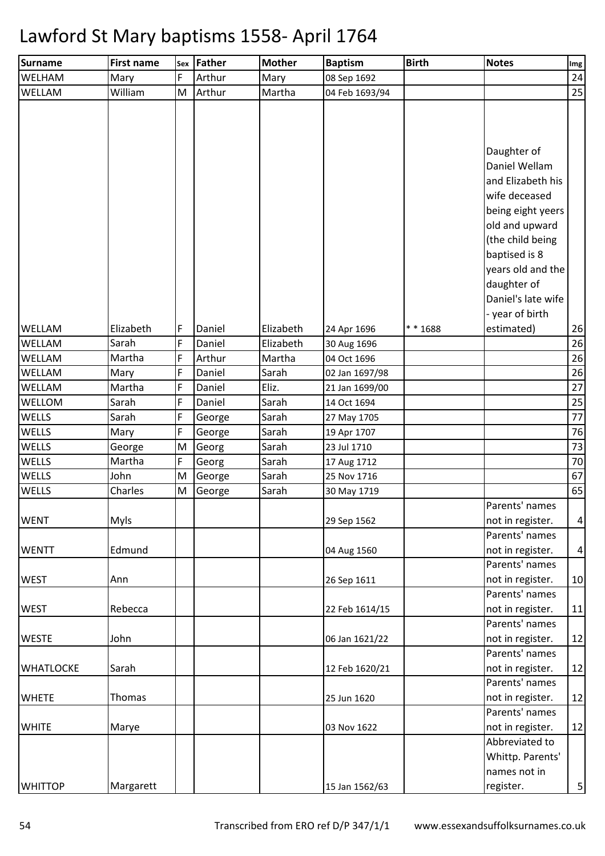| Surname          | <b>First name</b> |   | sex Father | <b>Mother</b> | <b>Baptism</b> | <b>Birth</b> | <b>Notes</b>                       | Img             |
|------------------|-------------------|---|------------|---------------|----------------|--------------|------------------------------------|-----------------|
| WELHAM           | Mary              | F | Arthur     | Mary          | 08 Sep 1692    |              |                                    | 24              |
| WELLAM           | William           | M | Arthur     | Martha        | 04 Feb 1693/94 |              |                                    | 25              |
|                  |                   |   |            |               |                |              | Daughter of<br>Daniel Wellam       |                 |
|                  |                   |   |            |               |                |              | and Elizabeth his                  |                 |
|                  |                   |   |            |               |                |              | wife deceased                      |                 |
|                  |                   |   |            |               |                |              | being eight yeers                  |                 |
|                  |                   |   |            |               |                |              | old and upward                     |                 |
|                  |                   |   |            |               |                |              | (the child being                   |                 |
|                  |                   |   |            |               |                |              | baptised is 8                      |                 |
|                  |                   |   |            |               |                |              | years old and the                  |                 |
|                  |                   |   |            |               |                |              | daughter of                        |                 |
|                  |                   |   |            |               |                |              | Daniel's late wife                 |                 |
|                  |                   |   |            |               |                |              | - year of birth                    |                 |
| <b>WELLAM</b>    | Elizabeth         | F | Daniel     | Elizabeth     | 24 Apr 1696    | ** 1688      | estimated)                         | 26              |
| WELLAM           | Sarah             | F | Daniel     | Elizabeth     | 30 Aug 1696    |              |                                    | 26              |
| WELLAM           | Martha            | F | Arthur     | Martha        | 04 Oct 1696    |              |                                    | 26              |
| WELLAM           | Mary              | F | Daniel     | Sarah         | 02 Jan 1697/98 |              |                                    | 26              |
| <b>WELLAM</b>    | Martha            | F | Daniel     | Eliz.         | 21 Jan 1699/00 |              |                                    | $27\,$          |
| WELLOM           | Sarah             | F | Daniel     | Sarah         | 14 Oct 1694    |              |                                    | 25              |
| WELLS            | Sarah             | F | George     | Sarah         | 27 May 1705    |              |                                    | 77              |
| WELLS            | Mary              | F | George     | Sarah         | 19 Apr 1707    |              |                                    | 76              |
| WELLS            | George            | M | Georg      | Sarah         | 23 Jul 1710    |              |                                    | 73              |
| WELLS            | Martha            | F | Georg      | Sarah         | 17 Aug 1712    |              |                                    | 70              |
| WELLS            | John              | M | George     | Sarah         | 25 Nov 1716    |              |                                    | 67              |
| WELLS            | Charles           | M | George     | Sarah         | 30 May 1719    |              |                                    | 65              |
|                  |                   |   |            |               |                |              | Parents' names                     |                 |
| <b>WENT</b>      | <b>Myls</b>       |   |            |               | 29 Sep 1562    |              | not in register.                   | $\vert 4 \vert$ |
|                  |                   |   |            |               |                |              | Parents' names                     |                 |
| <b>WENTT</b>     | Edmund            |   |            |               | 04 Aug 1560    |              | not in register.<br>Parents' names | $\vert 4 \vert$ |
| <b>WEST</b>      |                   |   |            |               | 26 Sep 1611    |              |                                    | 10              |
|                  | Ann               |   |            |               |                |              | not in register.<br>Parents' names |                 |
| <b>WEST</b>      | Rebecca           |   |            |               | 22 Feb 1614/15 |              | not in register.                   | 11              |
|                  |                   |   |            |               |                |              | Parents' names                     |                 |
| <b>WESTE</b>     | John              |   |            |               | 06 Jan 1621/22 |              | not in register.                   | 12              |
|                  |                   |   |            |               |                |              | Parents' names                     |                 |
| <b>WHATLOCKE</b> | Sarah             |   |            |               | 12 Feb 1620/21 |              | not in register.                   | 12              |
|                  |                   |   |            |               |                |              | Parents' names                     |                 |
| <b>WHETE</b>     | Thomas            |   |            |               | 25 Jun 1620    |              | not in register.                   | 12              |
|                  |                   |   |            |               |                |              | Parents' names                     |                 |
| <b>WHITE</b>     | Marye             |   |            |               | 03 Nov 1622    |              | not in register.                   | 12              |
|                  |                   |   |            |               |                |              | Abbreviated to                     |                 |
|                  |                   |   |            |               |                |              | Whittp. Parents'                   |                 |
|                  |                   |   |            |               |                |              | names not in                       |                 |
| <b>WHITTOP</b>   | Margarett         |   |            |               | 15 Jan 1562/63 |              | register.                          | $\mathbf{5}$    |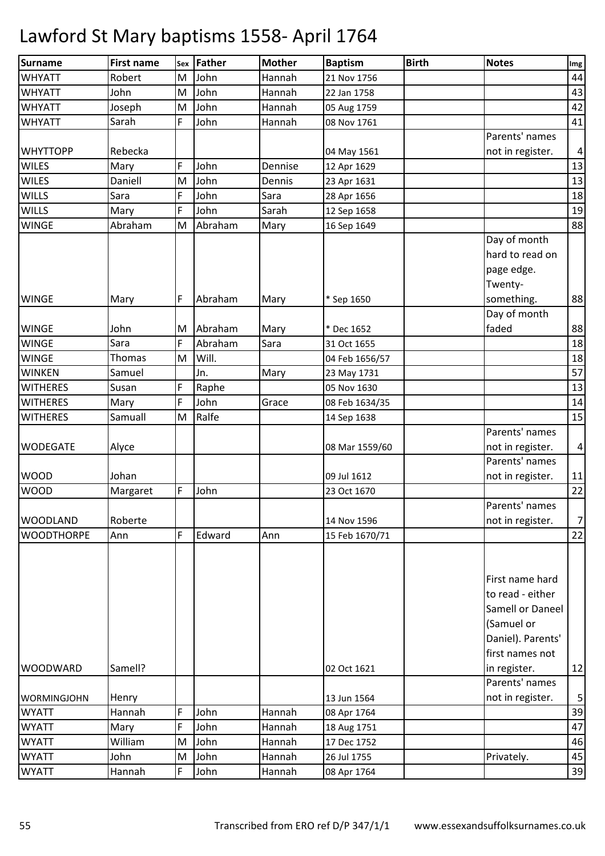| Surname                    | <b>First name</b> |   | sex Father | <b>Mother</b> | <b>Baptism</b> | <b>Birth</b> | <b>Notes</b>                                                                                                  | Img            |
|----------------------------|-------------------|---|------------|---------------|----------------|--------------|---------------------------------------------------------------------------------------------------------------|----------------|
| <b>WHYATT</b>              | Robert            | M | John       | Hannah        | 21 Nov 1756    |              |                                                                                                               | 44             |
| <b>WHYATT</b>              | John              | M | John       | Hannah        | 22 Jan 1758    |              |                                                                                                               | 43             |
| <b>WHYATT</b>              | Joseph            | M | John       | Hannah        | 05 Aug 1759    |              |                                                                                                               | 42             |
| <b>WHYATT</b>              | Sarah             | F | John       | Hannah        | 08 Nov 1761    |              |                                                                                                               | 41             |
|                            |                   |   |            |               |                |              | Parents' names                                                                                                |                |
| <b>WHYTTOPP</b>            | Rebecka           |   |            |               | 04 May 1561    |              | not in register.                                                                                              | $\overline{a}$ |
| <b>WILES</b>               | Mary              | F | John       | Dennise       | 12 Apr 1629    |              |                                                                                                               | 13             |
| <b>WILES</b>               | Daniell           | M | John       | Dennis        | 23 Apr 1631    |              |                                                                                                               | 13             |
| <b>WILLS</b>               | Sara              | F | John       | Sara          | 28 Apr 1656    |              |                                                                                                               | 18             |
| <b>WILLS</b>               | Mary              | F | John       | Sarah         | 12 Sep 1658    |              |                                                                                                               | 19             |
| <b>WINGE</b>               | Abraham           | M | Abraham    | Mary          | 16 Sep 1649    |              |                                                                                                               | 88             |
| <b>WINGE</b>               | Mary              | F | Abraham    | Mary          | * Sep 1650     |              | Day of month<br>hard to read on<br>page edge.<br>Twenty-<br>something.                                        | 88             |
|                            |                   |   |            |               |                |              | Day of month                                                                                                  |                |
| <b>WINGE</b>               | John              | M | Abraham    | Mary          | * Dec 1652     |              | faded                                                                                                         | 88             |
| <b>WINGE</b>               | Sara              | F | Abraham    | Sara          | 31 Oct 1655    |              |                                                                                                               | 18             |
| <b>WINGE</b>               | <b>Thomas</b>     | M | Will.      |               | 04 Feb 1656/57 |              |                                                                                                               | 18             |
| <b>WINKEN</b>              | Samuel            |   | Jn.        | Mary          | 23 May 1731    |              |                                                                                                               | 57             |
| <b>WITHERES</b>            | Susan             | F | Raphe      |               | 05 Nov 1630    |              |                                                                                                               | 13             |
| <b>WITHERES</b>            | Mary              | F | John       | Grace         | 08 Feb 1634/35 |              |                                                                                                               | 14             |
| <b>WITHERES</b>            | Samuall           | M | Ralfe      |               | 14 Sep 1638    |              |                                                                                                               | 15             |
| <b>WODEGATE</b>            | Alyce             |   |            |               | 08 Mar 1559/60 |              | Parents' names<br>not in register.                                                                            | $\overline{a}$ |
|                            | Johan             |   |            |               |                |              | Parents' names                                                                                                |                |
| <b>WOOD</b><br><b>WOOD</b> |                   | F | John       |               | 09 Jul 1612    |              | not in register.                                                                                              | 11             |
|                            | Margaret          |   |            |               | 23 Oct 1670    |              | Parents' names                                                                                                | 22             |
| <b>WOODLAND</b>            | Roberte           |   |            |               | 14 Nov 1596    |              |                                                                                                               | $\overline{7}$ |
| <b>WOODTHORPE</b>          | Ann               | F | Edward     | Ann           | 15 Feb 1670/71 |              | not in register.                                                                                              | 22             |
|                            |                   |   |            |               |                |              |                                                                                                               |                |
|                            |                   |   |            |               |                |              | First name hard<br>to read - either<br>Samell or Daneel<br>(Samuel or<br>Daniel). Parents'<br>first names not |                |
| <b>WOODWARD</b>            | Samell?           |   |            |               | 02 Oct 1621    |              | in register.                                                                                                  | 12             |
|                            |                   |   |            |               |                |              | Parents' names                                                                                                |                |
| <b>WORMINGJOHN</b>         | Henry             |   |            |               | 13 Jun 1564    |              | not in register.                                                                                              | 5              |
| <b>WYATT</b>               | Hannah            | F | John       | Hannah        | 08 Apr 1764    |              |                                                                                                               | 39             |
| <b>WYATT</b>               | Mary              | F | John       | Hannah        | 18 Aug 1751    |              |                                                                                                               | 47             |
| <b>WYATT</b>               | William           | M | John       | Hannah        | 17 Dec 1752    |              |                                                                                                               | 46             |
| <b>WYATT</b>               | John              | M | John       | Hannah        | 26 Jul 1755    |              | Privately.                                                                                                    | 45             |
| <b>WYATT</b>               | Hannah            | F | John       | Hannah        | 08 Apr 1764    |              |                                                                                                               | 39             |